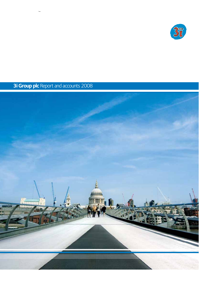

# **3i Group plc** Report and accounts 2008

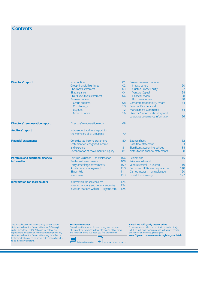## **Contents**

| <b>Directors' report</b>                  | Introduction                             | 01              | <b>Business review continued</b>  |     |
|-------------------------------------------|------------------------------------------|-----------------|-----------------------------------|-----|
|                                           | Group financial highlights               | 02              | <b>Infrastructure</b>             | 20  |
|                                           | Chairman's statement                     | 03              | <b>Quoted Private Equity</b>      | 22  |
|                                           | 3i at a glance                           | 04              | <b>Venture Capital</b>            | 24  |
|                                           | <b>Chief Executive's statement</b>       | 06              | <b>Financial review</b>           | 28  |
|                                           | <b>Business review</b>                   |                 | Risk management                   | 38  |
|                                           | <b>Group business</b>                    | 08              | Corporate responsibility report   | 44  |
|                                           | Our strategy                             | 10 <sup>°</sup> | Board of Directors and            |     |
|                                           | <b>Buyouts</b>                           | 12              | <b>Management Committee</b>       | 54  |
|                                           | <b>Growth Capital</b>                    | 16              | Directors' report - statutory and |     |
|                                           |                                          |                 | corporate governance information  | 56  |
| <b>Directors' remuneration report</b>     | Directors' remuneration report           | 68              |                                   |     |
| <b>Auditors' report</b>                   | Independent auditors' report to          |                 |                                   |     |
|                                           | the members of 3i Group plc              | 79              |                                   |     |
| <b>Financial statements</b>               | Consolidated income statement            | 80              | <b>Balance sheet</b>              | 82  |
|                                           | Statement of recognised income           |                 | Cash flow statement               | 83  |
|                                           | and expense                              | 81              | Significant accounting policies   | 84  |
|                                           | Reconciliation of movements in equity    | 81              | Notes to the financial statements | 88  |
| <b>Portfolio and additional financial</b> | Portfolio valuation – an explanation     | 106             | Realisations                      | 115 |
| <b>information</b>                        | Ten largest investments                  | 108             | Private equity and                |     |
|                                           | Forty other large investments            | 109             | venture capital - a lexicon       | 116 |
|                                           | Assets under management                  | 110             | Returns and IRRs - an explanation | 118 |
|                                           | 3i portfolio                             | 111             | Carried interest - an explanation | 120 |
|                                           | <b>Investment</b>                        | 113             | 3i and Transparency               | 122 |
| <b>Information for shareholders</b>       | Information for shareholders             | 124             |                                   |     |
|                                           | Investor relations and general enquiries | 124             |                                   |     |
|                                           | Investor relations website - 3igroup.com | 125             |                                   |     |

This Annual report and accounts may contain certain statements about the future outlook for 3i Group plc and its subsidiaries ("3i"). Although we believe our expectations are based on reasonable assumptions, any statements about the future outlook may be influenced by factors that could cause actual outcomes and results to be materially different.

#### **Further information**

You will see these symbols used throughout this report. They point you towards further information either within the report or online. We hope you find them useful.

#### **Annual and half-yearly reports online**

To receive shareholder communications electronically in future, including your annual and half-yearly reports and notices of meetings, please go to **www.3igroup.com/e-comms to register your details.**

 $\qquad \qquad$ 

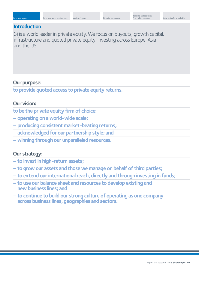## **Introduction**

3i is a world leader in private equity. We focus on buyouts, growth capital, infrastructure and quoted private equity, investing across Europe, Asia and the US.

## **Our purpose:**

**to provide quoted access to private equity returns.**

## **Our vision:**

**to be the private equity firm of choice:**

- **operating on a world-wide scale;**
- **producing consistent market-beating returns;**
- **acknowledged for our partnership style; and**
- **winning through our unparalleled resources.**

## **Our strategy:**

- **to invest in high-return assets;**
- **to grow our assets and those we manage on behalf of third parties;**
- **to extend our international reach, directly and through investing in funds;**
- **to use our balance sheet and resources to develop existing and new business lines; and**
- **to continue to build our strong culture of operating as one company across business lines, geographies and sectors.**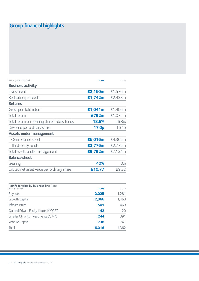# **Group financial highlights**

| Year to/as at 31 March                      | 2008    | 2007    |
|---------------------------------------------|---------|---------|
| <b>Business activity</b>                    |         |         |
| Investment                                  | £2,160m | £1,576m |
| Realisation proceeds                        | £1,742m | £2,438m |
| <b>Returns</b>                              |         |         |
| Gross portfolio return                      | £1,041m | £1,406m |
| Total return                                | £792m   | £1,075m |
| Total return on opening shareholders' funds | 18.6%   | 26.8%   |
| Dividend per ordinary share                 | 17.0p   | 16.1p   |
| <b>Assets under management</b>              |         |         |
| Own balance sheet                           | £6,016m | £4,362m |
| Third-party funds                           | £3,776m | £2,772m |
| Total assets under management               | £9,792m | £7,134m |
| <b>Balance sheet</b>                        |         |         |
| Gearing                                     | 40%     | 0%      |
| Diluted net asset value per ordinary share  | £10.77  | £9.32   |
|                                             |         |         |

| Portfolio value by business line $(\text{fm})$ |       |       |
|------------------------------------------------|-------|-------|
| as at 31 March                                 | 2008  | 2007  |
| <b>Buyouts</b>                                 | 2,025 | 1,281 |
| Growth Capital                                 | 2,366 | 1,460 |
| <b>Infrastructure</b>                          | 501   | 469   |
| Quoted Private Equity Limited ("QPE")          | 142   | 20    |
| Smaller Minority Investments ("SMI")           | 244   | 391   |
| Venture Capital                                | 738   | 741   |
| Total                                          | 6,016 | 4,362 |
|                                                |       |       |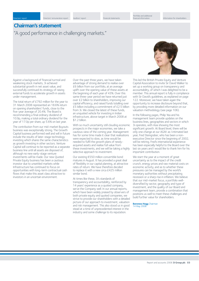## **Chairman's statement**

"A good performance in challenging markets."

Against a background of financial turmoil and weakening stock markets, 3i achieved substantial growth in net asset value, and successfully continued its strategy of raising external funds to accelerate growth in assets under management.

The total return of £792 million for the year to 31 March 2008 represented an 18.6% return on opening shareholders' funds, close to the five-year average of 20.4%. The Board is recommending a final ordinary dividend of 10.9p, making a total ordinary dividend for the year of 17.0p per share, up 5.6% on last year.

The contribution from our mid-market Buyouts business was exceptionally strong. The Growth Capital business performed well and will in future include the results of later-stage technology investing which shares the same characteristics as growth investing in other sectors. Venture Capital will continue to be reported as a separate business line until all assets are disposed of, although no new early-stage venture investments will be made. Our new Quoted Private Equity business has been a cautious investor due to unsettled markets while Infrastructure has continued to focus on opportunities with long-term contractual cash flows that make this asset class attractive to investors in an uncertain environment.

Over the past three years, we have taken advantage of strong demand to realise over £6 billion from our portfolio, at an average uplift over the opening value of these assets at the beginning of each year of 43%. Over this same three-year period we have returned just over £2 billion to shareholders, improving our capital efficiency, and raised funds totalling over £5 billion including a commitment of £2.5 billion from 3i. We closed the latest of these funds, an unquoted vehicle for investing in Indian infrastructure, above target in March 2008 at \$1.2 billion.

With so much uncertainty still clouding economic prospects in the major economies, we take a cautious view of the coming year. Management has for some time made it clear that realisations were expected to slow, as time would be needed to fulfil the growth plans of newlyacquired assets and realise full value from these investments, and we will be taking a highly selective approach to investment.

Our existing €550 million convertible bond matures in August. It has provided a great deal of flexibility in our capital planning, at attractive rates of return. We have therefore decided to replace it with a new circa £425 million similar bond.

At times like these, 3i's standards of transparency and accountability, reinforced by 14 years' experience as a quoted company, serve the Company well. In our annual reports, which have been widely praised by observers of both private equity and quoted companies, we strive to provide our shareholders with a detailed picture of our approach to investment, valuation and risk management. This also stood us in good stead at a time of unprecedented interest in the industry and some challenge to its reputation.



This led the British Private Equity and Venture Capital Association to invite Sir David Walker to set up a working group on transparency and accountability, of which I was delighted to be a member. This annual report is fully in compliance with Sir David's guidelines, as explained on page 122. Moreover, we have taken again the opportunity to increase disclosure beyond that, by providing more detailed information on our valuation methodology (see page 106).

In the following pages, Philip Yea and his management team provide updates on the business lines, geographies and sectors in which 3i operates, with Asia showing the most significant growth. At Board level, there will be only one change at our AGM: as I intimated last year, Fred Steingraber, who has been a nonexecutive Director since the beginning of 2002, will be retiring. Fred's international experience has been especially helpful to the Board over the last six years and I would like to thank him for his important contribution.

We start the year at a moment of great uncertainty as to the impact of the credit crunch, energy prices and raw material costs on economic activity, and as to whether these pressures can be managed by the world's monetary authorities without precipitating recession or a sharp rise in inflation. We believe that our mid-market focus, a portfolio welldiversified by sector, geography and type of investment, and the quality of our Board and management team, provide a combination that positions us well to meet these challenges and build further value for shareholders.

**Baroness Hogg** Chairman 14 May 2008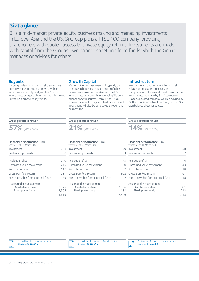## **3i at a glance**

3i is a mid-market private equity business making and managing investments in Europe, Asia and the US. 3i Group plc is a FTSE 100 company, providing shareholders with quoted access to private equity returns. Investments are made with capital from the Group's own balance sheet and from funds which the Group manages or advises for others.

## **Buyouts**

Focusing on leading mid-market transactions primarily in Europe but also in Asia, with an enterprise value of typically up to €1 billion. Investments are generally made through Limited Partnership private equity funds.

### **Growth Capital**

Making minority investments of typically up to €250 million in established and profitable businesses across Europe, Asia and the US. Investments are generally made using 3i's own balance sheet resources. From 1 April 2008, all late-stage technology and healthcare minority investment will also be conducted through this business line.

## **Infrastructure**

Investing in a broad range of international infrastructure assets, principally in transportation, utilities and social infrastructure. Investments are made by 3i Infrastructure Limited, a quoted company which is advised by 3i, the 3i India Infrastructure Fund, or from 3i's own balance sheet resources.

### **Gross portfolio return**



| <b>Financial performance</b> $(fm)$<br>year to/as at 31 March 2008 |       |
|--------------------------------------------------------------------|-------|
| Investment                                                         | 788   |
| Realisation proceeds                                               | 858   |
| Realised profits                                                   | 370   |
| Unrealised value movement                                          | 245   |
| Portfolio income                                                   | 116   |
| Gross portfolio return                                             | 731   |
| Fees receivable from external funds                                | 39    |
| Assets under management                                            |       |
| Own balance sheet                                                  | 2,025 |
| Third-party funds                                                  | 2,594 |
|                                                                    | 4.619 |

### **Gross portfolio return**

**21%** (2007: 48%)

| Financial performance (£m)<br>year to/as at 31 March 2008 |       |
|-----------------------------------------------------------|-------|
| Investment                                                |       |
| Realisation proceeds                                      | 503   |
| Realised profits                                          | 75    |
| Unrealised value movement                                 | 160   |
| Portfolio income                                          | 67    |
| Gross portfolio return                                    | 302   |
| Fees receivable from external funds                       | 2     |
| Assets under management                                   |       |
| Own balance sheet                                         | 2,366 |
| Third-party funds                                         | 183   |
|                                                           | 2549  |

### **Gross portfolio return**



| <b>Financial performance</b> $(fm)$<br>year to/as at 31 March 2008 |       |
|--------------------------------------------------------------------|-------|
| Investment                                                         | 38    |
| Realisation proceeds                                               | 57    |
| Realised profits                                                   | 6     |
| Unrealised value movement                                          | 43    |
| Portfolio income                                                   | 18    |
| Gross portfolio return                                             | 67    |
| Fees receivable from external funds                                | 18    |
| Assets under management                                            |       |
| Own balance sheet                                                  | 501   |
| Third-party funds                                                  | 712   |
|                                                                    | 1,213 |



↳



For further information on Infrastructure please go to **page 20**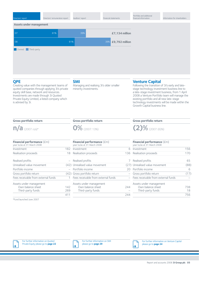| Directors' report       | Directors' remuneration report | Auditors' report | Financial statements | Portfolio and additional<br>financial information | Information for shareholders |
|-------------------------|--------------------------------|------------------|----------------------|---------------------------------------------------|------------------------------|
| Assets under management |                                |                  |                      |                                                   |                              |
| 07                      | 61%                            | 39%              | £7,134 million       |                                                   |                              |
| 08                      |                                | 61%              | 39% £9,792 million   |                                                   |                              |
| Owned Third-party       |                                |                  |                      |                                                   |                              |
|                         |                                |                  |                      |                                                   |                              |
|                         |                                |                  |                      |                                                   |                              |
|                         |                                |                  |                      |                                                   |                              |

## **QPE**

Creating value with the management teams of quoted companies through applying 3i's private equity skill base, network and resources. Investments are made through 3i Quoted Private Equity Limited, a listed company which is advised by 3i.

## **SMI**

Managing and realising 3i's older smaller minority investments.

## **Venture Capital**

Following the transition of 3i's early and latestage technology investment business line to a late-stage investment business, from 1 April 2008 a Venture Portfolio team will manage the existing portfolio and all new late-stage technology investments will be made within the Growth Capital business line.

### **Gross portfolio return**



| Financial performance (£m)<br>year to/as at 31 March 2008 |      |
|-----------------------------------------------------------|------|
| Investment                                                | 182  |
| Realisation proceeds                                      | 18   |
| Realised profits                                          |      |
| Unrealised value movement                                 | (42) |
| Portfolio income                                          |      |
| Gross portfolio return                                    | (42) |
| Fees receivable from external funds                       |      |
| Assets under management                                   |      |
| Own balance sheet                                         | 142  |
| Third-party funds                                         | 269  |
|                                                           | 411  |

\*Fund launched June 2007

### **Gross portfolio return**

**0%** (2007: 13%)

| <b>Financial performance</b> $(fm)$<br>year to/as at 31 March 2008 |      |
|--------------------------------------------------------------------|------|
| Investment                                                         | 6    |
| Realisation proceeds                                               | 136  |
| Realised profits                                                   |      |
| Unrealised value movement                                          | (27) |
| Portfolio income                                                   | 20   |
| Gross portfolio return                                             |      |
| Fees receivable from external funds                                |      |
| Assets under management                                            |      |
| Own balance sheet                                                  | 244  |
| Third-party funds                                                  |      |
|                                                                    | 24   |

**Gross portfolio return**



| Financial performance (£m)<br>year to/as at 31 March 2008 |      |
|-----------------------------------------------------------|------|
| Investment                                                | 156  |
| Realisation proceeds                                      | 170  |
| Realised profits                                          | 65   |
| Unrealised value movement                                 | (88) |
| Portfolio income                                          |      |
| Gross portfolio return                                    | (17) |
| Fees receivable from external funds                       |      |
| Assets under management                                   |      |
| Own balance sheet                                         | 738  |
| Third-party funds                                         | 18   |
|                                                           | 756  |



For further information on Quoted Private Equity please go to **page 22** For further information on SMI please go to **page 29**

 $\rightarrow$ 

|→

For further information on Venture Capital please go to **page 24**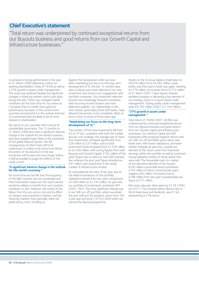## **Chief Executive's statement**

"Total return was underpinned by continued exceptional returns from our Buyouts business and good returns from our Growth Capital and Infrastructure businesses."

3i achieved a strong performance in the year to 31 March 2008, delivering a return on opening shareholders' funds of 18.6% as well as a 37% growth in assets under management. This result was achieved despite the significant changes in financing markets which took place during the year. These very changed market conditions set the back drop for my review as I recognise that no matter how good our performance has been, in the current more uncertain environment it is the outlook and how 3i is positioned that are likely to be of most interest to shareholders.

My report to you coincides with a period of considerable uncertainty. The 12 months to 31 March 2008 have seen a significant adverse change in the outlook for the world's economy and have revealed major flaws in the soundness of the global financial system, the full consequences of which have still to be understood. It is likely to be some time before the extent of the downturn in the real economies will be seen and even longer before it will be possible to judge the effects of the credit crunch.

#### **"A significant adverse change in the outlook for the world's economy."**

For some time we had felt that the buoyancy of the debt markets was not sustainable and that investments made over the recent period would be unlikely to benefit from such positive conditions on exit. However, the extent of the fallout from the sub-prime crisis and its effect on mergers and acquisitions markets, and the financing markets more generally, were not predicted by most, including us.

Against this background, whilst we have been maintaining our focus on the long-term development of 3i, the last 12 months have seen us being even more selective in our new investment and active in our engagement with portfolio companies. Our investment selection process has increasingly favoured companies with recurring income streams and more defensive qualities. Our relationships in the mid-market, particularly those with banks, have allowed transactions to be completed, albeit on terms closer to those of three years ago.

#### **"Maintaining our focus on the long-term development of 3i."**

The number of first new investments fell from 62 to 47 but, consistent with both the market and our own strategy, the average size of these first investments increased significantly from £26 million to £37 million, and so total investment levels increased from £1,576 million to £2,160 million, with strong figures from both Buyouts and Growth Capital. £182 million of this year's figure was to seed our new QPE business line; whereas the prior year figure included our £91 million cash investment in the newlycreated 3i Infrastructure Limited.

As anticipated at the start of last year, due to the relative immaturity of the portfolio, realisations slowed from last year's exceptional £2,438 million to £1,742 million. At year end, our portfolio of investments numbered 487 (2007: 762). The most significant change was in our SMI run-off portfolio, where we ended the year with just 92 positions, down from 293 a year ago and some 1,079 in 2004 when we started the disposal programme.

Assets on the 3i Group balance sheet grew to £6,016 million from £4,362 million a year earlier, and third-party funds rose again, reaching £3,776 million, an increase from £2,772 million at 31 March 2007. These figures showed excellent progress in delivering a key element of our strategy, which is to grow assets under management. Closing assets under management were £9,792 million (2007: £7,134 million).

#### **"37% growth in assets under management."**

Total return of 18.6% (2007: 26.8%) was underpinned by continued exceptional returns from our Buyouts business and good returns from our Growth Capital and Infrastructure businesses. Our Venture Capital and QPE businesses both produced negative returns and our SMI run-off portfolio's gross return was break even. With lower realisations, and lower market multiples at year end, a significant element of the return came from improved earnings within the portfolio as well as continued strong realisation profits on those assets that were sold. The favourable mark-to-market of the derivative element of the Group's €550 million convertible bond contributed £162 million of return, reversing last year's negative £62 million. Provisions rose to £188 million from last year's exceptionally low figure of £71 million.

Net asset value per share grew by £1.45 (16%) to £10.77. The increase before dilution due to the B share issue and dividends, was £1.94, representing a 21% return.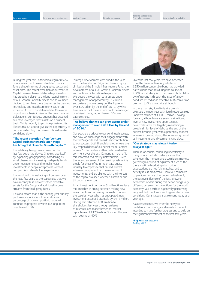Directors' remuneration report Auditors' report Financial statements

Portfolio and additional

During the year, we undertook a regular review of our investment business to determine its future shape in terms of geography, sector and asset class. The recent evolution of our Venture Capital business towards later-stage investing has brought it closer to the long-standing remit of our Growth Capital business and so we have decided to combine these businesses by creating Technology and Healthcare teams within an expanded Growth Capital mandate. On a more opportunistic basis, in view of the recent market dislocations, our Buyouts business has acquired selective leveraged debt assets on a prudent basis. This is not only to produce private equity like returns but also to give us the opportunity to consider extending this business should market conditions allow.

#### **"The recent evolution of our Venture Capital business towards later-stage has brought it closer to Growth Capital."**

The relatively benign environment of the last few years has allowed 3i to reshape itself by expanding geographically, broadening its asset classes, and increasing third-party funds under management, and to make major investments in people and process without compromising shareholder expectations.

The results of this reshaping will be seen over the next few years as the capabilities that we have recently built deliver further profitable assets for the Group and additional income streams from third-party funds.

This also means that in the coming year our key performance indicator of net costs as a percentage of opening portfolio value will continue its progress towards our long-term objective of 3.0%.

Strategic development continued in the year with the launches of 3i Quoted Private Equity Limited and the 3i India Infrastructure Fund, the development of our US Growth Capital business and continued international expansion. We closed the year with total assets under management of approximately €12 billion, and believe that we can grow this figure to over €20 billion by the end of 2010, by which time around half these assets could be managed or advised funds, rather than on 3i's own balance sheet.

#### **"We believe that we can grow assets under management to over €20 billion by the end of 2010."**

Our people are critical to our continued success, and how we encourage their engagement with the firm's agenda and reward their contribution to our success, both financial and otherwise, are key responsibilities of our senior team. "Carried interest" schemes have attracted considerable comment over the last 12 months, much of it mis-informed and mostly unfavourable. Given the recent excesses of the banking system, it is timely for those of us in the private equity industry to emphasise that carried interest schemes only pay out on the realisation of investments, and are aligned with the interests of the capital provider, whether 3i itself or our third-party investors.

As an investment company, 3i will routinely face mis-matches in timing between making new investments and achieving disposals. This was the case last year when, as anticipated, new investment exceeded disposals by £418 million. Having also returned £808 million to shareholders last year through an issue of B shares, and made further on-market repurchases of £120 million, 3i ended the year with gearing at 40%.



Over the last few years, we have benefited from the financial flexibility which our €550 million convertible bond has provided. As this bond matures during the course of 2008, our strategy is to maintain such flexibility by refinancing it through the issue of a new bond structured at an effective 60% conversion premium to 3i's share price at launch.

In these markets, liquidity is at a premium. We start the new year with liquid resources plus undrawn facilities of £1,082 million. Looking forward, although we are seeing a significant level of new investment opportunities, nevertheless we are targeting maintaining a broadly similar level of debt by the end of the current financial year, with a potentially modest increase in gearing during the intervening period as investments and divestments take place.

#### **"Our strategy is as relevant today as a year ago."**

There is, of course, continuing uncertainty in many of our markets. History shows that whenever the mergers and acquisitions markets go through a period of adjustment such as this, there is a time lag during which price expectations are not fully matched, and so activity is less predictable. However, compared to previous periods of economic adjustment, the positive influence of the fast-growing economies of Asia during this period brings very different dynamics to the outlook for the world economy. Our portfolio is generally performing very well but is not immune to general economic conditions. Our strategy is as relevant today as a year ago.

As a consequence, we enter the new year confident in our strategy and realistic in outlook, intending to make further progress and to build on the significant investment of the last few years.

**Philip Yea** Chief Executive 14 May 2008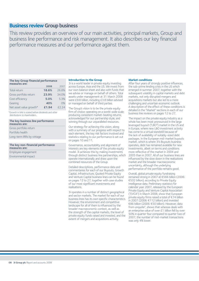## **Business review Group business**

This review provides an overview of our main activities, principal markets, Group and business line performance and risk management. It also describes our key financial performance measures and our performance against them.

#### **The key Group financial performance measures are:**

|                         | 2008  | 2007  |
|-------------------------|-------|-------|
| Total return            | 18.6% | 26.8% |
| Gross portfolio return  | 23.9% | 34.0% |
| Cost efficiency         | 5.0%  | 5.3%  |
| Gearing                 | 40%   | $O\%$ |
| Net asset value growth* | £1.94 | £2.24 |

\*Growth in NAV is stated before dividends and other distributions to shareholders.

| The key business line performance<br>measures are: |
|----------------------------------------------------|
| Gross portfolio return                             |
| Portfolio health                                   |
| Long-term IRRs by vintage                          |

### **The key non-financial performance measures are:**

Employee engagement Environmental impact

#### **Introduction to the Group**

3i is a world leader in private equity investing across Europe, Asia and the US. We invest from our own balance sheet and also with funds that we advise or manage on behalf of others. Total assets under management at 31 March 2008 were £9.8 billion, including £3.8 billion advised or managed on behalf of third parties.

The Group's vision is to be the private equity firm of choice: operating on a world-wide scale; producing consistent market-beating returns; acknowledged for our partnership style; and winning through our unparalleled resources.

Our strategy for achieving this vision, along with a summary of our progress with respect to each element, the key risk factors involved and statistics relating to our performance is set out on pages 10 and 11.

Governance, accountability and alignment of interests are key elements of the private equity model. 3i achieves this by making investments through distinct business line partnerships, which operate internationally and draw upon the combined resources of the Group.

Detailed descriptions, performance data and commentaries for each of our Buyouts, Growth Capital, Infrastructure, Quoted Private Equity and Venture Capital business lines can be found on pages 12 to 27, together with case studies of our most significant investments and realisations.

3i operates in a number of distinct geographical and sector markets. The market for each of our business lines has its own specific characteristics. However, the environment and competitive landscape for all of them is influenced by the broader macroeconomic context, as well as the strength of the capital markets, the level of private equity funds raised and invested, and the extent of mergers and acquisitions activity.

#### **Market conditions**

After four years of strongly positive influences, the sub-prime lending crisis in the US which emerged in summer 2007, together with the subsequent volatility in capital markets and debt markets, not only disrupted mergers and acquisitions markets but also led to a more challenging and uncertain economic outlook. A description of the effect of these conditions is detailed in the "Market" sections in each of our business line reviews on pages 12 to 27.

The impact on the private equity industry as a whole has been most pronounced in the large leveraged buyout ("LBO") market in the US and in Europe, where new LBO investment activity has come to a virtual standstill because of the lack of availability of suitably-sized debt packages. In the European mid-market buyouts market, which is where 3i's Buyouts business operates, debt has remained available for new investments, albeit on terms and conditions more reflective of the market in 2004 and 2005 than in 2007. All of our business lines are influenced by the slow down in the realisations market and the broader macroeconomic uncertainty, although the underlying performance of the portfolio remains good.

Overall, global private equity fundraising remained strong in 2007 at €566 billion (2006: €532 billion), according to Private Equity Intelligence data. Preliminary statistics for calendar year 2007, released by the European Private Equity and Venture Capital Association ("EVCA") in March 2008, show that European private equity firms raised a total of €74 billion in 2007 (2006: €112 billion) and invested €86 billion (2006: €50 billion). However, data from unquote", shows that whereas deals with an enterprise value of over £1 billion fell by over 50% in quarter four compared to quarter two of 2007, the number of mid-market transactions was only 4% lower.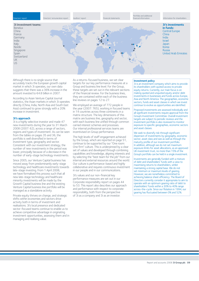Directors' remuneration report Auditors' report Financial statement

Portfolio and additional

financial information **Information** Information for shareholders



Although there is no single source that accurately tracks the European growth capital market in which 3i operates, our own data suggests that there was a 36% increase in the amount invested to €4.8 billion in 2007.

According to Asian Venture Capital Journal statistics, the Asian markets in which 3i operates directly (China, India, North Asia and South East Asia) continued to grow strongly with a 20% increase in investment.

#### **3i's approach**

3i is a highly selective investor and made 47 new investments during the year to 31 March 2008 (2007: 62), across a range of sectors, regions and types of investment. As can be seen from the tables on pages 35 and 36, the portfolio is well diversified in terms of investment type, geography and sector. Consistent with our investment strategy, the number of new investments in the period was lower, principally because of a decrease in the number of early-stage technology investments.

Since 2005, our Venture Capital business has moved away from predominantly early-stage technology and healthcare investments towards late-stage investing. From 1 April 2008, we have formalised this process such that all new late-stage technology and healthcare minority investments will be made by the Growth Capital business line and the existing Venture Capital business line portfolio will be managed as a standalone activity.

Private equity thrives on change, and strategic shifts within economies and sectors drive activity both in terms of investment and realisations. 3i's local presence and dedicated sector-focused teams continue to enable us to achieve competitive advantage in originating investment opportunities, assessing them and in managing and realising value.

As a returns-focused business, we set clear targets for our key performance measures at a Group and business line level. For the Group, these targets are set out in the relevant sections of the Financial review. For the business lines, they are contained within each of the business line reviews on pages 12 to 27.

We employed an average of 772 people in the year (2007: 765), working in focused teams in 14 countries across three continents in a matrix structure. The key dimensions of this matrix are business line, geography and sector, with each business line unified through common carried interest schemes and processes. Our internal professional services teams are incentivised on Group performance.

The high levels of staff engagement achieved by the Group, which are reported on page 51, continue to be supported by our "One room: One firm" culture. This is underpinned by a clear set of values and developed through combining capabilities and knowledge, aligning interests and by selecting the "best team for the job" from our internal and external resources around the world. Our culture is performance-based and highly collaborative and requires continuous investment in our people and in our communications.

3i's values and our non-financial key performance measures are set out in our .<br>Corporate responsibility report on pages 44 to 53. This report also describes our approach and performance with respect to corporate responsibility, both from the perspective of 3i as a company and 3i as an investor.

### **Investment policy**

3i is an investment company which aims to provide its shareholders with quoted access to private equity returns. Currently, our main focus is on making quoted and unquoted equity and/or debt investments in businesses and funds across Europe, Asia and North America. The geographies, economic sectors, funds and asset classes in which we invest continue to evolve as opportunities are identified.

Proposed investments are assessed individually and all significant investments require approval from the Group's Investment Committee. Overall investment targets are subject to periodic reviews and the investment portfolio is also reviewed to monitor exposure to specific geographies, economic sectors and asset classes.

We seek to diversify risk through significant dispersion of investments by geography, economic sector, asset class and size as well as through the maturity profile of our investment portfolio. In addition, although we do not set maximum exposure limits for asset allocations, as an approved UK investment trust, no more than 15% of the Group's portfolio can be held in a single investment.

Investments are generally funded with a mixture of debt and shareholders' funds with a view to maximising returns to shareholders, whilst maintaining a strong capital base. We do not set minimum or maximum levels of gearing. However, we are nonetheless committed to achieving balance sheet efficiency. The Board of Directors currently consider it appropriate to aim to operate with an optimum gearing ratio of debt to shareholders' funds within a 30% to 40% range across-the-cycle. Since our flotation in 1994, our gearing has fluctuated between 0% and 52%.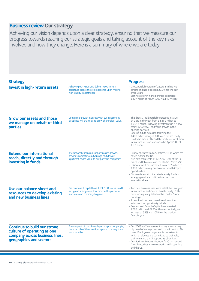# **Business review Our strategy**

Achieving our vision depends upon a clear strategy, ensuring that we measure our progress towards reaching our strategic goals and taking account of the key risks involved and how they change. Here is a summary of where we are today.

| <b>Strategy</b>                                                                                                                 |                                                                                                                                                      | <b>Progress</b>                                                                                                                                                                                                                                                                                                                                                                                                                                   |
|---------------------------------------------------------------------------------------------------------------------------------|------------------------------------------------------------------------------------------------------------------------------------------------------|---------------------------------------------------------------------------------------------------------------------------------------------------------------------------------------------------------------------------------------------------------------------------------------------------------------------------------------------------------------------------------------------------------------------------------------------------|
| <b>Invest in high-return assets</b>                                                                                             | Achieving our vision and delivering our return<br>objectives across the cycle depends upon making<br>high-quality investments.                       | - Gross portfolio return of 23.9% is in line with<br>targets and has exceeded 20.0% for the past<br>three years.<br>- Earnings growth in the portfolio generated<br>£307 million of return (2007: £142 million).                                                                                                                                                                                                                                  |
| <b>Grow our assets and those</b><br>we manage on behalf of third<br><b>parties</b>                                              | Combining growth in assets with our investment<br>disciplines will enable us to grow shareholder value.                                              | - The directly-held portfolio increased in value<br>by 38% in the year, from £4,362 million to<br>£6,016 million, following investments in 47 new<br>assets (2007: 62) and value growth in the<br>opening portfolio.<br>- External funds increased following the<br>£400 million listing of 3i Quoted Private Equity<br>Limited in June 2007 and the final close of 3i India<br>Infrastructure Fund, announced in April 2008 at<br>\$1.2 billion. |
| <b>Extend our international</b><br>reach, directly and through<br>investing in funds                                            | International expansion supports asset growth,<br>provides competitive advantage and delivers<br>significant added value to our portfolio companies. | - 3i now operates from 22 offices, 18 of which are<br>based outside the UK.<br>$-$ Asia now represents 11% (2007: 9%) of the 3i<br>direct portfolio value and the US 8% (2007: 7%).<br>- US investment has increased from £92 million to<br>£303 million, mainly due to new Growth Capital<br>opportunities.<br>- 3i's investments in nine private equity funds in<br>emerging markets continue to extend our<br>international reach.             |
| Use our balance sheet and<br>resources to develop existing<br>and new business lines                                            | 3i's permanent capital base, FTSE 100 status, credit<br>rating and strong cash flow provide the platform,<br>resources and credibility to grow.      | - Two new business lines were established last year,<br>Infrastructure and Quoted Private Equity. Both<br>have subsequently listed on the London Stock<br>Exchange.<br>- A new fund has been raised to address the<br>infrastructure opportunity in India.<br>- Buyouts and Growth Capital have invested<br>£788 million and £990 million respectively, an<br>increase of 58% and 105% on the previous<br>financial year.                         |
| <b>Continue to build our strong</b><br>culture of operating as one<br>company across business lines,<br>geographies and sectors | Every aspect of our vision depends upon our people,<br>the strength of their relationships and the way they<br>work together.                        | - Our 2008 staff engagement survey shows a very<br>high level of engagement and commitment to 3i's<br>goals. Employee engagement is the extent to<br>which employees are committed to their role,<br>their team and the Group and its objectives.<br>- Our Business Leaders Network for Chairmen and<br>Chief Executives is now operating in Europe, Asia<br>and the US.                                                                          |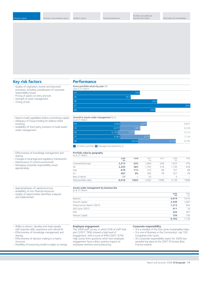## **Key risk factors**

- Quality of origination, review and execution processes, including consideration of corporate responsibility issues.
- Pricing of assets on entry and exit.
- Strength of asset management.
- Timing of exit.

#### – Need to build capabilities before committing capital.

- Adequacy of Group funding for balance sheet
- investing. – Availability of third-party investors to build assets
- under management.

#### – Effectiveness of knowledge management and sharing.

- Changes in local legal and regulatory frameworks.
- Maintenance of control environment.
- Managing corporate responsibility issues appropriately.

### – Appropriateness of capital structure.

- Availability of non-financial resources. – Quality of opportunities identified, analysed
- and implemented.

## **Performance**

### **Gross portfolio return by year** (%)

| year to 31 March | ____ |
|------------------|------|
| 04               | 19.4 |
| 05               | 16.7 |
| $\overline{06}$  | 24.4 |
| 07               | 34.0 |
| 08               | 23.9 |

### **Growth in assets under management** (£m)

| as at 31 March |       |       |                |
|----------------|-------|-------|----------------|
| 04             | 4,362 | 2,475 | 6,837          |
| 05             | 4,317 | 1,913 | 6,230          |
| 06             | 4,139 | 1,573 | 5,712          |
| 07             | 4,362 | 2,772 | 7,134          |
| 08             |       | 6,016 | 9,792<br>3,776 |

#### **3** 3i's direct portfolio Managed and advised by 3i

### **Portfolio value by geography**

| 2008<br>£m | 2008 | 2007<br>£m | 2007 | 2006<br>£m | 2006 |
|------------|------|------------|------|------------|------|
| 2,573      | 43%  | 1.894      | 43%  | 1.923      | 47%  |
| 2,250      | 38%  | 1.792      | 41%  | 1.736      | 42%  |
| 679        | 11%  | 373        | 9%   | 167        | 4%   |
| 497        | 8%   | 283        | 7%   | 307        | 7%   |
| 17         |      | 20         |      | 6          |      |
| 6,016      | 100% | 4,362      | 100% | 4,139      | 100% |
|            |      |            |      |            |      |

## **Assets under management by business line** as at 31 March

**2008** 2007 **£m** £m Buyouts **4,619** 3,410 Growth Capital **2,549** 1,687 Infrastructure (March 2007) **1,213** 854 QPE (June 2007) **411** 20 SMI **244** 407 Venture Capital **756** 756 **9,792** 7,134

- Ability to attract, develop and retain people
- with requisite skills, experience and cultural fit. – Effectiveness of knowledge management and sharing.
- Effectiveness of decision making in a matrix structure.
- Flexibility of resourcing model to adapt to change.

#### **Employee engagement**

The 2008 staff survey, in which 92% of staff took part (2007: 78%) showed a high level of engagement, with a score of 84% (2007: 87%). High scores from questions which test employee engagement have a direct positive impact on employee retention and productivity.

#### **Corporate responsibility**

- 3i is a member of the Dow Jones Sustainability Index. – 3i is one of Business in the Community's top 100
- Companies that Count. – 3i's Corporate responsibility report for 2006 was
- awarded top place at the 2007 IR Society Best Practice awards.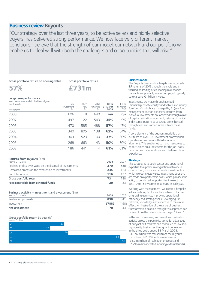## **Business review Buyouts**

"Our strategy over the last three years, to be active sellers and highly selective buyers, has delivered strong performance. We now face very different market conditions. I believe that the strength of our model, our network and our portfolio will enable us to deal well with both the challenges and opportunities that will arise."

#### **Gross portfolio return on opening value**

**Gross portfolio return**

**£731m**

## **57%**

**Long-term performance** New investments made in the financial years

| to 31 March<br>Vintage year | Total<br>investment<br>£m | Return<br>flow<br>£m | Value<br>remaining<br>£m | <b>IRR</b> to<br>31 March<br>2008 | <b>IRR</b> to<br>31 March<br>2007 |
|-----------------------------|---------------------------|----------------------|--------------------------|-----------------------------------|-----------------------------------|
| 2008                        | 606                       | 8                    | 640                      | n/a                               | n/a                               |
| 2007                        | 497                       | 122                  | 543                      | 35%                               | 9%                                |
| 2006                        | 470                       | 585                  | 488                      | 57%                               | 47%                               |
| 2005                        | 340                       | 805                  | 138                      | 62%                               | 54%                               |
| 2004                        | 303                       | 523                  | 100                      | 37%                               | 30%                               |
| 2003                        | 268                       | 663                  | 43                       | 50%                               | 50%                               |
| 2002                        | 186                       | 441                  | 4                        | 61%                               | 61%                               |
|                             |                           |                      |                          |                                   |                                   |

| <b>Returns from Buyouts (<math>Em</math>)</b>              |      |      |
|------------------------------------------------------------|------|------|
| year to 31 March                                           | 2008 | 2007 |
| Realised profits over value on the disposal of investments | 370  | 538  |
| Unrealised profits on the revaluation of investments       | 245  | 123  |
| Portfolio income                                           | 116  | 127  |
| Gross portfolio return                                     | 731  | 788  |
| Fees receivable from external funds                        | 39   | 33   |
|                                                            |      |      |

| Net divestment                                                           | 70    | 843      |
|--------------------------------------------------------------------------|-------|----------|
| Investment                                                               | (788) | (498)    |
| Realisation proceeds                                                     |       | 858 1341 |
| Business activity – investment and divestment $(fm)$<br>year to 31 March | 2008  | 2007     |

### **Gross portfolio return by year** (%)

| year to 31 March<br>- - |    |    |
|-------------------------|----|----|
| 04                      | 27 |    |
| 05                      | 20 |    |
| 06                      | 29 |    |
| 07                      |    | 54 |
| 08                      |    | 57 |

### **Business model**

The Buyouts business line targets cash-to-cash IRR returns of 20% through the cycle and is focused on leading or co-leading mid-market transactions, primarily across Europe, of typically up to around €1 billion in value.

Investments are made through Limited Partnership private equity fund vehicles (currently Eurofund V), which are managed by 3i (see Fund management section opposite). Returns from d individual investments are achieved through a mix of capital realisations upon exit, returns of capital and income. Returns to 3i Group are enhanced through fees and carried interest from these funds.

A core element of the business model is that our team of over 100 investment professionals operates as one team with full economic alignment. This enables us to match resources to opportunities on a "best team for the job" basis, based on sector, operational and deal execution experience.

#### **Strategy**

The strategy is to apply sector and operational expertise to a premium origination network in order to find, pursue and execute investments in which we can create value. Investment decisions  $\overline{a}$  are made on a partnership basis, which provides the ability to benchmark opportunities to select the  $\frac{3}{3}$  best 10 to 15 investments to make in each year.

Working with management, we create a bespoke value creation plan for each investment, focused on growing earnings, improving operational efficiency and strategic value, leveraging 3i's network, knowledge and expertise to maximum effect. An illustration of the range of business transformation possible through this approach can be seen from the case studies on pages 14 and 15.

In the last three years, we have driven realisation activity across the portfolio, taking full advantage of buoyant exit markets and continued to invest in high-quality businesses throughout our markets. In the three years ended 31 March 2008, £3,076 million was realised from the Buyouts portfolio and £1,737 million was invested (£4,948 million of realisation proceeds and £2,796 million invested including external funds).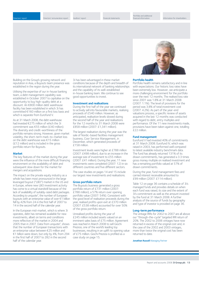Directors' remuneration report Auditors' report Financial statements

Building on the Group's growing network and reputation in Asia, a Buyouts team presence was established in the region during the year.

Utilising the expertise of our in-house banking team, a debt management capability was established in October 2007 to capitalise on the opportunity to buy high-quality debt at a discount. An €800 million debt warehouse facility has been established in which 3i has committed €160 million on a first loss basis and which is separate from Eurofund V.

As at 31 March 2008, the debt warehouse had invested €275 million of which the 3i commitment was €55 million (£40 million). The diversity and credit-worthiness of the portfolio remains strong. However, given market volatility, the short-term mark-to-market loss on the debt warehouse was €15 million (£12 million) and is included in the gross portfolio return for Buyouts.

#### **Market**

The key features of the market during the year were the influence of the more difficult financing environment on the availability of debt and subsequent slow down for the market for mergers and acquisitions.

The impact on the private equity industry as a whole has been most pronounced in the large leveraged buyout ("LBO") market in the US and in Europe, where new LBO investment activity has come to a virtual standstill because of the lack of availability of suitably-sized debt packages. According to unquote", the number of European buyouts with an enterprise value of over €1 billion fell by 42% from 24 in the first half of 2007 to 14 in the second half of the calendar year.

In the European mid-market, which is where 3i operates, debt has remained available for new investments, albeit on terms and conditions more reflective of the market in 2004 and 2005 than in 2007. Data from unquote", shows that the number of European transactions with an enterprise value between €25 million and €1 billion were down, but only by 4%, from 294 in the first half of 2007 to 282 in the second half of the calendar year.

3i has been advantaged in these market conditions because of the depth and breadth of its international network of banking relationships and the capability of its well-established in-house banking team. We continue to see good opportunities to invest.

#### **Investment and realisations**

During the first half of the year we continued to actively sell into favourable markets, realising proceeds of £540 million. However, as anticipated, realisation levels slowed during the second half of the year and realisations for the 12 months to 31 March 2008 were £858 million (2007: £1,341 million).

The largest realisation during the year was the sale of Nordic-based facilities management business, Coor Service Management, in December, which generated proceeds of £158 million.

Investment levels were higher at £788 million (2007: £498 million), due to an increase in the average size of investment to £55 million (2007: £41 million). During the year, 11 new investments were completed (2007: 12) in six different countries and five different sectors.

The case studies on pages 14 and 15 include our largest new investments and realisations.

#### **Gross portfolio return**

The Buyouts business generated a gross portfolio return of £731 million (2007: £788 million), a 57% return over opening portfolio value (2007: 54%). Consistent with the good level of realisation proceeds during the year, realised profits upon exit at £370 million (2007: £538 million) accounted for over 50% of the gross portfolio return.

Unrealised profits during the year of £245 million included assets valued on an imminent sales basis of £75 million. Agreement was reached in March 2008 to sell Giochi Preziosi, one of the world's leading toy businesses, resulting in an uplift to opening value of £75 million. Giochi Preziosi is profiled as a case study on page 15.



#### **Portfolio health**

Portfolio health remains satisfactory and in line with expectations. Our historic loss rates have been extremely low. However, we anticipate a more challenging environment for the portfolio over the next 12 months. The realised loss rate since 2001 was 1.8% at 31 March 2008 (2007: 1.1%). The level of provisions for the period was 3.8% of total investment cost (2007: 4.2%). As part of the year-end valuations process, a specific review of assets acquired in the last 12 months was conducted with regard to debt, entry multiples and performance. Of the 11 new investments made, provisions have been taken against one, totalling £22 million.

#### **Fund management**

Eurofund V had invested 40% of commitments at 31 March 2008. Eurofund IV, which was raised in 2003, has performed well compared to latest available industry benchmark data. The fund has already returned 131% of its drawn commitments, has generated a 3.3 times gross money multiple on realised investment and has a remaining portfolio valued at 57% of drawn commitments.

During the year, fund management fees and carried interest receivable amounted to £99 million (2007: £114 million).

Table 12 on page 36 contains a schedule of 3i's managed funds and provides details on when each fund was raised, its size and the extent of 3i's commitment as well as the amount invested by the fund at 31 March 2008. A further analysis of the source of funds by geography and type of investor is provided on page 36.

#### **Long-term performance**

The vintage IRRs for 2002 to 2007 are all above our "through-the-cycle" targeted IRR return of 20%. The 2002 to 2006 vintages have now returned in excess of the original cost and, in the case of the 2002 and 2003 vintages, more than twice the original cost has been returned to date.

**Jonathan Russell** Managing Partner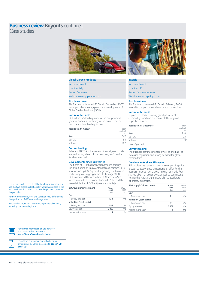# **Business review Buyouts continued**

Case studies



#### **Global Garden Products**

| New investment             |
|----------------------------|
| Location: Italy            |
| Sector: Consumer           |
| Website: www.qqp-group.com |
|                            |

#### **First investment**

3i's Eurofund V invested €260m in December 2007 to support the buyout, growth and development of Global Garden Products (GGP).

#### **Nature of business**

GGP is Europe's leading manufacturer of powered garden equipment, including lawnmowers, ride-on tractors and handheld equipment.

| <b>Results to 31 August</b> | 2007<br>(audited)<br>€m |
|-----------------------------|-------------------------|
| Sales                       | 547                     |
| <b>EBITDA</b>               | 84                      |
| Net assets                  | 207                     |

### **Current trading**

Sales and EBITDA in the current financial year to date are performing ahead of the previous year's results for the same period.

#### **Developments since 3i invested**

The board of GGP has been strengthened through 3i's introduction of Paolo Antonietti as Chairman. 3i is also supporting GGP's plans for growing the business, particularly in new geographies. In January 2008, GGP announced the acquisition of Alpina Italia Spa, a company with a turnover of around €17m and the main distributor of GGP's Alpina brand in Italy.

| 3i Group plc's investment | March<br>2008<br>£m | March<br>2007<br>fm |
|---------------------------|---------------------|---------------------|
| Cost                      |                     |                     |
| Equity and loan           | 104                 | n/a                 |
| Valuation (cost basis)    |                     |                     |
| Equity and loan           | 116                 | n/a                 |
| Equity interest           | 34%                 | n/a                 |
| Income in the year        | з                   | n/a                 |



#### **Inspicio**

New investment Location: UK Sector: Business services Website: www.inspicioplc.com

#### **First investment**

3i's Eurofund V invested £164m in February 2008 to enable the public-to-private buyout of Inspicio.

#### **Nature of business**

Inspicio is a market-leading global provider of commodity, food and environmental testing and inspection services.

| <b>Results to 31 December</b> | 2007<br>(audited)<br>£m |
|-------------------------------|-------------------------|
| Sales                         | 218                     |
| <b>EBITDA</b>                 | つろ                      |
| Net assets                    | $Q*$                    |

\*Net of goodwill.

#### **Current trading**

The business continues to trade well, on the back of increased regulation and strong demand for global commodities.

#### **Developments since 3i invested**

3i is applying its sector expertise to support Inspicio's growth strategy. Since announcing an offer for the business in December 2007, Inspicio has made four strategic bolt-on acquisitions, as well as committing to a further capital expenditure plan to accelerate laboratory expansion.

| 3i Group plc's investment     | March<br>2008<br>£m | March<br>2007<br>€m |
|-------------------------------|---------------------|---------------------|
| Cost                          |                     |                     |
| Equity and loan               | 91                  | n/a                 |
| <b>Valuation (cost basis)</b> |                     |                     |
| Equity and loan               | 91                  | n/a                 |
| Equity interest               | 38%                 | n/a                 |
| Income in the year            |                     | n/a                 |
|                               |                     |                     |

These case studies consist of the two largest investments and the two largest realisations (by value) completed in the year. We have also included the next largest investment in the portfolio.

For new investments, cost and valuation may differ due to the application of different exchange rates.

Where relevant, EBITDA represents operational EBITDA, excluding non-recurring items.



For further information on 3i's portfolio and cases studies please visit **www.3i.com/investment-stories**



For a list of our Top ten and 40 other large investments by value, please go to **pages 108** 

**and 109**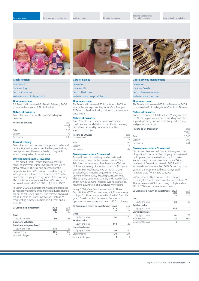



| <b>Investment</b>              |
|--------------------------------|
| Location: Italy                |
| Sector: Consumer               |
| Website: www.giochipreziosi.it |

#### **First investment**

3i's Eurofund IV invested €126m in February 2006 to enable the buyout of Giochi Preziosi.

#### **Nature of business**

Giochi Preziosi is one of the world's leading toy businesses.

| <b>Results to 30 June</b> | 2007<br>(audited)<br>€m |
|---------------------------|-------------------------|
| Sales                     | 723                     |
| <b>EBITDA</b>             | 79                      |
| Net assets                | 205                     |

#### **Current trading**

Giochi Preziosi has continued to improve its sales and profitability performance over the last year, building on its position as the market leader in Italy with around one quarter of market share.

#### **Developments since 3i invested**

3i has helped Giochi Preziosi make a number of senior appointments since investment through its global network. The sale and leaseback of the properties of Giochi Preziosi was also driven by 3i's value plan, and returned a cash inflow of €73m to enable the company to repay some of its borrowings. The number of employees of Giochi Preziosi has increased from 1,470 in 2004 to 1,717 in 2007.

In March 2008, an agreement was reached (subject to regulatory approval and a material adverse change clause) to sell Giochi Preziosi. This transaction would return €290m to 3i and investors in Eurofund IV, representing a money multiple of 2.3 times and a 45% IRR.

| 3i Group plc's investment   | March<br>2008<br>£m | March<br>2007<br>fm |
|-----------------------------|---------------------|---------------------|
| Cost                        |                     |                     |
| Equity and loan             | 63                  | 63                  |
| <b>Directors' valuation</b> |                     |                     |
| (imminent sale/cost basis)  |                     |                     |
| Equity and loan             | 151                 | 63                  |
| Equity interest             | 38%                 | 38%                 |
| Income in the year          | Ω                   | Ω                   |
|                             |                     |                     |



#### **Care Principles**

| Realisation                     |
|---------------------------------|
| Location: UK                    |
| Sector: Healthcare              |
| Website: www.careprinciples.com |

#### **First investment**

3i's Eurofund IV invested £54m in March 2005 to enable the management buyout of Care Principles. 3i Group plc held a minority position in the company since 1997.

#### **Nature of business**

Care Principles provides specialist assessment, treatment and rehabilitation for adults with learning difficulties, personality disorders and autistic spectrum disorders.

| <b>Results to 30 April</b><br>(14 month period) | 2006<br>(audited)<br>fm |
|-------------------------------------------------|-------------------------|
| Sales                                           | 69                      |
| <b>EBITDA</b>                                   | 14                      |
| Net assets                                      |                         |

#### **Developments since 3i invested**

3i used its sector knowledge and experience in Healthcare to assist in the development of Care Principles. We introduced Paul Preston as CEO, and Nick Irens, formerly of another successful 3i buyout Westminster Healthcare, as Chairman. In 2005 3i helped Care Principles acquire Ermine Care, a provider of community-based specialist services. The company performed strongly and ahead of plan, and in July 2006 Care Principles was re-capitalised, returning £32m to 3i and Eurofund IV investors.

In July 2007, Care Principles was sold to Three Delta LLP for £275m, generating a 3.5 times money multiple for 3i and investors in Eurofund IV. Over 10 years, Care Principles has evolved from a start-up operation to a company with over 1,400 employees.

| 3i Group plc's return on investment | March<br>2008<br>£m | March<br>2007<br>fm |
|-------------------------------------|---------------------|---------------------|
| Cost                                |                     |                     |
| Equity and loan                     | n/a                 | 20                  |
| <b>Realised value</b>               |                     |                     |
| Equity and loan                     | 111                 | フ3                  |
| <b>Unrealised value</b>             |                     |                     |
| Equity and loan                     | n/a                 | 44                  |
| Equity interest                     | 0%                  | 43%                 |
| Income in the year                  |                     | 4                   |



#### **Coor Services Management**

| Realisation               |
|---------------------------|
| Location: Sweden          |
| Sector: Business services |
| Website: www.coor.com     |

#### **First investment**

3i's Eurofund IV invested €58m in December 2004 to enable the €131m buyout of Coor from Skanska.

#### **Nature of business**

Coor is a provider of Total Facilities Management in the Nordic region, with services including workplace support, property support, telephony and security and production support.

| <b>Results to 31 December</b> | 2006<br>(audited)<br><b>SFKm</b> |
|-------------------------------|----------------------------------|
| Sales                         | 3.745                            |
| <b>FRITDA</b>                 | 309                              |
| Net assets                    | 741                              |

#### **Developments since 3i invested**

3i's network has assisted Coor in winning a number of significant contracts. The company has delivered on its plan to become the Nordic region market leader through organic growth and the €56m purchase of Celero from Volvo in 2005, which increased sales by more than 60%. During the three years of 3i's investment, the company's staff numbers grew from 1,800 to 3,700.

In December 2007, Coor was sold to Cinven, returning €370m to 3i and investors in Eurofund IV. This represents a 6.3 times money multiple and an IRR of 82% over the investment period.

| 3i Group plc's return on investment | March<br>2008<br>£m | March<br>2007<br>£m |
|-------------------------------------|---------------------|---------------------|
| Cost                                |                     |                     |
| Equity and loan                     | n/a                 | 30                  |
| <b>Realised value</b>               |                     |                     |
| Equity and loan                     | 158                 | Ω                   |
| <b>Unrealised value</b>             |                     |                     |
| Equity and loan                     | n/a                 | 72                  |
| Equity interest                     | 0%                  | 38%                 |
| Income in the year                  | $\overline{2}$      | $\mathcal{P}$       |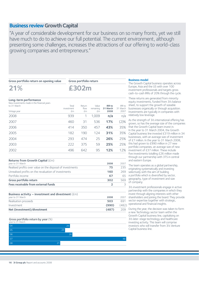## **Business review Growth Capital**

"A year of considerable development for our business on so many fronts, yet we still have much to do to achieve our full potential. The current environment, although presenting some challenges, increases the attractions of our offering to world-class growing companies and entrepreneurs."

**Gross portfolio return on opening value**

**Gross portfolio return**

**£302m**

## **21%**

**Long-term performance** New investments made in the financial years to 31 March Total Return Value **IRR to** IRR to investment flow remaining **31 March** 31 March<br>  $\epsilon$ m  $\epsilon$ m  $\epsilon$ m **2008** 2007 Vintage year 2008 939 1 1,009 **n/a** n/a 2007 460 31 536 **17%** (2)% 2006 414 350 457 **43%** 35% 2005 182 190 124 **31%** 35% 2004 293 474 25 **26%** 25% 2003 222 375 59 **25%** 25% 2002 496 642 95 **12%** 12%

| Returns from Growth Capital $(\text{fm})$<br>year to 31 March | 2008           | 2007 |
|---------------------------------------------------------------|----------------|------|
|                                                               |                |      |
| Realised profits over value on the disposal of investments    | 75             | 235  |
| Unrealised profits on the revaluation of investments          | 160            | 269  |
| Portfolio income                                              | 67             | 65   |
| Gross portfolio return                                        | 302            | 569  |
| Fees receivable from external funds                           | $\overline{2}$ | 3    |
| Business activity – investment and divestment $(fm)$          |                |      |
| year to 31 March                                              | 2008           | 2007 |
| Realisation proceeds                                          | 503            | 691  |
| Investment                                                    | (990)          | (482 |

| (487)<br>Net (investment)/divestment | 209   |
|--------------------------------------|-------|
| (990)<br>Investment                  | (482) |
|                                      |       |

### **Gross portfolio return by year** (%) year to 31 March  $05$  23 06 26 07 48 08 21 04 **25**

#### **Business model**

The Growth Capital business operates across Europe, Asia and the US with over 100 investment professionals and targets gross cash-to-cash IRRs of 20% through the cycle.

These returns are generated from minority equity investments, funded from 3i's balance sheet, to support the growth of sizeable businesses organically or through acquisition. Investments are typically in companies with relatively low leverage.

As the strength of 3i's international offering has grown, so has the average size of the companies 35% that the Growth Capital team invest in. In the year to 31 March 2004, the Growth 35% Capital business line invested £319 million in 34 businesses, with an average size of investment 25% businesses, with an arcuege at March 2008,<br>of £7 million. In the year to 31 March 2008, 25% this had grown to £990 million in 27 new portfolio companies, an average size of new 12% investment of £37 million. These include five investments totalling £26 million made through our partnership with 3TS in central and eastern Europe.

> The team operates as a global partnership, originating systematically and investing selectively with the aim of building a portfolio which is diversified by sector, geography, type of investment and size of company.

3i's investment professionals engage in active partnership with the companies in which they invest through aligning interests with other shareholders and joining the board.They provide sector expertise together with strategic, operational and financial insights.

 $\overline{O9}$  During the year, the decision was taken to form a new Technology sector team within the Growth Capital business line, capitalising on 3i's later-stage technology and healthcare investing activity. This team will comprise investors who will transfer from 3i's Venture Capital business line.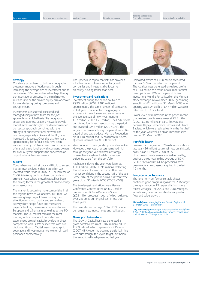

### **Strategy**

Our strategy has been to build our geographic presence, improve effectiveness through increasing the average size of investment and to capitalise on 3i's competitive advantage through our international presence in the mid market. Our aim is to be the private equity firm of choice for world-class growing companies and entrepreneurs.

Investments are sourced, executed and managed using a "best team for the job" approach, on a global basis. 3i's geographic, sector and Business Leaders Network provide market access and insight.The development of our sector approach, combined with the strength of our international network and resources, especially in Asia and the US, have increased this access. Over the last few years, approximately half of our deals have been sourced directly. 3i's track record and experience of managing relationships with company owners for over 60 years supports the conversion of opportunities into investments.

### **Market**

Comprehensive market data is difficult to access, but our own analysis is that €28 billion was invested world-wide in 2007, a 38% increase on 2006. Market growth has been particularly strong in Asia, where growth capital has been the driving factor in the growth of private equity as an asset class.

The market is becoming more competitive in all the regions in which we operate. In Europe, we are seeing large buyout firms turning their attention to growth capital and some direct activity from hedge funds and mezzanine players. In Asia, the market continues to see European and US entrants as well as active IPO markets. The US market remains the most mature, with a number of dedicated and experienced growth capital providers in direct competition with 3i. We believe that with our dedicated Growth Capital teams, geographic coverage and investment style, we remain well positioned competitively.

The upheaval in capital markets has provided a further impetus to market activity, with companies and investors alike focusing on equity funding rather than debt.

#### **Investment and realisations**

Investment during the period doubled to £990 million (2007: £482 million) in approximately the same number of companies as last year. This reflected the geographic expansion in recent years and an increase in the average size of new investment to £37 million (2007: £26 million).The US business completed four investments during the period and invested £243 million (2007: £nil). The largest investments during the period were UKbased oil and gas producer, Venture Production plc (£110 million) and US healthcare business, Quintiles International (£100 million).

We continued to see good opportunities in Asia. However, the prices of assets remained high through the year. We followed a strategy of selective investment while focusing on delivering value from the portfolio.

Realisations during the year were lower at £503 million (2007: £691 million), reflecting the influence of a less mature portfolio and market conditions in the second half of the year. Some 70% of the portfolio was less than three years old at 31 March 2008 (2007: 65%).

The two largest realisations were Hayley Conference Centres in the UK (£72 million proceeds) and Clínica Baviera in Spain (£63 million proceeds), both of which delivered over 2.5 times our original cost in less than three years.

The case studies on pages 18 and 19 include our largest new investments and realisations.

#### **Gross portfolio return**

The Growth Capital business generated a gross portfolio return of £302 million (2007: £569 million), which represents a 21% return (2007: 48%) over the opening portfolio, in line with our through-the-cycle target, but below the exceptional level generated last year.



Unrealised profits of £160 million accounted for over 50% of the return in the period. The Asia business generated unrealised profits of £143 million as a result of a number of firsttime uplifts and IPOs in the period. Indian investment Mundra Ports listed on the Mumbai stock exchange in November 2007, generating an uplift of £24 million at 31 March 2008 over opening value. An uplift of £47 million was also taken on CDH China Fund.

Lower levels of realisations in the period meant that realised profits were lower at £75 million (2007: £235 million). In part, this was also because Hayley Conference Centres and Clínica Baviera, which were realised early in the first half of the year, were valued on an imminent sales basis at 31 March 2007.

#### **Portfolio health**

Provisions in the year of £26 million were above last year (£6 million) but remain low on a historic basis. As at 31 March 2008, 93% of our investments were classified as healthy, against a three-year rolling average of 89% (2007: 92% and 81%). No provisions have been made against assets acquired in the last 12 months.

#### **Long-term performance**

The long-term performance table shows continued good progress against the 20% target through-the-cycle IRR, especially from more recent vintages. The 2005 and 2006 vintages, in particular, have had substantial early-return flow and value growth.

**Michael Queen** Managing Partner Growth Capital until 31 March 2008 – pictured left

**Guy Zarzavatdjian** Managing Partner Growth Capital (from 1 April 2008) and Managing Partner Growth Capital Europe until 31 March 2008 – pictured right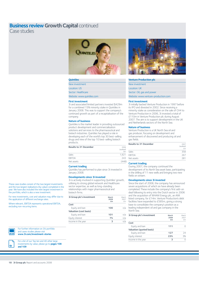## **Business review Growth Capital continued**

Case studies



### **Quintiles**

| New investment             |
|----------------------------|
| Location: US               |
| Sector: Healthcare         |
| Website: www.quintiles.com |

#### **First investment**

3i and associated limited partners invested \$429m for a combined 15% minority stake in Quintiles in January 2008. This was to support the company's continued growth as part of a recapitalisation of the company.

#### **Nature of business**

Quintiles is the market leader in providing outsourced product development and commercialisation solutions and services to the pharmaceutical and biotech industries. Quintiles has played a role in developing each of the world's top 30 best-selling drugs and nine of the top 10 best-selling biotech products.

| <b>Results to 31 December</b> | 2006<br>(audited)<br>\$m |
|-------------------------------|--------------------------|
| Sales                         | 1.921                    |
| <b>EBITDA</b>                 | 743                      |
| Net assets                    | (448)                    |

#### **Current trading**

Quintiles has performed to plan since 3i invested in January 2008.

#### **Developments since 3i invested**

3i is actively involved in supporting Quintiles' growth, utilising its strong global network and Healthcare sector expertise, as well as long-standing relationships with major pharmaceutical and biotech firms.

| 3i Group plc's investment | March<br>2008<br>£m | March<br>2007<br>£m |
|---------------------------|---------------------|---------------------|
| Cost                      |                     |                     |
| Equity and loan           | 100                 | n/a                 |
| Valuation (cost basis)    |                     |                     |
| Equity and loan           | 101                 | n/a                 |
| Equity interest           | 7%                  | n/a                 |
| Income in the year        | 3                   | n/a                 |



#### **Venture Production plc**

| New investment                      |
|-------------------------------------|
| Location: UK                        |
| Sector: Oil, gas and power          |
| Website: www.venture-production.com |

#### **First investment**

3i initially backed Venture Production in 1997 before its IPO and divested in 2002. Since receiving a minority stake as consideration on the sale of CH4 to Venture Production in 2006, 3i invested a total of £110m in Venture Production plc during August 2007. The aim is to support development in the UK and Netherlands sectors of the North Sea.

#### **Nature of business**

Venture Production is a UK North Sea oil and gas producer, focusing on development and enhancement of discovered and producing oil and gas fields.

| <b>Results to 31 December</b> | 2007<br>(audited)<br>£m |
|-------------------------------|-------------------------|
| Sales                         | 358                     |
| <b>EBITDA</b>                 | 267                     |
| Net assets                    | 281                     |

### **Current trading**

During 2007, the company continued the development of its North Sea asset base, participating in the drilling of 11 new wells and bringing two new fields on stream.

#### **Developments since 3i invested**

Since the start of 2008, the company has announced seven acquisitions of which six have already been completed.These include the company's first add-on deal following its entry into the Dutch sector in 2006 and the acquisition of WHAM Energy plc, an AIM listed company, for £14m. Venture Production's debt facilities have expanded to £585m, giving a strong base to consolidate the company's position as a leading independent oil and gas company in the North Sea.

| 3i Group plc's investment       | March<br>2008<br>£m | March<br>2007<br>fm |
|---------------------------------|---------------------|---------------------|
| Cost                            |                     |                     |
| Equity and loan                 | 111                 |                     |
| <b>Valuation (quoted basis)</b> |                     |                     |
| Equity and loan                 | 127                 | 74                  |
| Equity interest                 | 23%                 | 3%                  |
| Income in the year              | ર                   |                     |

These case studies consist of the two largest investments and the two largest realisations (by value) completed in the year. We have also included the next largest investment in the portfolio, which is also a new investment.

For new investments, cost and valuation may differ due to the application of different exchange rates.

Where relevant, EBITDA represents operational EBITDA, excluding non-recurring items.



For further information on 3i's portfolio and cases studies please visit **www.3i.com/investment-stories**

For a list of our Top ten and 40 other large investments by value, please go to **pages 108** 



**and 109**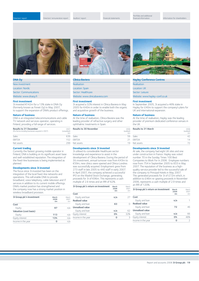**First investment**

**DNA Oy** New investment Location: Nordic Sector: Communications Website: www.dnaoy.fi

**Nature of business**

**Current trading**

planned.

**Cost**

Directors' remuneration report Auditors' report Financial statements



3i invested €142m for a 13% stake in DNA Oy (formerly known as Finnet Oy) in May 2007, to support the expansion of DNA's product offerings.

DNA is an integrated telecommunications and cable TV network and services operator, operating in Finland, providing a full range of services.

**Results to 31 December** 2007<br>(Pro forma including businesses acquired in 2007) (unaudited)

Sales 639 EBITDA 152 Net assets 299

Currently the fastest growing mobile operator in Finland, DNA is building on its significant asset base and well-established reputation.The integration of the fixed-line businesses is being implemented as

**3i Group plc's investment March March** March<br>2008 **March** 

Equity **97** n/a

Equity **113** n/a Equity interest **13%** n/a **Income in the year 0** n/a

**2008** 2007

**£m** £m

**Developments since 3i invested** The focus since 3i invested has been on the integration of the local fixed-line networks and operations. This will enable DNA to provide broadband, voice telephony, cable television and IT services in addition to its current mobile offerings. DNA's market position has strengthened and the company now has a strong market position in

wireless broadband provision.

**Valuation (cost basis)**



### **Clínica Baviera**

| Realisation                     |  |
|---------------------------------|--|
| <b>Location: Spain</b>          |  |
| Sector: Healthcare              |  |
| Website: www.clinicabaviera.com |  |

#### **First investment**

3i acquired a 32% interest in Clínica Baviera in May 2005 for €40m in order to enable both the organic and acquisitive growth of the business.

#### **Nature of business**

(unaudited) €m At the time of realisation, Clínica Baviera was the leading provider of refractive surgery and other ophthalmic treatments in Spain.

| <b>Results to 30 November</b> | 2006<br>(audited)<br>€m |
|-------------------------------|-------------------------|
| Sales                         | 59                      |
| <b>EBITDA</b>                 | 21                      |
| Net assets                    | 19                      |

### **Developments since 3i invested**

3i utilised its considerable Healthcare sector knowledge and experience to assist in the development of Clínica Baviera. During the period of 3i's investment, annual turnover rose from €43m to €59m, new clinics were opened and Clínica Londres was successfully acquired. Employment grew from 273 staff in late 2005 to 440 staff in early 2007. In April 2007, the company achieved a successful IPO on the Madrid Stock Exchange, generating proceeds for 3i of €96m. This represents a cash multiple of 2.6 times and an IRR of 62%

| March<br>2008<br>£m | March<br>2007<br>fm |
|---------------------|---------------------|
|                     |                     |
| n/a                 | 27                  |
|                     |                     |
| 63                  | 0                   |
|                     |                     |
| n/a                 | 62                  |
| 0%                  | 32%                 |
| Ω                   | 3                   |
|                     |                     |



### **Hayley Conference Centres**

| <b>Realisation</b>             |
|--------------------------------|
| <b>Location: UK</b>            |
| Sector: Leisure                |
| Website: www.hayley-conf.co.uk |

#### **First investment**

 $\mathsf{L}$ 

In September 2005, 3i acquired a 46% stake in Hayley for £40m to support the company's plans for UK and international expansion.

#### **Nature of business**

At the time of realisation, Hayley was the leading provider of premium dedicated conference venues in the UK.

| <b>Results to 31 March</b> | 2006<br>(audited)<br>£m |
|----------------------------|-------------------------|
| Sales                      |                         |
| <b>EBITDA</b>              | 14                      |
| Net assets                 |                         |

#### **Developments since 3i invested**

At sale, the company had eight UK sites and one under construction in France. Hayley was voted number 70 in the Sunday Times 100 Best Companies to Work For in 2006. Employee numbers rose from 754 in September 2005 to 833 in May 2007.The reputation of the business as a highquality service provider led to the successful sale of the company to Principal Hotels in May 2007. This generated proceeds for 3i of £72m which, in addition to £46m re-gearing proceeds in November 2006, represents a cash multiple of 2.9 times and an IRR of 120%.

| £m  |               |
|-----|---------------|
|     | fm            |
| n/a |               |
|     |               |
| 72  | 46            |
|     |               |
| n/a | 66            |
| 0%  | 46%           |
|     | $\mathcal{P}$ |
|     |               |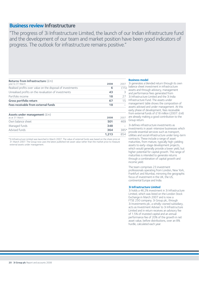## **Business review Infrastructure**

"The progress of 3i Infrastructure Limited, the launch of our Indian infrastructure fund and the development of our team and market position have been good indicators of progress. The outlook for infrastructure remains positive."

## **Returns from Infrastructure** (£m)

| year to 31 March                                           | 2008  | 2007 |
|------------------------------------------------------------|-------|------|
| Realised profits over value on the disposal of investments | 6     | (15) |
| Unrealised profits on the revaluation of investments       | 43    | 3    |
| Portfolio income                                           | 18    | 27   |
| Gross portfolio return                                     | 67    | 15   |
| Fees receivable from external funds                        | 18    |      |
| Assets under management $(f_m)$<br>as at 31 March          | 2008  | 2007 |
| Own balance sheet                                          | 501   | 469  |
| Managed funds                                              | 348   |      |
| Advised funds                                              | 364   | 385* |
|                                                            | 1.213 | 854  |

\*3i Infrastructure Limited was launched in March 2007. The value of external funds was based on the share price at 31 March 2007. The Group now uses the latest published net asset value rather than the market price to measure external assets under management.

#### **Business model**

3i generates a blended return through its own  $\overline{5}$ ) balance sheet investment in infrastructure assets and through advisory, management  $\frac{3}{2}$  and performance fees generated from 3i Infrastructure Limited and the 3i India  $\overline{5}$  Infrastructure Fund. The assets under management table shows the composition of assets advised and under management. At this early phase of development, fees receivable from external funds of £18 million (2007: £nil) are already making a good contribution to the Group return.

3i defines infrastructure investments as  $\overline{5}$  investments in asset-intensive businesses which provide essential services such as transport, utilities and social infrastructure under long-term contracts.These include a range of asset maturities, from mature, typically high-yielding assets to early-stage development projects, which would generally provide a lower yield, but higher potential for capital growth. This range of maturities is intended to generate returns through a combination of capital growth and income yield.

The team comprises 23 investment professionals operating from London, New York, Frankfurt and Mumbai, mirroring the geographic focus of investment in the UK, the US, continental Europe and India.

#### **3i Infrastructure Limited**

3i holds a 46.2% investment in 3i Infrastructure Limited, which was listed on the London Stock Exchange in March 2007 and is now a FTSE 250 company. 3i Group plc, through 3i Investments plc, a wholly-owned subsidiary, acts as Investment Adviser to 3i Infrastructure Limited and in return receives an advisory fee of 1.5% of invested capital and an annual performance fee of 20% of the growth in net asset value, before distributions, over an 8% hurdle, calculated each year.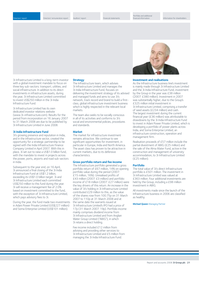Directors' remuneration report Auditors' report Financial statements

Portfolio and additional

3i Infrastructure Limited is a long-term investor with a global investment mandate to focus on three key sub-sectors: transport; utilities; and social infrastructure. In addition to its direct investments in infrastructure assets, during the year, 3i Infrastructure Limited committed to invest US\$250 million in the 3i India Infrastructure Fund.

3i Infrastructure Limited has its own dedicated investor relations website (www.3i-infrastructure.com). Results for the period from incorporation on 16 January 2007 to 31 March 2008 are due to be published by 3i Infrastructure Limited in June 2008.

#### **3i India Infrastructure Fund**

3i's growing presence and reputation in India, and in the infrastructure sector, created the opportunity for a strategic partnership to be signed with the India Infrastructure Finance Company Limited in April 2007. With this in place, 3i set out to raise a US\$1.0 billion fund, with the mandate to invest in projects across the power, ports, airports and road sub-sectors in India.

Subsequent to the year end, on 16 April, 3i announced a final closing of the 3i India Infrastructure Fund at US\$1.2 billion, exceeding its US\$1.0 billion target. 3i and 3i Infrastructure Limited each committed US\$250 million to this fund during the year. 3i will receive a management fee of 2.0% based on investment committed to the fund, with the exception of 3i Infrastructure Limited, which pays advisory fees to 3i.

During the year, the fund made two investments in Adani Power Private Limited (US\$227 million) and Soma Enterprise Limited (US\$101 million).

#### **Strategy**

The Infrastructure team, which advises 3i Infrastructure Limited and manages the 3i India Infrastructure Fund, focuses on delivering the investment strategy of its advised and managed funds and aims to use 3i's network, track record and brand to build a firstclass, global infrastructure investment business which is highly respected in the relevant local markets.

The team also seeks to be socially conscious in all of its activities and conforms to 3i's social and environmental policies, procedures and standards.

#### **Market**

The market for infrastructure investment remains attractive. We continue to see significant opportunities for investment, in particular in Europe, India and North America. The asset class has proven to be attractive in current markets, due to its defensive characteristics.

#### **Gross portfolio return and fee income**

The Infrastructure portfolio generated a gross portfolio return of £67 million, 14% on opening portfolio value during the period (2007: £15 million, 16%). Unrealised profits of £43 million (2007: £3 million) and portfolio income of £18 million (2007: £27 million) were the key drivers of this return. An increase in the value of 3i's holding in 3i Infrastructure Limited contributed £29 million to this, as the value of the shares rose from 100.75p on 31 March 2007 to 110p at 31 March 2008 and at the same date the warrants issued at 3i Infrastructure Limited's IPO had a price of 17p (31 March 2007: 19p). Portfolio income mainly comprises dividend income from 3i Infrastructure Limited and from Anglian Water Group Limited ("AWG"), in which 3i retains a direct holding.

Fee income included £12 million from advising and providing other services to 3i Infrastructure Limited and £5 million from managing the 3i India Infrastructure Fund.



#### **Investment and realisations**

As the Infrastructure business line's investment is mainly made through 3i Infrastructure Limited and the 3i India Infrastructure Fund, investment by the Group in the year was £38 million (2007: £380 million). Investment in 2007 was substantially higher, due to the Group's £325 million initial investment in 3i Infrastructure Limited, comprising a transfer of seed assets (£234 million) and cash. The largest investment during the current financial year (£36 million) was attributable to drawdowns by the 3i India Infrastructure Fund to invest in Adani Power Private Limited, which is developing a portfolio of power plants across India, and Soma Enterprise Limited, an infrastructure construction, operation and management firm.

Realisation proceeds of £57 million include the partial divestment of AWG (£25 million) and the sale of the Alma Mater Fund, active in the construction and management of university accommodation, to 3i Infrastructure Limited (£25 million).

#### **Portfolio**

The total value of 3i's direct Infrastructure portfolio is £501 million. The investment in 3i Infrastructure Limited was valued at £363 million. Four additional investments are held by the Group, including a £98 million investment in AWG.

All investments made since the launch of the Infrastructure business in 2006 are classified as healthy.

**Michael Queen** Managing Partner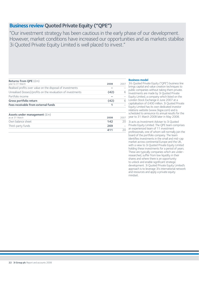## **Business review Quoted Private Equity ("QPE")**

"Our investment strategy has been cautious in the early phase of our development. However, market conditions have increased our opportunities and as markets stabilise 3i Quoted Private Equity Limited is well placed to invest."

## **Returns from QPE** (£m) year to 31 March **2008** 2007 Realised profits over value on the disposal of investments **–** –

| Unrealised (losses)/profits on the revaluation of investments | (42) | 6    |
|---------------------------------------------------------------|------|------|
| Portfolio income                                              |      |      |
| Gross portfolio return                                        | (42) | 6    |
| Fees receivable from external funds                           |      |      |
|                                                               |      |      |
| Assets under management $(\text{\textsterling}m)$             |      |      |
| as at 31 March                                                | 2008 | 2007 |
| Own balance sheet                                             | 142  | 20   |
| Third-party funds                                             | 269  |      |
|                                                               | 411  | 20   |

### **Business model**

3i's Quoted Private Equity ("QPE") business line  $\equiv$  brings capital and value creation techniques to public companies without taking them private.  $6$  Investments are made by 3i Quoted Private  $-$  Equity Limited, a company which listed on the  $\overline{6}$  London Stock Exchange in June 2007 at a capitalisation of £400 million. 3i Quoted Private Equity Limited has its own dedicated investor relations website (www.3iqpe.com) and is scheduled to announce its annual results for the <sub>007</sub> year to 31 March 2008 later in May 2008.

 $\overline{20}$  3i acts as Investment Adviser to 3i Quoted  $\overline{\phantom{a}}$  Private Equity Limited. The QPE team comprises  $\frac{1}{20}$  an experienced team of 11 investment professionals, one of whom will normally join the board of the portfolio company. The team identifies investments in the small and mid-cap market across continental Europe and the UK, with a view to 3i Quoted Private Equity Limited holding these investments for a period of years. These are typically companies which are underresearched, suffer from low liquidity in their shares and where there is an opportunity to unlock and enable significant strategic development. 3i Quoted Private Equity Limited's approach is to leverage 3i's international network and resources and apply a private equity mindset.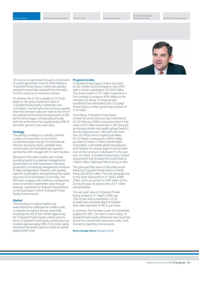

3i's returns are generated through a combination of capital appreciation from its 45% holding in 3i Quoted Private Equity Limited and advisory and performance fees received from the listed fund for acting as an investment adviser.

An advisory fee of 2% is payable to 3i Group based on the gross investment value of 3i Quoted Private Equity Limited less cash uninvested. A performance fee becomes payable when the net asset value per share at the end of the relevant performance period exceeds an 8% performance trigger, compounding annually, with the performance fee payable being 20% of the entire growth in net asset value.

#### **Strategy**

The advisory strategy is to identify a limited number of investments in the UK and continental Europe through 3i's international network and sector teams. Detailed value creation plans are formulated and agreed in partnership with management for each situation.

Elements of the value creation plan include providing capital to accelerate managements' growth plans for their businesses; improving governance; introducing management incentives to align managements' interests with growing value for shareholders; and optimising the capital structure of the businesses. In summary, the QPE team engages with ambitious management teams to enhance shareholder value through strategic, operational or financial improvements to the businesses in which 3i Quoted Private Equity Limited invests.

#### **Market**

The turbulence in capital markets has exacerbated the challenges for smaller public companies throughout Europe, potentially increasing the size of the market opportunity for 3i Quoted Private Equity Limited since its listing. 3i Quoted Private Equity Limited has now invested approximately 26% of the initial capital raised and has ample capital to invest as market opportunities arise.

#### **Progress to date**

3i Quoted Private Equity Limited was listed on the London Stock Exchange in June 2007 with a market capitalisation of £400 million. The Group made a £181 million investment in this company to acquire a 45% holding in the company. On listing, 3i Group plc also transferred two investments into 3i Quoted Private Equity Limited, generating proceeds of £18 million.

Since listing, 3i Quoted Private Equity Limited has announced two new investments. On 26 February 2008, it announced that it had made a £30 million investment in Jelf Group plc, an insurance broker and wealth adviser based in the UK employing over 700 staff with more than 20 offices across England and Wales. On 13 March, it announced a US\$53 million purchase of shares in Phibro Animal Health Corporation, a diversified global manufacturer and marketer of a broad range of animal health and nutrition products. Subsequent to the year end, on 4 April, 3i Quoted Private Equity Limited announced it had increased this investment to US\$93 million, following Phibro's listing on AIM.

The gross portfolio return in this initial period following 3i Quoted Private Equity Limited's listing was £(42) million. This was principally due to the lower share price at 31 March 2008 (79p), which accounted for £40 million of this. During the year, an advisory fee of £1 million was generated.

The net asset value of 3i Quoted Private Equity Limited at 31 March 2008 was 102.2p per share (unaudited), a 4.2% increase over proceeds raised at flotation (less initial expenses) of 98.1p per share.

In summary, this has been a year of considerable progress for QPE. Our team is now in place, 3i Quoted Private Equity Limited has been launched and its first investments have been made. I look forward to reporting more progress.

#### **Bruce Carnegie-Brown** Managing Partner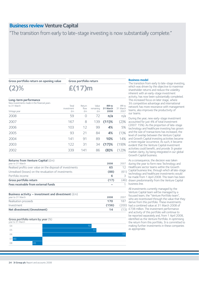## **Business review Venture Capital**

"The transition from early to late-stage investing is now substantially complete."

#### **Gross portfolio return on opening value**

**Gross portfolio return**

**£(17)m**

## **(2)%**

| Long-term performance<br>New investments made in the financial years<br>to 31 March<br>Vintage year | Total<br>investment<br>£m | Return<br>flow<br>£m | Value<br>remaining<br>£m | <b>IRR</b> to<br>31 March<br>2008 | <b>IRR</b> to<br>31 March<br>2007 |
|-----------------------------------------------------------------------------------------------------|---------------------------|----------------------|--------------------------|-----------------------------------|-----------------------------------|
| 2008                                                                                                | 59                        | O                    | 72                       | n/a                               | n/a                               |
| 2007                                                                                                | 167                       | 8                    | 139                      | $(11)$ %                          | (2)%                              |
| 2006                                                                                                | 103                       | 12                   | 99                       | 4%                                | 5%                                |
| 2005                                                                                                | 93                        | 21                   | 84                       | 4%                                | (1)%                              |
| 2004                                                                                                | 141                       | 91                   | 89                       | 10%                               | 14%                               |
| 2003                                                                                                | 122                       | 31                   | 34                       | (17)%                             | (19)%                             |
| 2002                                                                                                | 339                       | 141                  | 86                       | $(8)$ %                           | (12)%                             |
|                                                                                                     |                           |                      |                          |                                   |                                   |

| 2008 | 2007 |
|------|------|
| 65   | 12   |
| (88) | (61) |
| 6    | 3    |
| (17) | (46) |
|      |      |
|      |      |

| Business activity – investment and divestment $(\text{fm})$<br>year to 31 March | 2008  | 2007  |
|---------------------------------------------------------------------------------|-------|-------|
| Realisation proceeds                                                            | 170   | 187   |
| Investment                                                                      | (156) | (200) |
| Net divestment/(investment)                                                     | 14    | (13)  |

### **Gross portfolio return by year** (%)



#### **Business model**

The transition from early to late-stage investing, which was driven by the objective to maximise shareholder returns and reduce the volatility inherent with an early-stage investment activity, has now been substantially completed. This increased focus on later stage, where 3i's competitive advantage and international network has more resonance with management teams, also improves the productivity of our teams.

During the year, new early-stage investment accounted for just 4% of total investment (2007: 15%). As the proportion of late-stage technology and healthcare investing has grown and the size of transactions has increased, the level of overlap between the Venture Capital and Growth Capital investing activities became a more regular occurrence. As such, it became evident that the Venture Capital investment activities could benefit, and provide 3i greater market clarity, by being integrated in our global Growth Capital business.

As a consequence, the decision was taken during the year to form new Technology and Healthcare sector teams within the Growth Capital business line, through which all late-stage technology and healthcare investments would be made from 1 April 2008. This team has been 6) drawn predominantly from the Venture Capital business line.

All investments currently managed by the Venture Capital team will be managed by a focused team, the "Venture Portfolio team", who are incentivised through the value that they derive from this portfolio. These investments ) had a combined value at 31 March 2008 of £738 million. The investment performance and activity of this portfolio will continue to be reported separately and, from 1 April 2008, identified as the Venture Portfolio. In optimising the return from this portfolio, 3i is committed to making further investments in these companies as appropriate.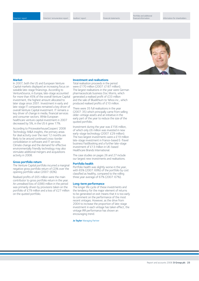

#### **Market**

In 2007, both the US and European Venture Capital markets displayed an increasing focus on sizeable late-stage financings. According to VentureSource, in Europe, late-stage accounted for more than 45% of the overall Venture Capital investment, the highest amount allocated to later stage since 2001. Investment in early and late-stage IT companies remained a key driver of overall Venture Capital investment. IT remains a key driver of change in media, financial services and consumer sectors. While European healthcare venture capital investment in 2007 decreased by 5%, in the US it grew 17%.

According to PricewaterhouseCoopers' 2008 Technology M&A insights, the primary areas for deal activity over the next 12 months are likely to be around continued cross-border consolidation in software and IT services. Climate change and the demand for effective environmentally friendly technology may also stimulate additional mergers and acquisitions activity in 2008.

#### **Gross portfolio return**

The Venture Capital portfolio incurred a marginal negative gross portfolio return of (2)% over the opening portfolio value (2007: (6)%).

Realised profits of £65 million were the main contributor to gross portfolio return in the year. An unrealised loss of £(88) million in the period was primarily driven by provisions taken on the portfolio of £79 million and a loss of £27 million on the quoted portfolio.

#### **Investment and realisations**

Total realisation proceeds in the period were £170 million (2007: £187 million). The largest realisations in the year were German pharmaceuticals business Doc Morris, which generated a realised profit of £33 million and the sale of Bluelithium to Yahoo inc., which produced realised profits of £10 million.

There were 35 full realisations in the year (2007: 35) which principally came from selling older-vintage assets and an initiative in the early part of the year to reduce the size of the quoted portfolio.

Investment during the year was £156 million, of which only £6 million was invested in new early-stage technology (2007: £29 million). The two largest investments were a £19 million late-stage investment in France-based E-Travel business FastBooking and a further late-stage investment of £13 million in UK-based Healthcare Brands International.

The case studies on pages 26 and 27 include our largest new investments and realisations.

#### **Portfolio health**

Portfolio health was slightly worse in the year, with 65% (2007: 69%) of the portfolio by cost classified as healthy, compared to the rolling three year average of 67% (2007: 67%).

#### **Long-term performance**

The longer life cycle of these investments and the tendency for the major element of returns to be generated on exit means that it is too early to comment on the performance of the most recent vintages. However, as the drive from 2004 to increase the proportion of late-stage investment in each vintage has taken effect, the vintage IRR performance has shown an encouraging trend.

**Jo Taylor** Managing Partner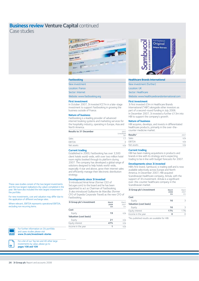## **Business review Venture Capital continued**

Case studies



#### **Fastbooking**

| New investment               |  |
|------------------------------|--|
| Location: France             |  |
| Sector: Internet             |  |
| Website: www.fastbooking.org |  |

#### **First investment**

In October 2007, 3i invested  $\epsilon$ 27m in a late-stage investment to support Fastbooking in growing the business outside of France.

#### **Nature of business**

Fastbooking is a leading provider of advanced internet booking systems and marketing services for the hospitality industry, operating in Europe, Asia and North America.

| <b>Results to 31 December</b> | 2007<br>(unaudited)<br>$\mathsf{Sm}$ |
|-------------------------------|--------------------------------------|
| Sales                         |                                      |
| <b>EBITDA</b>                 |                                      |
| Net assets                    |                                      |

#### **Current trading**

Established in 2000, Fastbooking has over 3,500 client hotels world-wide, with over two million hotel room nights booked through its platform during 2007. The company has developed a global range of solutions designed to help hotels world-wide, especially 4 star and above, grow their internet sales and efficiently manage their electronic distribution strategy.

#### **Developments since 3i invested**

3i introduced Amal Amar (former CEO of SeLoger.com) to the board and he has been appointed to act as Chairman of Fastbooking. 3i also introduced Guillaume de Marcillac (former CFO of Expedia Corporate Travel) as the new CFO of Fastbooking.

| 3i Group plc's investment | March<br>2008<br>£m | March<br>2007<br>fm |
|---------------------------|---------------------|---------------------|
| Cost                      |                     |                     |
| Equity                    | 19                  | n/a                 |
| Valuation (cost basis)    |                     |                     |
| Equity                    | 21                  | n/a                 |
| Equity interest           | 47%                 | n/a                 |
| Income in the year        |                     | n/a                 |



#### **Healthcare Brands International**

| New investment (further) |
|--------------------------|
| <b>Location: UK</b>      |
| Sector: Healthcare       |

Website: www.healthcarebrandsinternational.com

#### **First investment**

 $\mathsf L$ 

3i first invested £3m in Healthcare Brands International ("HBI") alongside other investors as part of a second-round funding in July 2006. In December 2007, 3i invested a further £13m into HBI to support the company's growth.

#### **Nature of business**

HBI acquires, develops, and invests in differentiated healthcare products, primarily in the over-thecounter medicine market.

| Results*      | 2007 |
|---------------|------|
| <b>Sales</b>  | n/a  |
| <b>EBITDA</b> | n/a  |
| Net assets    | n/a  |

#### **Current trading**

HBI has been making acquisitions in products and brands in line with its strategy and is expecting trading to be in line with budget forecasts for 2007.

#### **Developments since 3i invested**

HBI's first brand, Sambucol, is trading well and is now available selectively across Europe and North America. In December 2007, HBI acquired Scandinavian healthcare company, Antula, with the support of 3i's investment. Antula is a significant over-the-counter healthcare company in the Scandinavian market.

| 3i Group plc's investment     | March<br>2008<br>£m | March<br>2007<br>f <sub>m</sub> |
|-------------------------------|---------------------|---------------------------------|
| Cost                          |                     |                                 |
| Equity                        | 16                  | 3                               |
| <b>Valuation (cost basis)</b> |                     |                                 |
| Equity                        | 16                  | 3                               |
| Equity interest               | 17%                 | 17%                             |
| Income in the year            |                     |                                 |

\*No published results are available for HBI.

These case studies consist of the two largest investments and the two largest realisations (by value) completed in the year. We have also included the next largest investment in the portfolio.

For new investments, cost and valuation may differ due to the application of different exchange rates.

Where relevant, EBITDA represents operational EBITDA, excluding non recurring items.



For a list of our Top ten and 40 other large investments by value, please go to



**pages 108 and 109**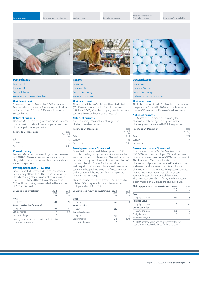Directors' remuneration report Auditors' report Financial statements





### **Demand Media**

| Investment                   |
|------------------------------|
| <b>Location: US</b>          |
| Sector: Internet             |
| Website: www.demandmedia.com |

#### **First investment**

3i invested \$40m in September 2006 to enable Demand Media to invest in future growth initiatives and acquisitions. A further \$20m was invested in September 2007.

#### **Nature of business**

Demand Media is a next-generation media platform company with significant media properties and one of the largest domain portfolios.

| <b>Results to 31 December</b> | 2006<br>(unaudited)<br>$\mathsf{Sm}$ |
|-------------------------------|--------------------------------------|
| Sales                         | 79                                   |
| <b>FBITDA</b>                 | 19                                   |
| Net assets                    | つろろ                                  |

#### **Current trading**

Demand Media has continued to grow both revenue and EBITDA. The company has closely tracked its plan, while growing the business both organically and through acquisitions.

#### **Developments since 3i invested**

Since 3i invested, Demand Media has released its new media platform. In addition, it has successfully closed and integrated a number of acquisitions. In June 2007, Charles Hilliard, former President and CFO of United Online, was recruited to the position of CFO at Demand.

| 3i Group plc's investment   | March<br>2008<br>£m | March<br>2007<br>fm |
|-----------------------------|---------------------|---------------------|
| Cost                        |                     |                     |
| Equity                      | 31                  | 21                  |
| Valuation (further/advance) |                     |                     |
| Equity                      | 41                  | 20                  |
| Equity interest             | $\star$             | 8%                  |
| Income in the year          | Ω                   | Ω                   |
|                             |                     |                     |

\*Equity interest cannot be disclosed for legal or commercial reasons.

#### **CSR plc**

| Realisation          |  |
|----------------------|--|
| Location: UK         |  |
| Sector: Technology   |  |
| Website: www.csr.com |  |

#### **First investment**

3i invested £7.7m in Cambridge Silicon Radio Ltd ("CSR") over several rounds of funding between 1999 and 2002, after the company was formed as a spin-out from Cambridge Consultants Ltd.

### **Nature of business**

CSR is a leading manufacturer of single-chip Bluetooth wireless devices.

| <b>Results to 31 December</b> | 2007<br>(audited)<br>$\mathbb{S}$ m |
|-------------------------------|-------------------------------------|
| Sales                         | 849                                 |
| <b>EBITDA</b>                 | 185                                 |
| Net assets                    | 509                                 |

### **Developments since 3i invested**

3i assisted in the successful development of CSR from its founding through to its position as a market leader at the point of divestment. This assistance was provided through recruitment of several members of the board, backing further funding rounds and assisting with business negotiations with companies such as Intel Capital and Sony. CSR floated in 2004 and 3i supported the IPO and fund raising on the London Stock Exchange.

Over the course of 3i's investment, CSR returned a total of £75m, representing a 9.8 times money multiple and an IRR of 57%.

| 3i Group plc's return on investment | March<br>2008<br>£m | March<br>2007<br>£m |
|-------------------------------------|---------------------|---------------------|
| Cost                                |                     |                     |
| Equity                              | n/a                 | 1                   |
| <b>Realised value</b>               |                     |                     |
| Equity                              | 20                  | 7                   |
| <b>Unrealised value</b>             |                     |                     |
| Equity                              | n/a                 | 16                  |
| Equity interest                     | 0%                  | 13%                 |
| Income in the year                  | Ω                   | Λ                   |
|                                     |                     |                     |



### **DocMorris.com**

| Realisation               |  |
|---------------------------|--|
| <b>Location: Germany</b>  |  |
| Sector: Technology        |  |
| Website: www.docmorris.de |  |

#### **First investment**

 $3i$  initially invested  $61m$  in DocMorris.com when the company was founded in 1999 and has invested a total of  $\epsilon$ 13m over the lifetime of the investment.

#### **Nature of business**

DocMorris.com is a mail order company for pharmaceuticals, acting as a fully-authorised pharmacy in accordance with Dutch regulations.

| <b>Results to 31 December</b> | 2006<br>(audited)<br>$\epsilon$ m |
|-------------------------------|-----------------------------------|
| Sales                         | 172                               |
| <b>EBITDA</b>                 | $\star$                           |
| Net assets                    |                                   |

#### **Developments since 3i invested**

From its start up in 1999, DocMorris.com had 850,000 customers, employed 330 staff and was generating annual revenues of  $\epsilon$ 172m at the point of 3i's divestment. The strategic shift to sell pharmaceutical products under the DocMorris brand and to set up a franchise system for stationary pharmacies attracted interest from potential buyers. In June 2007, DocMorris was sold to Celesio, Europe's largest pharmaceutical distributor. This generated over  $60m$  for 3i, which represents a cash multiple of 5.3 times and an IRR of 59%.

| 3i Group plc's return on investment | March<br>2008<br>£m | March<br>2007<br>fm |
|-------------------------------------|---------------------|---------------------|
| Cost                                |                     |                     |
| Equity and loan                     | n/a                 | 8                   |
| <b>Realised value</b>               |                     |                     |
| Equity and loan                     | ÷                   | n/a                 |
| <b>Unrealised value</b>             |                     |                     |
| Equity and loan                     | n/a                 | 8                   |
| Equity interest                     | ÷                   | ÷                   |
| Income in the year                  | Ω                   |                     |
| .                                   |                     |                     |

\*EBITDA, realised value and equity interest for the company cannot be disclosed for legal reasons.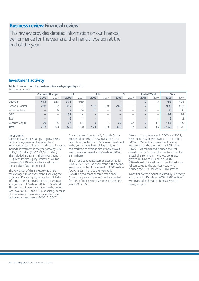## **Business review Financial review**

This review provides detailed information on our financial performance for the year and the financial position at the end of the year.

## **Investment activity**

**Table 1: Investment by business line and geography** (£m) for the year to 31 March

|                 | <b>Continental Europe</b> |                          | UK             |      | Asia              |      | <b>US</b> |                          | <b>Rest of World</b>     |      | <b>Total</b> |       |
|-----------------|---------------------------|--------------------------|----------------|------|-------------------|------|-----------|--------------------------|--------------------------|------|--------------|-------|
|                 | 2008                      | 2007                     | 2008           | 2007 | 2008              | 2007 | 2008      | 2007                     | 2008                     | 2007 | 2008         | 2007  |
| <b>Buyouts</b>  | 415                       | 326                      | 371            | 169  | $\qquad \qquad$   | -    |           | -                        |                          |      | 788          | 498   |
| Growth Capital  | 256                       | 212                      | 357            | 11   | 132               | 258  | 243       | $\overline{\phantom{0}}$ |                          |      | 990          | 482   |
| Infrastructure  | $\overline{\phantom{0}}$  | 6                        | 2 <sup>1</sup> | 374  | 36                | -    |           | -                        | $\overline{\phantom{a}}$ | -    | 38           | 380   |
| QPE             |                           | $\overline{\phantom{0}}$ | 182            | 14   | $\qquad \qquad -$ | -    |           | -                        |                          | -    | 182          | 14    |
| <b>SMI</b>      | $\overline{\phantom{a}}$  |                          | 6              |      | $\qquad \qquad -$ | -    |           | -                        |                          | -    | 6            |       |
| Venture Capital | 36                        | 15                       | 54             | 81   | 3                 |      | 60        | 92                       | 3                        | 11   | 156          | 200   |
| <b>Total</b>    | 707                       | 560                      | 972            | 650  | 171               | 259  | 303       | 92                       |                          | 15   | 2,160        | 1,576 |

### **Investment**

Consistent with the strategy to grow assets under management and to extend our international reach directly and through investing in funds, investment in the year grew by 37% to £2,160 million (2007: £1,576 million). This included 3i's £181 million investment in 3i Quoted Private Equity Limited, as well as the Group's £36 million initial investment in the 3i India Infrastructure Fund.

The key driver of this increase was a rise in the average size of investment. Excluding the 3i Quoted Private Equity Limited and 3i India Infrastructure Fund investments, the average size grew to £37 million (2007: £26 million). The number of new investments in the period was lower at 47 (2007: 62), principally because of a decrease in the number of early-stage technology investments (2008: 2, 2007: 14).

As can be seen from table 1, Growth Capital accounted for 46% of new investment and Buyouts accounted for 36% of new investment in the year. Although remaining firmly in the mid market, the average size of new buyout investments increased to £55 million (2007: £41 million).

The UK and continental Europe accounted for 78% (2007: 77%) of investment in the period. Investment in the US increased to £303 million (2007: £92 million) as the New York Growth Capital team became established. As a consequence, US investment accounted for 14% of total Group investment during the year (2007: 6%).

After significant increases in 2006 and 2007, investment in Asia was lower at £171 million (2007: £259 million). Investment in India was broadly at the same level at £95 million (2007: £99 million) and included the first drawdowns for 3i India Infrastructure Fund for a total of £36 million. There was continued growth in China at £53 million (2007: £39 million) but investment in South East Asia fell compared to the previous year, which included the £105 million ACR investment.

In addition to the amount invested by 3i directly, a further £1,035 million (2007: £290 million) was invested on behalf of funds advised or managed by 3i.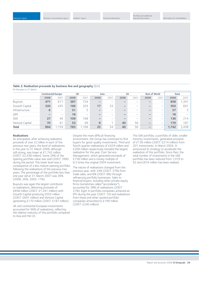**Table 2: Realisation proceeds by business line and geography** (£m) for the year to 31 March

|                 | <b>Continental Europe</b> |                          | UK   |      | Asia                         |      | <b>US</b> |                          | <b>Rest of World</b> |                          | <b>Total</b> |       |
|-----------------|---------------------------|--------------------------|------|------|------------------------------|------|-----------|--------------------------|----------------------|--------------------------|--------------|-------|
|                 | 2008                      | 2007                     | 2008 | 2007 | 2008                         | 2007 | 2008      | 2007                     | 2008                 | 2007                     | 2008         | 2007  |
| <b>Buyouts</b>  | 471                       | 617                      | 387  | 724  | $\qquad \qquad \blacksquare$ | -    |           | -                        | $\sim$               | $\overline{\phantom{a}}$ | 858          | 1,341 |
| Growth Capital  | 320                       | 435                      | 166  | 203  | 17                           | 53   | -         | -                        | $\sim$               | $\overline{\phantom{a}}$ | 503          | 691   |
| Infrastructure  | 6                         | $\overline{\phantom{m}}$ | 51   | 5    | $\overline{\phantom{a}}$     | -    |           | $\overline{\phantom{0}}$ | -                    | $\overline{\phantom{0}}$ | 57           | 5     |
| QPE             | -                         | $\overline{\phantom{0}}$ | 18   | -    | $\overline{\phantom{a}}$     | -    |           | -                        | $\sim$               | $\overline{\phantom{a}}$ | 18           |       |
| <b>SMI</b>      | 27                        | 46                       | 109  | 168  | $\overline{\phantom{a}}$     | -    |           | -                        |                      | $\overline{\phantom{a}}$ | 136          | 214   |
| Venture Capital | 70                        | 61                       | 52   | 69   | 8                            |      | 40        | 56                       |                      | $\overline{\phantom{0}}$ | 170          | 187   |
| <b>Total</b>    | 894                       | 1,159                    | 783  | .169 | 25                           | 54   | 40        | 56                       | -                    | $\overline{\phantom{m}}$ | 1,742        | 2,438 |

#### **Realisations**

As anticipated, after achieving realisation proceeds of over £2 billion in each of the previous two years, the level of realisations in the year to 31 March 2008, although still strong, was lower at £1,742 million (2007: £2,438 million). Some 28% of the opening portfolio value was sold (2007: 39%) during the period. This lower level was a consequence of a less mature opening portfolio following the realisations of the previous two years. The percentage of the portfolio less than one year old at 31 March 2007 was 36% (2006: 26%, 2005: 17%).

Buyouts was again the largest contributor to realisations, delivering proceeds of £858 million (2007: £1,341 million) with Growth Capital producing £503 million (2007: £691 million) and Venture Capital generating £170 million (2007: £187 million).

UK and continental European investments accounted for 96% of realisations, reflecting the relative maturity of this portfolio compared to Asia and the US.

Despite the more difficult financing environment, the Group has continued to find buyers for good-quality investments. Third and fourth quarter realisations of £429 million and £269 million respectively included the largest realisation for the year, Coor Service Management, which generated proceeds of £158 million and a money multiple of 6.3 times the original 2004 investment.

The nature of realisations changed from the previous year, with 24% (2007: 37%) from trade sales, and 8% (2007: 8%) through refinancing portfolio businesses. Sales to financial buyers, including other private equity firms (sometimes called "secondaries"), accounted for 38% of realisations (2007: 27%). Eight 3i portfolio companies achieved an IPO during the year (2007: 10) and realisations from these and other quoted portfolio companies amounted to £199 million (2007: £240 million).

The SMI portfolio, a portfolio of older, smaller minority investments, generated proceeds of £136 million (2007: £214 million) from 201 investments. In March 2004, 3i announced its strategy to accelerate the realisation of this portfolio. Since then, the total number of investments in the SMI portfolio has been reduced from 1,079 to 92 and £816 million has been realised.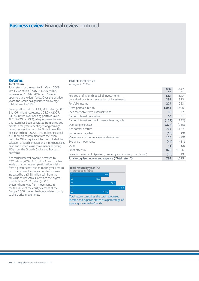## **Business review Financial review** continued

### **Returns Total return**

Total return for the year to 31 March 2008 was £792 million (2007: £1,075 million) representing 18.6% (2007: 26.8%) over opening shareholders' funds. Over the last five years, the Group has generated an average total return of 20.4%.

Gross portfolio return of £1,041 million (2007: £1,406 million) represents a 23.9% (2007: 34.0%) return over opening portfolio value. At 28% (2007: 23%), a higher percentage of this return has been generated from unrealised profits in the year, reflecting strong earnings growth across the portfolio. First-time uplifts of £154 million (2007: £142 million) included a £68 million contribution from the Asian portfolio. Other significant factors included the valuation of Giochi Preziosi on an imminent sales basis and quoted value movements following IPOs from the Growth Capital and Buyouts portfolios.

Net carried interest payable increased to £92 million (2007: £61 million) due to higher levels of carried interest participation, arising from a greater contribution to this year's return from more recent vintages. Total return was increased by a £158 million gain from the fair value of derivatives, of which the largest contribution, £162 million (2007: £(62) million), was from movements in the fair value of the equity element of the Group's 2008 convertible bonds related mainly to share price movements.

### **Table 3: Total return**

for the year to 31 March

|                                                                | £m    | £m    |
|----------------------------------------------------------------|-------|-------|
| Realised profits on disposal of investments                    | 523   | 830   |
| Unrealised profits on revaluation of investments               | 291   | 323   |
| Portfolio income                                               | 227   | 253   |
| Gross portfolio return                                         | 1,041 | 1,406 |
| Fees receivable from external funds                            | 60    | 37    |
| Carried interest receivable                                    | 60    | 81    |
| Carried interest and performance fees payable                  | (152) | (142) |
| Operating expenses                                             | (274) | (255) |
| Net portfolio return                                           | 735   | 1,127 |
| Net interest payable                                           | (16)  | (9)   |
| Movements in the fair value of derivatives                     | 158   | (29)  |
| Exchange movements                                             | (44)  | (31)  |
| Other                                                          | (5)   | (2)   |
| Profit after tax                                               | 828   | 1,056 |
| Reserve movements (pension, property and currency translation) | (36)  | 19    |
| Total recognised income and expense ("Total return")           | 792   | 1.075 |

**2008** 2007

### **Total return by year** (%)

| for the year to 31 March |                                     |      |      |      |
|--------------------------|-------------------------------------|------|------|------|
| 04                       |                                     | 19.0 |      |      |
| 05                       | 15.2                                |      |      |      |
| 06                       |                                     |      | 22.5 |      |
| 07                       |                                     |      |      | 26.8 |
| 08                       |                                     | 18.6 |      |      |
| .                        | the contract of the contract of the |      |      |      |

Total return comprises the total recognised income and expense stated as a percentage of opening shareholders' funds.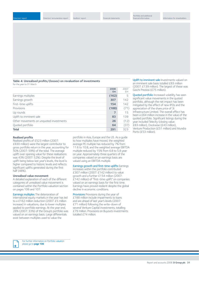**Table 4: Unrealised profits/(losses) on revaluation of investments** for the year to 31 March

|                                         | 2008  | 2007 |
|-----------------------------------------|-------|------|
|                                         | £m    | £m   |
| Earnings multiples                      | (162) | 5    |
| Earnings growth                         | 307   | 142  |
| First-time uplifts                      | 154   | 142  |
| <b>Provisions</b>                       | (188) | (71) |
| Up rounds                               |       | 15   |
| Uplift to imminent sale                 | 83    | 139  |
| Other movements on unquoted investments | 26    | (12) |
| Quoted portfolio                        | 64    | (37) |
| <b>Total</b>                            | 291   | 323  |

Uplift to imminent sale Investments valued on an imminent sale basis totalled £83 million (2007: £139 million). The largest of these was Giochi Preziosi (£75 million).

Quoted portfolio Increased volatility has seen significant value movements in the quoted portfolio, although the net impact has been mitigated by the effect of new IPOs and the appreciation of the share price of 3i Infrastructure Limited. The overall effect has been a £64 million increase in the value of the quoted portfolio. Significant listings during the year included Telecity (closing value: £83 million), Dockwise (£43 million), Venture Production (£51 million) and Mundra Ports (£53 million).

#### **Realised profits**

Realised profits of £523 million (2007: £830 million) were the largest contributor to gross portfolio return in the year, accounting for 50% (2007: 59%) of the total. The average uplift over opening value for these realisations was 43% (2007: 52%). Despite the level of uplift being below last year's levels, the level is higher compared to historic levels and reflects significant uplifts generated during the first half (48%).

#### **Unrealised value movement**

A detailed explanation of each of the different categories of unrealised value movement is contained within the Portfolio valuation section on pages 106 and 107.

Earnings multiples The deterioration of international equity markets in the year has led to a £162 million reduction (2007: £5 million increase) in valuations, due to lower multiples applied to portfolio earnings. At the year end, 28% (2007: 33%) of the Group's portfolio was valued on an earnings basis. Large differentials exist between multiples used to value the

portfolio in Asia, Europe and the US. As a guide to how multiples have moved, the weighted average PE multiple has reduced by 7% from 11.6 to 10.8, and the weighted average EBITDA multiple reduced by 15% from 6.8 to 5.8 year on year. Approximately three quarters of the companies valued on an earnings basis are valued using an EBITDA multiple.

Earnings growth and first-time uplifts Earnings increases within the portfolio contributed £307 million (2007: £142 million) to value growth and a further £154 million (2007: £142 million) of "first-time uplift" on companies valued on an earnings basis for the first time. Earnings have proved resilient despite the global decline in economic conditions.

Provisions Provisions during the year of £188 million include impairments to loans and are ahead of last year's levels (2007: £71 million) following the write-down of several Venture Capital investments, totalling £79 million. Provisions on Buyouts investments totalled £74 million.

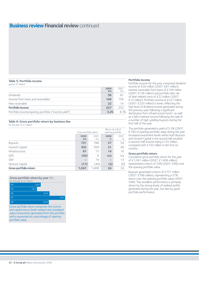## **Business review Financial review** continued

### **Table 5: Portfolio income**

| year to 31 March                                    |            |            |
|-----------------------------------------------------|------------|------------|
|                                                     | 2008<br>£m | 2007<br>£m |
| <b>Dividends</b>                                    | 56         | 81         |
| Income from loans and receivables                   | 149        | 158        |
| Fees receivable                                     | 22         | 14         |
| Portfolio income                                    | 227        | 253        |
| Portfolio income/opening portfolio ("income yield") | 5.2%       | 6.1%       |

#### **Table 6: Gross portfolio return by business line**

for the year to 31 March

|                        | Gross portfolio return |            | Return as a % of<br>opening portfolio |           |
|------------------------|------------------------|------------|---------------------------------------|-----------|
|                        | 2008<br>£m             | 2007<br>£m | 2008<br>%                             | 2007<br>% |
| <b>Buyouts</b>         | 731                    | 788        | 57                                    | 54        |
| Growth Capital         | 302                    | 569        | 21                                    | 48        |
| Infrastructure         | 67                     | 15         | 14                                    | 16        |
| QPE                    | (42)                   | 6          | n/a                                   | n/a       |
| SMI                    | -                      | 74         | -                                     | 13        |
| Venture Capital        | (17)                   | (46)       | (2)                                   | (6)       |
| Gross portfolio return | 1,041                  | 1,406      | 24                                    | 34        |

**Gross portfolio return by year** (%)

| for the year to 31 March<br>04 | 19.0 |      |      |
|--------------------------------|------|------|------|
| 05                             | 16.7 |      |      |
| 06                             |      | 24.4 |      |
| 07                             |      |      | 34.0 |
| 08                             |      | 23.9 |      |

Gross portfolio return comprises the income and capital return (both realised and unrealised value movement) generated from the portfolio and is expressed as a percentage of opening portfolio value.

### **Portfolio income**

Portfolio income for the year comprised dividend income of £56 million (2007: £81 million). interest receivable from loans of £149 million (2007: £158 million) and portfolio fees net of deal-related costs of £22 million (2007: £14 million). Portfolio income at £227 million (2007: £253 million) is lower, reflecting the high level of dividend income generated during the previous year following a significant distribution from infrastructure fund <sup>12</sup>, as well as a fall in interest income following the sale of a number of high-yielding buyouts during the first half of the year.

The portfolio generated a yield of 5.2% (2007: 6.1%) of opening portfolio value during the year. Increased investment levels within both Buyouts and Growth Capital in the second half resulted in second-half income being £125 million, compared with £102 million in the first six months.

#### **Gross portfolio return**

Cumulative gross portfolio return for the year of £1,041 million (2007: £1,406 million) represented a return of 24% (2007: 34%) over the opening portfolio value.

Buyouts generated a return of £731 million (2007: £788 million), representing a 57% return over the opening portfolio value (2007: 54%). This excellent performance is primarily driven by the strong levels of realised profits generated during the year, but also by good portfolio performance.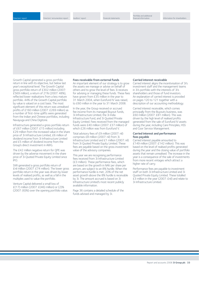Growth Capital generated a gross portfolio return in line with its objective, but below last year's exceptional level. The Growth Capital gross portfolio return of £302 million (2007: £569 million), a return of 21% (2007: 48%), reflected lower realisations from a less mature portfolio. 44% of the Growth Capital portfolio by value is valued on a cost basis. The most significant element of this return was unrealised profits of £160 million (2007: £269 million) as a number of first-time uplifts were generated from the Indian and Chinese portfolios, including Navayuga and China Digitone.

Infrastructure generated a gross portfolio return of £67 million (2007: £15 million) including £29 million from the increased value in the share price of 3i Infrastructure Limited, £6 million of dividend income from 3i Infrastructure Limited and £5 million of dividend income from the Group's direct investment in AWG.

The £42 million negative return for QPE was driven by the adverse movement in the share price of 3i Quoted Private Equity Limited since  $IPO$ 

SMI generated a gross portfolio return of £nil million (2007: £74 million). The lower gross portfolio return in the year was driven by lower levels of realised profits, as well as a fall in the multiples used to value the portfolio.

Venture Capital delivered a small loss of  $£(17)$  million (2007:  $£(46)$  million) or (2)% (2007: (6)%) over the opening portfolio value.

#### **Fees receivable from external funds**

An important element of our strategy is to grow the assets we manage or advise on behalf of others and to grow the level of fees 3i receives for advising or managing these funds. These fees have grown from £35 million in the year to 31 March 2004, when Eurofund IV was raised, to £60 million in the year to 31 March 2008.

In the year, the Group received or accrued fee income from its managed Buyout funds, 3i Infrastructure Limited, the 3i India Infrastructure Fund, and 3i Quoted Private Equity Limited. Fees received from the managed funds were £40 million (2007: £37 million) of which £26 million was from Eurofund V.

Total advisory fees of £9 million (2007: nil) comprises £8 million (2007: nil) from 3i Infrastructure Limited and £1 million (2007: nil) from 3i Quoted Private Equity Limited. These fees are payable based on the gross investment value of the advisory companies.

This year we are recognising performance fees received from 3i Infrastructure Limited (£3 million). These performance fees, which are based on the growth in NAV per share per annum, are subject to an 8% hurdle. When the performance hurdle is met, 20% of the net asset growth above the 8% hurdle is receivable by 3i. The amount accrued is based on 3i Infrastructure Limited's most recent publicly available information.

Page 36 contains a detailed schedule of the funds advised and managed by 3i.

#### **Carried interest receivable**

Carried interest aligns the incentivisation of 3i's investment staff and the management teams in 3i's portfolio with the interests of 3i's shareholders and those of fund investors. An explanation of carried interest is provided on pages 120 to 121 together with a description of our accounting methodology.

Carried interest receivable, which comes principally from the Buyouts business, was £60 million (2007: £81 million). This was driven by the high level of realised profits generated from the sale of Eurofund IV assets during the year, including Care Principles, HSS and Coor Service Management.

#### **Carried interest and performance fees payable**

Carried interest payable amounted to £149 million (2007: £142 million). This was based on the level of realised profits generated during the year and the closing value of portfolio assets that remain unrealised. The increase in the year is a consequence of the sale of investments from more recent vintages which attract a higher rate of carry.

Performance fees are payable to investment staff on both 3i Infrastructure Limited and 3i Quoted Private Equity Limited. These totalled £3 million in the year (2007: £nil) and relate to 3i Infrastructure Limited.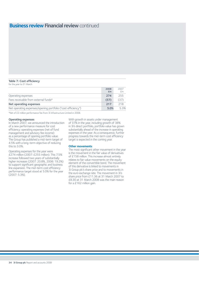## **Business review Financial review continued**

### **Table 7: Cost efficiency**

for the year to 31 March

|                                                              | 2008 | 2007           |
|--------------------------------------------------------------|------|----------------|
|                                                              | £m   | f <sub>m</sub> |
| Operating expenses                                           | 274  | 255            |
| Fees receivable from external funds*                         | (57) | (37)           |
| Net operating expenses                                       | 217  | 218            |
| Net operating expenses/opening portfolio ("cost efficiency") | 5.0% | 5.3%           |

\*Net of £3 million performance fee from 3i Infrastructure Limited in 2008.

#### **Operating expenses**

In March 2007, we announced the introduction of a new performance measure for cost efficiency: operating expenses (net of fund management and advisory fee income) as a percentage of opening portfolio value. The Group has published a mid-term target of 4.5% with a long-term objective of reducing this to 3.0%.

Operating expenses for the year were £274 million (2007: £255 million). This 7.5% increase followed two years of substantially higher increases (2007: 20.8%, 2006: 19.2%) to support significant geographic and business line expansion. The mid-term cost efficiency performance target stood at 5.0% for the year (2007: 5.3%).

With growth in assets under management of 37% in the year, including growth of 38% in 3i's direct portfolio, portfolio value has grown substantially ahead of the increase in operating expenses in the year. As a consequence, further progress towards the mid-term cost efficiency target is expected in the coming year.

#### **Other movements**

The most significant other movement in the year is the movement in the fair value of derivatives of £158 million. This increase almost entirely relates to fair value movements on the equity element of the convertible bond. The movement of this derivative is linked to movements in 3i Group plc's share price and to movements in the euro exchange rate. The movement in 3i's share price from £11.36 at 31 March 2007 to £8.30 at 31 March 2008 was the main reason for a £162 million gain.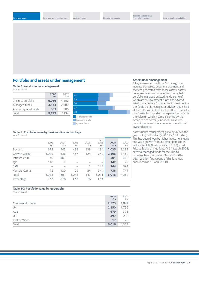## **Portfolio and assets under management**

**Table 8: Assets under management** as at 31 March

|                      | 2008<br>£m | 2007<br>£m |
|----------------------|------------|------------|
| 3i direct portfolio  | 6,016      | 4,362      |
| Managed funds        | 3,143      | 2,387      |
| Advised quoted funds | 633        | 385        |
| Total                | 9,792      | 7.134      |



#### **Table 9: Portfolio value by business line and vintage** as at 31 March

|                 | 2008<br>£m | 2007<br>£m    | 2006<br>£m | 2005<br>£m | Pre-<br>2005<br>£m | 2008<br>£m | 2007<br>£m |
|-----------------|------------|---------------|------------|------------|--------------------|------------|------------|
| <b>Buyouts</b>  | 672        | 543           | 488        | 138        | 184                | 2,025      | 1,281      |
| Growth Capital  | 1,009      | 536           | 457        | 124        | 240                | 2,366      | 1,460      |
| Infrastructure  | 40         | 461           |            |            | -                  | 501        | 469        |
| QPE             | 140        | $\mathcal{P}$ | -          |            | -                  | 142        | 20         |
| SMI             |            |               |            | 1          | 243                | 244        | 391        |
| Venture Capital | 72         | 139           | 99         | 84         | 344                | 738        | 741        |
| Total           | 1,933      | 1,681         | 1.044      | 347        | 1,011              | 6,016      | 4,362      |
| Percentage      | 32%        | 28%           | 17%        | 6%         | 17%                |            |            |
|                 |            |               |            |            |                    |            |            |

## **Assets under management**

A key element of the Group's strategy is to increase our assets under management and the fees generated from those assets. Assets under management include 3i's directly held portfolio, managed unlisted funds, some of which are co-investment funds and advised listed funds. Where 3i has a direct investment in the funds that it manages or advises, this is held at fair value within the direct portfolio. The value of external funds under management is based on the value on which income is earned by the Group, which normally includes uninvested commitments and the accounting valuation of invested assets.

Assets under management grew by 37% in the year to £9,792 million (2007: £7,134 million). This has been driven by higher investment levels and value growth from 3i's direct portfolio as well as the £400 million launch of 3i Quoted Private Equity Limited fund. At 31 March 2008, external managed funds for the 3i India Infrastructure Fund were £348 million (the US\$1.2 billion final closing of this fund was announced on 16 April 2008).

## **Table 10: Portfolio value by geography**

as at 31 March

|                    | 2008  | 2007  |
|--------------------|-------|-------|
|                    | £m    | £m    |
| Continental Europe | 2,573 | 1,894 |
| UK                 | 2,250 | 1,792 |
| Asia               | 679   | 373   |
| <b>US</b>          | 497   | 283   |
| Rest of World      | 17    | 20    |
| Total              | 6,016 | 4,362 |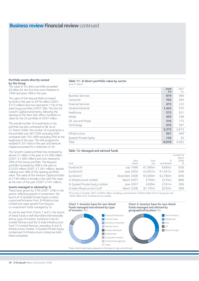# **Business review Financial review continued**

### **Portfolio assets directly owned by the Group**

The value of 3i's direct portfolio exceeded £6 billion for the first time since flotation in 1994 and grew 38% in the year.

The value of the Asia portfolio increased by 82% in the year to £679 million (2007: £373 million) and now represents 11% of the total Group portfolio (2007: 9%). The first US Growth Capital investments, following the opening of the New York office, resulted in a value for the US portfolio of £497 million.

The overall number of investments in the portfolio has also continued to fall. As at 31 March 2008, the number of investments in the portfolio was 487 (395 excluding SMI) compared with 762 (469 excluding SMI) at the beginning of the year. The SMI programme resulted in 201 exits in the year and Venture Capital accounted for a reduction of 35.

The Growth Capital portfolio has increased by almost £1 billion in the year to £2,366 million (2007: £1,460 million) and now represents 39% of the Group portfolio. The Buyouts portfolio increased by 58% in the year to £2,025 million (2007: £1,281 million), despite realising over 38% of the opening portfolio value. The value of the Venture Capital portfolio at £738 million is broadly in line with the value at the start of the year (2007: £741 million).

#### **Assets managed or advised by 3i**

These have grown by 37% (2007: 25%) in the period, reflecting growth in investment, the launch of 3i Quoted Private Equity Limited, a good performance from 3i Infrastructure Limited and value growth from Buyout co-investment funds managed by 3i.

As can be seen from Charts 1 and 2, the source of these funds is well diversified internationally and by type of investor. Eurofund V has 62 Limited Partners and the 3i India Infrastructure Fund 14 Limited Partners, excluding 3i and 3i Infrastructure Limited. 3i Quoted Private Equity Limited and 3i Infrastructure Limited are both listed companies.

## **Table 11: 3i direct portfolio value by sector**

as at 31 March

|                           | zuud<br>£m | ZUU /<br>£m |
|---------------------------|------------|-------------|
| <b>Business Services</b>  | 819        | 586         |
| Consumer                  | 703        | 494         |
| <b>Financial Services</b> | 415        | 222         |
| General Industrial        | 1,423      | 970         |
| Healthcare                | 572        | 501         |
| Media                     | 455        | 338         |
| Oil, Gas and Power        | 316        | 175         |
| Technology                | 670        | 587         |
|                           | 5,373      | 3,873       |
| Infrastructure            | 501        | 469         |
| Quoted Private Equity     | 142        | 20          |
| Total                     | 6,016      | 4,362       |

### **Table 12: Managed and advised funds**

| Fund                             | Date<br>closed   | Fund<br>size | 3i<br>commitment | Invested at<br>March<br>2008<br>% |
|----------------------------------|------------------|--------------|------------------|-----------------------------------|
| Eurofund III                     | <b>July 1999</b> | €1,990m      | €995m            | 93%                               |
| Eurofund IV                      | June 2004        | €3.067m      | €1.941m          | 93%                               |
| Eurofund V                       | November 2006    | €5.000m      | €2,780m          | 40%                               |
| 3i Infrastructure Limited        | March 2007       | £700m        | £325m            | 88%                               |
| 3i Quoted Private Equity Limited | June 2007        | £400m        | £181m            | 26%                               |
| 3i India Infrastructure Fund*    | March 2008       | \$1,195m     | \$250m           | 28%                               |

\*First close in October 2007 at \$500 million, including a commitment of \$250 million from 3i Group plc and \$250 million from 3i Infrastructure Limited.

#### **Chart 1: Investor base for non-listed funds managed and advised by type of investor** (%)







**2008** 2007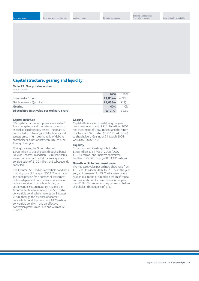## **Capital structure, gearing and liquidity**

**Table 13: Group balance sheet**  as at 31 March

|                                            | 2008            | 2007       |
|--------------------------------------------|-----------------|------------|
| Shareholders' funds                        | £4,057m £4,249m |            |
| Net borrowings/(surplus)                   | £1.638m         | $E(1)$ m   |
| <b>Gearing</b>                             | 40%             | $\Omega\%$ |
| Diluted net asset value per ordinary share | £10.77          | f932       |

#### **Capital structure**

3i's capital structure comprises shareholders' funds, long-term and short-term borrowings, as well as liquid treasury assets. The Board is committed to achieving capital efficiency and targets an optimum gearing ratio of debt to shareholders' funds of between 30% to 40% through the cycle.

During the year, the Group returned £808 million to shareholders through a bonus issue of B shares. In addition, 12 million shares were purchased on market for an aggregate consideration of £120 million, and subsequently cancelled.

The Group's €550 million convertible bond has a maturity date of 1 August 2008. The terms of the bond provide for a number of settlement options dependent on whether a conversion notice is received from a bondholder, or settlement arises on maturity. It is also the Group's intention to refinance its €550 million convertible bond, which matures on 1 August 2008, through the issuance of another convertible bond. The new circa £425 million convertible bond will have an effective conversion premium of 60% and will mature in 2011.

#### **Gearing**

Capital efficiency improved during the year due to net investment of £(418) million (2007: net divestment of £862 million) and the return of a total of £928 million (2007: £774 million) to shareholders. Gearing at 31 March 2008 was 40% (2007: 0%).

#### **Liquidity**

3i had cash and liquid deposits totalling £796 million at 31 March 2008 (2007: £2,154 million) and undrawn committed facilities of £286 million (2007: £491 million).

#### **Growth in diluted net asset value**

The net asset value per ordinary share rose from £9.32 at 31 March 2007 to £10.77 at the year end, an increase of £1.45. The increase before dilution due to the £808 million return of capital and dividends paid to shareholders in the year, was £1.94. This represents a gross return before shareholder distributions of 21%.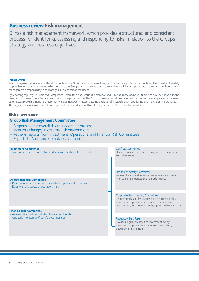## **Business review Risk management**

3i has a risk management framework which provides a structured and consistent process for identifying, assessing and responding to risks in relation to the Group's strategy and business objectives.

## **Introduction**

Risk management operates at all levels throughout the Group, across business lines, geographies and professional functions.The Board is ultimately responsible for risk management, which includes the Group's risk governance structure and maintaining an appropriate internal control framework. Management's responsibility is to manage risk on behalf of the Board.

By reporting regularly to Audit and Compliance Committee, the Group's Compliance and Risk Assurance and Audit functions provide support to the Board in maintaining the effectiveness of risk management across the Group. The Group's risk management processes, including a number of new committees providing input to Group Risk Management Committee, became operational in March 2007 and formalised many existing practices. The diagram below shows this risk management framework and outlines the key responsibilities of each committee.

## **Risk governance Investment Committee** – Takes or recommends investment decisions on individual opportunities **Group Risk Management Committee** – Responsible for overall risk management process – Monitors changes in external risk environment – Reviews reports from Investment, Operational and Financial Risk Committees – Reports to Audit and Compliance Committee **Financial Risk Committee** – Assesses financial risk including treasury and funding risk – Quarterly monitoring of portfolio composition **Operational Risk Committee** – Provides input to the setting of investment policy and guidelines – Deals with all aspects of operational risk Conflicts Committee Decides issues on conflicts arising in investment process and other areas Health and Safety Committee Reviews Health and Safety arrangements and policy Monitors implementation and performance Corporate Responsibility Committee Recommends socially responsible investment policy Identifies and promotes awareness of corporate responsibility and developments, opportunities and risks Regulatory Risk Forum Provides regulatory input to investment policy Identifies and promotes awareness of regulatory developments and risks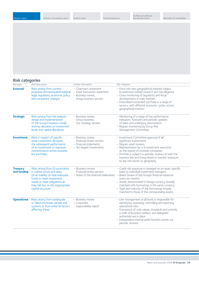## **Risk categories**

| Risk type                      | <b>Brief description</b>                                                                                                                                                                                                           | Further information                                                                                     | Risk mitigation                                                                                                                                                                                                                                                                                                                                                                                                     |
|--------------------------------|------------------------------------------------------------------------------------------------------------------------------------------------------------------------------------------------------------------------------------|---------------------------------------------------------------------------------------------------------|---------------------------------------------------------------------------------------------------------------------------------------------------------------------------------------------------------------------------------------------------------------------------------------------------------------------------------------------------------------------------------------------------------------------|
| <b>External</b>                | Risks arising from current,<br>proposed and anticipated political,<br>legal, regulatory, economic policy<br>and competitor changes                                                                                                 | - Chairman's statement<br>- Chief Executive's statement<br>- Business review,<br>Group business section | - Entry into new geographical markets subject<br>to extensive market research and due diligence<br>- Close monitoring of regulatory and fiscal<br>developments in main markets<br>- Diversified investment portfolio in a range of<br>sectors, with different economic cycles, across<br>geographical markets                                                                                                       |
| <b>Strategic</b>               | Risks arising from the analysis,<br>design and implementation<br>of the Group's business model,<br>and key decisions on investment<br>levels and capital allocations                                                               | - Business review,<br>Group business,<br>Our strategy section                                           | - Monitoring of a range of key performance<br>indicators, forecasts and periodic updates<br>of plans and underlying assumptions<br>- Regular monitoring by Group Risk<br>Management Committee                                                                                                                                                                                                                       |
| <b>Investment</b>              | Risks in respect of specific<br>asset investment decisions.<br>the subsequent performance<br>of an investment or exposure<br>concentrations across business<br>line portfolios                                                     | - Business review,<br>Financial review section<br>- Financial statements<br>- Ten largest investments   | - Investment Committee approval of all<br>significant investments<br>- Regular asset reviews<br>- Representation by a 3i investment executive<br>on the boards of investee companies<br>- Portfolio is subject to periodic reviews at both the<br>business line and Group levels to monitor exposure<br>to any one sector or geography                                                                              |
| <b>Treasury</b><br>and funding | Risks arising from (i) uncertainty<br>in market prices and rates,<br>(ii) an inability to raise adequate<br>funds to meet investment<br>needs or meet obligations as<br>they fall due, or (iii) inappropriate<br>capital structure | - Business review,<br>Financial review section                                                          | - Credit risk exposure is managed on an asset-specific<br>basis by individual investment managers<br>- Notes to the financial statements - Board review of the Group's financial resources<br>every six months<br>- Assets denominated in foreign currency broadly<br>matched with borrowings in the same currency<br>- Type and maturity of the borrowings broadly<br>matched to those of the corresponding assets |
| <b>Operational</b>             | Risks arising from inadequate<br>or failed processes, people and<br>systems or from external factors<br>affecting these                                                                                                            | - Business review<br>- Corporate<br>responsibility report                                               | - Line management at all levels is responsible for<br>identifying, assessing, controlling and reporting<br>operational risks<br>- Framework of core values, standards and controls,<br>a code of business conduct and delegated<br>authorities are in place<br>- Independent internal audit function carries out<br>periodic reviews                                                                                |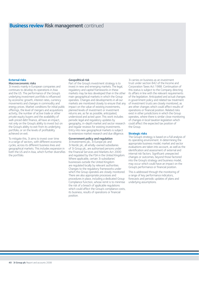## **Business review Risk management** continued

#### **External risks Macroeconomic risks**

3i invests mainly in European companies and continues to develop its operations in Asia and the US. The performance of the Group's underlying investment portfolio is influenced by economic growth, interest rates, currency movements and changes in commodity and energy prices. Market conditions for initial public offerings, the level of mergers and acquisitions activity, the number of active trade or other private equity buyers and the availability of well-priced debt finance, all have an impact, not only on the Group's ability to invest but on the Group's ability to exit from its underlying portfolio, or on the levels of profitability achieved on exit.

To mitigate this, 3i aims to invest over time in a range of sectors, with different economic cycles, across its different business lines and geographical markets. This includes expansion in both the US and in Asia, which further diversifies the portfolio.

## **Geopolitical risk**

Part of the Group's investment strategy is to invest in new and emerging markets.The legal, regulatory and capital frameworks in these markets may be less developed than in the other main geographical markets in which the Group operates. Changes and developments in all our markets are monitored closely to ensure that any impact on the value of existing investments, planned levels of investment or investment returns are, as far as possible, anticipated, understood and acted upon.This work includes periodic legal and regulatory updates by geography, in-depth market and sector research and regular reviews for existing investments. Entry into new geographical markets is subject to extensive market research and due diligence.

## **Government policy and regulation**

3i Investments plc, 3i Europe plc and 3i Nordic plc, all wholly-owned subsidiaries of 3i Group plc, are authorised persons under the Financial Services and Markets Act 2000 and regulated by the FSA in the United Kingdom. Where applicable, certain 3i subsidiaries' businesses outside the United Kingdom are regulated locally by relevant authorities. Changes to the regulatory frameworks under which the Group operates are closely monitored. There are also appropriate processes and procedures in place, including a dedicated Group Compliance function, whose remit is to minimise the risk of a breach of applicable regulations which could affect the Group's compliance costs, its business, results of operations or financial position.

3i carries on business as an investment trust under section 842 of the Income and Corporation Taxes Act 1988. Continuation of this status is subject to the Company directing its affairs in line with the relevant requirements of the legislation. Anticipated and actual changes in government policy and related tax treatment of investment trusts are closely monitored, as are other changes which could affect results of operations or financial position. Related risks exist in other jurisdictions in which the Group operates, where there is similar close monitoring of changes in local taxation legislation which could affect the expected tax position of the Group.

### **Strategic risks**

The Group's strategy is based on a full analysis of its operating environment. In determining the appropriate business model, market and sector evaluations are taken into account, as well as the identification and assessment of external and internal risk factors. Significant unexpected changes or outcomes, beyond those factored into the Group's strategy and business model, may occur which could have an impact on the Group's performance or financial position.

This is addressed through the monitoring of a range of key performance indicators, forecasts and periodic updates of plans and underlying assumptions.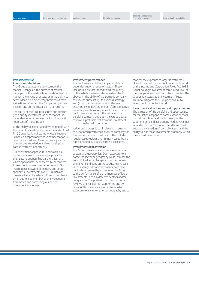#### **Investment risks Investment decisions**

The Group operates in a very competitive market. Changes in the number of market participants, the availability of funds within the market, the pricing of assets, or in the ability to access deals on a proprietary basis could have a significant effect on the Group's competitive position and on the sustainability of returns.

The ability of the Group to source and execute good quality investments in such markets is dependent upon a range of factors. The most important of these include:

(i) the ability to attract and develop people with the requisite investment experience and cultural fit; (ii) organisation of teams whose structure is market-adapted and whose compensation is results-oriented; and (iii) effective application of collective knowledge and relationships to each investment opportunity.

3i's investment appraisal is undertaken in a rigorous manner.This includes approval by the relevant business line partnerships, and where appropriate, peer review by executives from other business lines, together with 3i's international network of industry and sector specialists. Investments over £5 million are presented to an Investment Committee chaired by an authorised member of the Management Committee and comprising our senior investment executives.

#### **Investment performance**

The performance of the Group's portfolio is dependent upon a range of factors.These include, but are not limited to: (i) the quality of the initial investment decision described above; (ii) the ability of the portfolio company to execute successfully its business strategy; and (iii) actual outcomes against the key assumptions underlying the portfolio company's financial projections. Any one of these factors could have an impact on the valuation of a portfolio company and upon the Group's ability to make a profitable exit from the investment within the desired timeframe.

A rigorous process is put in place for managing the relationship with each investee company for the period through to realisation. This includes regular asset reviews and, in many cases, board representation by a 3i investment executive.

#### **Investment concentration**

The Group invests across a range of economic sectors and geographies. Over-exposure to a particular sector or geography could increase the impact of adverse changes in macroeconomic or market conditions on the Group. An increase in the average size of investments over time could also increase the exposure of the Group to the performance of a small number of large investments, albeit in different sectors and/or geographies.The portfolio is subject to periodic reviews by Financial Risk Committee and by individual business lines in order to monitor exposure to any one sector or geography and to

monitor the exposure to larger investments. One of the conditions set out under section 842 of the Income and Corporation Taxes Act 1988 is that no single investment can exceed 15% of the Group's investment portfolio to maintain the Group's tax status as an Investment Trust. This also mitigates the Group's exposure to investment concentration risk.

#### **Investment valuations and exit opportunities**

The valuation of 3i's portfolio and opportunities for realisations depend to some extent on stock market conditions and the buoyancy of the wider mergers and acquisitions market. Changes in market or macroeconomic conditions could impact the valuation of portfolio assets and the ability to exit those investments profitably within the desired timeframe.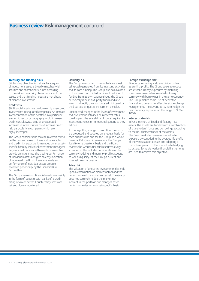## **Business review Risk management** continued

#### **Treasury and funding risks**

3i's funding objective is that each category of investment asset is broadly matched with liabilities and shareholders' funds according to the risk and maturity characteristics of the assets and that funding needs are met ahead of planned investment.

#### **Credit risk**

3i's financial assets are predominantly unsecured investments in unquoted companies. An increase in concentration of the portfolio in a particular economic sector or geography could increase credit risk. Likewise, large or unexpected increases in interest rates could increase credit risk, particularly in companies which are highly leveraged.

The Group considers the maximum credit risk to be the carrying value of loans and receivables and credit risk exposure is managed on an assetspecific basis by individual investment managers. Regular asset reviews within each business line provide an insight into the trading performance of individual assets and give an early indication of increased credit risk. Leverage levels and performance of individual assets are also reviewed periodically by the Financial Risk Committee.

The Group's remaining financial assets are mainly in the form of deposits with banks of a credit rating of AA or better. Counterparty limits are set and closely monitored.

#### **Liquidity risk**

The Group invests from its own balance sheet using cash generated from its investing activities and its core funding.The Group also has available to it undrawn committed facilities. In addition to funding from its own balance sheet, the Group periodically raises third-party funds and also invests indirectly through funds administered by third parties, or quoted investment vehicles.

Unexpected changes in the levels of investment and divestment activities or in interest rates could impact the availability of funds required for investment needs or to meet obligations as they fall due.

To manage this, a range of cash flow forecasts are produced and updated on a regular basis for each business line and for the Group as a whole. Financial Risk Committee reviews the Group's liquidity on a quarterly basis and the Board reviews the Group's financial resources every six months. This includes consideration of the currency hedging and maturity profile aspects, as well as liquidity, of the Group's current and forecast financial position.

#### **Price risk**

The valuation of unquoted investments depends upon a combination of market factors and the performance of the underlying asset.The Group does not currently hedge the market risk inherent in the portfolio but manages asset performance risk on an asset-specific basis.

#### **Foreign exchange risk**

3i reports in sterling and pays dividends from its sterling profits.The Group seeks to reduce structural currency exposures by matching investment assets denominated in foreign currency with borrowings in the same currency. The Group makes some use of derivative financial instruments to effect foreign exchange management.The current policy is to hedge the main currency exposures in the range of 90%– 100%.

## **Interest rate risk**

3i has a mixture of fixed and floating-rate assets.The assets are funded with a combination of shareholders' funds and borrowings according to the risk characteristics of the assets. The Board seeks to minimise interest rate exposure by considering the average life profile of the various asset classes and adopting a portfolio approach to the interest rate hedging structure. Some derivative financial instruments are used to achieve this objective.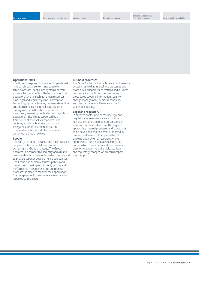#### **Operational risks**

The Group is exposed to a range of operational risks which can arise from inadequate or failed processes, people and systems or from external factors affecting these. These include operational events such as human resources risks, legal and regulatory risks, information technology systems failures, business disruption and shortcomings in internal controls. Line management at all levels is responsible for identifying, assessing, controlling and reporting operational risks.This is supported by a framework of core values, standards and controls, a code of business conduct and delegated authorities. There is also an independent internal audit function which carries out periodic reviews.

#### **People**

The ability to recruit, develop and retain capable people is of fundamental importance to achieving the Group's strategy.The Group operates in a competitive industry and aims to remunerate staff in line with market practice and to provide superior development opportunities. The Group has human resources policies and procedures covering recruitment, vetting and performance management and appropriate processes in place to monitor their application. Staff engagement is also regularly evaluated and reported to the Board.

#### **Business processes**

The Group's information technology and treasury systems, as well as its business processes and procedures, support its operations and business performance.The Group has policies and procedures covering information security, change management, business continuity and disaster recovery.These are subject to periodic testing.

#### **Legal and regulatory**

In order to conform to necessary legal and regulatory requirements across multiple jurisdictions, the Group operates a complex legal and corporate structure.This requires appropriate internal processes and procedures to be developed and followed, supported by professional teams with appropriate skills, drawing upon external resources where appropriate. There is also a Regulatory Risk Forum which meets periodically to review and plan for forthcoming and anticipated legal and regulatory changes which could impact the Group.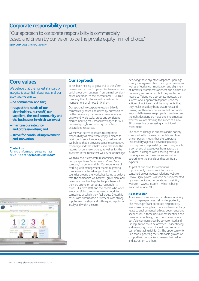## **Corporate responsibility report**

"Our approach to corporate responsibility is commercially based and driven by our vision to be the private equity firm of choice." **Kevin Dunn** Group Company Secretary

# **Core values**

We believe that the highest standard of integrity is essential in business. In all our activities, we aim to:

- **be commercial and fair;**
- **respect the needs of our shareholders, our staff, our suppliers, the local community and the businesses in which we invest;**
- **maintain our integrity and professionalism; and**
- **strive for continual improvement and innovation.**

### **Contact us**

For more information please contact Kevin Dunn at **KevinDunnCR@3i.com**



## **Our approach**

3i has been helping to grow and to transform businesses for over 60 years. We have also been building our own business, from a small Londonbased operation, to the international FTSE100 company that it is today, with assets under management of almost £10 billion.

Our approach to corporate responsibility is commercially based and driven by our vision to be the private equity firm of choice; operating on a world-wide scale; producing consistent market-beating returns; acknowledged for our partnership style and winning through our unparalleled resources.

We view an active approach to corporate responsibility as more than simply a means to retain our licence to operate, or to reduce risk. We believe that it provides genuine competitive advantage and that it helps us to maximise the returns for our shareholders, as well as for the investors in the funds that we advise or manage.

We think about corporate responsibility from two perspectives: "as an investor" and "as a company" in our own right. Our experience of working with management teams in growing companies, in a broad range of sectors and countries around the world, has led us to believe that the companies we back will grow more and be more attractive to potential purchasers if they are strong on corporate responsibility issues. Our own staff and the people who work in our portfolio companies want to work for companies of which they feel proud. Growth is easier with enthusiastic customers, with strong supplier relationships and with a good reputation locally and within a sector.

Achieving these objectives depends upon highquality management teams and good values, as well as effective communication and alignment of interests. Statements of intent and policies are necessary and important but they are by no means sufficient. As a corporate investor, the success of our approach depends upon the actions of individuals and the judgments that they make on a daily basis. Awareness and training are therefore critical so that corporate responsibility issues are properly considered and the right decisions are made and implemented, whether we are planning the launch of a new 3i business line or assessing an individual investment.

The pace of change in business and in society, combined with the rising expectations placed on companies, means that the corporate responsibility agenda is developing rapidly. Our corporate responsibility committee, which is comprised of executives from across the business, is charged with ensuring that 3i is thinking ahead on these issues, as well as operating to the standards that our Board expects.

As part of our drive for continuous improvement, the current information contained on our investor relations website (www.3igroup.com) will soon be supplemented by a new dedicated corporate responsibility website – www.3icr.com – which is being launched in June 2008.

## **As an investor**

As an investor we view corporate responsibility from two perspectives: risk and opportunity. The most significant corporate responsibilityrelated risks arising from our investment activity relate to environmental, ethical, governance and social issues. If these risks are not identified and managed effectively, then the success of our portfolio companies can be compromised and 3i's reputation could be affected. So identifying and managing these risks well is an important part of managing risk for 3i. The opportunity for 3i is that supporting the sustainable growth of our portfolio companies increases their value and attraction to others.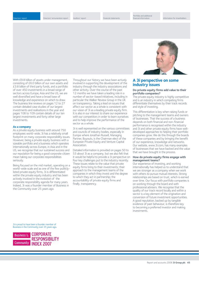Directors' remuneration report Auditors' report Financial statements

Portfolio and additional

With £9.8 billion of assets under management. consisting of £6.0 billion of our own assets and £3.8 billion of third party funds, and a portfolio of over 450 investments in a broad range of sectors across Europe, Asia and the US, we are well diversified and have a broad base of knowledge and experience on which to draw. The business line reviews on pages 12 to 27 contain detailed case studies of our largest investments and realisations in the year and pages 108 to 109 contain details of our ten largest investments and forty other large investments.

#### **As a company**

As a private equity business with around 750 employees world-wide, 3i has a relatively small footprint on many corporate responsibility issues. However, being a private equity business with a sizeable portfolio and a business which operates internationally across Europe, in Asia and in the US, we recognise that our sustained success and our reputation for being a good corporate citizen mean taking our corporate responsibilities seriously.

Being focused on the mid market, operating on a world-wide scale and as one of the few publiclylisted private equity firms, 3i is differentiated within the private equity industry and has been actively involved in the evolution of the corporate responsibility agenda for many years. Indeed, 3i was a founder member of Business in the Community over 25 years ago.

Throughout our history we have been actively involved in supporting the development of the industry through the industry associations and other activity. Over the course of the past 12 months we have taken a leading role in a number of sector-based initiatives, including in particular the Walker Review Group in the UK on transparency. Taking a lead on issues that affect our sector as a whole is consistent with our vision of 3i as a leading private equity firm. It is also in our interest to share our experience with our competitors in order to learn ourselves and to help improve the performance of the sector as a whole.

3i is well represented on the various committees and councils of industry bodies, especially in Europe where Jonathan Russell, Managing Partner, Buyouts, is the Chairman elect of the European Private Equity and Venture Capital Association.

Detailed information is provided on pages 50 to 53 about 3i as a company, but we also felt that it would be helpful to provide a 3i perspective on four key challenges put to the industry recently. These issues relate to the value that private equity firms bring to their investments; their approach to the management teams of the companies in which they invest and the degree to which they act in partnership; the accountability of private equity firms and finally, transparency.



## **A 3i perspective on some industry issues**

#### **Do private equity firms add value to their portfolio companies?**

The private equity industry is highly competitive and is an industry in which competing firms differentiate themselves by their track records and style of investing.

This differentiation is key when raising funds or pitching to the management teams and owners of businesses. That the success of a business depends on both financial and non-financial performance is recognised within the industry and 3i and other private equity firms have welldeveloped approaches to helping their portfolio companies grow. We do this through the boards of these companies and by bringing the benefit of our experience, knowledge and networks. Our website, www.3i.com, has many examples of businesses that we have backed and the value that we have brought in the process.

#### **How do private equity firms engage with management teams?**

Our experience of investing, and working internationally has helped us to understand that we are stronger as a company when we work with others to pursue mutual interests. Strong relationships are based on trust, which is earned over time. Our focus with portfolio companies is on working through the board and with professional advisers. We recognise that the quality of our track record locally and within a sector is a key element of the origination and conversion of future investment opportunities. A good reputation, backed up by tangible evidence of past behaviour, is therefore key to becoming a preferred investor and making investments.

3i is proud to have been a founder member of Business in the Community over 25 years ago**.**

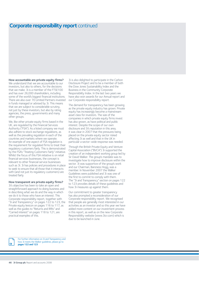## **Corporate responsibility report** continued

**How accountable are private equity firms?**  We understand that we are accountable to our investors, but also to others, for the decisions that we make. 3i is a member of the FTSE100 and has over 26,000 shareholders, including some of the world's biggest financial institutions. There are also over 70 Limited Partners invested in funds managed or advised by 3i. This means that we are subject to considerable scrutiny, not just by these investors, but also by rating agencies, the press, governments and many other groups.

We, like other private equity firms based in the UK, are regulated by the Financial Services Authority ("FSA"). As a listed company we must also adhere to stock exchange regulations, as well as the prevailing regulation in each of the countries and markets where we operate. An example of one aspect of FSA regulation is the requirement for regulated firms to treat their regulatory customers fairly. This is demonstrated by the FSA's "Treating Customers Fairly" initiative. Whilst the focus of this FSA initiative is on retail financial services businesses, the concept is relevant to other financial service businesses such as 3i. 3i has policies and procedures in place to seek to ensure that all those that it interacts with (and not just its regulatory customers) are treated fairly.

#### **How transparent are private equity firms?**

3i's objective has been to take an open and straightforward approach to doing business and in describing what we do and the way in which we do it to those who have an interest. This Corporate responsibility report, together with "3i and Transparency" on pages 122 to 123, the Private equity lexicon on pages 116 to 117, as well as the guides to "Returns and IRRs" and "Carried interest" on pages 118 to 121, are practical examples of this.

3i is also delighted to participate in the Carbon Disclosure Project and to be a member of both the Dow Jones Sustainability Index and the Business in the Community Corporate Responsibility Index. In the last two years we have also won awards for our Annual report and our Corporate responsibility report.

The demand for transparency has been growing as the private equity industry has grown. Private equity has increasingly become a mainstream asset class for investors. The size of the companies in which private equity firms invest has also grown, as have political and public interest. Despite the scope of our own disclosure and 3i's reputation in this area, it was clear in 2007 that the pressures being placed on the private equity sector risked affecting 3i as well and that in the UK in particular a sector-wide response was needed.

Through the British Private Equity and Venture Capital Association ("BVCA") 3i supported the creation of an independent working group led by Sir David Walker. The group's mandate was to investigate how to improve disclosure within the sector. 3i was supportive of the group's work and our Chairman, Baroness Hogg, was a member. In November 2007 the Walker Guidelines were published and 3i was one of the first to commit to comply with them. The "3i and Transparency" section on pages 122 to 123 provides details of these guidelines and how 3i measures up against them.

Our commitment to greater transparency has also prompted a reconsideration of our Corporate responsibility report. We recognised that people are generally most interested in our activities as an investor and so this year we have added more content on our investment process in this report, as well as on the new Corporate Responsibility website (www.3icr.com) which is due to be launched in June.

For further information on 3i and Transparency and how 3i meets the Walker guidelines, please go to **pages 122 and 123**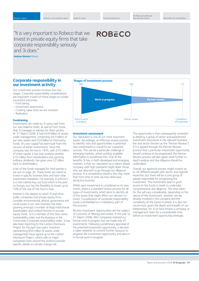**ROBECO** 

## "It is very important to Robeco that we invest in private equity firms that take corporate responsibility seriously and 3i does."

**Andrew Musters** Robeco

## **Corporate responsibility in our investment activity**

Our investment process involves four key stages. Corporate responsibility considerations are important in each of those stages to sustain successful outcomes.

- Fund raising
- Investment assessment
- Creating value once we are invested
- Realisation

#### **Fundraising**

Investments are made by 3i using cash from our own balance sheet, as well as from funds that 3i manages or advises for third-parties. At 31 March 2008 3i had £9.8 billion of assets under management, comprising £6.0 billion of our own assets and £3.8 billion of third party funds. 3i's own capital has been built from the success of earlier investments. Since the company was formed in 1945, with £10 million of share capital, it has only received another £10 million from shareholders and, ignoring ordinary dividends, has given over £2 billion back to shareholders.

A list of the funds managed for third parties is set out on page 36. These funds are raised to invest in specific business lines and have clear investment mandates. For example, Eurofund V is a mid-market buy out fund which is focused on Europe, but has the flexibility to invest up to 10% of the size of the fund in Asia.

Interest in the degree to which 3i and other public companies and private equity firms consider environmental, ethical, governance and social issues in our own business has been growing amongst a number of large institutional shareholders and Limited Partners in private equity funds. 3i is a member of the Dow Jones Sustainability index and the Business in the Community Corporate responsibility index. 3i has also been reporting to the Carbon Disclosure Project for the past two years. Investors representing \$56 trillion of assets under management have signed up to the Carbon Disclosure Project, which calls on major companies from around the world to provide specific details on climate change risk.



#### **Investment assessment**

Our reputation is one of our most important assets. Accordingly, an effective review process to identify risks and opportunities in potential new investments is crucial to our sustained success. This can be a particular challenge in emerging markets, where publicly available information is sometimes thin. One of the benefits 3i has, in both developed and emerging markets, is that our reputation as a values-based company with high standards might deter those who are reluctant to go through our diligence process. In a competitive industry this may mean that from time to time we lose otherwise attractive business.

Whilst each investment is considered on its own merits, there is a standard review process for all types of investments, which aims to identify all of the issues that might affect our decision to invest. Consideration of corporate responsibility issues is embedded as a mandatory part of this process.

All new investment opportunities are the subject of a process of filtering and review. In the year to 31 March 2008, 682 companies entered our formal work in progress but we made only 47 investments. Following a preliminary appraisal of the potential investment opportunity, a decision is taken whether to commit further resource to progress the investment opportunity and place it in formal work in progress.

The opportunity is then subsequently reviewed in detail by a group of senior and experienced investment executives in the relevant business line and sector (known as the "Partner Review"). If it is agreed through the Partner Review process that a particular investment opportunity should continue to be progressed, the Partner Review process will also agree what further indepth analysis and due diligence should be undertaken.

Overall, our approval process might involve up to 30 different people with sector and regional expertise, but there will be a core group of people responsible for progressing the investment. This investment team is given access to the funds it needs to undertake comprehensive due diligence. The time taken for this will vary considerably, depending on the nature of the investment, whether we are already invested in the company and the complexity of the issues involved. It is also not uncommon, given the depth and breadth of our relationships, for 3i to have known a company or management team for a considerable time before an investment opportunity emerges.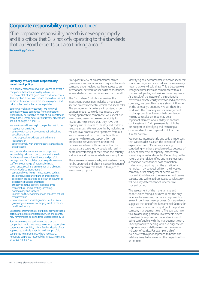## **Corporate responsibility report** continued

"The corporate responsibility agenda is developing rapidly and it is critical that 3i is not only operating to the standards that our Board expects but also thinking ahead."

**Baroness Hogg** Chairman

#### **Summary of Corporate responsibility Investment policy**

As a socially responsible investor, 3i aims to invest in companies that act responsibly in terms of environmental, ethical, governance and social issues. This objective reflects our values and culture, as well as the wishes of our investors and employees, and helps protect and enhance our reputation.

Before we make an investment, we review all potential investee companies from a corporate responsibility perspective as part of our investment procedures. Further details of our review process are set out on pages 47 and 48.

We aim to avoid investing in companies that do not: – respect human rights;

- comply with current environmental, ethical and social legislation;
- have proposals to address defined future legislation; or
- seek to comply with their industry standards and best practice.

We consider that an awareness of corporate responsibility risks and how to deal with them is fundamental to our due diligence and portfolio management. Our policies provide guidance to our staff on a wide range of potential ethical, governance, social and environmental challenges, which include consideration of:

- susceptibility to human rights abuses, such as child or slave labour or bans on trade unions;
- corruption issues arising as a result of industry or geographic business practices;
- ethically sensitive sectors, including arms manufacture, animal testing, gambling, pornography and tobacco;
- impacts on the environment and sensitive natural resources; and
- compliance with social legislation, such as laws governing discrimination, employment terms and health and safety.

3i operates internationally: our policy provides that a particular practice considered lawful in one country may nevertheless be considered unacceptable by 3i.

Post investment, we seek to ensure that the companies in which we invest maintain a responsible corporate responsibility policy. Further details of our approach to actively engaging with our portfolio companies to manage and, where necessary, remediate corporate responsibility issues, are set out on pages 48 and 49.

An explicit review of environmental, ethical, governance and social issues is required for each company under review. We have access to an international network of specialist consultancies, who undertake the due diligence on our behalf.

The "front sheet", which summarises the investment proposition, includes a mandatory section on environmental, ethical and social risks. The entrepreneurial culture is important to our business model, so we do not impose a boxticking approach to compliance: we expect our investment teams to take responsibility for results and help ensure that they have the capacity and resources to identify and address relevant issues. We reinforce this by including in the approval process senior partners from our sector teams and from our country offices together with relevant support from our professional services teams or external professional advisers. This ensures that the proposals are screened by people with an indepth understanding of the sector, the country and region and the issue, whatever it might be.

There are many reasons why an investment may not be approved and often it is a combination of different concerns that leads us to reject an investment proposal.

Identifying an environmental, ethical or social risk in our due diligence process does not necessarily mean that we will withdraw. This is because we recognise three levels of compliance with our policies: full; partial; and serious non-compliance. As a result of the nature of the relationship between a private equity investor and a portfolio company, we can often have a strong influence on the company's priorities. We will therefore work with the company and its management to change practices towards full compliance. Helping to resolve an issue may be an important element of our ability to enhance our investment. A simple example might be 3i's support in identifying and recruiting a different director with specialist skills in the area concerned.

We operate internationally and so it is important that we consider issues in the context of local expectations and 3i's values, including considering whether a problem exists because of a lack of expertise or capacity, rather than something more fundamental. Depending on the nature of the risk identified and its seriousness, a condition precedent or post completion undertaking, requiring that the situation be remedied, may be required from the investee company or its management before we will proceed. Confidence in the management team's capacity and will to address issues satisfactorily will be a key determinant of whether we proceed or not.

The assessment of the material risks and opportunities facing a business is not the only rationale for assessing corporate responsibility issues in our investment process. Our experience suggests that one of the fundamental factors for investment success is the quality of the portfolio company management team. The approach we take to assessing potential investments places considerable emphasis on understanding and being comfortable with the management team. Their approach to dealing with due diligence on corporate responsibility issues can be a useful indicator of quality. For example, a chief executive with a poor approach to health and safety is likely to be weak in other aspects of his or her role.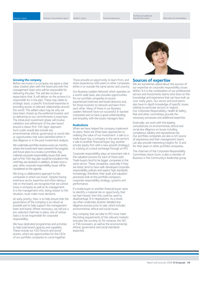#### **Growing the company**

Before we invest in a company we agree a clear value creation plan with the board and with the management team who will be responsible for delivering the plan. This will also involve an expectation that 3i will deliver on the actions it is responsible for in the plan. These may relate to strategic input, a specific functional expertise or providing access to relevant relationships around the world. This added value may be why we have been chosen as the preferred investor and so delivering on our commitments is important. The initial post investment phase will involve validation and refinement of the plan based around a classic first 100-days' approach. Such a plan would also include any environmental, ethical, governance or social risks or opportunities that were identified either in due diligence or in the post investment analysis.

We undertake portfolio reviews every six months. where the investment team presents the progress and future plans to a review committee. Any material corporate responsibility issues that were part of the 100-day plan would be included in this until they are resolved; in addition, at least once a year, other corporate responsibility issues will be considered on the agenda.

We bring a collaborative approach to the companies in which we invest. Despite having extensive sector expertise and often taking a role on the board, we recognise that we cannot know a company as well as its management. It is the management who, being closest to the situation, must make most decisions.

An early priority, then, is to help ensure that the governance of the company is as robust as possible and to help support the management team and board. Where necessary, we will put a pre-selected chairman in place, one of whose tasks is to be responsible for corporate responsibility.

We have dedicated programmes and activities to help build board capacity and capability. These include our CEO forums and sector events, which are opportunities for the CEOs of our portfolio companies to come together.

These provide an opportunity to learn from, and share experiences with peers in other companies either in or outside the same sector and country.

Our Business Leaders Network which operates on a world-wide basis, also provides opportunities for our portfolio companies to access experienced chairmen and board directors and, for those involved, to network and learn from each other. Many of those in our Business Leaders Network have run successful 3i-backed companies and so have a good understanding and empathy with the issues managers face.

#### **Realisations**

When we have helped the company implement its plans, there are three basic approaches to realising the value of our investment: a sale to a trade buyer (eg, a company in the same sector); a sale to another financial buyer (eg, another private equity firm with a new growth strategy); or a listing on a stock exchange through an IPO.

Corporate responsibility plays an important role in the valuation process for each of these exits. Trade buyers tend to be bigger companies in the same sector. These companies, especially if they are listed, tend to have well-developed corporate responsibility policies and expect high standards. Increasingly, therefore, their audit and valuation processes look at the portfolio company's corporate responsibility strategy, systems and performance.

If a trade buyer or another financial buyer were to identify a material risk or opportunity that we had missed, then this could be used to disadvantage 3i in negotiations. As a result, we often undertake another detailed due diligence process prior to sale, which includes environmental, ethical and social issues.

Any company that we take to IPO must meet the listing requirements of the relevant markets and pass the scrutiny of, for instance, the SEC or FSA reviewers, as well as the environmental, ethical, governance and social standards expected.



## **Sources of expertise**

We are sometimes asked about the sources of our expertise on corporate responsibility issues. Within 3i it is the combination of our professional service and investments teams who draw on the knowledge and experience that we have built up over many years. Our sector and local teams also have in-depth knowledge of specific issues relating to particular sectors or regions. Our Corporate Responsibility, Health & Safety, Risk and other committees provide the necessary processes and additional expertise.

Externally, we work with the leading consultancies on environmental, ethical and social due diligence on issues including compliance, liability and reputational risk. Our portfolio companies are also a rich source of experience and their management teams can also provide interesting insights for 3i and for their peers in other portfolio companies.

The chairman of the Corporate Responsibility Committee, Kevin Dunn, is also a member of Business in the Community's leadership group.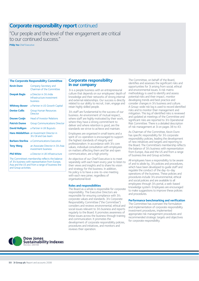## **Corporate responsibility report** continued

"Our people and the level of their engagement are critical to our continued success."

**Philip Yea** Chief Executive

#### **The Corporate Responsibility Committee**

| <b>Kevin Dunn</b>                                     | Company Secretary and<br>Chairman of the Committee                        |
|-------------------------------------------------------|---------------------------------------------------------------------------|
| Deepak Bagla                                          | a Director in 3i's India<br>Infrastructure investment<br><b>business</b>  |
| <b>Whitney Bower</b>                                  | a Partner in US Growth Capital                                            |
| <b>Denise Collis</b>                                  | <b>Group Human Resources</b><br><b>Director</b>                           |
| <b>Douwe Cosijn</b>                                   | <b>Head of Investor Relations</b>                                         |
| <b>Patrick Dunne</b>                                  | <b>Group Communications Director</b>                                      |
| David Holligon                                        | a Partner in UK Buyouts                                                   |
|                                                       | <b>Hans Middelthon</b> an Investment Director in<br>3i's Oil and Gas team |
| Barbara Sterlina                                      | a Communications Executive                                                |
| <b>Tony Wang</b>                                      | an Associate Director in 3i's Asia<br>investment business                 |
| <b>Phil White</b>                                     | a Director in UK Infrastructure                                           |
| <b>Service</b><br>the contract of the contract of the | the contract of the contract of the con-                                  |

The Committee's membership reflects the balance of 3i's business with representation from Europe, Asia and the US and from a range of business line and Group activities.

## **Corporate responsibility in our company**

3i is a people business with an entrepreneurial culture that depends on our employees' depth of knowledge and their networks of strong internal and external relationships. Our success is directly related to our ability to recruit, train, engage and retain highly skilled people.

3i's staff are fundamental to the success of our business. An environment of mutual respect, where staff are highly motivated by their work, where they have a strong commitment to deliver and where retention is good, are the standards we strive to achieve and maintain.

Employees are organised in small teams and a spirit of co-operation is encouraged to support the highest standards of integrity and professionalism. In accordance with 3i's core values, individual consultation with employees on matters affecting them and fair and open communication, are a high priority.

An objective of our Chief Executive is to meet separately with each team every year to listen to their views and insights and to share his vision and strategy for the business. In addition, his policy is to have a one-to-one meeting with each new joiner, regardless of organisational level.

#### **Roles and responsibilities**

The Board as a whole is responsible for corporate responsibility. The Executive Directors are responsible for ensuring compliance with 3i's corporate values and standards. 3i's Corporate Responsibility Committee ("the Committee") considers and reviews environmental, ethical and social issues relevant to 3i's business and reports regularly to the Board. It promotes awareness of these issues across the business through training and communication. It promotes the development of corporate responsibility policies, procedures and initiatives, and monitors and reviews their operation.

The Committee, on behalf of the Board identifies and assesses the significant risks and opportunities for 3i arising from social, ethical and environmental issues. A risk matrix methodology is used to identify and assess potential risks and their impact, monitor developing trends and best practice and consider changes in 3i's business and culture. A Group-wide risk log is used to record identified risks and to monitor their management and mitigation. This log of identified risks is reviewed and updated at meetings of the Committee and significant risks are reported to 3i's Operational Risk Committee. There is a detailed description of risk management at 3i on pages 38 to 43.

As Chairman of the Committee, Kevin Dunn has specific responsibility for 3i's corporate responsibility policies, leading the development of new initiatives and targets and reporting to the Board. The Committee's membership reflects the balance of 3i's business with representation from Europe, Asia and the US and from a range of business line and Group activities.

All employees have a responsibility to be aware of and to abide by, 3i's policies and procedures, which have been developed to guide staff and regulate the conduct of the day-to-day operations of the business. These policies and procedures include 3i's environmental, ethical and social policies and are available to all employees through 3i's portal, a web-based knowledge system. Employees are encouraged to make suggestions to improve these policies and procedures.

### **Performance benchmarking and verification**

The Committee has overseen the formulation and implementation of corporate responsibility investment procedures, implemented appropriate risk management procedures and recommended strategic targets and objectives for corporate responsibility.

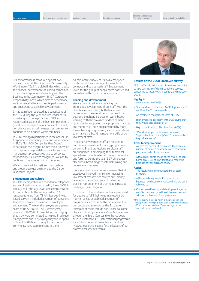Directors' remuneration report Auditors' report Financial statements

3i's performance is measured against two indices. These are the Dow Jones Sustainability World Index ("DJSI"), a global index which tracks the financial performance of leading companies in terms of corporate sustainability and the Business in the Community ("BitC") Corporate Responsibility Index, which aims to benchmark environmental, ethical and social performance and encourage sustainable development.

3i has again been selected as a constituent of the DJSI during the year and was leader of its industry group on a global basis. DJSI also recognised 3i as one of the best companies on a global basis in respect of our codes of conduct, compliance and anticrime measures. We aim to continue to be included within this Index.

In 2007 we again participated in the annual BitC Corporate Responsibility Index and were included in BitC's "Top 100 Companies that Count". In particular, the integration into the business of our corporate responsibility principles and risk management processes relating to corporate responsibility issues was recognised. We aim to continue to be included within this Index.

We also provide information on our carbon and greenhouse gas emissions to the Carbon Disclosure Project.

#### **Engagement and culture**

Our latest comprehensive confidential telephone survey of staff was conducted by Ipsos MORI in January and February 2008 and communicated to staff in March. The survey had a 92% response rate, up from 78% in last year's webbased survey. It included a number of questions that have a proven correlation to employee engagement. The overall employee engagement score of 84% (2007: 87%), remains very positive, with 95% of those taking part saying that they were committed to helping 3i achieve its objectives and 90% saying they would speak highly of 3i. 88% also thought that internal communications were relevant to them.

As part of this survey of its own employees, 3i also undertook a survey of a sample of contract and outsourced staff. Engagement levels for this group of people were positive and consistent with those for our own staff.

#### **Training and development**

We are committed to encouraging the continuous development of our staff, with the objective of maximising both their career potential and the overall performance of the business. Emphasis is placed on work-based learning, with the provision of development opportunities supported by appropriate coaching and mentoring. This is supplemented by more formal training programmes, such as workshops. to enhance the board management skills of our investment staff.

In addition, investment staff are required to complete an investment training programme on joining 3i and professional services staff are supported in developing their functional specialisms through external courses, networks and forums. During the year, 527 employees attended a broad range of internal training and development courses.

It is a legal and regulatory requirement that all executives involved in making or managing investment transactions receive anti-money laundering training and periodic refresher training. A programme of training is in place to discharge these obligations.

In addition to the fundamental training required for people to fulfil their roles in a responsible manner, 3i has established a number of programmes to maximise the development of our people and to reinforce the 3i culture. Examples of these include our Global Welcome Days for all new joiners, our Value Management through the Board Courses to enhance board skills, our intensive G10 international programme for 40 high potential senior leaders and the INSEAD leadership course for the leaders of our professional services teams.



## **Results of the 2008 Employee survey**

All 3i staff world-wide were given the opportunity to take part in a confidential telephone survey, conducted by Ipsos MORI in January and February 2008.

#### **Highlights**

- A response rate of 92%.
- 3i score ahead of the Ipsos MORI Top Ten norm\* on 19 of the 20 norm questions.
- An employee engagement score of 84%.
- High employee advocacy, with 90% saying that they would speak highly of 3i.
- High commitment to 3i's objectives (95%).
- 3i's culture judged as "open and inclusive", "approachable and friendly" and "one where there is good teamwork".

#### **Areas for improvement**

- As with any survey of this nature, there were a number of detailed or specific issues relating to particular parts of the business.
- Although six points ahead of the MORI Top Ten norm, only 72% of staff felt that 3i made the best use of their skills and ability.

#### **Action**

- The results were communicated to all staff in March.
- All issues relating to specific parts of the business have been communicated and are being followed up.
- Our increased training and development agenda and 3i's continued growth and development will address the first area for improvement.

\*The Ipsos MORI Top Ten norm is the average of the most positive 10 responses to each question in the Ipsos MORI normative database. These are regarded as high-performing benchmarks.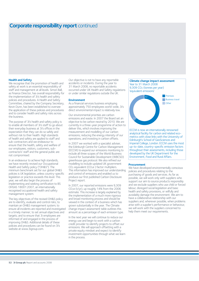## **Corporate responsibility report** continued

#### **Health and Safety**

We recognise that the promotion of health and safety at work is an essential responsibility of staff and management at all levels. Simon Ball, as Finance Director, has overall responsibility for the implementation of 3i's health and safety policies and procedures. A Health and Safety Committee, chaired by the Company Secretary, Kevin Dunn, has been established to oversee the application of these policies and procedures and to consider health and safety risks across the business.

The purpose of 3i's health and safety policy is to enable all members of 3i's staff to go about their everyday business at 3i's offices in the expectation that they can do so safely and without risk to their health. High standards of health and safety are applied to staff and sub-contractors and we endeavour to ensure that the health, safety and welfare of our employees, visitors, customers, subcontractors' staff and the general public are not compromised.

In an endeavour to achieve high standards, we have recently revised our Occupational Health and Safety policy ("OH&S"). The minimum benchmark set for our global OH&S policies is UK legislation, unless country-specific legislation or practice exceeds this level. This year, we will also begin the process of implementing and seeking certification to BS OHSAS 18001:2007, an internationally recognised occupational health and safety management system.

The key objectives of the revised OH&S policy are to identify, evaluate and control risks; to maintain an OH&S management system; to ensure all incidents are reported and investigated in a timely manner; to set annual objectives and targets; and to ensure that 3i employees are informed of and engaged in the process of improving OH&S. Additional details of these policies and procedures can be found on 3i's website at www.3igroup.com.

Our objective is not to have any reportable accidents or incidents. During the year to 31 March 2008, no reportable accidents occurred under UK Health and Safety regulations or under similar regulations outside the UK.

#### **Environment**

As a financial services business employing approximately 750 employees world-wide, 3i's direct environmental impact is relatively low.

Our environmental priorities are carbon emissions and waste. In 2007 the Board set an objective to be carbon neutral by 2010. We are currently in a three-year programme of action to deliver this, which involves improving the measurement and modelling of our carbon emissions; reducing the energy intensity of our operations; and investing in carbon offsets.

In 2007 we worked with a specialist adviser, the Edinburgh Centre for Carbon Management (ECCM) to expand our emissions monitoring to include all three scopes of the World Business Council for Sustainable Development (WBCSD) greenhouse gas protocol. We also refined our modelling to include updated UK government  $CO<sub>2</sub>$  equivalent ( $CO<sub>2</sub>e$ ) factor multipliers. This information has improved our understanding and control of emissions and enabled us to produce our first published Carbon Disclosure Project report.

In 2007, our reported emissions were 9,309  $CO<sub>2</sub>e$  (t/yr), up roughly 14% from the 2006 estimate. This increase is largely explained by the implementation of a much more rigorous and broad monitoring process and should be viewed in the context of a business which has grown substantially in the year. The Climate change impact assessment table outlines this amount as a percentage of each emission type.

In the next year we will continue to reduce our energy use and begin to work with a carbon credit provider to identify projects to offset our emissions. We will approach offsetting with a private equity mindset and expect to identify investment opportunities through what we learn in the process.



**Climate change impact assessment** 

Year to 31 March 2008

#### **Procurement**

We have developed environmentally conscious policies and procedures relating to the purchasing of goods and services. As far as possible, we will work only with suppliers who support our aim to source products responsibly and we exclude suppliers who use child or forced labour, disregard social legislation and basic health and safety provisions, or wilfully and avoidably damage the environment. We aim to have a collaborative relationship with our suppliers and, wherever possible, when problems arise with a supplier's performance or behaviour, we will work with the suppliers concerned to help them meet our requirements.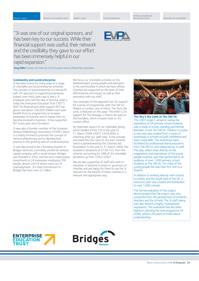"3i was one of our original sponsors, and has been key to our success. While their financial support was useful, their network and the credibility they gave to our effort has been immensely helpful in our rapid expansion."

**Doug Miller** Founder and Chairman of the European Venture Philanthropy Association

#### **Community and social enterprise**

3i has been active for many years in a range of charitable and social enterprise activities. The concept of social enterprise is a natural fit with 3i's approach to supporting businesses. Indeed, over thirty years ago it was a 3i employee who had the idea of forming what is today the Enterprise Education Trust ("EET"). With 3i's financial and other support EET has grown and about 100,000 children each year benefit from its programmes to increase awareness of business and to inspire them to become involved in business. 3i has supported EET every year since formation.

3i was also a founder member of the European Venture Philanthropy Association ("EVPA") which is a charity formed to promote the concept of Venture philanthropy and to develop best practice in this growing area of social enterprise.

3i was also proud to be a founding investor in Bridges Ventures, a privately owned UK venture capital company with a social mission. Bridges was founded in 2002 and has since made equity investments in 24 businesses employing 700 people, almost 200 of whom came out of unemployment. 3i's total commitment to Bridges has been over £2 million.

We focus our charitable activities on the disadvantaged, young people and education in the communities in which we have offices. Charities are supported on the basis of their effectiveness and impact as well as their resonance with our staff.

Two examples of this approach are 3i's support for a series of programmes with The Old Vic theatre in London, one of which, The Sky's the Limit, is featured on this page. The other is 3i's support for The Passage, a charity focused on the homeless, which is based close to 3i's London office.

An important aspect of our charitable giving, which totalled £454,130 in the year to 21 March 2008 (2007: £429,409), is matching what our staff raise. 3i has actively promoted the UK's Give As You Earn scheme, which is administered by the Charities Aid Foundation. In the year to 31 March 2008, this resulted in donations of £129,733, from the scheme, accounting for 29% of 3i's charitable donations up from 25% in 2007.

We are also supportive of staff who wish to volunteer or become trustees or governors of charities and are happy for them to use the 3i network for the benefit of these charities in a relevant and appropriate way.



**The Sky's the Limit at The Old Vic** This 2007 project, aimed at raising the aspirations of UK primary school students, was a result of a long-standing partnership between 3i and The Old Vic Theatre in London. A new play was created from a series of workshops in schools to build confidence and team-work skills. The workshops were facilitated by professional drama educators from The Old Vic and supported by 3i staff. The play, which drew directly on the suggestions and experiences of the young people involved, was then performed to an audience of over 1,000 primary school students at The Old Vic. For many of the young people this was their first visit to a theatre.

In addition to working directly with schools in London and the South East of the UK, a resources pack was created and distributed to over 1,000 schools.

The formal evaluation of the project demonstrated that the project was very successful from the perspectives of students, teachers and the schools. The 3i staff taking part also found it a highly-motivational experience. This evaluation has also been helpful in planning the next programme for 2008, which is focused on multicultural understanding.



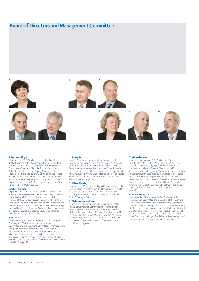# **Board of Directors and Management Committee**



#### **1. Baroness Hogg**

Chairman since 2002 and a non-executive Director since 1997. Chairman of the Nominations Committee and the Valuations Committee and a member of the Remuneration Committee. Chairman of Frontier Economics Limited. A director of BG Group plc. Deputy Chairman of the Financial Reporting Council and a Governor of the London Business School. From 1995 to 2002 Chairman of Foreign & Colonial Smaller Companies PLC. From 2003 to 2006 Deputy Chairman of GKN plc. Formerly Head of the Prime Minister's Policy Unit. Aged 62.

#### **2. Oliver Stocken**

Deputy Chairman and Senior Independent Director since 2002 and a non-executive Director since 1999. Chairman of the Audit and Compliance Committee and of the trustees of the 3i Group Pension Plan. A member of the Remuneration Committee, the Nominations Committee and the Valuations Committee. Chairman of Home Retail Group plc, Oval Limited and Stanhope Group Holdings Limited and a director of Standard Chartered plc. Formerly Finance Director of Barclays plc. Aged 66.

#### **3. Philip Yea**

Chief Executive and executive Director since joining the Company in 2004. A member of the Nominations Committee and the Valuations Committee. A member of the Group's Investment Committee since 2004. A nonexecutive director of Vodafone Group plc. Formerly Managing Director within the private equity business of Investcorp. A former Finance Director of Diageo plc and former non-executive director of HBOS plc and Manchester United PLC. Aged 53.

#### **4. Simon Ball**

Finance Director and member of the Management Committee since joining the Company in 2005. A member of the Valuations Committee and the Group's Investment Committee. A non-executive director of Cable & Wireless plc. Formerly, Director General Finance at the Department for Constitutional Affairs, Group Finance Director of Robert Fleming and Chief Operating Officer (UK) of Dresdner Kleinwort Benson. Aged 48.

#### **5. Willem Mesdag**

Non-executive Director since July 2007. A member of the Remuneration Committee and the Nominations Committee. Managing Partner of Red Mountain Capital Partners LLC. Formerly a Partner and Managing Director of Goldman, Sachs & Co. Aged 54.

#### **6. Christine Morin-Postel**

Non-executive Director since 2002. A member of the Audit and Compliance Committee, the Remuneration Committee and the Nominations Committee. A director of British American Tobacco PLC and Royal Dutch Shell PLC. Formerly Chief Executive of Société Générale de Belgique, executive Vice-President and member of the executive committee of Suez and a director of Tractebel, Fortis and Alcan, Inc. Aged 61.

#### **7. Michael Queen**

Executive Director since 1997. Managing Partner, Infrastructure. Joined 3i in 1987. From 1994 to 1996 seconded to HM Treasury. Appointed Group Financial Controller in 1996 and Finance Director in 1997. A member of the Management Committee and the Group's Investment Committee since 1997. Ceased to be Finance Director on assuming responsibility for Growth Capital investment in 2005. A director of Gardens Pension Trustees Limited, a corporate trustee of the 3i Group Pension Plan. A former non-executive director of Northern Rock plc and past Chairman of the British Venture Capital Association. .<br>Aged 46.

#### **8. Sir Robert Smith**

Non-executive Director since 2004. Chairman of the Remuneration Committee and a member of the Audit and Compliance Committee and the Nominations Committee. Chairman of Weir Group plc and Scottish & Southern Energy plc. A non-executive director of Aegon UK plc and Standard Bank Group Limited. Formerly a non-executive director of the Financial Services Authority and Bank of Scotland plc, Chief Executive of Morgan Grenfell Asset Management and a member of the Financial Reporting Council. Aged 63.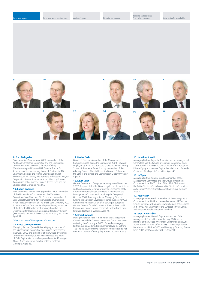**9 10**











#### **9. Fred Steingraber**

Non-executive Director since 2002. A member of the Audit and Compliance Committee and the Nominations Committee. A non-executive director of Elkay Manufacturing and Diamond Hill Financial Trends Fund. A member of the supervisory board of Continental AG. Chairman Emeritus, and former Chairman and Chief Executive, of AT Kearney, Inc. Formerly a director of Maytag Corporation, Lawter International, Inc, Mercury Finance Corporation, John Hancock Financial Trends Fund and the Chicago Stock Exchange. Aged 69.

#### **10. Robert Swannell**

Non-executive Director since September 2006. A member of the Nominations Committee and the Valuations Committee. Vice Chairman, Citi Europe and a member of Citi's Global Investment Banking Operating Committee. A non-executive director of The British Land Company PLC. A member of the Takeover Panel Appeal Board, a member of the Industrial Development Advisory Board of the Department for Business, Enterprise & Regulatory Reform (BERR) and a trustee of the UK Career Academy Foundation. Aged 57.

#### Other members of Management Committee:

#### **11. Bruce Carnegie-Brown**

Managing Partner, Quoted Private Equity. A member of the Management Committee since joining the Company in January 2007 and a member of the Group's Investment Committee. Formerly CEO of Marsh Limited and Head of Debt Capital Markets in Europe and Asia for JP Morgan Chase. A non-executive director of Close Brothers Group plc. Aged 48.

#### **12. Denise Collis**

Group HR Director. A member of the Management Committee since joining the Company in 2004. Previously employed by HSBC and Standard Chartered. Before joining 3i was HR Partner at Ernst & Young. A member of the Advisory Boards of Leeds University Business School and the School of Business and Economics at Exeter University. Aged 50.

#### **13. Kevin Dunn**

General Counsel and Company Secretary since November 2007. Responsible for the Group's legal, compliance, internal audit and company secretarial functions. Chairman of the Corporate Responsibility Committee. A member of the Management Committee since joining the Company in October 2007. Formerly a Senior Managing Director, running the European Leveraged Finance business for GE's Commercial Finance division after serving as European General Counsel for GE Commercial Finance. Prior to GE Commercial Finance, was a partner at the law firms Travers Smith and Latham & Watkins. Aged 45.

#### **14. Chris Rowlands**

Managing Partner, Asia. A member of the Management Committee and the Group's Investment Committee since re-joining the Company in 2002. Formerly Managing Partner, Group Markets. Previously employed by 3i from 1984 to 1996. Formerly a Partner of Andersen and a nonexecutive director of Principality Building Society. Aged 51.

#### **15. Jonathan Russell**

Managing Partner, Buyouts. A member of the Management Committee and the Group's Investment Committee since 1999. Joined 3i in 1986. Chairman-elect of the European Private Equity and Venture Capital Association and formerly Chairman of its Buyout Committee. Aged 48.

#### **16. Jo Taylor**

Managing Partner, Venture Capital. A member of the Management Committee and the Group's Investment Committee since 2005. Joined 3i in 1984. Chairman of the British Venture Capital Association Venture Committee and a British Venture Capital Association Council member. Aged 47.

#### **17. Paul Waller**

Managing Partner, Funds. A member of the Management Committee since 1999 and a member since 1997 of the Group's Investment Committee which he now chairs. Joined 3i in 1978. Past Chairman of the European Private Equity and Venture Capital Association. Aged 53.

#### **18. Guy Zarzavatdjian**

Managing Partner, Growth Capital. A member of the Management Committee since January 2007 and a member of the Group's Investment Committee since June 2006. Joined 3i's Paris office in 1987. Managing Director, Benelux from 1999 to 2002 and Managing Director, France from 2002 until September 2007. Aged 50.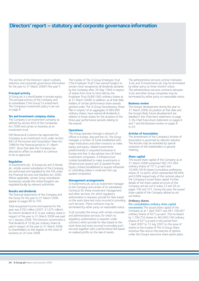# **Directors' report – statutory and corporate governance information**

This section of the Directors' report contains statutory and corporate governance information for the year to 31 March 2008 ("the year").

#### **Principal activity**

3i Group plc is a world leader in private equity. The principal activity of the Company and its subsidiaries ("the Group") is investment. The Company's investment policy is set out on page 9.

#### **Tax and investment company status**

The Company is an investment company as defined by section 833 of the Companies Act 2006 and carries on business as an investment trust.

HM Revenue & Customs has approved the Company as an investment trust under section 842 of the Income and Corporation Taxes Act 1988 for the financial period to 31 March 2007. Since that date the Company has directed its affairs to enable it to continue to be so approved.

#### **Regulation**

3i Investments plc, 3i Europe plc and 3i Nordic plc, wholly owned subsidiaries of the Company, are authorised and regulated by the FSA under the Financial Services and Markets Act 2000. Where applicable, certain Group subsidiaries' businesses outside the United Kingdom are regulated locally by relevant authorities.

#### **Results and dividends**

The financial statements of the Company and the Group for the year to 31 March 2008 appear on pages 80 to 105.

Total recognised income and expense for the year was £792 million (2007: £1,075 million). An interim dividend of 6.1p per ordinary share in respect of the year to 31 March 2008 was paid on 2 January 2008. The Directors recommend a final dividend of 10.9p per ordinary share be paid in respect of the year to 31 March 2008 to shareholders on the register at the close of business on 20 June 2008.

The trustee of The 3i Group Employee Trust ("the Employee Trust") has waived (subject to certain minor exceptions) all dividends declared by the Company after 26 May 1994 in respect of shares from time to time held by the Employee Trust (9,881,992 ordinary shares as at 31 March 2008). In addition, as at that date holders of certain performance share awards granted under The 3i Group Discretionary Share Plan in respect of an aggregate of 985,909 ordinary shares, have waived all dividends in relation to those shares for the duration of the three year performance periods relating to the awards.

### **Operations**

The Group operates through a network of offices in Europe, Asia and the US. The Group manages a number of funds established with major institutions and other investors to make equity and equity-related investments predominantly in unquoted businesses in Europe and Asia. It also advises two UK listed investment companies: 3i Infrastructure Limited (established to make investments in infrastructure assets) and 3i Quoted Private Equity Limited (established to acquire influential or controlling stakes in small and mid-cap quoted companies).

#### **Management arrangements**

3i Investments plc acts as investment manager to the Company and certain of its subsidiaries. Contracts for these investment management and other services, for which regulatory authorisation is required, provide for fees based on the work done and costs incurred in providing such services. These contracts may be terminated by either party on reasonable notice.

3i plc provides the Group with certain corporate and administrative services, for which no regulatory authorisation is required, under contracts which provide for fees based on the work done and costs incurred in providing such services together with a performance fee based on realised profits on the sale of assets.

The administrative services contract between 3i plc and 3i Investments plc may be terminated by either party on three months' notice. The administrative services contracts between 3i plc and other Group companies may be terminated by either party on reasonable notice.

#### **Business review**

The Group's development during the year to 31 March 2008, its position at that date and the Group's likely future development are detailed in the Chairman's statement on page 3, the Chief Executive's statement on pages 6 and 7 and the Business review on pages 8 to 43.

#### **Articles of Association**

The amendment of the Company's Articles of Association is governed by relevant statutes. The Articles may be amended by special resolution of the shareholders in general meeting.

#### **Share capital**

The issued share capital of the Company as at 31 March 2008 comprised 382,741,094 ordinary shares of 7319/22p each and 16,566,194 B shares (cumulative preference shares of 1p each), which represented 99.94% and 0.06% respectively of the nominal value of the Company's issued share capital. Further details of the share capital structure of the Company are set out in notes 22 and 26 on pages 100 and 101. During the year, the issued share capital of the Company altered as set out below.

### **Ordinary shares**

#### Pre-consolidation ordinary share capital movements The issued share capital of the

Company as at 1 April 2007 was 461,106,007 ordinary shares of 62<sup>69</sup>/88p each. This increased by 1,794,733 shares to 462,900,740 ordinary shares of  $62^{69}$ /88p each in the period from 1 April 2007 to 13 July 2007 on the issue of shares to the trustee of The 3i Group Share Incentive Plan and on the exercise of options under the Group's executive share option plans.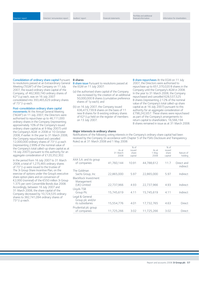Consolidation of ordinary share capital Pursuant to resolutions passed at an Extraordinary General Meeting ("EGM") of the Company on 11 July 2007, the issued ordinary share capital of the Company, of 462,900,740 ordinary shares of  $62<sup>69</sup>/<sub>88</sub>p$  each, was on 16 July 2007 consolidated into 393,465,629 ordinary shares of 7319/22p each.

#### Post-consolidation ordinary share capital

movements At the Annual General Meeting ("AGM") on 11 July 2007, the Directors were authorised to repurchase up to 46,111,000 ordinary shares in the Company (representing approximately 10% of the Company's issued ordinary share capital as at 9 May 2007) until the Company's AGM in 2008 or 10 October 2008, if earlier. In the year to 31 March 2008, the Company repurchased and cancelled 12,000,000 ordinary shares of 7319/22p each (representing 2.99% of the nominal value of the Company's total called-up share capital as at 16 July 2007) pursuant to this authority for an aggregate consideration of £120,352,302.

In the period from 16 July 2007 to 31 March 2008, a total of 1,275,465 ordinary shares of 7319/22p were issued to the trustee of The 3i Group Share Incentive Plan, on the exercise of options under the Group's executive share option plans and on conversion of €2,000 (nominal) of the €550 million 3i Group 1.375 per cent Convertible Bonds due 2008. Accordingly, between 16 July 2007 and 31 March 2008, the share capital of the Company decreased by 10,724,535 ordinary shares to 382,741,094 ordinary shares of 7319/22p each.

## **B shares**

B share issue Pursuant to resolutions passed at the EGM on 11 July 2007:

- (a) the authorised share capital of the Company was increased by the creation of an additional 50,000,000 B shares (cumulative preference shares of 1p each); and
- (b) on 16 July 2007, the Company issued 636,473,739 B shares on the basis of 11 new B shares for 8 existing ordinary shares of 62<sup>69</sup>/<sup>88</sup>p held on the register of members on 13 July 2007.

B share repurchases At the EGM on 11 July 2007, the Directors were authorised to repurchase up to 651,370,020 B shares in the Company until the Company's AGM in 2008. In the year to 31 March 2008, the Company repurchased and cancelled 628,537,525 B shares (representing 2.12% of the nominal value of the Company's total called-up share capital as at 16 July 2007) pursuant to this authority for an aggregate consideration of £798,242,657. These shares were repurchased as part of the Company's arrangements to return capital to shareholders. 16,566,194 B shares remained in issue as at 31 March 2008.

#### **Major interests in ordinary shares**

Notifications of the following voting interests in the Company's ordinary share capital had been received by the Company (in accordance with Chapter 5 of the FSA's Disclosure and Transparency Rules) as at 31 March 2008 and 1 May 2008:

|                                                         |            | % of    |            | % of    |                        |
|---------------------------------------------------------|------------|---------|------------|---------|------------------------|
|                                                         | As at      | issued  | As at      | issued  |                        |
|                                                         | 31 March   | share   | 1 May      | share   | Nature of              |
|                                                         | 2008       | capital | 2008       | capital | holding                |
| AXA S.A. and its group                                  |            |         |            |         |                        |
| of companies                                            | 41,760,144 | 10.91   | 44.788.612 | 11.7    | Direct and<br>indirect |
| The Goldman                                             |            |         |            |         |                        |
| Sachs Group, Inc.                                       | 22,865,000 | 5.97    | 22,865,000 | 5.97    | Indirect               |
| BlackRock Investment<br>Management                      |            |         |            |         |                        |
| (UK) Limited                                            | 22,737,966 | 4.93    | 22,737,966 | 4.93    | Indirect               |
| Lloyds TSB                                              |            |         |            |         |                        |
| Group Plc                                               | 15,745,619 | 4.11    | 15,745,619 | 4.11    | Indirect               |
| Legal & General<br>Group plc and/or<br>its subsidiaries | 15,554,776 | 4.01    | 17,732,765 | 4.63    | <b>Direct</b>          |
|                                                         |            |         |            |         |                        |
| Prudential plc group<br>of companies                    | 11.725.266 | 3.02    | 11.725.266 | 3.02    | Direct                 |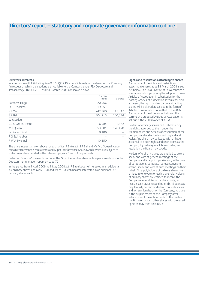# **Directors' report – statutory and corporate governance information** continued

#### **Directors' interests**

In accordance with FSA Listing Rule 9.8.6(R)(1), Directors' interests in the shares of the Company (in respect of which transactions are notifiable to the Company under FSA Disclosure and Transparency Rule 3.1.2(R)) as at 31 March 2008 are shown below:

|                    | Ordinary<br>shares | <b>B</b> shares |
|--------------------|--------------------|-----------------|
| Baroness Hogg      | 20,956             |                 |
| O H J Stocken      | 19,651             |                 |
| P E Yea            | 742,360            | 547,847         |
| S P Ball           | 304,915            | 260,534         |
| W Mesdag           |                    |                 |
| C J M Morin-Postel | 6,985              | 1,872           |
| M J Oueen          | 353,501            | 176,478         |
| Sir Robert Smith   | 8,186              |                 |
| F G Steingraber    |                    |                 |
| R W A Swannell     | 10,350             |                 |

The share interests shown above for each of Mr P E Yea, Mr S P Ball and Mr M J Queen include certain Performance Share awards and Super-performance Share awards which are subject to forfeiture and are detailed in the tables on pages 73 and 74 respectively.

Details of Directors' share options under the Group's executive share option plans are shown in the Directors' remuneration report on page 72.

In the period from 1 April 2008 to 1 May 2008, Mr P E Yea became interested in an additional 45 ordinary shares and Mr S P Ball and Mr M J Queen became interested in an additional 42 ordinary shares each.

#### **Rights and restrictions attaching to shares**

A summary of the rights and restrictions attaching to shares as at 31 March 2008 is set out below. The 2008 Notice of AGM contains a special resolution proposing the adoption of new Articles of Association in substitution for the existing Articles of Association. If this resolution is passed, the rights and restrictions attaching to shares will be altered as set out in the form of Articles of Association submitted to the AGM. A summary of the differences between the current and proposed Articles of Association is set out in the 2008 Notice of AGM.

Holders of ordinary shares and B shares enjoy the rights accorded to them under the Memorandum and Articles of Association of the Company and under the laws of England and Wales. Any share may be issued with or have attached to it such rights and restrictions as the Company by ordinary resolution or failing such resolution the Board may decide.

Holders of ordinary shares are entitled to attend, speak and vote at general meetings of the Company and to appoint proxies and, in the case of corporations, corporate representatives to attend, speak and vote at such meetings on their behalf. On a poll, holders of ordinary shares are entitled to one vote for each share held. Holders of ordinary shares are entitled to receive the Company's Annual Report and Accounts, to receive such dividends and other distributions as may lawfully be paid or declared on such shares and, on any liquidation of the Company, to share in the surplus assets of the Company after satisfaction of the entitlements of the holders of the B shares or such other shares with preferred rights as may then be in issue.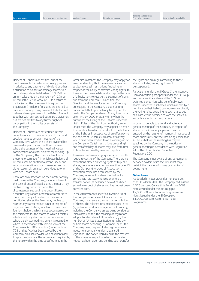Directors' remuneration report Auditors' report Financial statements

Holders of B shares are entitled, out of the profits available for distribution in any year and in priority to any payment of dividend or other distribution to holders of ordinary shares, to a cumulative preferential dividend of 3.75% per annum calculated on the amount of 127p per B share ("the Return Amount"). On a return of capital (other than a solvent intra group reorganisation) holders of B shares are entitled to receive in priority to any payment to holders of ordinary shares payment of the Return Amount together with any accrued but unpaid dividends but are not entitled to any further right of participation in the profits or assets of the Company.

Holders of B shares are not entitled in their capacity as such to receive notice of or attend, speak or vote at general meetings of the Company save where the B share dividend has remained unpaid for six months or more or where the business of the meeting includes consideration of a resolution for the winding-up of the Company (other than a solvent intra group re-organisation) in which case holders of B shares shall be entitled to attend, speak and vote only in relation to such resolution and in either case shall, on a poll, be entitled to one vote per B share held.

There are no restrictions on the transfer of fully paid shares in the Company, save as follows. In the case of uncertificated shares the Board may decline to register a transfer in the circumstances set out in the Uncertificated Securities Regulations or where a transfer is to more than four joint holders. In the case of certificated shares the Board may decline to register any transfer which is not in respect of only one class of share, which is to more than four joint holders, which is not accompanied by the certificate for the shares to which it relates, which is not duly stamped in circumstances where a duly stamped instrument is required, or where in accordance with section 794 of the Companies Act 2006 a notice (under section 793 of that Act) has been served by the Company on a shareholder who has then failed to give the Company the information required by the notice within the time specified in it. In the

latter circumstances the Company may apply for an order directing that the relevant shares be subject to certain restrictions (including in respect of the ability to exercise voting rights, to transfer the shares validly and, except in the case of a liquidation, to receive the payment of sums due from the Company). In addition, the Directors and the employees of the Company are subject to the Company's share dealing codes, such that approval may be required to deal in the Company's shares. At any time on or after 14 July 2009 or at any time when the criteria for the listing of the B shares under the Listing Rules of the UK Listing Authority are no longer met, the Company may appoint a person to execute a transfer on behalf of all the holders of the B shares in acceptance of an offer, paying the holders of B shares such amount as they would have been entitled to on a winding-up of the Company. Certain restrictions on dealing in and transferability of shares may also from time to time be imposed by laws and regulations.

There are no shares carrying special rights with regard to control of the Company. There are no restrictions placed on voting rights of fully paid shares, save where in accordance with Article 13 of the Company's Articles of Association a restriction notice has been served by the Company in respect of shares for failure to comply with statutory notices or where a transfer notice (as described below) has been served in respect of shares and has not yet been complied with.

In the circumstances specified in Article 38 of the Company's Articles of Association the Company may serve a transfer notice on holders of shares. The relevant circumstances relate to: (a) potential tax disadvantage to the Company, including the Company's assets being considered "plan assets" within the meaning of regulations adopted under relevant US legislation, (b) the number of "United States Residents" who own or hold shares becoming 75 or more, or (c) the Company being required to be registered as an investment company under relevant US legislation. The notice would require the transfer of the shares in respect of which the transfer notice has been given and pending such transfer

the rights and privileges attaching to those shares including voting rights would be suspended.

Participants under the 3i Group Share Incentive Plan and certain participants under the 3i Group Performance Share Plan and the 3i Group Deferred Bonus Plan, who beneficially own shares under these schemes which are held by a nominee on their behalf, cannot exercise directly the voting rights attaching to such shares but can instruct the nominee to vote the shares in accordance with their instructions.

In order to be able to attend and vote at a general meeting of the Company in respect of shares in the Company a person must be entered on the register of members in respect of those shares at such time (not being earlier than 48 hours before the meeting) as may be specified by the Company in the notice of general meeting in accordance with Regulation 41 of the Uncertificated Securities Regulations 2001.

The Company is not aware of any agreements between holders of its securities that may restrict the transfer of shares or exercise of voting rights.

#### **Debentures**

As detailed in notes 20 and 21 on page 99. as at 31 March 2008 the Company had in issue 1.375 per cent Convertible Bonds due 2008, Notes issued under the 3i Group plc £2,000,000 Note Issuance Programme and Notes issued under the 3i Group plc €1,000,000 Euro-Commercial Paper Programme.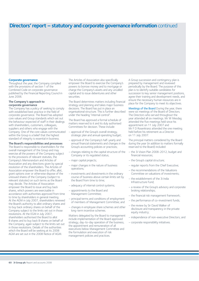# **Directors' report – statutory and corporate governance information** continued

#### **Corporate governance**

Throughout the year, the Company complied with the provisions of section 1 of the Combined Code on corporate governance published by the Financial Reporting Council in June 2006.

#### **The Company's approach to corporate governance**

The Company has a policy of seeking to comply with established best practice in the field of corporate governance. The Board has adopted core values and Group standards which set out the behaviour expected of staff in their dealings with shareholders, customers, colleagues, suppliers and others who engage with the Company. One of the core values communicated within the Group is a belief that the highest standard of integrity is essential in business.

## **The Board's responsibilities and processes**

The Board is responsible to shareholders for the overall management of the Group and may exercise all the powers of the Company subject to the provisions of relevant statutes, the Company's Memorandum and Articles of Association and any directions given by special resolution of the shareholders. The Articles of Association empower the Board to offer, allot, grant options over or otherwise dispose of the unissued shares of the Company (subject to relevant statutes) on such terms as the Board may decide. The Articles of Association empower the Board to issue and buy back shares, which powers are exercisable in accordance with authorities approved from time to time by shareholders in general meeting. At the AGM in July 2007, shareholders renewed the Board's authority to allot ordinary shares and to buy back ordinary shares on behalf of the Company subject to the limits set out in those resolutions. At the EGM in July 2007, shareholders authorised the Board to allot B shares and to buy back B shares on behalf of the Company, again subject to the limits set out in those resolutions. Details of the authorities which the Board will be seeking at its 2008 AGM are set out in the 2008 Notice of AGM.

The Articles of Association also specifically empower the Board to exercise the Company's powers to borrow money and to mortgage or charge the Company's assets and any uncalled capital and to issue debentures and other securities.

The Board determines matters including financial strategy and planning and takes major business decisions. The Board has put in place an organisational structure. This is further described under the heading "internal control".

The Board has approved a formal schedule of matters reserved to it and its duly authorised Committees for decision. These include:

- approval of the Group's overall strategy, strategic plan and annual operating budget;
- approval of the Company's half-yearly and annual financial statements and changes in the Group's accounting policies or practices;
- changes relating to the capital structure of the Company or its regulated status;
- major capital projects;
- major changes in the nature of business operations;
- investments and divestments in the ordinary course of business above certain limits set by the Board from time to time;
- adequacy of internal control systems;
- appointments to the Board and Management Committee;
- principal terms and conditions of employment of members of Management Committee; and
- changes in employee share schemes and other long-term incentive schemes.

Matters delegated by the Board to management include implementation of the Board approved strategy, day-to-day operation of the business, the appointment and remuneration of all executives below Management Committee and the formulation and execution of risk management policies and practices.

A Group succession and contingency plan is prepared by management and reviewed periodically by the Board. The purpose of this plan is to identify suitable candidates for succession to key senior management positions, agree their training and development needs, and ensure the necessary human resources are in place for the Company to meet its objectives.

Meetings of the Board During the year, there were six meetings of the Board of Directors. The Directors who served throughout the year attended all six meetings. Mr W Mesdag attended the five meetings held since his appointment on 11 July 2007 and Mr F D Rosenkranz attended the one meeting held before his retirement as a Director on 11 July 2007.

The principal matters considered by the Board during the year (in addition to matters formally reserved to the Board) included:

- the 3i Vision Plan 2008-2012, budget and financial resources;
- the Group's capital structure;
- regular reports from the Chief Executive;
- the recommendations of the Valuations Committee on valuations of investments;
- the establishment of the 3i India Infrastructure Fund;
- a review of the Group's advisory and corporate broking relationships;
- the financial risk management framework;
- the performance of co-investment funds;
- the review by Sir David Walker of disclosure and transparency in the private equity industry;
- independence of non-executive Directors; and
- corporate responsibility initiatives.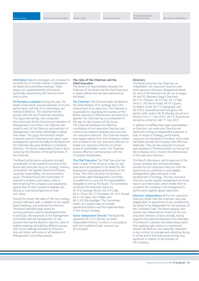the Directors in a timely manner in preparation for Board and committee meetings. These papers are supplemented by information specifically requested by the Directors from time to time.

Performance evaluation During the year, the Board conducted its annual evaluation of its own performance and that of its committees and individual Directors. The Chairman led the process with the aid of external consultants, The Zygos Partnership, who conducted interviews with all the Directors and members of Management Committee. The Chairman also spoke to each of the Directors and members of Management Committee individually to obtain their views. The Zygos Partnership's written evaluation and the Chairman's own report were subsequently reported formally to the Board and the Chairman also gave feedback to individual Directors. The Senior Independent Director led a review by the Directors of the performance of the Chairman.

The Board performance evaluation included consideration of the overall functioning of the Board with particular focus on strategy, meeting composition, the agenda, Board committees, corporate responsibility, risk and succession issues. The Board found the involvement of external consultants particularly useful in benchmarking the Company's own experience against that of other quoted companies and placing an external perspective on their own views.

During the review, the value of the two strategy sessions held each year, in addition to the regular Board meetings, was endorsed by Directors. The Board identified areas where its working practices could be developed further. In particular, the expansion of the Management Committee with the development of new business lines led the Board to note the value of holding meetings attended by different groups, with some meetings attended by Directors only and others with some or all members of Management Committee present.

#### Information Reports and papers are circulated to **The roles of the Chairman and the Chief Executive**

The division of responsibilities between the Chairman of the Board and the Chief Executive is clearly defined and has been approved by the Board.

The Chairman The Chairman leads the Board in the determination of its strategy and in the achievement of its objectives. The Chairman is responsible for organising the business of the Board, ensuring its effectiveness and setting its agenda. The Chairman has no involvement in the day-to-day business of the Group. The Chairman facilitates the effective contribution of non-executive Directors and constructive relations between executive and non-executive Directors. The Chairman ensures that regular reports from the Company's brokers are circulated to the non-executive Directors to enable non-executive Directors to remain aware of shareholders' views. The Chairman ensures effective communication with the Company's shareholders.

The Chief Executive The Chief Executive has direct charge of the Group on a day-to-day basis and is accountable to the Board for the financial and operational performance of the Group. The Chief Executive has formed a committee called Management Committee to enable him to carry out the responsibilities delegated to him by the Board. The Committee comprises the executive Directors, Mr B N Carnegie-Brown, Ms D R Collis, Mr K J Dunn, Mr C P Rowlands, Mr J B C Russell, Mr A J M Taylor, Mr P Waller and Mr G A R Zarzavatdjian. The Committee meets on a regular basis to consider operational matters and the implementation of the Group's strategy.

Senior Independent Director The Board has appointed Mr O H J Stocken as Senior Independent Director, to whom, in accordance with the Combined Code, concerns can be conveyed.

## **Directors**

The Board comprises the Chairman, six independent non-executive Directors and three executive Directors. Biographical details for each of the Directors are set out on pages 54 and 55. Baroness Hogg (Chairman), Mr O H J Stocken, Mr P E Yea, Mr S P Ball, Mme C J M Morin-Postel, Mr M J Queen, Sir Robert Smith, Mr F G Steingraber and Mr R W A Swannell served throughout the period under review. Mr W Mesdag served as a Director from 11 July 2007. Mr F D Rosenkranz served as a Director until 11 July 2007.

In addition to fulfilling their legal responsibilities as Directors, non-executive Directors are expected to bring an independent judgment to bear on issues of strategy, performance, resources and standards of conduct, and to help the Board provide the Company with effective leadership. They are also expected to ensure high standards of financial probity on the part of the Company and to monitor the effectiveness of the executive Directors.

The Board's discussions, and its approval of the Group's strategic plan and annual budget, provide the non-executive Directors with the opportunity to contribute to and validate management's plans and assist in the development of strategy. The non-executive Directors receive regular management accounts, reports and information which enable them to scrutinise the Company's and management's performance against agreed objectives.

Directors' independence All the non-executive Directors (other than the Chairman, who was independent on appointment) are considered by the Board to be independent for the purposes of the Combined Code. The Board assesses and reviews the independence of each of the nonexecutive Directors at least annually, having regard to the potential relevance and materiality of a Director's interests and relationships rather than applying rigid criteria in a mechanistic manner. No Director was materially interested in any contract or arrangement subsisting during or at the end of the financial period that was significant in relation to the business of the Company.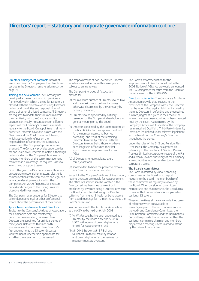## **Directors' report – statutory and corporate governance information** continued

Directors' employment contracts Details of executive Directors' employment contracts are set out in the Directors' remuneration report on page 76.

Training and development The Company has developed a training policy which provides a framework within which training for Directors is planned with the objective of ensuring Directors understand the duties and responsibilities of being a director of a listed company. All Directors are required to update their skills and maintain their familiarity with the Company and its business continually. Presentations on different aspects of the Company's business are made regularly to the Board. On appointment, all nonexecutive Directors have discussions with the Chairman and the Chief Executive following which appropriate briefings on the responsibilities of Directors, the Company's business and the Company's procedures are arranged. The Company provides opportunities for non-executive Directors to obtain a thorough understanding of the Company's business by meeting members of the senior management team who in turn arrange, as required, visits to investment or support teams.

During the year the Directors received briefings on corporate responsibility matters, electronic communications with shareholders and legal and regulatory developments, including the Companies Act 2006 (in particular directors' duties) and changes to the Listing Rules for closed-ended investment funds.

The Company has procedures for Directors to take independent legal or other professional advice about the performance of their duties.

#### Appointment and re-election of Directors

Subject to the Company's Articles of Association, the Companies Acts and satisfactory performance evaluation, non-executive Directors are appointed for an initial period of three years. Before the third and sixth anniversaries of a non-executive Director's first appointment, the Director discusses with the Board whether it is appropriate for a further three year term to be served.

The reappointment of non-executive Directors who have served for more than nine years is subject to annual review.

The Company's Articles of Association provide for:

- (a) the minimum number of Directors to be two and the maximum to be twenty, unless otherwise determined by the Company by ordinary resolution;
- (b) Directors to be appointed by ordinary resolution of the Company's shareholders in general meeting or by the Board;
- (c) Directors appointed by the Board to retire at the first AGM after their appointment and for the number nearest to, but not exceeding, one-third of the remaining Directors to retire by rotation (with the Directors to retire being those who have been longest in office since their last appointment or reappointment) at each AGM;
- (d) all Directors to retire at least every three years; and
- (e) shareholders to have the power to remove any Director by special resolution.

Subject to the Company's Articles of Association, retiring Directors are eligible for reappointment. The office of Director shall be vacated if the Director resigns, becomes bankrupt or is prohibited by law from being a Director or where the Board so resolves following the Director suffering from mental ill health or being absent from Board meetings for 12 months without the Board's permission.

In accordance with the Articles of Association, at the AGM to be held on 9 July 2008:

- (i) Mr W Mesdag, having been appointed as a Director by the Board since the AGM in 2007, will retire and, being eligible, offer himself for reappointment; and
- (ii) Mr O H J Stocken, Mr S P Ball and Sir Robert Smith will retire by rotation and, being eligible, offer themselves for reappointment as Directors.

The Board's recommendation for the reappointment of Directors is set out in the 2008 Notice of AGM. As previously announced Mr F G Steingraber will retire from the Board at the conclusion of the 2008 AGM.

Directors' indemnities The Company's Articles of Association provide that, subject to the provisions of the Companies Acts, the Directors shall be indemnified against liabilities incurred by them as Directors in defending any proceedings in which judgment is given in their favour, or where they have been acquitted or been granted relief by the court. As permitted by the Company's Articles of Association, the Company has maintained Qualifying Third-Party Indemnity Provisions (as defined under relevant legislation) for the benefit of the Company's Directors throughout the period.

Under the rules of the 3i Group Pension Plan ("the Plan"), the Company has granted an indemnity to the directors of Gardens Pension Trustees Limited (a corporate trustee of the Plan and a wholly-owned subsidiary of the Company) against liabilities incurred as directors of that corporate trustee.

#### **The Board's committees**

The Board is assisted by various standing committees of the Board which report regularly to the Board. The membership of these committees is regularly reviewed by the Board. When considering committee membership and chairmanship, the Board aims to ensure that undue reliance is not placed on particular Directors.

These committees all have clearly defined terms of reference which are available at www.3igroup.com. The terms of reference of the Audit and Compliance Committee, the Remuneration Committee and the Nominations Committee provide that no one other than the particular committee chairman and members may attend a meeting unless invited to attend by the relevant committee.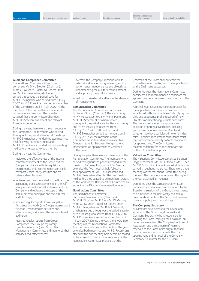#### **Audit and Compliance Committee**

The Audit and Compliance Committee comprises Mr O H J Stocken (Chairman), Mme C J M Morin-Postel, Sir Robert Smith and Mr F G Steingraber, all of whom served throughout the period, save for Mr F G Steingraber who served from 11 July 2007. Mr F D Rosenkranz served as a member of the Committee until 11 July 2007. All the members of the Committee are independent non-executive Directors. The Board is satisfied that the Committee Chairman, Mr O H J Stocken, has recent and relevant financial experience.

During the year, there were three meetings of the Committee. The members who served throughout the period attended all meetings. Mr F G Steingraber attended the two meetings held following his appointment and Mr F D Rosenkranz attended the one meeting held before he ceased to be a member.

During the year, the Committee:

- reviewed the effectiveness of the internal control environment of the Group and the Group's compliance with its regulatory requirements and received reports on bank covenants, third-party liabilities and offbalance sheet liabilities;
- reviewed and recommended to the Board the accounting disclosures comprised in the halfyearly and annual financial statements of the Company and reviewed the scope of the annual external audit plan and the external audit findings;
- received regular reports from Group Risk Assurance and Audit (the Group's internal audit function), monitored its activities and effectiveness, and agreed the annual internal audit plan;
- received regular reports from Group Compliance (the Group's regulatory compliance function) and Group Risk Management Committee, and monitored their activities and effectiveness;
- oversaw the Company's relations with its external auditors including assessing auditor performance, independence and objectivity, recommending the auditors' reappointment and approving the auditors' fees; and
- met with the external auditors in the absence of management.

#### **Remuneration Committee**

The Remuneration Committee comprises Sir Robert Smith (Chairman), Baroness Hogg, Mr W Mesdag, Mme C J M Morin-Postel and Mr O H J Stocken, all of whom served throughout the period, save for Baroness Hogg and Mr W Mesdag who served from 11 July 2007. Mr F D Rosenkranz and Mr F G Steingraber served as members until 11 July 2007. All the members of the Committee are independent non-executive Directors, save for Baroness Hogg who was independent on appointment as Chairman of the Board.

During the year, there were six meetings of the Remuneration Committee. The members who served throughout the period attended all the meetings. Baroness Hogg and Mr W Mesdag attended the five meetings held following their appointment. Mr F D Rosenkranz and Mr F G Steingraber attended the one meeting held before they ceased to be members. Details of the work of the Remuneration Committee are set out in the Directors' remuneration report.

### **Nominations Committee**

The Nominations Committee comprises Baroness Hogg (Chairman), Mr O H J Stocken, Mr P E Yea, Mr W Mesdag, Mme C J M Morin-Postel, Sir Robert Smith, Mr F G Steingraber and Mr R W A Swannell, all of whom served throughout the period, save for Mr W Mesdag who served from 11 July 2007. Mr F D Rosenkranz served as a member until 11 July 2007. During the year, there were two meetings of the Nominations Committee. The members who served throughout the year attended both meetings and Mr F D Rosenkranz attended the one meeting held before he ceased to be a Director. The terms of reference of the Nominations Committee provide that the

Chairman of the Board shall not chair the Committee when dealing with the appointment of the Chairman's successor.

During the year, the Nominations Committee considered and recommended a candidate for appointment as a non-executive Director of the Company.

A formal, rigorous and transparent process for the appointment of Directors has been established with the objective of identifying the skills and experience profile required of new Directors and identifying suitable candidates. The procedure includes the appraisal and selection of potential candidates, including (in the case of non-executive Directors) whether they have sufficient time to fulfil their roles. Specialist recruitment consultants assist the Committee to identify suitable candidates for appointment. The Committee's recommendations for appointment are put to the full Board for approval.

#### **Valuations Committee**

The Valuations Committee comprises Baroness Hogg (Chairman), Mr O H J Stocken, Mr P E Yea, Mr S P Ball and Mr R W A Swannell, all of whom served throughout the period. There were three meetings of the Valuations Committee during the year. The members who served throughout the year attended all meetings.

During the year, the Valuations Committee considered and made recommendations to the Board on valuations of the Group's investments to be included in the half-yearly and annual financial statements of the Group and reviewed valuations policy and methodology.

#### **The Company Secretary**

All Directors have access to the advice and services of the Group Legal Counsel and Company Secretary, who is responsible for advising the Board, through the Chairman, on governance matters. The Company's Articles of Association and the schedule of matters reserved to the Board or its duly authorised committees for decision provide that the appointment and removal of the Company Secretary is a matter for the full Board.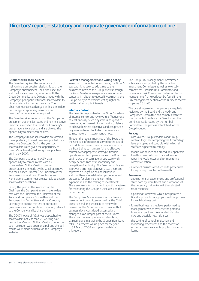# **Directors' report – statutory and corporate governance information** continued

## **Relations with shareholders**

The Board recognises the importance of maintaining a purposeful relationship with the Company's shareholders. The Chief Executive and the Finance Director, together with the Group Communications Director, meet with the Company's principal institutional shareholders to discuss relevant issues as they arise. The Chairman maintains a dialogue with shareholders on strategy, corporate governance and Directors' remuneration as required.

The Board receives reports from the Company's brokers on shareholder issues and non-executive Directors are invited to attend the Company's presentations to analysts and are offered the opportunity to meet shareholders.

The Company's major shareholders are offered the opportunity to meet newly-appointed nonexecutive Directors. During the year such shareholders were given the opportunity to meet Mr W Mesdag following his appointment on 11 July 2007.

The Company also uses its AGM as an opportunity to communicate with its shareholders. At the Meeting, business presentations are made by the Chief Executive and the Finance Director. The Chairmen of the Remuneration, Audit and Compliance, and Nominations Committees are available to answer shareholders' questions.

During the year, at the invitation of the Chairman, the Company's major shareholders met with the Chairman, the Chairmen of the Audit and Compliance Committee and the Remuneration Committee and the Company Secretary to discuss matters of corporate governance and corporate responsibility relevant to the Company and its shareholders.

The 2007 Notice of AGM was dispatched to shareholders not less than 20 working days before the Meeting. At that Meeting, voting on each resolution was taken on a poll and the poll results were made available on the Company's website.

#### **Portfolio management and voting policy**

In relation to unquoted investments, the Group's approach is to seek to add value to the businesses in which the Group invests through the Group's extensive experience, resources and contacts. In relation to quoted investments, the Group's policy is to exercise voting rights on matters affecting its interests.

#### **Internal control**

The Board is responsible for the Group's system of internal control and reviews its effectiveness at least annually. Such a system is designed to manage rather than eliminate the risk of failure to achieve business objectives and can provide only reasonable and not absolute assurance against material misstatement or loss.

Through the regular meetings of the Board and the schedule of matters reserved to the Board or its duly authorised committees for decision, the Board aims to maintain full and effective control over appropriate strategic, financial, operational and compliance issues. The Board has put in place an organisational structure with clearly defined lines of responsibility and delegation of authority. The Board considers and approves a strategic plan every two years and approves a budget on an annual basis. In addition, there are established procedures and processes for planning and controlling expenditure and the making of investments. There are also information and reporting systems for monitoring the Group's businesses and their performance.

The Group Risk Management Committee is a management committee formed by the Chief Executive and its purpose is to review the business of the Group in order to ensure that business risk is considered, assessed and managed as an integral part of the business. There is an ongoing process for identifying, evaluating and managing the Group's significant risks. This process was in place for the year to 31 March 2008 and up to the date of this report.

The Group Risk Management Committee's activities are supported by the activities of Investment Committee as well as two subcommittees, Financial Risk Committee and Operational Risk Committee. Details of the risk management framework can be found in the Risk management section of the Business review on pages 38 to 43.

The overall internal control process is regularly reviewed by the Board and the Audit and Compliance Committee and complies with the internal control guidance for Directors on the Combined Code issued by the Turnbull Committee. The process established for the Group includes:

#### **Policies**

- core values, Group standards and Group controls together comprising the Group's high level principles and controls, with which all staff are expected to comply;
- manuals of policies and procedures, applicable to all business units, with procedures for reporting weaknesses and for monitoring corrective action;
- a code of business conduct, with procedures for reporting compliance therewith;

#### **Processes**

- appointment of experienced and professional staff, both by recruitment and promotion, of the necessary calibre to fulfil their allotted responsibilities;
- a planning framework which incorporates a Board approved strategic plan, with objectives for each business unit;
- formal business risk reviews performed by management which evaluate the potential financial impact and likelihood of identified risks and possible new risk areas;
- the setting of control, mitigation and monitoring procedures and the review of actual occurrences, identifying lessons to be learnt;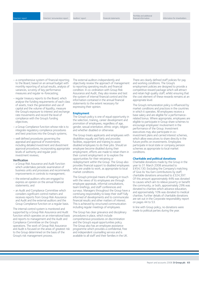- a comprehensive system of financial reporting to the Board, based on an annual budget with monthly reporting of actual results, analysis of variances, scrutiny of key performance measures and regular re-forecasting;
- regular treasury reports to the Board, which analyse the funding requirements of each class of assets, track the generation and use of capital and the volume of liquidity, measure the Group's exposure to interest and exchange rate movements and record the level of compliance with the Group's funding objectives;
- a Group Compliance function whose role is to integrate regulatory compliance procedures and best practices into the Group's systems;
- well defined procedures governing the appraisal and approval of investments, including detailed investment and divestment approval procedures, incorporating appropriate levels of authority and regular postinvestment reviews;

#### **Verification**

- a Group Risk Assurance and Audit function which undertakes periodic examination of business units and processes and recommends improvements in controls to management;
- the external auditors who are engaged to express an opinion on the annual financial statements; and
- an Audit and Compliance Committee which considers significant control matters and receives reports from Group Risk Assurance and Audit and the external auditors and the Group Compliance function on a regular basis.

The internal control system is monitored and supported by a Group Risk Assurance and Audit function which operates on an international basis and reports to management and the Audit and Compliance Committee on the Group's operations. The work of Group Risk Assurance and Audit is focused on the areas of greatest risk to the Group determined on the basis of the Group's risk management process.

The external auditors independently and objectively review the approach of management to reporting operating results and financial condition. In co-ordination with Group Risk Assurance and Audit, they also review and test the system of internal financial control and the information contained in the annual financial statements to the extent necessary for expressing their opinion.

#### **Employment**

The Group's policy is one of equal opportunity in the selection, training, career development and promotion of employees, regardless of age, gender, sexual orientation, ethnic origin, religion and whether disabled or otherwise.

The Group treats applicants and employees with disabilities equally and fairly and provides facilities, equipment and training to assist disabled employees to do their jobs. Should an employee become disabled during their employment, efforts are made to retain them in their current employment or to explore the opportunities for their retraining or redeployment within the Group. The Group also provides financial support to disabled employees who are unable to work, as appropriate to local market conditions.

The Group's principal means of keeping in touch with the views of its employees are through employee appraisals, informal consultations, team briefings, and staff conferences and surveys. Managers throughout the Group have a continuing responsibility to keep their staff fully informed of developments and to communicate financial results and other matters of interest. This is achieved by structured communication including regular meetings of employees.

The Group has clear grievance and disciplinary procedures in place, which include comprehensive procedures on discrimination and the Group's equal opportunities policy. The Group also has an employee assistance programme which provides a confidential, free and independent counselling service and is available to all staff and their families in the UK.

There are clearly defined staff policies for pay and working conditions. The Group's employment policies are designed to provide a competitive reward package which will attract and retain high quality staff, whilst ensuring that the cost element of these rewards remains at an appropriate level.

The Group's remuneration policy is influenced by market conditions and practices in the countries in which it operates. All employees receive a base salary and are eligible for a performancerelated bonus. Where appropriate, employees are eligible to participate in Group share schemes to encourage employees' involvement in the performance of the Group. Investment executives may also participate in coinvestment plans and carried interest schemes, which allow executives to share directly in the future profits on investments. Employees participate in local state or company pension schemes as appropriate to local market conditions.

#### **Charitable and political donations**

Charitable donations made by the Group in the year to 31 March 2008 amounted to £454,130. Excluding the Company's matching of Give As You Earn contributions by staff, charitable donations amounted to £324,397. Of this amount approximately 44% was donated to causes which aim to relieve poverty or benefit the community, or both, approximately 29% was donated to charities which advance education, and approximately 10% was donated to medical charities. Further details of charitable donations are set out in the Corporate responsibility report on pages 44 to 53.

In line with Group policy, no donations were made to political parties during the year.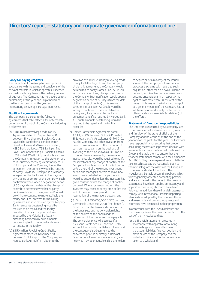## **Directors' report – statutory and corporate governance information** continued

### **Policy for paying creditors**

It is the policy of the Group to pay suppliers in accordance with the terms and conditions of the relevant markets in which it operates. Expenses are paid on a timely basis in the ordinary course of business. The Company had no trade creditors outstanding at the year end. 3i plc had trade creditors outstanding at the year end representing on average 19 days' purchases.

#### **Significant agreements**

The Company is a party to the following agreements that take effect, alter or terminate on a change of control of the Company following a takeover bid:

- (a) £486 million Revolving Credit Facility Agreement dated 20 September 2005, between 3i Holdings plc, Barclays Capital, Bayerische Landesbank, London branch, Dresdner Kleinwort Wasserstein Limited, HSBC Bank plc, Lloyds TSB Bank plc, The Royal Bank of Scotland plc, Société Générale, UBS Limited, WestLB AG, London branch and the Company, in relation to the provision of a multi-currency revolving credit facility to 3i Holdings plc and the Company. Under this agreement, the Company would be required to notify Lloyds TSB Bank plc, in its capacity as agent for the banks, within five days of any change of control of the Company. Such notification would open a negotiation period of 50 days (from the date of the change of control) to determine whether Majority Banks (as defined in the agreement) would be willing to continue to make available the facility and, if so, on what terms. Failing agreement and if so required by the Majority Banks, amounts outstanding would be required to be repaid and the facility cancelled. If no such requirement was imposed by the Majority Banks, any dissenting bank could require amounts outstanding to it to be repaid and cease to participate in the facility;
- (b) £150 million Revolving Credit Facility Agreement dated 24 November 2005, between 3i Holdings plc, the Company and Nordea Bank AB (publ) in relation to the

provision of a multi-currency revolving credit facility to 3i Holdings plc and the Company. Under this agreement, the Company would be required to notify Nordea Bank AB (publ) within five days of any change of control of the Company. Such notification would open a negotiation period of 50 days (from the date of the change of control) to determine whether Nordea Bank AB (publ) would be willing to continue to make available the facility and, if so, on what terms. Failing agreement and if so required by Nordea Bank AB (publ), amounts outstanding would be required to be repaid and the facility cancelled;

- (c) Limited Partnership Agreements dated 12 July 2006, between 3i EFV GP Limited, 3i Europartners V Verwaltungs GmbH & Co. KG, the Company and other investors from time to time in relation to the formation of partnerships to carry on the business of investing as the fund known as 3i Eurofund V. Under these agreements, the manager, 3i Investments plc, would be required to notify the investors of any change of control of the Company. If such a change of control occurs before the end of the relevant investment period, the manager's powers to make new investments on behalf of the partnerships would be suspended unless the investors had given consent before the change of control occurred. Where suspension occurs, the investors may consent at any time before the end of the investment period to the resumption of the manager's powers; and
- (d) 3i Group plc €550,000,000 1.375 per cent Convertible Bonds due 2008 (the "bonds"). Condition 6 of the terms and conditions of the bonds sets out the conversion rights of the holders of the bonds and the calculation of the conversion price payable. The conversion price will decrease if a "Relevant Event" occurs. Condition  $6(b)(x)$ sets out the definition of Relevant Event and the consequential adjustment to the conversion price. In summary, a Relevant Event occurs if an offer is made to all (or as nearly as may be practicable all) shareholders

to acquire all or a majority of the issued shares of the Company or if any person proposes a scheme with regard to such acquisition (other than a Newco Scheme (as defined)) and (such offer or scheme having become unconditional in all respects) the right to cast more than 50 per cent of the votes which may ordinarily be cast on a poll at a general meeting of the Company has or will become unconditionally vested in the offeror and/or an associate (as defined) of the offeror.

#### **Statement of Directors' responsibilities**

The Directors are required by UK company law to prepare financial statements which give a true and fair view of the state of affairs of the Company and the Group as at the end of the year and of the profit for the year. The Directors have responsibility for ensuring that proper accounting records are kept which disclose with reasonable accuracy the financial position of the Group and enable them to ensure that the financial statements comply with the Companies Act 1985. They have a general responsibility for taking such steps as are reasonably open to them to safeguard the assets of the Group and to prevent and detect fraud and other irregularities. Suitable accounting policies, which follow generally accepted accounting practice and are explained in the notes to the financial statements, have been applied consistently and applicable accounting standards have been followed. In addition, these financial statements comply with International Financial Reporting Standards as adopted by the European Union and reasonable and prudent judgments and estimates have been used in their preparation.

In accordance with the FSA's Disclosure and Transparency Rules, the Directors confirm to the best of their knowledge that:

(a) the financial statements, prepared in accordance with applicable accounting standards, give a true and fair view of the assets, liabilities, financial position and profit or loss of the Company and the undertakings included in the consolidation taken as a whole; and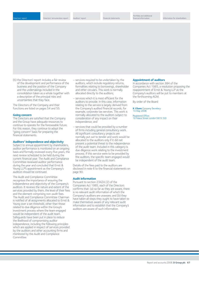(b) the Directors' report includes a fair review of the development and performance of the business and the position of the Company and the undertakings included in the consolidation taken as a whole together with a description of the principal risks and uncertainties that they face.

The Directors of the Company and their functions are listed on pages 54 and 55.

#### **Going concern**

The Directors are satisfied that the Company and the Group have adequate resources to continue to operate for the foreseeable future. For this reason, they continue to adopt the "going concern" basis for preparing the financial statements.

#### **Auditors' independence and objectivity**

Subject to annual appointment by shareholders, auditor performance is monitored on an ongoing basis and formally reviewed every five years, the next review scheduled to be held during the current financial year. The Audit and Compliance Committee reviewed auditor performance during the year and concluded that Ernst & Young LLP's appointment as the Company's auditors should be continued.

The Audit and Compliance Committee recognises the importance of ensuring the independence and objectivity of the Company's auditors. It reviews the nature and extent of the services provided by them, the level of their fees and the element comprising non-audit fees. The Audit and Compliance Committee Chairman is notified of all assignments allocated to Ernst & Young over a set threshold, other than those related to due diligence within the Group's investment process where the team engaged would be independent of the audit team. Safeguards have been put in place to reduce the likelihood of compromising auditor independence, including the following principles which are applied in respect of services provided by the auditors and other accounting firms and monitored by the Audit and Compliance Committee:

- services required to be undertaken by the auditors, which include regulatory returns, formalities relating to borrowings, shareholder and other circulars. This work is normally allocated directly to the auditors;
- services which it is most efficient for the auditors to provide. In this case, information relating to the service is largely derived from the Company's audited financial records; for example, corporate tax services. This work is normally allocated to the auditors subject to consideration of any impact on their independence; and
- services that could be provided by a number of firms including general consultancy work. All significant consultancy projects are normally put out to tender and work would be allocated to the auditors only if it did not present a potential threat to the independence of the audit team. Included in this category is due diligence work relating to the investment process. If this service were to be provided by the auditors, the specific team engaged would be independent of the audit team.

Details of the fees paid to the auditors are disclosed in note 6 to the financial statements on page 90.

#### **Audit information**

Pursuant to section 234ZA (2) of the Companies Act 1985, each of the Directors confirms that: (a) so far as they are aware, there is no relevant audit information of which the Company's auditors are unaware; and (b) they have taken all steps they ought to have taken to make themselves aware of any relevant audit information and to establish that the Company's auditors are aware of such information.

#### **Appointment of auditors**

In accordance with section 384 of the Companies Act 1985, a resolution proposing the reappointment of Ernst & Young LLP as the Company's auditors will be put to members at the forthcoming AGM.

By order of the Board

**K J Dunn** Company Secretary 14 May 2008

Registered Office: 16 Palace Street London SW1E 5JD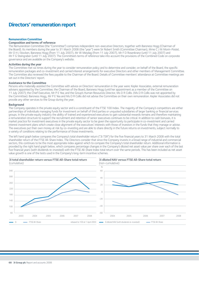# **Directors' remuneration report**

#### **Remuneration Committee**

## **Composition and terms of reference**

The Remuneration Committee (the "Committee") comprises independent non-executive Directors, together with Baroness Hogg (Chairman of the Board). Its members during the year to 31 March 2008 (the "year") were Sir Robert Smith (Committee Chairman), Mme C J M Morin-Postel, Mr O H J Stocken, Baroness Hogg (from 11 July 2007), Mr W Mesdag (from 11 July 2007), Mr F D Rosenkranz (until 11 July 2007) and Mr F G Steingraber (until 11 July 2007). The Committee's terms of reference take into account the provisions of the Combined Code on corporate governance and are available on the Company's website.

### **Activities during the year**

The Committee met six times during the year to consider remuneration policy and to determine and consider, on behalf of the Board, the specific remuneration packages and co-investment and carried interest arrangements for executive Directors and other members of Management Committee. The Committee also reviewed the fees payable to the Chairman of the Board. Details of Committee members' attendance at Committee meetings are set out in the Directors' report.

#### **Assistance to the Committee**

Persons who materially assisted the Committee with advice on Directors' remuneration in the year were: Kepler Associates, external remuneration advisers appointed by the Committee; the Chairman of the Board, Baroness Hogg (until her appointment as a member of the Committee on 11 July 2007); the Chief Executive, Mr P E Yea; and the Group's Human Resources Director, Ms D R Collis. (Ms D R Collis was not appointed by the Committee). Baroness Hogg, Mr P E Yea and Ms D R Collis did not advise the Committee on their own remuneration. Kepler Associates did not provide any other services to the Group during the year.

#### **Background**

The Company operates in the private equity sector and is a constituent of the FTSE 100 Index. The majority of the Company's competitors are either partnerships of individuals managing funds for investment on behalf of third parties or unquoted subsidiaries of larger banking or financial services groups. In the private equity industry the ability of trained and experienced executives to gain substantial rewards remains and therefore maintaining a remuneration structure to support the recruitment and retention of senior executives continues to be critical. In addition to cash bonuses, it is market practice for investment executives in the private equity sector to be given the opportunity to participate in co-investment and carried interest investment plans which create close alignment of the executives' interests with those of investors in the funds that they manage or advise. The executives put their own money at risk by co-investing and are able to share directly in the future returns on investments, subject normally to a variety of conditions relating to the performance of those investments.

The left hand graph below compares the Company's total shareholder return ("3i TSR") for the five financial years to 31 March 2008 with the total shareholder return of the FTSE All-Share Index. The Directors consider that since the Company invests in a broad range of industrial and commercial sectors, this continues to be the most appropriate index against which to compare the Company's total shareholder return. Additional information is provided by the right hand graph below, which compares percentage changes in the Company's diluted net asset value per share over each of the last five financial years (with dividends re-invested) with the FTSE All-Share Index total return over the same periods. This has been included as net asset value growth is one of the tests used in the Company's long-term incentive schemes.

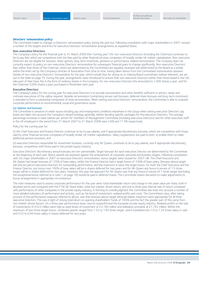#### **Directors' remuneration policy**

The Committee made no changes in Directors' remuneration policy during the year but, following consultation with major shareholders in 2007, revised a number of the targets and limits for executive Directors' remuneration arrangements as explained below.

#### **Non-executive Directors**

The Company's policy for the financial year to 31 March 2009 (the "coming year") for non-executive Directors (including the Chairman) continues to be to pay fees which are competitive with the fees paid by other financial services companies of broadly similar UK market capitalisation. Non-executive Directors are not eligible for bonuses, share options, long-term incentives, pensions or performance-related remuneration. The Company does not currently expect its policy on non-executive Directors' remuneration for subsequent financial years to change significantly. Non-executive Directors' fees (other than those of the Chairman, which are determined by the Committee) are regularly reviewed and determined by the Board as a whole, within the limits set by the Company's Articles of Association from time to time, having taken advice from the Committee's remuneration advisers. Details of non-executive Directors' remuneration for the year, which include fees for sitting on or chairing Board committees (where relevant), are set out in the table on page 70. During the year, arrangements were introduced to ensure that non-executive Directors (other than those based in the US) take part of their basic fee in the form of ordinary shares in the Company: for non-executive Directors this amounted to 1,000 shares a year; and for the Chairman 5,000 shares a year, purchased in November each year.

#### **Executive Directors**

The Company's policy for the coming year for executive Directors is to provide remuneration and other benefits sufficient to attract, retain and motivate executives of the calibre required. Variable remuneration (comprising annual cash bonuses, deferred share bonuses and long-term incentives) is intended to form a substantial component of total remuneration. When setting executive Directors' remuneration, the Committee is able to evaluate corporate performance on environmental, social and governance issues.

#### (a) Salaries and bonuses

The Committee is sensitive to wider issues including pay and employment conditions elsewhere in the Group when setting executive Directors' pay levels and takes into account the Company's reward strategy generally, before deciding specific packages for the executive Directors. The average percentage increases in base salaries per annum for members of Management Committee (including executive Directors) and for other executive staff in the UK employed in the period from 31 March 2007 to 31 March 2008 were 5.6% and 11.5% respectively.

Policy for the coming year for:

(i) the Chief Executive and Finance Director continues to be to pay salaries, and if appropriate discretionary bonuses, which are competitive with those paid by other financial services companies of broadly similar UK market capitalisation. Salary supplements are paid to both, to enable them to make additional pension provision; and

(ii) executive Directors responsible for investment business, currently only Mr Queen, continues to be to pay salaries, and if appropriate discretionary bonuses, competitive with those paid in the private equity industry.

Executive Directors' discretionary annual bonuses are non-pensionable. Target bonuses for each executive Director are determined by the Committee at the beginning of each year. Bonus awards are assessed against the achievement of corporate, personal and business targets. Following consultation with 3i's major shareholders in 2007 on executive Directors' remuneration, bonus targets were revised for 2007-08. The Chief Executive and Mr Queen had target bonuses of 125% of base salary, whilst the Finance Director had a target bonus of 100% of base salary. Bonuses above target will only be paid to executive Directors for outstanding performance, and the maximum is twice the target bonus. For both the Chief Executive and the Finance Director, any bonus over 100% of base salary will be in shares deferred for two years and for Mr Queen any bonus in excess of 1.5 times target will be in shares deferred for two years. However, this year the approach for Mr Queen was that any bonus in excess of 1 times target (excluding the exceptional bonus referred to in note 1 on page 78) would be paid in deferred shares. The Committee retains discretion to make adjustments to bonus arrangements in appropriate circumstances.

The main measures used to assess corporate performance for the year were: total shareholder return and change in net asset value per share, both in absolute terms and compared with the FTSE All-Share Index; total non market-driven return; and one to three year internal rate of return compared with performance of other companies in the private equity industry. In forming its overall judgment the Committee also took into account a number of more detailed indicators of performance and activity, such as the level of investment, realised profits and costs. The Committee's view, after taking account of the performance measures referred to above, was that bonuses above target although below maximum were appropriate for all three executive Directors. This was in light of strong total return on opening shareholders' funds of 18.6% and the fact the greater part of this came from non market-driven factors. On a three year performance basis, returns outperformed the European private equity industry. Realised profits on the sale of investments of £523 million were high as were levels of investment at £2,160 million and realisation proceeds at £1,742 million. Within the maximum of two times target bonus, combined awards ranged from 1.52 to 1.65 times target, which translated into 1.0 to 1.24 times salary in cash and 0.52 to 0.94 times salary in shares deferred for two years.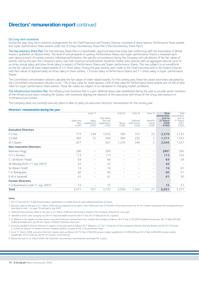# **Directors' remuneration report** continued

#### (b) Long-term incentives

During the year, long-term incentive arrangements for the Chief Executive and Finance Director consisted of share options, Performance Share awards and Super-performance Share awards under the 3i Group Discretionary Share Plan ("the Discretionary Share Plan").

The Discretionary Share Plan The Discretionary Share Plan is a shareholder-approved executive share plan conforming with the Association of British Insurers' guidelines on dilution limits. The level of annual awards of options, Performance Shares and Super-performance Shares is reviewed each year taking account of market practice, individual performance, the specific circumstances facing the Company and calculations of the fair values of awards. During the year, the Company's policy was that maximum annual awards should be market price options with an aggregate exercise price of six times annual salary and three times salary in respect of Performance Shares and Super-performance Shares. This was subject to an overall limit on the fair value of all share-based awards of 2.5 times salary. During the year awards were made to the Chief Executive and to the Finance Director with face values of approximately six times salary in share options, 1.9 times salary in Performance Shares and 1.1 times salary in Super-performance Shares

The Committee's remuneration advisers calculate the fair values of share-based awards. For the coming year, these fair values have been calculated by the Committee's remuneration advisers to be 17% of face value for share options, 52% of face value for Performance Share awards and 24.4% of face value for Super-performance Share awards. These fair values are subject to re-calculation in changing market conditions.

The Infrastructure Incentive Plan The Infrastructure Incentive Plan is a part-deferred bonus plan established during the year to provide senior members of the Infrastructure team, including Mr Queen, with incentives aligning the interests of the executives with those of the Group and investors in 3i Infrastructure Limited.

The Company does not currently have any plans to alter its policy on executive Directors' remuneration for the coming year.

#### **Directors' remuneration during the year**

|                                     | Salary and<br>fees<br>£'000 | (note 1)<br>Salary<br>supplements<br>£'000 | Total salary,<br>fees and<br>supplements<br>£'000 | (note 2)<br><b>Bonus</b><br>£'000 | (note 3)<br>Deferred<br>share bonus<br>£'000 | (note 4)<br><b>Benefits</b><br>in kind<br>£'000 | <b>Total</b><br>remuneration<br>year to<br>31 March<br>2008<br>£'000 | Total<br>remuneration<br>year to<br>31 March<br>2007<br>£'000 |
|-------------------------------------|-----------------------------|--------------------------------------------|---------------------------------------------------|-----------------------------------|----------------------------------------------|-------------------------------------------------|----------------------------------------------------------------------|---------------------------------------------------------------|
| <b>Executive Directors</b>          |                             |                                            |                                                   |                                   |                                              |                                                 |                                                                      |                                                               |
| P E Yea                             | 773                         | 249                                        | 1,022                                             | 790                               | 741                                          | 23                                              | 2,576                                                                | 2,152                                                         |
| S P Ball                            | 492                         | 72                                         | 564                                               | 490                               | 255                                          | 2                                               | 1,311                                                                | 1,252                                                         |
| M J Queen                           | 427                         | $\overline{\phantom{0}}$                   | 427                                               | 1,270                             | 346                                          | $\overline{2}$                                  | 2,045                                                                | 1,357                                                         |
| <b>Non-executive Directors</b>      |                             |                                            |                                                   |                                   |                                              |                                                 |                                                                      |                                                               |
| Baroness Hogg                       | 290                         | $\overline{\phantom{0}}$                   | 290                                               |                                   |                                              | $\overline{\phantom{m}}$                        | 290 <sup>8</sup>                                                     | 260                                                           |
| O H J Stocken                       | 113                         | -                                          | 113                                               |                                   |                                              | $\qquad \qquad -$                               | 113                                                                  | 103                                                           |
| C J M Morin-Postel                  | 64                          | -                                          | 64                                                |                                   |                                              | $\qquad \qquad$                                 | 64                                                                   | 54                                                            |
| W Mesdag (from 11 July 2007)        | 42                          | -                                          | 42                                                |                                   |                                              | $\qquad \qquad -$                               | 42                                                                   |                                                               |
| Sir Robert Smith                    | 74                          | $\qquad \qquad$                            | 74                                                |                                   |                                              | $\qquad \qquad -$                               | 74                                                                   | 61                                                            |
| F G Steingraber                     | 60                          |                                            | 60                                                |                                   |                                              | $\qquad \qquad$                                 | 60                                                                   | 51                                                            |
| R W A Swannell                      | 61                          | $\overline{\phantom{0}}$                   | 61                                                |                                   |                                              | $\overline{\phantom{0}}$                        | 61                                                                   | 30                                                            |
| <b>Former Directors</b>             |                             |                                            |                                                   |                                   |                                              |                                                 |                                                                      |                                                               |
| F D Rosenkranz (until 11 July 2007) | 15                          |                                            | 15                                                |                                   |                                              | $\overline{\phantom{m}}$                        | 15                                                                   | 57                                                            |
| <b>Total</b>                        | 2,411                       | 321                                        | 2,732                                             | 2,550                             | 1,342                                        | 27                                              | 6,651                                                                | 5,377                                                         |

#### **Notes**

1 Mr P E Yea and Mr S P Ball received salary supplements to enable them to make additional pension provision.

2 Bonuses relate to the year to 31 March 2008 and are expected to be paid in June 2008 save that £750,000 of the bonus shown for Mr M J Queen represented the exceptional bonus described in note 1 on page 78 and paid in July 2007.

3 Deferred share bonuses relate to the year to 31 March 2008 and will be paid in shares in the Company, deferred for two years.

4 "Benefits in kind" were company car (Mr P E Yea) and health insurance (Mr P E Yea, Mr S P Ball and Mr M J Queen).

5 In addition to the salaries and fees shown, executive Directors' retained fees from outside directorships as follows: Mr P E Yea, £105,000 (Vodafone Group plc); Mr S P Ball, £65,000 (Cable & Wireless plc); and Mr M J Queen, £38,923 (Northern Rock plc).

6 Amounts payable to former Directors in respect of the year were as follows: Dr P Mihatsch, £71,811 (Chairman of the Company's German Advisory Board); and Mr W J R Govett, £12,000 (as director of Gardens Pension Trustees Limited, a trustee of the 3i Group Pension Plan).

7 As at 31 March 2008, executive Directors' salaries were as follows: Mr P E Yea, £790,000 pa plus a salary supplement of £260,000 pa; Mr S P Ball, £490,000 pa plus a salary supplement of £73,500 pa; and Mr M J Queen, £420,000 pa.

8 Before the year to 31 March 2008, the Chairman's remuneration had remained unchanged for 2 years.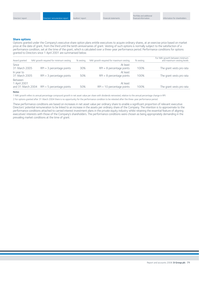#### **Share options**

Options granted under the Company's executive share option plans entitle executives to acquire ordinary shares, at an exercise price based on market price at the date of grant, from the third until the tenth anniversaries of grant. Vesting of such options is normally subject to the satisfaction of a performance condition, set at the time of the grant, which is calculated over a three-year performance period. Performance conditions for options granted to Directors since 1 April 2001 are summarised below.

| Award granted                                | NAV growth required for minimum vesting | % vesting | NAV growth required for maximum vesting  | % vesting | For NAV growth between minimum<br>and maximum vesting levels |
|----------------------------------------------|-----------------------------------------|-----------|------------------------------------------|-----------|--------------------------------------------------------------|
| Since<br>31 March 2005                       | $RPI + 3$ percentage points             | 30%       | At least<br>$RPI + 8$ percentage points  | 100%      | The grant vests pro rata                                     |
| In year to<br>31 March 2005                  | $RPI + 3$ percentage points             | 50%       | At least<br>$RPI + 8$ percentage points  | 100%      | The grant vests pro rata                                     |
| Between<br>1 April 2001<br>and 31 March 2004 | $RPI + 5$ percentage points             | 50%       | At least<br>$RPI + 10$ percentage points | 100%      | The grant vests pro rata                                     |

#### **Notes**

1 NAV growth refers to annual percentage compound growth in net asset value per share with dividends reinvested, relative to the annual percentage change in RPI.

2 For options granted after 31 March 2004 there is no opportunity for the performance condition to be retested after the three-year performance period.

These performance conditions are based on increases in net asset value per ordinary share to enable a significant proportion of relevant executive Directors' potential remuneration to be linked to an increase in the assets per ordinary share of the Company. The intention is to approximate to the performance conditions attached to carried interest investment plans in the private equity industry whilst retaining the essential feature of aligning executives' interests with those of the Company's shareholders. The performance conditions were chosen as being appropriately demanding in the prevailing market conditions at the time of grant.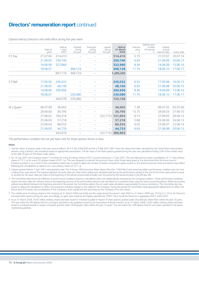# **Directors' remuneration report** continued

#### Options held by Directors who held office during the year were:

|           | Date of<br>grant | Held at<br>1 April<br>2007 | Granted<br>during<br>the year | Exercised<br>during<br>the year | Lapsed<br>during<br>the year | Held at<br>31 March<br>2008 | Exercise<br>price<br>£ | Market price<br>on date<br>of exercise<br>£ | Earliest<br>normal<br>exercise date | Expiry date |
|-----------|------------------|----------------------------|-------------------------------|---------------------------------|------------------------------|-----------------------------|------------------------|---------------------------------------------|-------------------------------------|-------------|
| P E Yea   | 21.07.04         | 314,410                    |                               | $\qquad \qquad$                 | $\overline{\phantom{m}}$     | 314,410                     | 5.73                   |                                             | 21.07.07                            | 20.07.14    |
|           | 21.06.05         | 259,740                    | -                             | -                               | $\overline{\phantom{m}}$     | 259,740                     | 6.93                   |                                             | 21.06.08                            | 20.06.15    |
|           | 14.06.06         | 322,966                    |                               |                                 | $\overline{\phantom{m}}$     | 322,966                     | 8.36                   |                                             | 14.06.09                            | 13.06.16    |
|           | 18.06.07         | $\overline{\phantom{m}}$   | 368,129                       |                                 | $\overline{\phantom{m}}$     | 368,129                     | 11.74                  |                                             | 18.06.10                            | 17.06.17    |
|           |                  | 897,116                    | 368,129                       | $\overline{\phantom{0}}$        | -                            | 1,265,245                   |                        |                                             |                                     |             |
|           |                  |                            |                               |                                 |                              |                             |                        |                                             |                                     |             |
| S P Ball  | 17.05.05         | 245,022                    |                               |                                 | $\qquad \qquad -$            | 245,022                     | 6.53                   |                                             | 17.05.08                            | 16.05.15    |
|           | 21.06.05         | 48,100                     |                               |                                 | $\overline{\phantom{m}}$     | 48,100                      | 6.93                   |                                             | 21.06.08                            | 20.06.15    |
|           | 14.06.06         | 200,956                    |                               |                                 | $\overline{\phantom{m}}$     | 200,956                     | 8.36                   |                                             | 14.06.09                            | 13.06.16    |
|           | 18.06.07         | $\qquad \qquad -$          | 230,080                       | -                               | $\overline{\phantom{0}}$     | 230,080                     | 11.74                  |                                             | 18.06.10                            | 17.06.17    |
|           |                  | 494,078                    | 230,080                       |                                 | $\overline{\phantom{a}}$     | 724,158                     |                        |                                             |                                     |             |
|           |                  |                            |                               |                                 |                              |                             |                        |                                             |                                     |             |
| M J Queen | 06.07.99         | 36,002                     |                               |                                 | $\overline{\phantom{m}}$     | 36,002                      | 7.28                   |                                             | 06.07.02                            | 05.07.09    |
|           | 28.06.00         | 30,795                     | -                             | -                               | -                            | 30,795                      | 13.75                  |                                             | 28.06.03                            | 27.06.10    |
|           | 27.06.02         | 184,318                    |                               | $\qquad \qquad -$               | (52, 715)                    | 131,603                     | 6.73                   |                                             | 27.06.05                            | 26.06.12    |
|           | 25.06.03         | 57,218                     | -                             | $\overline{\phantom{0}}$        | $\overline{\phantom{m}}$     | 57,218                      | 5.68                   |                                             | 25.06.06                            | 24.06.13    |
|           | 23.06.04         | 89,552                     | -                             | -                               | $\overline{\phantom{m}}$     | 89,552                      | 6.03                   |                                             | 23.06.07                            | 22.06.14    |
|           | 21.06.05         | 44,733                     | -                             |                                 | $\overline{\phantom{m}}$     | 44,733                      | 6.93                   |                                             | 21.06.08                            | 20.06.15    |
|           |                  | 442,618                    |                               | $\qquad \qquad -$               | (52, 715)                    | 389,903                     |                        |                                             |                                     |             |

The performance condition has not yet been met for those options shown in blue.

#### **Notes**

- 1 The fair values of awards made in the year were as follows: Mr P E Yea, £993,600 and Mr S P Ball, £621,000. These fair values have been calculated by the Committee's remuneration advisers using a Monte Carlo simulation based on appropriate assumptions. The fair value of the share options granted during the year was calculated as being 23% of the market value at the date of grant of the shares under option.
- 2 On 16 July 2007, the Company issued 11 B shares for every 8 ordinary shares of 62<sup>89</sup>/88p each existing on 13 July 2007. This was followed by a share consolidation, of 17 new ordinary shares of 7319/22p for every 20 ordinary shares of 62<sup>69</sup>/88p. This was designed to maintain the price per share, other things being equal, at the same level after the bonus issue of B shares as before it. As a result of this consolidation there was no need to adjust the number of shares comprised in option awards or the exercise price per share and options took effect following the consolidation as options over new ordinary shares of  $73^{19}/_{22}$ p.
- 3 Options granted before 1 April 2001 were granted under The 3i Group 1994 Executive Share Option Plan (the "1994 Plan") and vested provided a performance condition was met over a rolling three-year period. This required adjusted net asset value per share (after adding back dividends paid during the performance period) at the end of the three-year period to equal or exceed the net asset value per share at the beginning of the period compounded annually over the period by the annual increase in the RPI plus 4%.
- 4 The Committee determines the fulfilment of performance conditions based on calculations which are independently reviewed by the Company's auditors. These performance conditions require net asset value per ordinary share at the beginning and end of the performance period to be calculated on a consistent basis using the same accounting policies. Where accounting policies have altered between the beginning and end of the period, the Committee adjusts the net asset value calculations appropriately to ensure consistency. The Committee also has power to adjust the calculations to reflect circumstances including changes to the capital of the Company. During the period the Committee made appropriate adjustments to reflect the bonus issue of B shares, the consolidation of the Company's share capital and the repurchase by the Company of its own shares.
- 5 The market price of ordinary shares in the Company at 31 March 2008 was 830p and the range during the period 1 April 2007 to 31 March 2008 was 733.5p to 1,231p. No Directors exercised share options during the year. Accordingly, no gains were made by the highest paid director (2007: nil) or by all the Directors in aggregate (2007: £402,467).
- 6 As at 31 March 2008, 16.65 million ordinary shares had been issued or remained issuable in respect of share options granted under Discretionary Share Plans within the past 10 years. This was within the 5% dilution limit for such plans specified in the guidelines issued by the Association of British Insurers. As as 31 March 2008, 18.93 million ordinary shares had been issued or remained issuable in respect of awards granted under "all employee" plans within the past 10 years. This was within the 10% dilution limit for such plans specified in the above mentioned guidelines.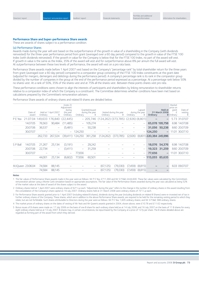#### **Performance Share and Super-performance Share awards**

These are awards of shares subject to a performance condition.

#### (a) Performance Shares

Awards made during the year will vest based on the outperformance of the growth in value of a shareholding in the Company (with dividends reinvested) for the three-year performance period from grant (averaged over a 60 day period) compared to the growth in value of the FTSE 100 Index (with dividends reinvested). If the growth in value for the Company is below that for the FTSE 100 Index, no part of the award will vest. If growth in value is the same as the Index, 35% of the award will vest and for outperformance above 8% per annum the full award will vest. At outperformance between these two levels of performance, the award will vest on a pro rata basis.

Performance Share awards made before 1 April 2007 vest based on the Company's "percentage rank" by total shareholder return for the three years from grant (averaged over a 60 day period) compared to a comparator group consisting of the FTSE 100 Index constituents at the grant date (adjusted for mergers, demergers and delistings during the performance period). A company's percentage rank is its rank in the comparator group divided by the number of companies in the group at the end of the performance period expressed as a percentage. At a percentage rank below 50% no shares vest. At a rank of 50%, 35% of the shares vest and at 75% all the shares vest. Between these points shares vest pro rata.

These performance conditions were chosen to align the interests of participants and shareholders by linking remuneration to shareholder returns relative to a comparator index of which the Company is a constituent. The Committee determines whether conditions have been met based on calculations prepared by the Committee's remuneration advisers.

Performance Share awards of ordinary shares and related B shares are detailed below.

|                  | Date of<br>award | Ordinary | Held at 1 April 2007<br>B | (note 2)<br>Adjustment<br>during<br>the year<br>Ordinary | Ordinary                 | Granted/issued<br>during the year<br>B | Ordinary                                       | Vested during the year<br>B | Ordinary | Lapsed<br>during the year<br>B | Ordinary                | Held at<br>31 March 2008 | Market<br>price on<br>grant<br>£<br><b>B</b> Ordinary | Date of<br>vesting<br>B |
|------------------|------------------|----------|---------------------------|----------------------------------------------------------|--------------------------|----------------------------------------|------------------------------------------------|-----------------------------|----------|--------------------------------|-------------------------|--------------------------|-------------------------------------------------------|-------------------------|
| P E Yea          | 21.07.04         |          | 49,633 176,840            | (22,445)                                                 |                          |                                        | $-205,746$ (124,262) (373,785) (2,926) (8,801) |                             |          |                                |                         |                          |                                                       | 5.73 31.07.07           |
|                  | 14.07.05         | 76,563   | 90.484                    | (11, 485)                                                | $\overline{\phantom{0}}$ | 105,274                                |                                                |                             |          |                                |                         | 65,078 195,758           |                                                       | 6.98 14.07.08           |
|                  | 20.07.06         | 36,537   | -                         | (5,481)                                                  | $\overline{\phantom{0}}$ | 50,238                                 |                                                |                             |          |                                | 31.056                  | 50,238                   |                                                       | 8.60 20.07.09           |
|                  | 30.07.07         |          |                           | -                                                        | 124,250                  | -                                      |                                                |                             |          | $\overline{\phantom{0}}$       | 124,250                 | -                        |                                                       | 11.01 30.07.10          |
|                  |                  | 262.733  | 267.324                   | (39, 411)                                                | 124,250                  | 361,258                                | (124, 262)                                     | (373,785)                   | (2,926)  |                                | (8,801) 220,384 245,996 |                          |                                                       |                         |
|                  |                  |          |                           |                                                          |                          |                                        |                                                |                             |          |                                |                         |                          |                                                       |                         |
| S P Ball         | 14.07.05         | 21,267   | 25,134                    | (3,191)                                                  |                          | 29,242                                 |                                                |                             |          |                                | 18,076                  | 54,376                   |                                                       | 6.98 14.07.08           |
|                  | 20.07.06         | 22,734   | $\overline{\phantom{a}}$  | (3,411)                                                  | $\overline{\phantom{0}}$ | 31,259                                 |                                                |                             |          |                                | 19,323                  | 31,259                   |                                                       | 8.60 20.07.09           |
|                  | 30.07.07         |          |                           | -                                                        | 77,656                   |                                        |                                                |                             |          |                                | 77,656                  | -                        |                                                       | 11.01 30.07.10          |
|                  |                  | 44,001   | 25,134                    | (6,602)                                                  | 77,656                   | 60,501                                 |                                                |                             |          | $\overline{\phantom{0}}$       | 115,055 85,635          |                          |                                                       |                         |
|                  |                  |          |                           |                                                          |                          |                                        |                                                |                             |          |                                |                         |                          |                                                       |                         |
| MJQueen 23.06.04 |                  | 74,584   | 88,145                    |                                                          |                          | -                                      | (67, 125)                                      | (79, 330)                   | (7,459)  | (8,815)                        |                         |                          |                                                       | 6.03 09.07.07           |
|                  |                  | 74,584   | 88.145                    |                                                          |                          | -                                      | (67, 125)                                      | (79,330)                    | (7,459)  | (8,815)                        |                         |                          |                                                       |                         |
|                  |                  |          |                           |                                                          |                          |                                        |                                                |                             |          |                                |                         |                          |                                                       |                         |

#### **Notes**

1 The fair values of Performance Share awards made in the year were as follows: Mr P E Yea, £711,360 and Mr S P Ball, £444,600. These fair values were calculated by the Committee's remuneration adviser using a Monte Carlo simulation based on appropriate assumptions. The fair value of the Performance Shares awarded during the year was calculated as being 52% of the market value at the date of award of the shares subject to the award.

2 Ordinary shares held at 1 April 2007 were ordinary shares of 62<sup>69</sup>/89 each. "Adjustment during the year" refers to the change in the number of ordinary shares in the award resulting from the consolidation of the Company's share capital on 16 July 2007. Ordinary shares held at 31 March 2008 were ordinary shares of 73<sup>19</sup>/<sub>22</sub>p each.

3 For Performance Share awards granted prior to 1 April 2007 (including related B shares), dividends during the year (including dividends on related B Shares) were re-invested net of tax in further ordinary shares of the Company. These shares, which are in addition to the above Performance Share awards, are required to be held for the remaining vesting period to which they relate, but are not forfeitable. Such shares attributable to Directors during the year were as follows: Mr P E Yea, 1,605 ordinary shares; and Mr S P Ball, 588 ordinary shares.

4 The market prices of ordinary shares on the dates of vesting of Mr Yea's and Mr Queen's awards granted in 2004, shown above, were £10.78 and £11.62 respectively.

5 Bonus issues of B shares were made on: 17 July 2006 on the basis of one B share for each ordinary share held as at 14 July 2006; and 16 July 2007 on the basis of 11 B shares for every eight ordinary shares held as at 13 July 2007. B shares may, in certain circumstances, be repurchased by the Company at a price of 127p per share. The B shares detailed above are regarded as forming part of the award from which they derived.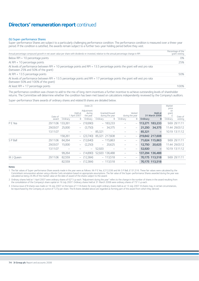# **Directors' remuneration report** continued

#### (b) Super-performance Shares

Super-performance Shares are subject to a particularly challenging performance condition. The performance condition is measured over a three-year period. If the condition is satisfied, the awards remain subject to a further two-year holding period before they vest.

| Annual percentage compound growth in net asset value per share with dividends re-invested, relative to the annual percentage change in RPI                       | Percentage of the<br>grant vesting |
|------------------------------------------------------------------------------------------------------------------------------------------------------------------|------------------------------------|
| Below RPI + 10 percentage points                                                                                                                                 | 0%                                 |
| At RPI + 10 percentage points                                                                                                                                    | 25%                                |
| At levels of performance between RPI + 10 percentage points and RPI + 13.5 percentage points the grant will vest pro rata<br>(between 25% and 50% of the grant)  |                                    |
| At RPI + 13.5 percentage points                                                                                                                                  | 50%                                |
| At levels of performance between RPI + 13.5 percentage points and RPI + 17 percentage points the grant will vest pro rata<br>(between 50% and 100% of the grant) |                                    |
| At least RPI + 17 percentage points                                                                                                                              | 100%                               |

The performance condition was chosen to add to the mix of long-term incentives a further incentive to achieve outstanding levels of shareholder returns. The Committee will determine whether the condition has been met based on calculations independently reviewed by the Company's auditors.

Super-performance Share awards of ordinary shares and related B shares are detailed below.

|           |                  | (note 2)<br>Adjustment |                          |                          |                          |                                   |          |                           | Market<br>price<br>on |                                 |            |                |
|-----------|------------------|------------------------|--------------------------|--------------------------|--------------------------|-----------------------------------|----------|---------------------------|-----------------------|---------------------------------|------------|----------------|
|           | Date of          |                        | Held at<br>1 April 2007  | during<br>the year       |                          | Granted/Issued<br>during the year |          | Vested<br>during the year |                       | <b>Held at</b><br>31 March 2008 | grant<br>£ | Date of        |
|           | award            | Ordinary               | B                        | Ordinary                 | Ordinary                 | B                                 | Ordinary | B                         | Ordinary              | B                               | Ordinary   | vesting        |
| P E Yea   | 29.11.06 133,261 |                        | -                        | (19,990)                 |                          | $-183,233$                        |          |                           |                       | 113,271 183,233                 |            | 9.69 29.11.11  |
|           | 29.03.07         | 25,000                 | -                        | (3,750)                  | $\overline{\phantom{0}}$ | 34,375                            |          |                           | 21,250                | 34,375                          |            | 11.44 29.03.12 |
|           | 13.11.07         |                        |                          | $\overline{\phantom{0}}$ | 85,321                   |                                   |          |                           | 85,321                |                                 |            | 10.19 13.11.12 |
|           |                  | 158,261                |                          | (23,740)                 | 85,321                   | 217.608                           |          |                           |                       | 219,842 217,608                 |            |                |
| S P Ball  | 29.11.06         | 84,264                 | $\overline{\phantom{0}}$ | (12,640)                 |                          | $-115,863$                        |          |                           |                       | 71,624 115,863                  |            | 9.69 29.11.11  |
|           | 29.03.07         | 15,000                 | -                        | (2,250)                  | $\overline{\phantom{0}}$ | 20,625                            |          |                           | 12,750                | 20,625                          |            | 11.44 29.03.12 |
|           | 13.11.07         |                        |                          | $-$                      | 52,920                   |                                   |          |                           | 52,920                |                                 |            | 10.19 13.11.12 |
|           |                  | 99,264                 | -                        | (14,890)                 |                          | 52,920 136,488                    |          |                           |                       | 137,294 136,488                 |            |                |
| M J Queen | 29.11.06         | 82,559                 | -                        | (12, 384)                |                          | $-113,518$                        |          |                           |                       | 70,175 113,518                  |            | 9.69 29.11.11  |
|           |                  | 82,559                 |                          | $-$ (12,384)             |                          | $-113.518$                        |          |                           |                       | 70.175 113.518                  |            |                |

#### **Notes**

1 The fair values of Super-performance Share awards made in the year were as follows: Mr P E Yea, £212,036 and Mr S P Ball, £131,516. These fair values were calculated by the Committee's remuneration adviser using a Monte Carlo simulation based on appropriate assumptions. The fair value of the Super-performance Shares awarded during the year was calculated as being 24.4% of the market value at the date of award of the shares subject to the award.

2 Ordinary shares held at 1 April 2007 were ordinary shares of 62<sup>89</sup>/88p each. "Adjustment during the year" refers to the change in the number of shares in the award resulting from the consolidation of the Company's share capital on 16 July 2007. Ordinary shares held at 31 March 2008 were ordinary shares of 73<sup>19</sup>/22p each.

3 A bonus issue of B shares was made on 16 July 2007 on the basis of 11 B shares for every eight ordinary shares held as at 13 July 2007. B shares may, in certain circumstances, be repurchased by the Company at a price of 127p per share. The B shares detailed above are regarded as forming part of the award from which they derived.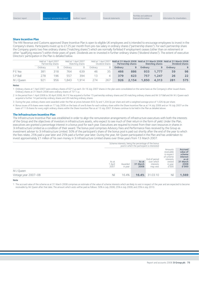#### **Share Incentive Plan**

The HM Revenue and Customs approved Share Incentive Plan is open to eligible UK employees and is intended to encourage employees to invest in the Company's shares. Participants invest up to £125 per month from pre-tax salary in ordinary shares ("partnership shares"). For each partnership share the Company grants two free ordinary shares ("matching shares") which are normally forfeited if employment ceases (other than on retirement or other "qualifying reasons") within three years of grant. Dividends are re-invested in further ordinary shares ("dividend shares"). The extent of executive Directors' participation in the Plan is detailed below.

|           | Held at 1 April 2007<br>Partnership shares |     | Held at 1 April 2007<br>Matching shares |       | Dividend shares |          | <b>Partnership shares</b> |       | <b>Matching shares</b> |       | Held at 1 April 2007 Held at 31 March 2008 Held at 31 March 2008 Held at 31 March 2008<br><b>Dividend shares</b> |     |
|-----------|--------------------------------------------|-----|-----------------------------------------|-------|-----------------|----------|---------------------------|-------|------------------------|-------|------------------------------------------------------------------------------------------------------------------|-----|
|           | Ordinarv                                   | B   | Ordinarv                                | B     | Ordinarv        |          | Ordinary                  | в     | Ordinary               |       | Ordinary                                                                                                         | В   |
| P E Yea   | 381                                        | 318 | 764                                     | 639   | 46              | 35       | 466                       | 886   | 933                    | 1.777 | 59                                                                                                               | 98  |
| S P Ball  | 278                                        | 196 | 557                                     | 394   |                 | $\Delta$ | 379                       | 623   | 757                    | 1.247 | 26                                                                                                               | 22  |
| M J Oueen | 921                                        | 956 | 1.843                                   | 1.914 | 274             | 267      | 926                       | 2.154 | 1.850                  | 4.313 | 281                                                                                                              | 575 |

#### **Notes**

1 Ordinary shares at 1 April 2007 were ordinary shares of 62<sup>69</sup>/86p each. On 16 July 2007 shares in the plan were consolidated on the same basis as the Company's other issued shares. Ordinary shares at 31 March 2008 were ordinary shares of 7319⁄22p.

2 In the period from 1 April 2008 to 30 April 2008, Mr P E Yea acquired a further 15 partnership ordinary shares and 30 matching ordinary shares and Mr S P Ball and Mr M J Queen each acquired a further 14 partnership ordinary shares and 28 matching ordinary shares.

3 During the year, ordinary shares were awarded under the Plan at prices between 833.7p and 1,204.3p per share and with a weighted average price of 1,026.4p per share.

4 Bonus issues of B shares were made on 17 July 2006 on the basis of one B share for each ordinary share within the Share Incentive Plan as at 14 July 2006 and on 16 July 2007 on the basis of 11 B shares for every eight ordinary shares within the Share Incentive Plan as at 13 July 2007. B shares continue to be held in the Plan as detailed above.

#### **The Infrastructure Incentive Plan**

The Infrastructure Incentive Plan was established in order to align the remuneration arrangements of infrastructure executives with both the interests of the Group and the objectives of investors in infrastructure assets, who expect to see much of their return in the form of yield. Under the Plan, executives are granted a percentage interest in a bonus pool for each year. Executives are required to invest from their own resources in shares in 3i Infrastructure Limited as a condition of their award. The bonus pool comprises Advisory Fees and Performance Fees received by the Group as investment adviser to 3i Infrastructure Limited. 50% of the participant's share of the bonus pool is paid out shortly after the end of the year to which the fees relate, 25% paid a year later and 25% paid a further year later. During the year, Mr Queen participated in the Plan and has undertaken to invest approximately £1 million of his own money in 3i Infrastructure Limited shares over three years from 13 March 2007.

|                      |                          | Scheme interests, being the percentage of the bonus<br>pool in which the participant is interested |                           |                                                      |                                                                                             |                                                                                        |
|----------------------|--------------------------|----------------------------------------------------------------------------------------------------|---------------------------|------------------------------------------------------|---------------------------------------------------------------------------------------------|----------------------------------------------------------------------------------------|
|                      | As at<br>1 April<br>2007 | Awarded<br>in year                                                                                 | As at<br>31 March<br>2008 | End of period<br>over which<br>interests<br>may vest | Amounts<br>receivable<br>in respect<br>of scheme<br>interests<br>vested<br>in year<br>£'000 | <b>Accrued</b><br>value of<br>scheme<br>interest<br>as at<br>31 March<br>2008<br>£'000 |
| M J Queen            |                          |                                                                                                    |                           |                                                      |                                                                                             |                                                                                        |
| Vintage year 2007-08 | Nil                      | 16.4%                                                                                              | 16.4%                     | 31.03.10                                             | Nil                                                                                         | 1,569                                                                                  |

**Note**

1 The accrued value of the scheme as at 31 March 2008 comprises an estimate of the value of scheme interests which are likely to vest in respect of the year and are expected to become receivable by Mr Queen after that date. The amount which vests will be paid as follows: 50% in July 2008; 25% in July 2009; and 25% in July 2010.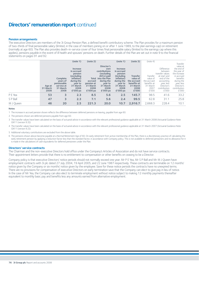# **Directors' remuneration report** continued

#### **Pension arrangements**

The executive Directors are members of the 3i Group Pension Plan, a defined benefit contributory scheme. The Plan provides for a maximum pension of two-thirds of final pensionable salary (limited, in the case of members joining on or after 1 June 1989, to the plan earnings cap) on retirement (normally at age 60). The Plan also provides death-in-service cover of four times final pensionable salary (limited to the earnings cap where this applies), pensions payable in the event of ill health and spouses' pensions on death. Further details of the Plan are set out in note 9 to the financial statements on pages 91 and 92.

|           |                            |                                                                       | (note 1)                                                                                                               | (note 2)                                                       |                                                                                                                                          | (note 1)                                                                                                               | (note 3)                                                                               | (note 4)                                                                        |                                                                                                                                                  | Transfer                                                                                                                                           |
|-----------|----------------------------|-----------------------------------------------------------------------|------------------------------------------------------------------------------------------------------------------------|----------------------------------------------------------------|------------------------------------------------------------------------------------------------------------------------------------------|------------------------------------------------------------------------------------------------------------------------|----------------------------------------------------------------------------------------|---------------------------------------------------------------------------------|--------------------------------------------------------------------------------------------------------------------------------------------------|----------------------------------------------------------------------------------------------------------------------------------------------------|
|           | Age at<br>31 March<br>2008 | Complete<br>years of<br>pensionable<br>service at<br>31 March<br>2008 | Increase<br>in accrued<br>pension<br>(excluding<br>inflation)<br>during the<br>year to<br>31 March<br>2008<br>£'000 pa | Total<br>accrued<br>pension at<br>31 March<br>2008<br>£'000 pa | Director's<br>own<br>contributions<br>(excluding<br>AVCs) paid<br>into the Plan<br>during the<br>year to<br>31 March<br>2008<br>£'000 pa | Increase<br>in accrued<br>pension<br>(including<br>inflation)<br>during the<br>year to<br>31 March<br>2008<br>£'000 pa | <b>Transfer</b><br>value of<br>the accrued<br>benefits at<br>31 March<br>2008<br>£'000 | Transfer<br>value of<br>the accrued<br>benefits at<br>31 March<br>2007<br>£'000 | <b>Difference</b><br>between<br>transfer values<br>at start and<br>end of the<br>accounting<br>year, less<br>Director's<br>contribution<br>£'000 | value at<br>the end of<br>the year of<br>the increase<br>in accrued<br>benefits<br>during the<br>year, less<br>Director's<br>contribution<br>£'000 |
| P E Yea   | 53                         | 3                                                                     | 2.3                                                                                                                    | 8.5                                                            | 5.6                                                                                                                                      | 2.5                                                                                                                    | 145.7                                                                                  | 98.5                                                                            | 41.6                                                                                                                                             | 33.2                                                                                                                                               |
| S P Ball  | 47                         | 3                                                                     | 2.3                                                                                                                    | 7.1                                                            | 5.6                                                                                                                                      | 2.4                                                                                                                    | 99.5                                                                                   | 62.8                                                                            | 31.1                                                                                                                                             | 25.8                                                                                                                                               |
| M J Queen | 46                         | 20                                                                    | 2.5                                                                                                                    | 221.3                                                          | 20.0                                                                                                                                     | 10.7                                                                                                                   | 2,916.7                                                                                | 2,668.3                                                                         | 228.4                                                                                                                                            | 10.1                                                                                                                                               |

#### **Notes**

1 The increase in accrued pension shown reflects the difference between deferred pensions on leaving, payable from age 60.

2 The pensions shown are deferred pensions payable from age 60.

3 The transfer values have been calculated on the basis of actuarial advice in accordance with the relevant professional guidance applicable at 31 March 2008 (Actuarial Guidance Note GN11 (version 9.3)).

4 The transfer values have been calculated on the basis of actuarial advice in accordance with the relevant professional guidance applicable at 31 March 2007 (Actuarial Guidance Note GN11 (version 9.2)).

5 Additional voluntary contributions are excluded from the above table.

6 The pensions shown above become payable at a Normal Retirement Age of 60. On early retirement from active membership of the Plan, there is a discretionary practice of calculating the early retirement pension by applying a reduction factor less than the standard factor, in accordance with Company policy. This is not available to deferred pensioners and no allowance for it is made in the calculations of cash equivalents for deferred pensioners under the Plan.

#### **Directors' service contracts**

The Chairman and the non-executive Directors hold office under the Company's Articles of Association and do not have service contracts. Their appointment letters provide that there is no entitlement to compensation or other benefits on ceasing to be a Director.

Company policy is that executive Directors' notice periods should not normally exceed one year. Mr P E Yea, Mr S P Ball and Mr M J Queen have employment contracts with 3i plc dated 27 July 2004, 19 April 2005, and 22 June 1987 respectively. These contracts are terminable on 12 months' notice given by the Company or six months' notice given by the employee. Save for these notice periods the contracts have no unexpired terms. There are no provisions for compensation of executive Directors on early termination save that the Company can elect to give pay in lieu of notice. In the case of Mr Yea, the Company can also elect to terminate employment without notice subject to making 12 monthly payments thereafter equivalent to monthly basic pay and benefits less any amounts earned from alternative employment.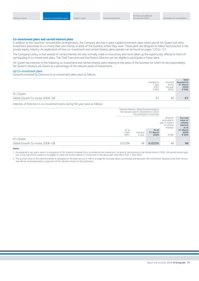#### **Co-investment plans and carried interest plans**

In addition to the Directors' remuneration arrangements, the Company also has in place capital investment plans which permit Mr Queen and other investment executives to co-invest their own money in areas of the business where they work. These plans are designed to follow best practice in the private equity industry. An explanation of how co-investment and carried interest plans operate can be found on pages 120 to 121.

The Company's policy is that awards of carried interest are only normally made to executives who have taken up the opportunity offered to them of participating in co-investment plans. The Chief Executive and the Finance Director are not eligible to participate in these plans.

Mr Queen has interests in the following co-investment and carried interest plans relating to the areas of the business for which he has responsibility. Mr Queen's interests are shown as a percentage of the relevant pools of investments.

#### (a) Co-investment plans

Amounts invested by Directors in co-investment plans were as follows:

|                                 | Invested to<br>1 April<br>2007<br>£'000 | Invested<br>during<br>the year<br>£'000 | Total<br>invested to<br>31 March<br>2008<br>£'000 |
|---------------------------------|-----------------------------------------|-----------------------------------------|---------------------------------------------------|
| M J Queen                       |                                         |                                         |                                                   |
| Global Growth Co-invest 2006-08 | -97                                     | Nil                                     | 9 <sup>7</sup>                                    |
|                                 |                                         |                                         |                                                   |

Interests of Directors in co-investment plans during the year were as follows:

|                                 |                          | Scheme interests, being the percentage of<br>the relevant pool of investments in which | the participant is interested |                                                                       |                                                           |
|---------------------------------|--------------------------|----------------------------------------------------------------------------------------|-------------------------------|-----------------------------------------------------------------------|-----------------------------------------------------------|
|                                 |                          |                                                                                        |                               | Amounts<br>receivable in<br>year in respect<br>of scheme<br>interests | <b>Accrued</b><br>value of<br>scheme<br>interest<br>as at |
|                                 | As at<br>1 April<br>2007 | Acquired<br>in year                                                                    | As at<br>31 March<br>2008     | £'000                                                                 | 31 March<br>2008<br>£'000                                 |
| M J Oueen                       |                          |                                                                                        |                               |                                                                       |                                                           |
| Global Growth Co-invest 2006-08 | 0.023%                   | Nil                                                                                    | 0.023%                        | Nil                                                                   | <b>Nil</b>                                                |

#### **Notes**

1 As explained in last year's report, in recognition of Mr Queen's increased focus on infrastructure investment, his level of participation in the Global Growth 2006–08 carried interest plan was cut by half and he ceased to be eligible to make any further related co-investment in the above plan with effect from 1 April 2007.

2 The accrued value of the scheme interest is calculated on the basis set out in note 5 on page 89. Accrued values can increase and decrease with investment valuations and other factors and will not necessarily lead to a payment of the relevant amount to the participant.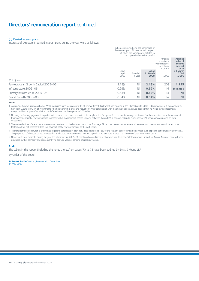# **Directors' remuneration report** continued

#### (b) Carried interest plans

Interests of Directors in carried interest plans during the year were as follows:

|                                     | the relevant pool of investments in respect | Scheme interests, being the percentage of | of which the participant is entitled to<br>participate in the realised profits |                                                           |                           |
|-------------------------------------|---------------------------------------------|-------------------------------------------|--------------------------------------------------------------------------------|-----------------------------------------------------------|---------------------------|
|                                     |                                             |                                           | Amounts<br>receivable in<br>year in respect<br>of scheme<br>interests          | <b>Accrued</b><br>value of<br>scheme<br>interest<br>as at |                           |
|                                     | As at<br>1 April<br>2007                    | Awarded<br>in year                        | As at<br>31 March<br>2008                                                      | £'000                                                     | 31 March<br>2008<br>£'000 |
| M J Queen                           |                                             |                                           |                                                                                |                                                           |                           |
| Pan-european Growth Capital 2005-06 | 2.18%                                       | Nil                                       | 2.18%                                                                          | 209                                                       | 1,155                     |
| Infrastructure 2005-06              | 0.69%                                       | Nil                                       | 0.69%                                                                          | Nil                                                       | see note 5                |
| Primary Infrastructure 2005-06      | 0.53%                                       | Nil                                       | 0.53%                                                                          | Nil                                                       | <b>Nil</b>                |
| Global Growth 2006-08               | 0.34%                                       | Nil                                       | 0.34%                                                                          | Nil                                                       | <b>Nil</b>                |

#### **Notes**

1 As explained above, in recognition of Mr Queen's increased focus on infrastructure investment, his level of participation in the Global Growth 2006–08 carried interest plan was cut by half, from 0.68% to 0.34% of investments (the figure shown is after this reduction). After consultation with major shareholders, it was decided that he would instead receive an exceptional bonus, part of which is to be deferred over the three years to 2009-10.

2 Normally, before any payment to a participant becomes due under the carried interest plans, the Group and funds under its management must first have received back the amount of their investment in the relevant vintage together with a management charge (ranging between 1% and 2.5% per annum) and a hurdle rate of 8% per annum compound on their investment.

3 The accrued values of the scheme interests are calculated on the basis set out in note 5 on page 89. Accrued values can increase and decrease with investment valuations and other factors and will not necessarily lead to a payment of the relevant amount to the participant.

4 The total carried interest, for all executives eligible to participate in each plan, does not exceed 15% of the relevant pool of investments made over a specific period (usually two years). The proportion of the total carried interest that is allocated to an executive Director depends, amongst other matters, on the size of their investment team.

5 No accrued value available. During the year the Infrastructure 2005-06 assets and carried interest plan were transferred to 3i Infrastructure Limited. No Annual Accounts have yet been produced by that company and consequently no accrued value of scheme interest is available.

#### **Audit**

The tables in this report (including the notes thereto) on pages 70 to 78 have been audited by Ernst & Young LLP.

By Order of the Board

**Sir Robert Smith** Chairman, Remuneration Committee 14 May 2008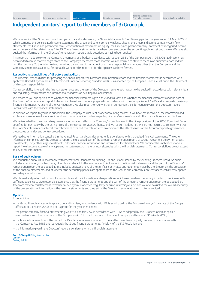### **Independent auditors' report to the members of 3i Group plc**

We have audited the Group and parent company financial statements (the "financial statements") of 3i Group plc for the year ended 31 March 2008 which comprise the Consolidated income statement, the Group and parent company Balance sheets, the Group and parent company Cash flow statements, the Group and parent company Reconciliation of movements in equity, the Group and parent company Statement of recognised income and expense and the related notes 1 to 35. These financial statements have been prepared under the accounting policies set out therein. We have also audited the information in the Directors' remuneration report that is described as having been audited.

This report is made solely to the Company's members, as a body, in accordance with section 235 of the Companies Act 1985. Our audit work has been undertaken so that we might state to the Company's members those matters we are required to state to them in an auditors' report and for no other purpose. To the fullest extent permitted by law, we do not accept or assume responsibility to anyone other than the Company and the Company's members as a body, for our audit work, for this report, or for the opinions we have formed.

#### **Respective responsibilities of directors and auditors**

The directors' responsibilities for preparing the Annual Report, the Directors' remuneration report and the financial statements in accordance with applicable United Kingdom law and International Financial Reporting Standards (IFRSs) as adopted by the European Union are set out in the Statement of directors' responsibilities.

Our responsibility is to audit the financial statements and the part of the Directors' remuneration report to be audited in accordance with relevant legal and regulatory requirements and International Standards on Auditing (UK and Ireland).

We report to you our opinion as to whether the financial statements give a true and fair view and whether the financial statements and the part of the Directors' remuneration report to be audited have been properly prepared in accordance with the Companies Act 1985 and, as regards the Group financial information, Article 4 of the IAS Regulation. We also report to you whether in our opinion the information given in the Directors' report is consistent with the financial statements.

In addition we report to you if, in our opinion, the Company has not kept proper accounting records, if we have not received all the information and explanations we require for our audit, or if information specified by law regarding directors' remuneration and other transactions are not disclosed.

We review whether the corporate governance information reflects the Company's compliance with the nine provisions of the 2006 Combined Code specified for our review by the Listing Rules of the Financial Services Authority, and we report if it does not. We are not required to consider whether the Board's statements on internal control cover all risks and controls, or form an opinion on the effectiveness of the Group's corporate governance procedures or its risk and control procedures.

We read other information contained in the Annual Report and consider whether it is consistent with the audited financial statements. The other information comprises only the Directors' report, the unaudited part of the Directors' remuneration report, 3i Group investment policy, Ten largest investments, Forty other large investments, additional financial information and information for shareholders. We consider the implications for our report if we become aware of any apparent misstatements or material inconsistencies with the financial statements. Our responsibilities do not extend to any other information.

#### **Basis of audit opinion**

We conducted our audit in accordance with International Standards on Auditing (UK and Ireland) issued by the Auditing Practices Board. An audit includes examination, on a test basis, of evidence relevant to the amounts and disclosures in the financial statements and the part of the Directors' remuneration report to be audited. It also includes an assessment of the significant estimates and judgments made by the directors in the preparation of the financial statements, and of whether the accounting policies are appropriate to the Group's and Company's circumstances, consistently applied and adequately disclosed.

We planned and performed our audit so as to obtain all the information and explanations which we considered necessary in order to provide us with sufficient evidence to give reasonable assurance that the financial statements and the part of the Directors' remuneration report to be audited are free from material misstatement, whether caused by fraud or other irregularity or error. In forming our opinion we also evaluated the overall adequacy of the presentation of information in the financial statements and the part of the Directors' remuneration report to be audited.

#### **Opinion**

In our opinion:

- the Group financial statements give a true and fair view, in accordance with IFRSs as adopted by the European Union, of the state of the Group's affairs as at 31 March 2008 and of its profit for the year then ended;
- the parent company financial statements give a true and fair view, in accordance with IFRSs as adopted by the European Union as applied in accordance with the provisions of the Companies Act 1985, of the state of the parent company's affairs as at 31 March 2008;
- the financial statements and the part of the Directors' remuneration report to be audited have been properly prepared in accordance with the Companies Act 1985 and, as regards the Group financial statements, Article 4 of the IAS Regulation; and
- the information given in the Directors' report is consistent with the financial statements.

### **Ernst & Young LLP** Registered auditor

London 14 May 2008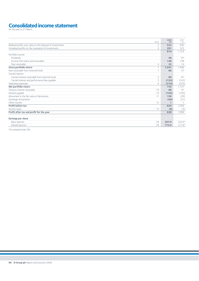# Consolidated income statement

| Notes<br>Realised profits over value on the disposal of investments<br>$\overline{2}$<br>Unrealised profits on the revaluation of investments<br>3<br>Portfolio income<br><b>Dividends</b><br>Income from loans and receivables<br>Fees receivable<br>4<br>Gross portfolio return<br>1<br>Fees receivable from external funds<br>1<br>Carried interest<br>Carried interest receivable from external funds<br>5<br>Carried interest and performance fees payable<br>5<br>6<br>Operating expenses<br>Net portfolio return<br>Treasury interest receivable<br>10<br>Interest payable<br>10<br>Movement in the fair value of derivatives<br>11<br>Exchange movements<br>Other income<br>12<br>Profit before tax<br>13<br>Income taxes<br>Profit after tax and profit for the year<br>Earnings per share |            |            |
|-----------------------------------------------------------------------------------------------------------------------------------------------------------------------------------------------------------------------------------------------------------------------------------------------------------------------------------------------------------------------------------------------------------------------------------------------------------------------------------------------------------------------------------------------------------------------------------------------------------------------------------------------------------------------------------------------------------------------------------------------------------------------------------------------------|------------|------------|
|                                                                                                                                                                                                                                                                                                                                                                                                                                                                                                                                                                                                                                                                                                                                                                                                     | 2008<br>£m | 2007<br>£m |
|                                                                                                                                                                                                                                                                                                                                                                                                                                                                                                                                                                                                                                                                                                                                                                                                     | 523        | 830        |
|                                                                                                                                                                                                                                                                                                                                                                                                                                                                                                                                                                                                                                                                                                                                                                                                     | 291        | 323        |
|                                                                                                                                                                                                                                                                                                                                                                                                                                                                                                                                                                                                                                                                                                                                                                                                     | 814        | 1,153      |
|                                                                                                                                                                                                                                                                                                                                                                                                                                                                                                                                                                                                                                                                                                                                                                                                     |            |            |
|                                                                                                                                                                                                                                                                                                                                                                                                                                                                                                                                                                                                                                                                                                                                                                                                     | 56         | 81         |
|                                                                                                                                                                                                                                                                                                                                                                                                                                                                                                                                                                                                                                                                                                                                                                                                     | 149        | 158        |
|                                                                                                                                                                                                                                                                                                                                                                                                                                                                                                                                                                                                                                                                                                                                                                                                     | 22         | 14         |
|                                                                                                                                                                                                                                                                                                                                                                                                                                                                                                                                                                                                                                                                                                                                                                                                     | 1,041      | 1,406      |
|                                                                                                                                                                                                                                                                                                                                                                                                                                                                                                                                                                                                                                                                                                                                                                                                     | 60         | 37         |
|                                                                                                                                                                                                                                                                                                                                                                                                                                                                                                                                                                                                                                                                                                                                                                                                     |            |            |
|                                                                                                                                                                                                                                                                                                                                                                                                                                                                                                                                                                                                                                                                                                                                                                                                     | 60         | 81         |
|                                                                                                                                                                                                                                                                                                                                                                                                                                                                                                                                                                                                                                                                                                                                                                                                     | (152)      | (142)      |
|                                                                                                                                                                                                                                                                                                                                                                                                                                                                                                                                                                                                                                                                                                                                                                                                     | (274)      | (255)      |
|                                                                                                                                                                                                                                                                                                                                                                                                                                                                                                                                                                                                                                                                                                                                                                                                     | 735        | 1,127      |
|                                                                                                                                                                                                                                                                                                                                                                                                                                                                                                                                                                                                                                                                                                                                                                                                     | 89         | 91         |
|                                                                                                                                                                                                                                                                                                                                                                                                                                                                                                                                                                                                                                                                                                                                                                                                     | (105)      | (100)      |
|                                                                                                                                                                                                                                                                                                                                                                                                                                                                                                                                                                                                                                                                                                                                                                                                     | 158        | (29)       |
|                                                                                                                                                                                                                                                                                                                                                                                                                                                                                                                                                                                                                                                                                                                                                                                                     | (44)       | (31)       |
|                                                                                                                                                                                                                                                                                                                                                                                                                                                                                                                                                                                                                                                                                                                                                                                                     | 1          |            |
|                                                                                                                                                                                                                                                                                                                                                                                                                                                                                                                                                                                                                                                                                                                                                                                                     | 834        | 1,059      |
|                                                                                                                                                                                                                                                                                                                                                                                                                                                                                                                                                                                                                                                                                                                                                                                                     | (6)        | (3)        |
|                                                                                                                                                                                                                                                                                                                                                                                                                                                                                                                                                                                                                                                                                                                                                                                                     | 828        | 1,056      |
|                                                                                                                                                                                                                                                                                                                                                                                                                                                                                                                                                                                                                                                                                                                                                                                                     |            |            |
|                                                                                                                                                                                                                                                                                                                                                                                                                                                                                                                                                                                                                                                                                                                                                                                                     |            |            |
| Basic (pence)<br>29                                                                                                                                                                                                                                                                                                                                                                                                                                                                                                                                                                                                                                                                                                                                                                                 | 207.9      | $220.4*$   |
| Diluted (pence)<br>29                                                                                                                                                                                                                                                                                                                                                                                                                                                                                                                                                                                                                                                                                                                                                                               | 173.4      | $217.9*$   |

\*As restated (note 29).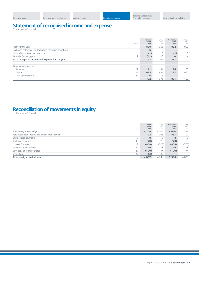| Directors' report |  |
|-------------------|--|
|                   |  |

# **Statement of recognised income and expense**

| Notes                                                     | Group<br>2008<br>£m | Group<br>2007<br>£m | Company<br>2008<br>£m | Company<br>2007<br>£m |
|-----------------------------------------------------------|---------------------|---------------------|-----------------------|-----------------------|
| Profit for the year                                       | 828                 | 1.056               | 882                   | 1,099                 |
| Exchange differences on translation of foreign operations | 6                   |                     |                       |                       |
| Revaluation of own-use property                           | (1)                 |                     | (1)                   |                       |
| Actuarial (losses)/gains<br>9                             | (41)                | 13                  |                       |                       |
| Total recognised income and expense for the year          | 792                 | 1,075               | 881                   | 1,100                 |
|                                                           |                     |                     |                       |                       |
| Analysed in reserves as:                                  |                     |                     |                       |                       |
| 27<br>Revenue                                             | 111                 | 134                 | 94                    | 88                    |
| Capital<br>27                                             | 675                 | 936                 | 787                   | 1,012                 |
| 27<br>Translation reserve                                 | 6                   |                     |                       |                       |
|                                                           | 792                 | 1,075               | 881                   | 1,100                 |

# Reconciliation of movements in equity

|                                                  | Notes | Group<br>2008<br>£m | Group<br>2007<br>£m | Company<br>2008<br>£m | Company<br>2007<br>£m |
|--------------------------------------------------|-------|---------------------|---------------------|-----------------------|-----------------------|
| Total equity at start of year                    |       | 4,249               | 4,006               | 4,020                 | 3,746                 |
| Total recognised income and expense for the year |       | 792                 | 1.075               | 881                   | 1,100                 |
| Share-based payments                             | 8     | 8                   | 9                   | 8                     | 9                     |
| Ordinary dividends                               | 30    | (70)                | (79)                | (70)                  | (79)                  |
| Issue of B shares                                | 22    | (808)               | (700)               | (808)                 | (700)                 |
| Issues of ordinary shares                        | 27    | 19                  | 18                  | 19                    | 18                    |
| Buy-back of ordinary shares                      | 27    | (120)               | (74)                | (120)                 | (74)                  |
| Own shares                                       | 27    | (13)                | (6)                 |                       |                       |
| Total equity at end of year                      |       | 4,057               | 4,249               | 3,930                 | 4,020                 |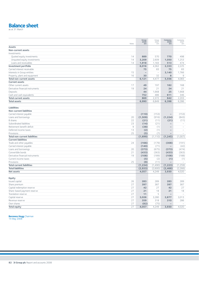# Balance sheet

|                                      | Notes          | Group<br>2008<br>£m | Group<br>2007<br>£m      | Company<br>2008<br>£m    | Company<br>2007<br>£m    |
|--------------------------------------|----------------|---------------------|--------------------------|--------------------------|--------------------------|
| <b>Assets</b>                        |                |                     |                          |                          |                          |
| Non-current assets                   |                |                     |                          |                          |                          |
| Investments                          |                |                     |                          |                          |                          |
| Quoted equity investments            | 14             | 889                 | 570                      | 770                      | 498                      |
| Unquoted equity investments          | 14             | 3,209               | 2,609                    | 1,050                    | 1,253                    |
| Loans and receivables                | 14             | 1,918               | 1,183                    | 513                      | 474                      |
| Investment portfolio                 |                | 6,016               | 4,362                    | 2,333                    | 2,225                    |
| Carried interest receivable          |                | 75                  | 83                       | 75                       | 83                       |
| Interests in Group entities          | 15             |                     | $\overline{\phantom{a}}$ | 3,140                    | 1,766                    |
| Property, plant and equipment        | 16             | 30                  | 32                       | 8                        | 9                        |
| <b>Total non-current assets</b>      |                | 6,121               | 4,477                    | 5,556                    | 4,083                    |
| <b>Current assets</b>                |                |                     |                          |                          |                          |
| Other current assets                 | 17             | 49                  | 197                      | 182                      | 168                      |
| Derivative financial instruments     | 19             | 24                  | 21                       | 24                       | 21                       |
| Deposits                             |                | 44                  | 1,668                    | 25                       | 1,668                    |
| Cash and cash equivalents            |                | 752                 | 486                      | 611                      | 346                      |
| <b>Total current assets</b>          |                | 869                 | 2,372                    | 842                      | 2.203                    |
| <b>Total assets</b>                  |                | 6,990               | 6,849                    | 6,398                    | 6,286                    |
|                                      |                |                     |                          |                          |                          |
| <b>Liabilities</b>                   |                |                     |                          |                          |                          |
| <b>Non-current liabilities</b>       |                |                     |                          |                          |                          |
| Carried interest payable             |                | (110)               | (153)                    | $\overline{\phantom{0}}$ | (153)                    |
| Loans and borrowings                 | 20             | (1,509)             | (916)                    | (1, 224)                 | (843)                    |
| <b>B</b> shares                      | 22             | (21)                | (11)                     | (21)                     | (11)                     |
| Subordinated liabilities             | 23             | (14)                | (21)                     | $\overline{\phantom{0}}$ | $\overline{\phantom{a}}$ |
| Retirement benefit deficit           | $\overline{9}$ | (38)                | (1)                      |                          | ٠                        |
| Deferred income taxes                | 13             | (2)                 | (1)                      | $\overline{\phantom{0}}$ | $\overline{\phantom{a}}$ |
| Provisions                           | 25             | (5)                 | (7)                      | $\qquad \qquad -$        | $\overline{\phantom{a}}$ |
| <b>Total non-current liabilities</b> |                | (1,699)             | (1, 110)                 | (1, 245)                 | (1,007)                  |
| <b>Current liabilities</b>           |                |                     |                          |                          |                          |
| Trade and other payables             | 24             | (166)               | (179)                    | (308)                    | (191)                    |
| Carried interest payable             |                | (140)               | (71)                     | $\overline{\phantom{0}}$ | (42)                     |
| Loans and borrowings                 | 20             | (373)               | (675)                    | (373)                    | (474)                    |
| Convertible bonds                    | 21             | (433)               | (363)                    | (433)                    | (363)                    |
| Derivative financial instruments     | 19             | (108)               | (189)                    | (108)                    | (188)                    |
| Current income taxes                 |                | (5)                 | (2)                      | (1)                      | (1)                      |
| Provisions                           | 25             | (9)                 | (11)                     |                          |                          |
| <b>Total current liabilities</b>     |                | (1, 234)            | (1,490)                  | (1, 223)                 | (1, 259)                 |
| <b>Total liabilities</b>             |                | (2,933)             | (2,600)                  | (2, 468)                 | (2, 266)                 |
| <b>Net assets</b>                    |                | 4,057               | 4,249                    | 3,930                    | 4,020                    |
|                                      |                |                     |                          |                          |                          |
| Equity                               | 26             | 283                 | 289                      |                          | 289                      |
| Issued capital                       |                |                     |                          | 283                      |                          |
| Share premium                        | 27<br>27       | 397                 | 387<br>27                | 397                      | 387<br>27                |
| Capital redemption reserve           | 27             | 42<br>21            |                          | 42                       | 18                       |
| Share-based payment reserve          |                |                     | 18<br>5                  | 21                       |                          |
| Translation reserve                  | 27             | 11                  |                          |                          |                          |
| Capital reserve                      | 27             | 3,026               | 3,280                    | 2,877                    | 3,013                    |
| Revenue reserve                      | 27             | 359                 | 318                      | 310                      | 286                      |
| Own shares                           | 27             | (82)                | (75)                     |                          |                          |
| <b>Total equity</b>                  | 27             | 4,057               | 4,249                    | 3,930                    | 4,020                    |

**Baroness Hogg** Chairman 14 May 2008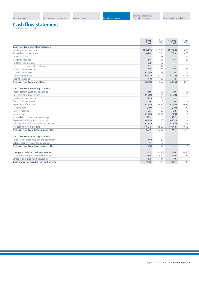**<sup>2008</sup>** <sup>2007</sup> **<sup>2008</sup>** <sup>2007</sup> **£m** £m **£m** £m

#### **Cash flow statement** for the year to 31 March

**Group** Group **Company**<br> **Company** 2008<br> **Company** 2007<br> **Company** 2008<br> **Company** 2008 **Cash flow from operating activities** Purchase of investments **(2,072)** (1,503) **(2,246)** (1,693) Proceeds from investments **1,824** 2,364 **1,733** 2,458 Interest received **47** 68 **21** 47 Dividends received **56** 66 **45** 30 Portfolio fees received **22** 17 **–** – Fees received from external funds **61** 37 **–** – Carried interest received **67** 76 **67** 76<br>
Carried interest naid **67** 76 **67** 76 7 76 Carried interest paid **(154)** (58) **–** – Operating expenses **(243)** (202) **(108)** (114) Income taxes paid **(7)** (8) **3** – **Net cash flow from operations (399)** 857 **(485)** 804 **Cash flow from financing activities** Proceeds from issues of share capital **19** 18 **19** 18 **19** 18 Buy-back of ordinary shares **(120)** (74) **(120)** (74) Purchase of own shares **(21)** (20) **–** – Disposal of own shares **8** 8 **–** – Repurchase of B shares **(798)** (689) **(798)** (689) Dividend paid **(70)** (79) **(70)** (79) Interest received **95** 80 **88** 73 Interest paid **(125)** (101) **(79)** (81) Proceeds from long-term borrowings **591** 1 **592** – Repayment of long-term borrowings<br>
Net cash flow from short-term borrowings<br> **(133)** 211 **(133)** 213<br>
213 Net cash flow from short-term borrowings **(133)** 211 **(133)** 213 Net cash flow from deposits **1,624** (560) **1,643 Net cash flow from financing activities 657** (1,207) **741** (1,235) **Cash flow from investing activities** Purchases of property, plant and equipment **(6)** (9) **–** – Sales of property, plant and equipment **1** 2 **–** 1 **Net cash flow from investing activities (5)** (7) **–** 1 **Change in cash and cash equivalents 253** (357) **256** (430) Cash and cash equivalents at start of year **486** 847 **346** 776 Effect of exchange rate fluctuations **13** (4) **9** – 2<br> **Cash and cash equivalents at end of year**  $\overline{\text{Cash and cash equivalents at end of year}}$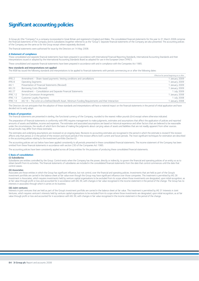# **Significant accounting policies**

3i Group plc (the "Company") is a company incorporated in Great Britain and registered in England and Wales. The consolidated financial statements for the year to 31 March 2008 comprise the financial statements of the Company and its subsidiaries (together referred to as the "Group"). Separate financial statements of the Company are also presented. The accounting policies of the Company are the same as for the Group except where separately disclosed.

The financial statements were authorised for issue by the Directors on 14 May 2008.

#### **A Statement of compliance**

These consolidated and separate financial statements have been prepared in accordance with International Financial Reporting Standards, International Accounting Standards and their interpretations issued or adopted by the International Accounting Standards Board as adopted for use in the European Union ("IFRS").

These consolidated and separate financial statements have been prepared in accordance with and in compliance with the Companies Act 1985.

#### **New standards and interpretations not applied**

The IASB has issued the following standards and interpretations to be applied to financial statements with periods commencing on or after the following dates:

|                   |                                                                                                   | Effective for period beginning on or after |
|-------------------|---------------------------------------------------------------------------------------------------|--------------------------------------------|
| IFRS 2            | Amendment – Share-based payments: Vesting conditions and cancellations                            | 1 January 2009                             |
| IFRS 8            | <b>Operating Segments</b>                                                                         | 1 January 2009                             |
| IAS <sub>1</sub>  | Presentation of Financial Statements (Revised)                                                    | 1 January 2009                             |
| IAS <sub>23</sub> | Borrowing Costs (Revised)                                                                         | 1 January 2009                             |
| <b>IAS 27</b>     | Amendment - Consolidation and Separate Financial Statements                                       | 1 July 2009                                |
| IFRIC 12          | Service Concession Arrangements                                                                   | 1 January 2008                             |
| IFRIC 13          | Customer Loyalty Payments                                                                         | 1 July 2008                                |
| IFRIC 14          | IAS 19 - The Limit on a Defined Benefit Asset, Minimum Funding Requirements and their Interaction | 1 January 2008                             |

The Directors do not anticipate that the adoption of these standards and interpretations will have a material impact on the financial statements in the period of initial application and have decided not to early adopt.

#### **B Basis of preparation**

The financial statements are presented in sterling, the functional currency of the Company, rounded to the nearest million pounds (£m) except where otherwise indicated.

The preparation of financial statements in conformity with IFRS requires management to make judgments, estimates and assumptions that affect the application of policies and reported amounts of assets and liabilities, income and expenses. The estimates and associated assumptions are based on historical experience and other factors that are believed to be reasonable under the circumstances, the results of which form the basis of making the judgments about carrying values of assets and liabilities that are not readily apparent from other sources. Actual results may differ from these estimates.

The estimates and underlying assumptions are reviewed on an ongoing basis. Revisions to accounting estimates are recognised in the period in which the estimate is revised if the revision affects only that period, or in the period of the revision and future periods if the revision affects both current and future periods. The most significant techniques for estimation are described in the accounting policies relating to the investment portfolio (Section E).

The accounting policies set out below have been applied consistently to all periods presented in these consolidated financial statements. The income statement of the Company has been omitted from these financial statements in accordance with section 230 of the Companies Act 1985.

The accounting policies have been consistently applied across all Group entities for the purposes of producing these consolidated financial statements.

#### **C Basis of consolidation**

#### **(i) Subsidiaries**

Subsidiaries are entities controlled by the Group. Control exists when the Company has the power, directly or indirectly, to govern the financial and operating policies of an entity so as to obtain benefit from its activities. The financial statements of subsidiaries are included in the consolidated financial statements from the date that control commences until the date that control ceases.

#### **(ii) Associates**

Associates are those entities in which the Group has significant influence, but not control, over the financial and operating policies. Investments that are held as part of the Group's investment portfolio are carried in the balance sheet at fair value even though the Group may have significant influence over those companies. This treatment is permitted by IAS 28 Investment in Associates, which requires investments held by venture capital organisations to be excluded from its scope where those investments are designated, upon initial recognition, as at fair value through profit or loss and accounted for in accordance with IAS 39, with changes in fair value recognised in the income statement in the period of the change. The Group has no interests in associates through which it carries on its business.

#### **(iii) Joint ventures**

Interests in joint ventures that are held as part of the Group's investment portfolio are carried in the balance sheet at fair value. This treatment is permitted by IAS 31 Interests in Joint Ventures, which requires venturer's interests held by venture capital organisations to be excluded from its scope where those investments are designated, upon initial recognition, as at fair value through profit or loss and accounted for in accordance with IAS 39, with changes in fair value recognised in the income statement in the period of the change.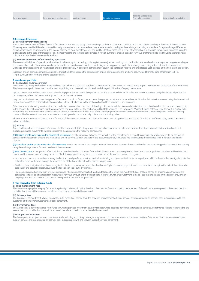#### **D Exchange differences**

#### **(i) Foreign currency transactions**

Transactions in currencies different from the functional currency of the Group entity entering into the transaction are translated at the exchange rate ruling at the date of the transaction. Monetary assets and liabilities denominated in foreign currencies at the balance sheet date are translated to sterling at the exchange rate ruling at that date. Foreign exchange differences arising on translation are recognised in the income statement. Non-monetary assets and liabilities that are measured in terms of historical cost in a foreign currency are translated using the exchange rate at the date of transaction. Non-monetary assets and liabilities denominated in foreign currencies that are stated at fair value are translated to sterling using exchange rates ruling at the date the fair value was determined.

#### **(ii) Financial statements of non-sterling operations**

The assets and liabilities of operations whose functional currency is not sterling, including fair value adjustments arising on consolidation, are translated to sterling at exchange rates ruling at the balance sheet date. The revenues and expenses of these operations are translated to sterling at rates approximating to the exchange rates ruling at the dates of the transactions. Exchange differences arising on retranslation are recognised directly in a separate component of equity, the Translation reserve, and are released upon disposal of the non-sterling operation.

In respect of non-sterling operations, cumulative translation differences on the consolidation of non-sterling operations are being accumulated from the date of transition to IFRS, 1 April 2004, and not from the original acquisition date.

#### **E Investment portfolio**

#### **(i) Recognition and measurement**

Investments are recognised and de-recognised on a date where the purchase or sale of an investment is under a contract whose terms require the delivery or settlement of the investment. The Group manages its investments with a view to profiting from the receipt of dividends and changes in fair value of equity investments.

Quoted investments are designated at fair value through profit and loss and subsequently carried in the balance sheet at fair value. Fair value is measured using the closing bid price at the reporting date, where the investment is quoted on an active stock market.

Unquoted equity investments are designated at fair value through profit and loss and are subsequently carried in the balance sheet at fair value. Fair value is measured using the International Private Equity and Venture Capital valuation guidelines, details of which are in the section called Portfolio valuation – an explanation.

Other investments including loan investments, bonds, fixed income shares and variable funding notes are included as loans and receivables. Loans, bonds and fixed income shares are carried in the balance sheet at amortised cost less impairment. For more detail see the section called Portfolio valuation – an explanation. Variable funding notes are used to invest in quoted debt instruments and are carried in the balance sheet at the value derived from the bid price of the underlying debt instrument taking into account the Group's obligations under the funding contract. The fair value of loans and receivables is not anticipated to be substantially different to the holding value.

All investments are initially recognised at the fair value of the consideration given and held at this value until it is appropriate to measure fair value on a different basis, applying 3i Group's valuation policies.

#### **(ii) Income**

Gross portfolio return is equivalent to "revenue" for the purposes of IAS 1. It represents the overall increase in net assets from the investment portfolio net of deal-related costs but excluding exchange movements. Investment income is analysed into the following components:

(a) Realised profits over value on the disposal of investments are the difference between the fair value of the consideration received less any directly attributable costs, on the sale of equity and the repayment of loans and receivables, and its carrying value at the start of the accounting period, converted into sterling using the exchange rates in force at the date of disposal.

(b) Unrealised profits on the revaluation of investments are the movement in the carrying value of investments between the start and end of the accounting period converted into sterling using the exchange rates in force at the date of the movement.

(c) Portfolio income is that portion of income that is directly related to the return from individual investments. It is recognised to the extent that it is probable that there will be economic benefit and the income can be reliably measured. The following specific recognition criteria must be met before the income is recognised:

- Income from loans and receivables is recognised as it accrues by reference to the principal outstanding and the effective interest rate applicable, which is the rate that exactly discounts the estimated future cash flows through the expected life of the financial asset to the asset's carrying value.
- Dividends from equity investments are recognised in the income statement when the shareholders' rights to receive payment have been established except to the extent that dividends, paid out of pre-acquisition reserves, adjust the fair value of the equity investment.
- Fee income is earned directly from investee companies when an investment is first made and through the life of the investment. Fees that are earned on a financing arrangement are considered to relate to a financial asset measured at fair value through profit or loss and are recognised when that investment is made. Fees that are earned on the basis of providing an ongoing service to the investee company are recognised as that service is provided.

#### **F Fees receivable from external funds (i) Fund management fees**

The Group manages private equity funds, which primarily co-invest alongside the Group. Fees earned from the ongoing management of these funds are recognised to the extent that it is probable that there will be economic benefit and the income can be reliably measured.

#### **(ii) Advisory fees**

The Group acts as investment adviser to private equity funds. Fees earned from the provision of investment advisory services are recognised on an accruals basis in accordance with the substance of the relevant investment advisory agreement.

#### **(iii) Performance fees**

The Group earns a performance fee from funds to which it provides investment advisory services where specified performance targets are achieved. Performance fees are recognised to the extent that it is probable that there will be economic benefit and the income can be reliably measured.

#### **(iv) Support services fees**

The Group provides support services to external funds, including accounting, treasury management, corporate secretariat and investor relations. Fees earned from the provision of these support services are recognised on an accruals basis in accordance with the relevant support services agreement.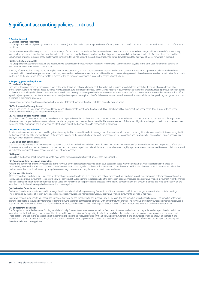# **Significant accounting policies continued**

#### **G Carried interest**

#### **(i) Carried interest receivable**

The Group earns a share of profits ("carried interest receivable") from funds which it manages on behalf of third parties. These profits are earned once the funds meet certain performance conditions.

Carried interest receivable is only accrued on those managed funds in which the fund's performance conditions, measured at the balance sheet date, would be achieved if the remaining assets in the fund were realised at fair value. Fair value is determined using the Group's valuation methodology and is measured at the balance sheet date. An accrual is made equal to the Group's share of profits in excess of the performance conditions, taking into account the cash already returned to fund investors and the fair value of assets remaining in the fund.

#### **(ii) Carried interest payable**

The Group offers investment executives the opportunity to participate in the returns from successful investments. "Carried interest payable" is the term used for amounts payable to executives on investment-related transactions.

A variety of asset pooling arrangements are in place so that executives may have an interest in one or more carried interest scheme. Carried interest payable is only accrued on those schemes in which the scheme's performance conditions, measured at the balance sheet date, would be achieved if the remaining assets in the scheme were realised at fair value. An accrual is made equal to the executive's share of profits in excess of the performance conditions in place in the carried interest scheme.

#### **H Property, plant and equipment**

#### **(i) Land and buildings**

Land and buildings are carried in the balance sheet at fair value less depreciation and impairment. Fair value is determined at each balance sheet date from valuations undertaken by professional valuers using market-based evidence. Any revaluation surplus is credited directly to the Capital reserve in equity except to the extent that it reverses a previous valuation deficit on the same asset charged in the income statement in which case the surplus is recognised in the income statement to the extent of the previous deficit. Any revaluation deficit that offsets a previously recognised surplus in the same asset is directly offset against the surplus in the Capital reserve. Any excess valuation deficit over and above that previously recognised in surplus is charged in the income statement.

Depreciation on revalued buildings is charged in the income statement over its estimated useful life, generally over 50 years.

#### **(ii) Vehicles and office equipment**

Vehicles and office equipment are depreciated by equal annual instalments over their estimated useful lives as follows: office equipment five years; computer equipment three years; computer software three years; motor vehicles four years.

#### **(iii) Assets held under finance leases**

Assets held under finance leases are depreciated over their expected useful life on the same basis as owned assets or, where shorter, the lease term. Assets are reviewed for impairment when events or changes in circumstances indicate that the carrying amount may not be recoverable. The interest element of the rental obligations is charged in the income statement over the period of the agreement and represents a constant proportion of the balance of capital repayments outstanding.

#### **I Treasury assets and liabilities**

Short-term treasury assets and short and long-term treasury liabilities are used in order to manage cash flows and overall costs of borrowing. Financial assets and liabilities are recognised in the balance sheet when the relevant Group entity becomes a party to the contractual provisions of the instrument. De-recognition occurs when rights to cash flows from a financial asset expire, or when a liability is extinguished.

#### **(i) Cash and cash equivalents**

Cash and cash equivalents in the balance sheet comprise cash at bank and in hand and short-term deposits with an original maturity of three months or less. For the purposes of the cash flow statement, cash and cash equivalents comprise cash and short-term deposits as defined above and other short-term highly liquid investments that are readily convertible into cash and are subject to insignificant risk of changes in value, net of bank overdrafts.

#### **(ii) Deposits**

Deposits in the balance sheet comprise longer term deposits with an original maturity of greater than three months.

#### **(iii) Bank loans, loan notes and borrowings**

All loans and borrowings are initially recognised at the fair value of the consideration received net of issue costs associated with the borrowings. After initial recognition, these are subsequently measured at amortised cost using the effective interest method, which is the rate that exactly discounts the estimated future cash flows through the expected life of the liabilities. Amortised cost is calculated by taking into account any issue costs and any discount or premium on settlement.

#### **(iv) Convertible Bonds**

Where Convertible Bonds have an issuer cash settlement option in addition to an equity conversion option, the Convertible Bonds are regarded as compound instruments consisting of a liability and a derivative instrument (see policy below for derivatives). Subsequent to initial recognition the conversion option is measured as a derivative financial instrument with the market value of the instrument at period end used as its fair value. The remainder of the proceeds are allocated to the liability component and this amount is carried as a long-term liability on the amortised cost basis until extinguished on conversion or redemption.

#### **(v) Derivative financial instruments**

Derivative financial instruments are used to manage the risk associated with foreign currency fluctuations of the investment portfolio and changes in interest rates on its borrowings. This is achieved by the use of foreign currency contracts, currency swaps and interest rate swaps. All derivative financial instruments are held at fair value.

Derivative financial instruments are recognised initially at fair value on the contract date and subsequently re-measured to the fair value at each reporting date. The fair value of forward exchange contracts is calculated by reference to current forward exchange contracts for contracts with similar maturity profiles. The fair value of currency swaps and interest rate swaps is determined with reference to future cash flows and current interest and exchange rates. All changes in the fair value of financial instruments are taken to the income statement.

#### **(vi) Subordinated liabilities**

The Group has some limited recourse funding, which individually finances investment assets, at various fixed rates of interest and whose maturity is dependent upon the disposal of the associated assets. This funding is subordinated to other creditors of the individual Group entity to which the funds have been advanced and becomes non-repayable as the assets fail. These liabilities are held in the balance sheet at the amount expected to be repayable based on the underlying assets. Changes in the amounts repayable as a result of changes in the underlying assets are treated as other income in the income statement. Interest payable on subordinated liabilities is charged as it accrues by reference to the principal outstanding and the effective interest rate applicable.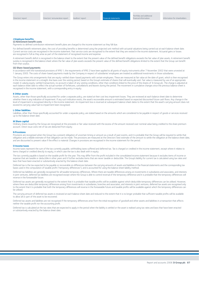#### **J Employee benefits**

#### **(i) Retirement benefit costs**

Payments to defined contribution retirement benefit plans are charged to the income statement as they fall due.

For defined benefit retirement plans, the cost of providing benefits is determined using the projected unit method with actuarial valuations being carried out at each balance sheet date. Current service costs are recognised in the income statement. Past service costs are recognised to the extent that they are vested in the income statement. Actuarial gains or losses are recognised in full as they arise as part of the statement of recognised income and expense.

A retirement benefit deficit is recognised in the balance sheet to the extent that the present value of the defined benefit obligations exceeds the fair value of plan assets. A retirement benefit surplus is recognised in the balance sheet where the fair value of plan assets exceeds the present value of the defined benefit obligations limited to the extent that the Group can benefit from that surplus.

#### **(ii) Share-based payments**

In accordance with the transitional provisions of IFRS 1, the requirements of IFRS 2 have been applied to all grants of equity instruments after 7 November 2002 that were unvested at 1 January 2005. The costs of share-based payments made by the Company in respect of subsidiaries' employees are treated as additional investments in those subsidiaries.

The Group enters into arrangements that are equity-settled share-based payments with certain employees. These are measured at fair value at the date of grant, which is then recognised in the income statement on a straight-line basis over the vesting period, based on the Group's estimate of shares that will eventually vest. Fair value is measured by use of an appropriate model. In valuing equity-settled transactions, no account is taken of any vesting conditions, other than conditions linked to the price of the shares of 3i Group plc. The charge is adjusted at each balance sheet date to reflect the actual number of forfeitures, cancellations and leavers during the period. The movement in cumulative changes since the previous balance sheet is recognised in the income statement, with a corresponding entry in equity.

#### **K Other assets**

Assets, other than those specifically accounted for under a separate policy, are stated at their cost less impairment losses. They are reviewed at each balance sheet date to determine whether there is any indication of impairment. If any such indication exists, the asset's recoverable amount is estimated based on expected discounted future cash flows. Any change in the level of impairment is recognised directly in the income statement. An impairment loss is reversed at subsequent balance sheet dates to the extent that the asset's carrying amount does not exceed its carrying value had no impairment been recognised.

#### **L Other liabilities**

Liabilities, other than those specifically accounted for under a separate policy, are stated based on the amounts which are considered to be payable in respect of goods or services received up to the balance sheet date.

#### **M Share capital**

Ordinary shares issued by the Group are recognised at the proceeds or fair value received with the excess of the amount received over nominal value being credited to the share premium account. Direct issue costs net of tax are deducted from equity.

#### **N Provisions**

Provisions are recognised when the Group has a present obligation of uncertain timing or amount as a result of past events, and it is probable that the Group will be required to settle that obligation and a reliable estimate of that obligation can be made. The provisions are measured at the Directors' best estimate of the amount to settle the obligation at the balance sheet date, and are discounted to present value if the effect is material. Changes in provisions are recognised in the income statement for the period.

#### **O Income taxes**

Income taxes represent the sum of the tax currently payable, withholding taxes suffered and deferred tax. Tax is charged or credited in the income statement, except where it relates to items charged or credited directly to equity, in which case the tax is also dealt with in equity.

The tax currently payable is based on the taxable profit for the year. This may differ from the profit included in the consolidated income statement because it excludes items of income or expense that are taxable or deductible in other years and it further excludes items that are never taxable or deductible. The Group's liability for current tax is calculated using tax rates and laws that have been enacted or substantively enacted by the balance sheet date.

Deferred tax is the tax expected to be payable or recoverable on differences between the carrying amounts of assets and liabilities in the financial statements and the corresponding tax bases used in the computation of taxable profit ("temporary differences"), and is accounted for using the balance sheet liability method.

Deferred tax liabilities are generally recognised for all taxable temporary differences. Where there are taxable differences arising on investments in subsidiaries and associates, and interests in joint ventures, deferred tax liabilities are recognised except where the Group is able to control reversal of the temporary difference and it is probable that the temporary differences will reverse in the foreseeable future.

Deferred tax assets are generally recognised to the extent that it is probable that taxable profits will be available against which deductible temporary differences can be utilised. However, where there are deductible temporary differences arising from investments in subsidiaries, branches and associates, and interests in joint ventures, deferred tax assets are recognised only to the extent that it is probable that both the temporary differences will reverse in the foreseeable future and taxable profits will be available against which the temporary differences can be utilised.

The carrying amount of deferred tax assets is reviewed at each balance sheet date and reduced to the extent that it is no longer probable that sufficient taxable profits will be available to allow all or part of the asset to be recovered.

Deferred tax assets and liabilities are not recognised if the temporary differences arise from the initial recognition of goodwill and other assets and liabilities in a transaction that affects neither the taxable profit nor the accounting profit.

Deferred tax is calculated at the tax rates that are expected to apply in the period when the liability is settled or the asset is realised using tax rates and laws that have been enacted or substantively enacted by the balance sheet date.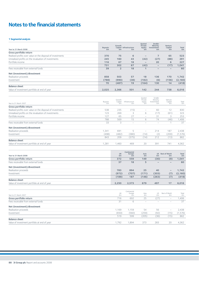# **Notes to the financial statements**

#### **1 Segmental analysis**

| Year to 31 March 2008                                                | <b>Buyouts</b><br>£m | Growth<br>£m   | Capital Infrastructure<br>£m                              | Quoted<br>Private<br>Equity<br>£m | Smaller<br>Minority<br>Investments<br>£m | Venture<br>Capital<br>£m      | Total<br>£m        |
|----------------------------------------------------------------------|----------------------|----------------|-----------------------------------------------------------|-----------------------------------|------------------------------------------|-------------------------------|--------------------|
| Gross portfolio return                                               |                      |                |                                                           |                                   |                                          |                               |                    |
| Realised profits over value on the disposal of investments           | 370                  | 75             | 6                                                         | $\overline{\phantom{0}}$          | 7                                        | 65                            | 523                |
| Unrealised profits on the revaluation of investments                 | 245                  | 160            | 43                                                        | (42)                              | (27)                                     | (88)                          | 291                |
| Portfolio income                                                     | 116                  | 67             | 18                                                        |                                   | 20                                       | 6                             | 227                |
|                                                                      | 731                  | 302            | 67                                                        | (42)                              | $\qquad \qquad -$                        | (17)                          | 1.041              |
| Fees receivable from external funds                                  | 39                   | $\overline{2}$ | 18                                                        | 1                                 |                                          |                               | 60                 |
| Net (investment)/divestment                                          |                      |                |                                                           |                                   |                                          |                               |                    |
| Realisation proceeds                                                 | 858                  | 503            | 57                                                        | 18                                | 136                                      | 170                           | 1,742              |
| Investment                                                           | (788)                | (990)          | (38)                                                      | (182)                             | (6)                                      | (156)                         | (2,160)            |
|                                                                      | 70                   | (487)          | 19                                                        | (164)                             | 130                                      | 14                            | (418)              |
| <b>Balance sheet</b>                                                 |                      |                |                                                           |                                   |                                          |                               |                    |
| Value of investment portfolio at end of year                         | 2,025                | 2,366          | 501                                                       | 142                               | 244                                      | 738                           | 6,016              |
|                                                                      |                      |                |                                                           |                                   |                                          |                               |                    |
|                                                                      |                      | Growth         |                                                           | Quoted<br>Private                 | Smaller<br>Minority                      | Venture                       |                    |
| Year to 31 March 2007                                                | Buyouts<br>£m        | Capital<br>£m  | Infrastructure<br>£m                                      | Equity<br>£m                      | Investments<br>£m                        | Capital<br>£m                 | Total<br>£m        |
| Gross portfolio return                                               |                      |                |                                                           |                                   |                                          |                               |                    |
| Realised profits over value on the disposal of investments           | 538                  | 235            | (15)                                                      | $\overline{\phantom{0}}$          | 60                                       | 12                            | 830                |
| Unrealised profits on the revaluation of investments                 | 123                  | 269            | 3                                                         | 6                                 | (17)                                     | (61)                          | 323                |
| Portfolio income                                                     | 127                  | 65             | 27                                                        | $\overline{\phantom{0}}$          | 31                                       | 3                             | 253                |
|                                                                      | 788                  | 569            | 15                                                        | 6                                 | 74                                       | (46)                          | 1,406              |
| Fees receivable from external funds                                  | 33                   | 3              | $\overline{\phantom{a}}$                                  | $\overline{\phantom{0}}$          | $\overline{\phantom{a}}$                 | 1                             | 37                 |
|                                                                      |                      |                |                                                           |                                   |                                          |                               |                    |
| Net (investment)/divestment                                          |                      |                |                                                           |                                   |                                          |                               |                    |
| Realisation proceeds                                                 | 1,341                | 691            | 5                                                         | $\overline{\phantom{a}}$          | 214                                      | 187                           | 2,438              |
| Investment                                                           | (498)                | (482)          | (380)                                                     | (14)                              | (2)                                      | (200)                         | (1, 576)           |
|                                                                      | 843                  | 209            | (375)                                                     | (14)                              | 212                                      | (13)                          | 862                |
| <b>Balance sheet</b>                                                 |                      |                |                                                           |                                   |                                          |                               |                    |
| Value of investment portfolio at end of year                         | 1,281                | 1,460          | 469                                                       | 20                                | 391                                      | 741                           | 4,362              |
|                                                                      |                      |                | Continental                                               |                                   |                                          |                               |                    |
| Year to 31 March 2008                                                |                      | UK<br>£m       | Europe<br>£m                                              | Asia<br>£m                        | £m                                       | <b>US</b> Rest of World<br>£m | <b>Total</b><br>£m |
| Gross portfolio return                                               |                      | 372            | 559                                                       | 149                               | (30)                                     | (9)                           | 1,041              |
| Fees receivable from external funds                                  |                      | 37             | 18                                                        | 5                                 | $\overline{\phantom{0}}$                 |                               | 60                 |
|                                                                      |                      |                |                                                           |                                   |                                          |                               |                    |
| Net (investment)/divestment                                          |                      |                |                                                           |                                   |                                          |                               |                    |
| Realisation proceeds                                                 |                      | 783            | 894                                                       | 25                                | 40                                       | $\overline{\phantom{0}}$      | 1,742              |
| Investment                                                           |                      | (972)          | (707)                                                     | (171)                             | (303)                                    | (7)                           | (2,160)            |
|                                                                      |                      | (189)          | 187                                                       | (146)                             | (263)                                    | (7)                           | (418)              |
| <b>Balance sheet</b><br>Value of investment portfolio at end of year |                      |                |                                                           | 679                               | 497                                      | 17                            |                    |
|                                                                      |                      | 2,250          | 2,573                                                     |                                   |                                          |                               | 6,016              |
|                                                                      |                      |                | Continental                                               |                                   |                                          |                               |                    |
| Year to 31 March 2007                                                |                      | UK<br>£m       | $\begin{array}{c} \text{Europe} \\ \text{Em} \end{array}$ | Asia<br>£m                        | US<br>£m                                 | Rest of World<br>£m           | Total<br>£m        |
| Gross portfolio return                                               |                      | 716            | 692                                                       | 25                                | (27)                                     |                               | 1,406              |
| Fees receivable from external funds                                  |                      | 31             | 6                                                         | $\overline{\phantom{a}}$          | $\overline{\phantom{a}}$                 | $\overline{\phantom{a}}$      | 37                 |
| Net (investment)/divestment                                          |                      |                |                                                           |                                   |                                          |                               |                    |
| Realisation proceeds                                                 |                      | 1,169          | 1,159                                                     | 54                                | 56                                       | $\overline{\phantom{a}}$      | 2,438              |
| Investment                                                           |                      | (650)          | (560)                                                     | (259)                             | (92)                                     | (15)                          | (1, 576)           |
|                                                                      |                      | 519            | 599                                                       | (205)                             | (36)                                     | (15)                          | 862                |
| <b>Balance sheet</b>                                                 |                      |                |                                                           |                                   |                                          |                               |                    |
| Value of investment portfolio at end of year                         |                      | 1,792          | 1,894                                                     | 373                               | 283                                      | 20                            | 4,362              |
|                                                                      |                      |                |                                                           |                                   |                                          |                               |                    |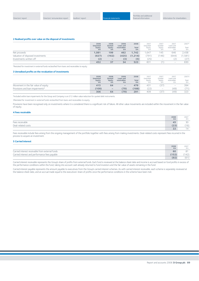#### **2 Realised profits over value on the disposal of investments**

|                                   | 2008<br>Unquoted<br>equity<br>Em | 2008<br>Quoted<br>equity<br>£m | 2008<br>Loans and<br>receivables<br>£m | 2008<br><b>Total</b><br>£m | 2007<br>Unquoted<br>equity<br>Em | 2007<br>Ouoted<br>equity<br>£m | 2007<br>Loans and<br>receivables<br>£m | 2007*<br>Total<br>£m |
|-----------------------------------|----------------------------------|--------------------------------|----------------------------------------|----------------------------|----------------------------------|--------------------------------|----------------------------------------|----------------------|
| Net proceeds                      | 1.081                            | 199                            | 462                                    | 1.742                      | <b>647</b>                       | 145                            | 646                                    | 2,438                |
| Valuation of disposed investments | (627)                            | (162)                          | (425)                                  | (1,214)                    | (791)                            | (146)                          | (644)                                  | (1, 581)             |
| Investments written off           | (2)                              | $\qquad \qquad$                | (3)                                    | (5)                        | (25)                             | $\sim$                         |                                        | (27)                 |
|                                   | 452                              | 37                             | 34                                     | 523                        | 831                              |                                | $\sim$                                 | 830                  |

\*Restated for investment in external funds reclassified from loans and receivables to equity.

#### **3 Unrealised profits on the revaluation of investments**

|                                      | 2008<br>Unquoted<br>equity<br>£m | 2008<br>Ouoted<br>equity<br>£m | 2008<br>Loans and<br>receivables<br>£m | 2008<br>Total<br>£m | 2007<br>Unquoted<br>equity<br>£m | 2007<br>Ouoted<br>equity<br>£m | 2007<br>Loans and<br>receivables<br>£m | 2007+<br>Total<br>£m |
|--------------------------------------|----------------------------------|--------------------------------|----------------------------------------|---------------------|----------------------------------|--------------------------------|----------------------------------------|----------------------|
| Movement in the fair value of equity | 415                              | 64                             |                                        | 479                 | 431                              | 137                            | $\overline{\phantom{0}}$               | 394                  |
| Provisions and loan impairments*     | (109)                            | $\overline{\phantom{a}}$       | (79)                                   | (188)               | (22)                             | $\sim$                         | 49                                     | (71)                 |
|                                      | 306                              | 64                             | (79)                                   | 291                 | 409                              | 137                            | 49                                     | $\cap$<br>323        |

\*Included within loan impairments for the Group and Company is an £12 million value reduction for quoted debt instruments.

†Restated for investment in external funds reclassified from loans and receivables to equity.

Provisions have been recognised only on investments where it is considered there is a significant risk of failure. All other value movements are included within the movement in the fair value of equity.

#### **4 Fees receivable**

|                    | $\frac{2008}{\text{Em}}$ | 2007<br>£m                           |
|--------------------|--------------------------|--------------------------------------|
| Fees receivable    | 45                       | 30<br>◡                              |
| Deal-related costs | (23)                     | $\mathcal{L}$ and $\mathcal{L}$<br>6 |
|                    | 22                       | - 4                                  |

Fees receivable include fees arising from the ongoing management of the portfolio together with fees arising from making investments. Deal-related costs represent fees incurred in the process to acquire an investment.

#### **5 Carried interest**

|                                                 | 2008<br>£m | 2007<br>£m |
|-------------------------------------------------|------------|------------|
| Carried interest receivable from external funds | 60         | $\circ$    |
| Carried interest and performance fees payable   | (152)      | 142)       |
|                                                 | (92)       | (61)       |

Carried interest receivable represents the Group's share of profits from external funds. Each fund is reviewed at the balance sheet date and income is accrued based on fund profits in excess of the performance conditions within the fund, taking into account cash already returned to fund investors and the fair value of assets remaining in the fund.

Carried interest payable represents the amount payable to executives from the Group's carried interest schemes. As with carried interest receivable, each scheme is separately reviewed at the balance sheet date, and an accrual made equal to the executives' share of profits once the performance conditions in the scheme have been met.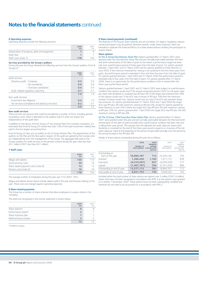#### **6 Operating expenses**

Operating expenses include the following amounts:

|                                               | 2008<br>£m | 2007<br>£m |
|-----------------------------------------------|------------|------------|
| Depreciation of property, plant and equipment |            |            |
| Audit fees                                    |            |            |
| Staff costs (note 7)                          | 178        | 154        |

#### **Services provided by the Group's auditors**

During the year the Group obtained the following services from the Group's auditors, Ernst & Young LLP:

|                                                 | 2008<br>£m | 2007<br>fm |
|-------------------------------------------------|------------|------------|
| Audit services                                  |            |            |
| Statutory audit - Company                       | 0.3        | 03         |
| $-$ UK subsidiaries                             | 0.6        | 0.6        |
| $-$ Overseas subsidiaries                       | 0.4        | 0.4        |
| Audit-related regulatory reporting              | 0.1        | 0.1        |
|                                                 | 1.4        | 14         |
| Non-audit services                              |            |            |
| Investment due diligence                        | 0.4        | 1 O        |
| Tax services (compliance and advisory services) | 0.2        | ()1        |
|                                                 | 2.0        | つち         |

#### **Non-audit services**

These services are services that could be provided by a number of firms, including general consultancy work. Work is allocated to the auditors only if it does not impact the independence of the audit team

In addition to the above, Ernst & Young LLP has received fees from investee companies. It is estimated that Ernst & Young LLP receive less than 10% of the total investment-related fees paid to the four largest accounting firms.

Ernst & Young LLP also acts as auditor to the 3i Group Pension Plan. The appointment of the auditors to this Plan and the fees paid in respect of the audit are agreed by the trustees who act independently from the management of the Group. The aggregate fees paid to the Group's auditors for audit services to the pension scheme during the year were less than £0.1 million (2007: less than £0.1 million).

#### **7 Staff costs**

|                                    | 2008<br>£m | 2007<br>£m |
|------------------------------------|------------|------------|
| Wages and salaries                 | 130        | 110        |
| Social security costs              | 20         | 16         |
| Share-based payment costs (note 8) | 12         | 12         |
| Pension costs (note 9)             | 16         | 16         |
|                                    | 178        | 51         |

The average number of employees during the year was 772 (2007: 765).

Wages and salaries shown above include salaries paid in the year and bonuses relating to the year. These costs are charged against operating expenses.

#### **8 Share-based payments**

The Group has a number of share schemes that allow employees to acquire shares in the Company.

The total cost recognised in the income statement is shown below:

|                       | 2008<br>£m     | 2007<br>£m |
|-----------------------|----------------|------------|
| Share options*        | 6              |            |
| Performance shares*   | $\overline{2}$ |            |
| Share incentive plan  |                |            |
| Deferred bonus shares |                |            |
|                       |                |            |

\*Credited to equity.

#### **8 Share-based payments (continued)**

The features of the Group's share schemes are set out below. For legal or regulatory reasons certain participants may be granted "phantom awards" under these schemes, which are intended to replicate the financial effects of a share award without entitling the participant to acquire shares.

#### **Share options**

(i) The 3i Group Discretionary Share Plan Options granted after 31 March 2001 were granted under the Discretionary Share Plan and are normally exercisable between the third and tenth anniversaries of the date of grant to the extent a performance target has been met over a performance period of three years from the date of grant. For options granted between 1 April 2001 and 31 March 2003 and for options granted to three Directors in June 2003, if the minimum threshold for vesting is not achieved in the first three years from grant, the performance period is extended to four and then five years from the date of grant. For options granted between 1 April 2003 and 31 March 2004 the performance period is extended only to four years from the date of grant. For options granted after 31 March 2004, there is no opportunity for the performance condition to be re-tested after the three-year performance period.

Options granted between 1 April 2001 and 31 March 2003 were subject to a performance condition that options would vest if the annual compound growth ("ACG") in net asset value per share with dividends re-invested was RPI plus 5%. If this target was achieved then 50% of the options would vest. If the ACG was in excess of RPI plus 10% then the maximum number of shares would vest. Options would vest pro rata if the ACG was between these two amounts. For options granted between 31 March 2003 and 1 April 2004 the target ACG was RPI plus 3% with maximum vesting at RPI plus 6%, except for options granted to three Directors in June 2003 where the target ACG was RPI plus 5% with maximum vesting at RPI plus 10%. For options granted after 1 April 2005 the target ACG was RPI plus 3% with maximum vesting at RPI plus 8%.

(ii) The 3i Group 1994 Executive Share Option Plan Options granted before 31 March 2001 were granted under this plan and are normally exercisable between the third and tenth anniversaries of the date of grant provided that a performance condition has been met over a rolling three-year period. This requires that the adjusted net asset value per share (with dividends re-invested) at the end of the three-year period is equal to or in excess of the net asset value per share at the beginning of the period compounded annually over the period by the annual increase in the RPI plus 4%.

Details of share options outstanding during the year are as follows:

|                                     | 2008<br>Number of<br>share options | 2008<br>Weighted<br>average<br>exercise price<br>(pence) | 2007<br>Number of<br>share options | 2007<br>Weighted<br>average<br>exercise price<br>(pence) |
|-------------------------------------|------------------------------------|----------------------------------------------------------|------------------------------------|----------------------------------------------------------|
| Outstanding at<br>start of the year | 16,894,767                         | 712                                                      | 25,304,158                         | 745                                                      |
| Granted                             | 1,360,430                          | 1,165                                                    | 1,411,173                          | 839                                                      |
| Exercised                           | (4, 210, 287)                      | 637                                                      | (4,059,359)                        | 577                                                      |
| Lapsed                              | (1,467,797)                        | 764                                                      | (5,761,205)                        | 986                                                      |
| Outstanding at end of year          | 12,577,113                         | 781                                                      | 16,894,767                         | 712                                                      |
| Exercisable at end of year          | 6,821,753                          | 735                                                      | 7,636,530                          | 742                                                      |

Included within the total number of share options are options over 3 million (2007: 6 million) shares that have not been recognised in accordance with IFRS 2 as the options were granted on or before 7 November 2002. These options have not been subsequently modified and therefore do not need to be accounted for in accordance with IFRS 2.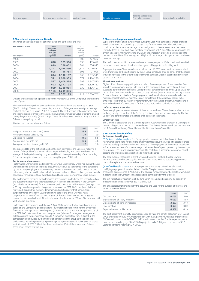#### **8 Share-based payments (continued)**

The range of exercise prices for options outstanding at the year end was:

| Year ended 31 March<br>Year of grant | 2008<br>Weighted<br>average<br>exercise<br>price<br>(pence) | 2008<br><b>Number</b> | 2007<br>Weighted<br>average<br>exercise<br>price<br>(pence) | 2007<br>Number |
|--------------------------------------|-------------------------------------------------------------|-----------------------|-------------------------------------------------------------|----------------|
| 1998                                 |                                                             |                       | 505                                                         | 277,622        |
| 1999                                 | 628                                                         | 325,590               | 630                                                         | 405,472        |
| 2000                                 | 819                                                         | 579,862               | 884                                                         | 756,975        |
| 2001                                 | 1,341                                                       | 1,024,860             | 1,312                                                       | 1,170,432      |
| 2002                                 | 895                                                         | 16,761                | 895                                                         | 21.026         |
| 2003                                 | 644                                                         | 1,132,187             | 663                                                         | 3,785,511      |
| 2004                                 | 571                                                         | 1,088,933             | 571                                                         | 1,414,290      |
| 2005                                 | 597                                                         | 2.408.538             | 599                                                         | 4.247.510      |
| 2006                                 | 692                                                         | 3,312,195             | 692                                                         | 3,409,732      |
| 2007                                 | 839                                                         | 1.388.851             | 839                                                         | 1,406,197      |
| 2008                                 | 1,165                                                       | 1,299,336             |                                                             |                |
|                                      | 781                                                         | 12,577,113            | 712                                                         | 16.894.767     |

Options are exercisable at a price based on the market value of the Company's shares on the date of grant.

The weighted average share price at the date of exercise during the year was 1,136p (2007: 1,054p). The options outstanding at the end of the year have a weighted average contractual life of 6.07 years (2007: 6.34 years). The cost of share options is spread over the vesting period of three to five years. The weighted average fair value of options granted during the year was 456p (2007: 331p). These fair values were calculated using the Black-Scholes option pricing model.

The inputs to this model were as follows:

|                                      | 2008  | 2007 |
|--------------------------------------|-------|------|
| Weighted average share price (pence) | 1,195 | 849  |
| Average expected volatility (%)      | 29    | 79   |
| Expected life (years)                | 8.5   | 8.5  |
| Average risk-free rate (%)           | 5.5   | 4.6  |
| Average expected dividend yield (%)  | 1.7   | 16   |

The expected life of the option is based on the best estimate of the Directors following a review of the profile of the award holders. Expected volatility was determined using an average of the implied volatility on grant and historic share price volatility of the preceding 8.5 years. No options have been repriced during the year (2007: nil).

#### **Performance share awards**

Performance Share awards made under the 3i Group Discretionary Share Plan during the year were conditional awards of shares to executives which will be transferred to the participant by the 3i Group Employee Trust on vesting. Awards are subject to a performance condition determining whether and to what extent the award will vest. There are two types of awards: conditional Performance Share awards and conditional Super-performance Share awards.

The performance condition for Performance Share awards made during the year is based on the outperformance of the theoretical growth in value of a shareholding in the Company (with dividends reinvested) for the three year performance period from grant (averaged over a 60 day period) compared to the growth in value of the FTSE 100 Index (with dividends reinvested) adjusted for mergers, demergers and delistings over that period. At an outperformance level below 0% per annum no part of the award will vest. At an outperformance level of 0% per annum, 35% of the award will vest and above 8% per annum the full award will vest. At outperformance levels between 0% and 8%, the award will vest on a pro rata basis.

Performance Share awards made before 1 April 2007, were restricted awards which vest based on the Company's "percentage rank" by total shareholder return for the three years from grant (averaged over a 60 day period) compared to a comparator group consisting of the FTSE 100 Index constituents at the grant date (adjusted for mergers, demergers and delistings during the performance period). A company's percentage rank is its rank in the comparator group divided by the number of companies in the group at the end of the performance period expressed as a percentage. At a percentage rank below 50% no shares vest. At a rank of 50%, 35% of the shares vest and at 75% all the shares vest. Between these points shares vest pro rata.

#### **8 Share-based payments (continued)**

Super-performance Share awards made during the year were conditional awards of shares which are subject to a particularly challenging performance condition. The performance condition requires annual percentage compound growth in the net asset value per share (with dividends re-invested) over the three-year period of RPI plus 10 percentage points per annum to achieve minimum vesting of 25% of the award; RPI plus 13.5 percentage points per annum to achieve 50% vesting; and RPI plus 17 percentage points per annum to achieve maximum vesting.

The performance condition is measured over a three-year period. If the condition is satisfied, the awards remain subject to a further two-year holding period before they vest.

Super-performance Share awards made before 1 April 2007, were restricted awards which were transferred to the participants by the 3i Group Employee Trust on terms that the shares would be forfeited to the extent the performance condition was not satisfied and in certain other circumstances.

#### **Share Incentive Plan**

Eligible UK employees may participate in an Inland Revenue approved Share Incentive Plan intended to encourage employees to invest in the Company's shares. Accordingly it is not subject to a performance condition. During the year participants could invest up to £125 per month from their pre-tax salaries in the Company's shares (referred to as partnership shares). For each share so acquired the Company grants two free additional shares (referred to as matching shares) which are normally subject to forfeiture if the employee ceases to be employed (other than by reason of retirement) within three years of grant. Dividends are reinvested on behalf of participants in further shares (referred to as dividend shares).

#### **Deferred Bonus Share Plan**

Certain employees receive an element of their bonus as shares. These shares are held in trust for two years by the trustee of the 3i Group Employee Trust in a nominee capacity. The fair value of the deferred shares is the share price at date of the award.

#### **Employee trust**

The Group has established the 3i Group Employee Trust which holds shares in 3i Group plc to meet its obligations under certain share schemes. The share schemes which use this trust are the 3i Group Discretionary Share Plan and the Deferred Bonus Share Plan.

#### **9 Retirement benefit deficit Retirement benefit plans**

(i) Defined contribution plans The Group operates a number of defined contribution retirement benefit plans for qualifying employees throughout the Group. The assets of these plans are held separately from those of the Group. The employees of the Group's subsidiaries in France are members of a state-managed retirement benefit plan operated by the country's government. The French subsidiary is required to contribute a specific percentage of payroll costs to the retirement benefit scheme to fund the benefits.

The total expense recognised in profit or loss is £5 million (2007: £4 million), which represents the contributions payable to these plans. There were no outstanding payments due to these plans at the balance sheet date

(ii) Defined benefit scheme The Group operates a final salary defined benefit plan for qualifying employees of its subsidiaries in the UK. The plan has not been offered to new employees joining 3i since 1 April 2006. The plan is a funded scheme, the assets of which are independent of the Company's finances and are administered by the trustees.

The last full actuarial valuation as at 30 June 2004 was updated on an IAS 19 basis by an independent qualified actuary as at 31 March 2008.

The principal assumptions made by the actuaries and used for the purpose of the year end valuation were as follows:

|                                    | 2008 | 2007 |
|------------------------------------|------|------|
| Discount rate                      | 6.0% | 5.0% |
| Expected rate of salary increases  | 6.0% | 4.5% |
| Expected rate of pension increases | 3.8% | 3.1% |
| Price inflation                    | 3.5% | 3.0% |
| Expected return on Plan assets     | 6.2% | 61%  |

The post-retirement mortality assumptions used to value the benefit obligation at 31 March 2008 are based on 80% PNA medium cohort with 1.5% pa minimum annual improvement "PA00 medium cohort table" (2007: PA92 medium cohort table). The life expectancy of a male member reaching age 60 in 2028 is projected to be 33.6 years compared to 30.2 years for someone reaching 60 in 2008.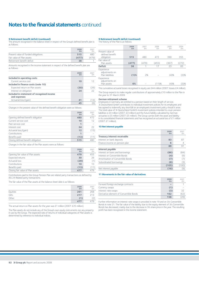#### **9 Retirement benefit deficit (continued)**

The amount recognised in the balance sheet in respect of the Group's defined benefit plan is as follows:

|                                     | 2008<br>£m | 2007<br>£m |
|-------------------------------------|------------|------------|
| Present value of funded obligations | 515        | 480        |
| Fair value of Plan assets           | (477)      | (479)      |
| Retirement benefit deficit          | 38         |            |

Amounts recognised in the income statement in respect of the defined benefit plan are as follows:

|                                                            | 2008<br>£m | 2007<br>fm |
|------------------------------------------------------------|------------|------------|
| Included in operating costs                                |            |            |
| Current service cost                                       | 10         | 12         |
| Included in finance costs (note 10)                        |            |            |
| Expected return on Plan assets                             | (30)       | (26)       |
| Interest on obligation                                     | 24         | 22         |
| Included in statement of recognised income<br>and expenses |            |            |
| Actuarial loss/(gain)                                      | 41         | (14)       |
|                                                            | 45         | 6          |

Changes in the present value of the defined benefit obligation were as follows:

|                                    | 2008<br>£m | 2007<br>£m |
|------------------------------------|------------|------------|
| Opening defined benefit obligation | 480        | 472        |
| Current service cost               | 10         | 12         |
| Past service cost                  | 1          |            |
| Interest cost                      | 24         | 22         |
| Actuarial loss/(gain)              | 12         | (15)       |
| Contributions                      |            |            |
| Benefits paid                      | (13)       | (11)       |
| Closing defined benefit obligation | 515        | 480        |

Changes in the fair value of the Plan assets were as follows:

|                                   | 2008<br>£m | 2007<br>£m |
|-----------------------------------|------------|------------|
| Opening fair value of Plan assets | 479        | 455        |
| Expected returns                  | 30         | 26         |
| Actuarial loss                    | (29)       | (1)        |
| Contributions                     | 10         | 10         |
| Benefits paid                     | (13)       | (11)       |
| Closing fair value of Plan assets | 477        |            |

Contributions paid to the Group Pension Plan are related party transactions as defined by IAS 24 Related party transactions.

The fair value of the Plan assets at the balance sheet date is as follows:

|          | 2008<br>£m | 2007<br>£m |
|----------|------------|------------|
| Equities | 261        | 268        |
| Gilts    | 217        | 213        |
| Other    | (1)        | ∠          |
|          | 477        | 479        |

The actual return on Plan assets for the year was £1 million (2007: £25 million).

The Plan assets do not include any of the Group's own equity instruments nor any property in use by the Group. The expected rate of returns of individual categories of Plan assets is determined by reference to individual indices.

#### **9 Retirement benefit deficit (continued)**

The history of the Plan is as follows:

|                                                   | 2008<br>£m | 2007<br>£m | 2006<br>£m | 2005<br>£m | 2004<br>£m |
|---------------------------------------------------|------------|------------|------------|------------|------------|
| Present value of<br>defined benefit<br>obligation | 515        | 480        | 472        | 390        | 355        |
| Fair value of<br>Plan assets                      | (477)      | (479)      | (455)      | (367)      | (272)      |
| <b>Deficit</b>                                    | 38         | 1          | 17         | 23         | 83         |
| Experience<br>adjustments on<br>Plan liabilities  | (1)%       | 2%         |            | (4)%       | (3)%       |
| Experience<br>adjustments on<br>Plan assets       | 6%         |            | (11)%      | (4)%       | $(3)$ %    |

The cumulative actuarial losses recognised in equity are £44 million (2007: losses £4 million).

The Group expects to make regular contributions of approximately £10 million to the Plan in the year to 31 March 2009.

#### **German retirement scheme**

Employees in Germany are entitled to a pension based on their length of service. 3i Deutschland GmbH contributes to individual investment policies for its employees and has agreed to indemnify any shortfall on an employee's investment policy should it arise. The total value of 3i Deutschland GmbH's investment policies intended to cover pension liabilities is £4 million (2007: £3 million) and the future liability calculated by German actuaries is £5 million (2007: £5 million). The Group carries both the asset and liability in its consolidated financial statements and has recognised an actuarial loss of £1 million (2007: £1 million).

#### **10 Net interest payable**

|                                   | 2008<br>£m | 2007<br>£m |
|-----------------------------------|------------|------------|
| Treasury interest receivable      |            |            |
| Interest on bank deposits         | 83         | 87         |
| Finance income on pension plan    | 6          | 4          |
|                                   | 89         | 91         |
| Interest payable                  |            |            |
| Interest on loans and borrowings  | (86)       | (84)       |
| Interest on Convertible Bonds     | (4)        | (6)        |
| Amortisation of Convertible Bonds | (7)        | (7)        |
| Subordinated borrowings           | (8)        | (3)        |
|                                   | (105)      | (100)      |
| Net interest payable              | (16)       | (9)        |

#### **11 Movements in the fair value of derivatives**

|                                         | 2008<br>£m | 2007<br>£m |
|-----------------------------------------|------------|------------|
| Forward foreign exchange contracts      |            |            |
| Currency swaps                          | (1)        |            |
| Interest-rate swaps                     | (3)        | 32         |
| Derivative element of Convertible Bonds | 162        | (62)       |
|                                         | 158        | 29.        |

Further information on interest-rate swaps is provided in note 19 and on 3i's Convertible Bonds in note 21. The fair value of the liability due to the equity element of 3i's Convertible Bonds has decreased, mainly due to the decrease in 3i's share price in the year. The resulting profit has been recognised in the income statement.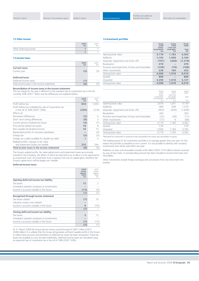#### **12 Other income**

|                        | $2008$<br>$\text{Em}$ | 2007<br>fm. |
|------------------------|-----------------------|-------------|
| Other financing income |                       |             |
|                        |                       |             |

#### **13 Income taxes**

|                                            | 2008<br>£m | 2007<br>fm |
|--------------------------------------------|------------|------------|
| <b>Current taxes</b>                       |            |            |
| Current year                               | (5)        |            |
| <b>Deferred taxes</b>                      |            |            |
| Deferred income taxes                      | (1)        |            |
| Total income taxes in the income statement | (6)        |            |

### **Reconciliation of income taxes in the income statement**

The tax charge for the year is different to the standard rate of corporation tax in the UK, currently 30% (2007: 30%), and the differences are explained below:

|                                                                                         | 2008<br>£m | 2007<br>fm |
|-----------------------------------------------------------------------------------------|------------|------------|
| Profit before tax                                                                       | 834        | 1,059      |
| Profit before tax multiplied by rate of corporation tax<br>in the UK of 30% (2007: 30%) | (250)      | (318)      |
| Effects of:                                                                             |            |            |
| Permanent differences                                                                   | (3)        | 5          |
| Short-term timing differences                                                           | (8)        | 3          |
| Current period unutilised tax losses                                                    | (2)        | (7)        |
| Prior period utilised tax losses                                                        | 18         | 8          |
| Non-taxable UK dividend income                                                          | 10         | 15         |
| Repatriated profits of overseas subsidiaries                                            |            | (4)        |
| Foreign tax                                                                             | (5)        | (3)        |
| Foreign tax credits available for double tax relief                                     | 1          | 4          |
| Realised profits, changes in fair value                                                 |            |            |
| and impairment losses not taxable                                                       | 233        | 294        |
| Total income taxes in the income statement                                              | (6)        | (3)        |

The Group's realised profits, fair value adjustments and impairment losses are primarily included in the Company, the affairs of which are directed so as to allow it to be approved as an investment trust. An investment trust is exempt from tax on capital gains, therefore the Group's capital return will be largely non-taxable.

#### **Deferred income taxes**

|                                               | 2008<br>Group<br>balance<br>sheet<br>£m | 2007<br>Group<br>balance<br>sheet<br>fm |
|-----------------------------------------------|-----------------------------------------|-----------------------------------------|
| Opening deferred income tax liability         |                                         |                                         |
| Tax losses                                    | 12                                      | $\overline{2}$                          |
| Unrealised valuation surpluses on investments |                                         |                                         |
| Income in accounts taxable in the future      | (13)                                    | (3)                                     |
|                                               | (1)                                     | (1)                                     |
| Recognised through income statement           |                                         |                                         |
| Tax losses utilised                           | (7)                                     | 10                                      |
| Valuation surplus now realised                |                                         |                                         |
| Income in accounts taxable in the future      | 6                                       | (10)                                    |
|                                               | (1)                                     |                                         |
| Closing deferred income tax liability         |                                         |                                         |
| Tax losses                                    | 5                                       | 12                                      |
| Unrealised valuation surpluses on investments |                                         |                                         |
| Income in accounts taxable in the future      | (7)                                     | (13)                                    |
|                                               | (2)                                     | (1)                                     |

At 31 March 2008 the Group had tax losses carried forward of £867 million (2007: £588 million). It is unlikely that the Group will generate sufficient taxable profits in the future to utilise these amounts and therefore no deferred tax asset has been recognised. These tax losses are available to carry forward indefinitely. Deferred income taxes are calculated using an expected rate of corporation tax in the UK of 28% (2007: 30%).

#### **14 Investment portfolio**

|                                                   | Group<br>2008<br>Equity<br>investments<br>£m | Group<br>2008<br>Loans and<br>receivables<br>£m | Group<br>2008<br><b>Total</b><br>£m |
|---------------------------------------------------|----------------------------------------------|-------------------------------------------------|-------------------------------------|
| Opening book value                                | 3,179                                        | 1.183                                           | 4,362                               |
| <b>Additions</b>                                  | 1.102                                        | 1,058                                           | 2,160                               |
| Disposals, repayments and write-offs              | (791)                                        | (428)                                           | (1, 219)                            |
| Revaluation                                       | 479                                          |                                                 | 479                                 |
| Provision and impairment of loans and receivables | (109)                                        | (79)                                            | (188)                               |
| Other movements                                   | 238                                          | 184                                             | 422                                 |
| Closing book value                                | 4.098                                        | 1,918                                           | 6,016                               |
| Ouoted                                            | 889                                          |                                                 | 889                                 |
| Unquoted                                          | 3,209                                        | 1,918                                           | 5,127                               |
| Closing book value                                | 4.098                                        | 1,918                                           | 6.016                               |

|                                                   | Group<br>2007<br>Equity             | Group<br>2007<br>Loans and          | Group<br>2007 |
|---------------------------------------------------|-------------------------------------|-------------------------------------|---------------|
|                                                   | investments<br>(as restated*)<br>fm | receivables<br>(as restated*)<br>£m | Total<br>£m   |
| Opening book value                                | 2.878                               | 1,261                               | 4,139         |
| Additions                                         | 968                                 | 608                                 | 1.576         |
| Disposals, repayments and write-offs              | (962)                               | (646)                               | (1,608)       |
| Revaluation                                       | 394                                 |                                     | 394           |
| Provision and impairment of loans and receivables | (22)                                | (49)                                | (71)          |
| Other movements                                   | (77)                                | 9                                   | (68)          |
| Closing book value                                | 3.179                               | 1.183                               | 4,362         |
| Quoted                                            | 570                                 |                                     | 570           |
| Unquoted                                          | 2,609                               | 1,183                               | 3,792         |
| Closing book value                                | 3.179                               | 1.183                               | 4,362         |
|                                                   |                                     |                                     |               |

\*Restated for investment in external funds reclassified from loans and receivables to equity.

The holding period of 3i's investment portfolio is on average greater than one year. For this reason the portfolio is classified as non-current. It is not possible to identify with certainty investments that will be sold within one year.

Additions to loans and receivables includes £46 million (2007: £79 million) interest received by way of loan notes. A corresponding amount has been included in income from loans and receivables.

Other movements include foreign exchange and conversions from one instrument into another.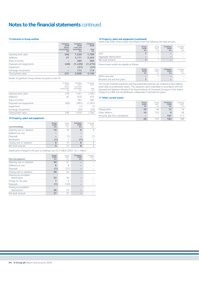#### **15 Interests in Group entities**

|                          | Company<br>2008<br>Equity<br>investments<br>£m | Company<br>2008<br>Loans and<br>receivables<br>£m | Company<br>2008<br><b>Total</b><br>£m |
|--------------------------|------------------------------------------------|---------------------------------------------------|---------------------------------------|
| Opening book value       | 246                                            | 1,520                                             | 1,766                                 |
| <b>Additions</b>         | 31                                             | 2,171                                             | 2,202                                 |
| Share of profits         |                                                | 360                                               | 360                                   |
| Disposals and repayments | (46)                                           | (1, 229)                                          | (1, 275)                              |
| Impairment               |                                                | (27)                                              | (27)                                  |
| Exchange movements       |                                                | 114                                               | 114                                   |
| Closing book value       | 231                                            | 2,909                                             | 3,140                                 |
|                          |                                                |                                                   |                                       |

#### Details of significant Group entities are given in note 35.

|                          | Company<br>2007<br>Equity | Company<br>2007<br>Loans and | Company<br>2007 |
|--------------------------|---------------------------|------------------------------|-----------------|
|                          | investments<br>£m         | receivables<br>£m            | Total<br>£m     |
| Opening book value       | 239                       | 1.261                        | 1,500           |
| <b>Additions</b>         | 92                        | 818                          | 910             |
| Share of profits         |                           | 483                          | 483             |
| Disposals and repayments | (85)                      | (982)                        | (1,067)         |
| Impairment               |                           | (1)                          | (1)             |
| Exchange movements       | $\overline{\phantom{a}}$  | (59)                         | (59)            |
| Closing book value       | 246                       | 1,520                        | 1,766           |

#### **16 Property, plant and equipment**

| Land and buildings        | Group<br>2008<br>£m | Group<br>2007<br>fm      | Company<br>2008<br>£m | Company<br>2007<br>£m |
|---------------------------|---------------------|--------------------------|-----------------------|-----------------------|
| Opening cost or valuation | 10                  | 10                       | 9                     |                       |
| Additions at cost         |                     | $\overline{\phantom{a}}$ |                       |                       |
| <b>Disposals</b>          |                     |                          |                       |                       |
| Revaluation               | (1)                 |                          | (1)                   |                       |
| Closing cost or valuation | 9                   | 10                       | 8                     |                       |
| Net book amount           | 9                   | 10                       | 8                     |                       |

Depreciation charged in the year on buildings was £0.2 million (2007: £0.1 million).

| Plant and equipment                 | Group<br>2008<br>£m | Group<br>2007<br>f <sub>m</sub> | Company<br>2008<br>£m | Company<br>2007<br>fm |
|-------------------------------------|---------------------|---------------------------------|-----------------------|-----------------------|
| Opening cost or valuation           | 44                  | 57                              |                       |                       |
| Additions at cost                   | 6                   | 8                               |                       |                       |
| <b>Disposals</b>                    | (1)                 | (21)                            |                       |                       |
| Closing cost or valuation           | 49                  | 44                              |                       |                       |
| Opening accumulated<br>depreciation | 22                  | 36                              |                       |                       |
| Charge for the year                 | $\overline{7}$      | 6                               |                       |                       |
| <b>Disposals</b>                    | (1)                 | (20)                            |                       |                       |
| Closing accumulated<br>depreciation | 28                  | 22                              |                       |                       |
| Net book amount                     | 21                  | 22                              |                       |                       |

#### **16 Property, plant and equipment (continued)**

Assets held under finance leases (all vehicles) have the following net book amount:

|                        | Group<br>2008<br>£m      | Group<br>2007<br>£m | Company<br>2008<br>£m    | Company<br>2007<br>£m |
|------------------------|--------------------------|---------------------|--------------------------|-----------------------|
| Cost                   |                          |                     | $\overline{\phantom{a}}$ | $\sim$                |
| Aggregate depreciation | $\overline{\phantom{a}}$ | $\sim$              | $\overline{\phantom{a}}$ | $\sim$                |
| Net book amount        |                          |                     | $\overline{\phantom{a}}$ | $\sim$                |

Finance lease rentals are payable as follows:

|                            | Group<br>2008<br>£m | Group<br>2007<br>£m | Company<br>2008<br>£m    | Company<br>2007<br>£m |
|----------------------------|---------------------|---------------------|--------------------------|-----------------------|
| Within one year            |                     |                     | $\overline{\phantom{a}}$ | $\sim$                |
| Between one and five years |                     | $\sim$              | $\overline{\phantom{a}}$ |                       |

The Group's freehold properties and long leasehold properties are revalued at each balance sheet date by professional valuers. The valuations were undertaken in accordance with the Appraisal and Valuation Manual of the Royal Institute of Chartered Surveyors in the United Kingdom by CBRE and Howell Brooks, independent Chartered Surveyors.

#### **17 Other current assets**

|                               | Group<br>2008<br>£m | Group<br>2007<br>£m | Company<br>2008<br>£m | Company<br>2007<br>£m |
|-------------------------------|---------------------|---------------------|-----------------------|-----------------------|
| Prepayments                   | 39                  | 44                  | 12                    | 19                    |
| Other debtors                 | 10                  | 153                 | 9                     | 38                    |
| Amounts due from subsidiaries |                     | $\sim$              | 161                   | 111                   |
|                               | 49                  | 197                 | 182                   | 168                   |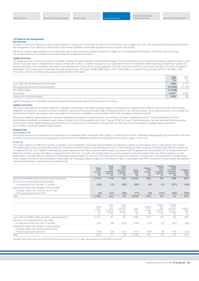#### **18 Financial risk management**

#### **Introduction**

A review of the Group's objectives, policies and processes for managing and monitoring risk is set out in the Directors' report (pages 38 to 43). This note provides further detail on financial risk management, cross-referring to the Directors' report where applicable, and includes quantitative data on specific financial risks.

The Group invests in approximately 50 new investment opportunities per annum and each investment is subject to a full risk assessment through an investment approval process. The Group's Investment Committee is part of the overall risk management framework.

#### **Capital structure**

The capital structure of the Group consists of net debt, including cash held on deposit, and shareholders' equity. The type and maturity of the Group's borrowings are analysed further in note 20 and the Group's equity is analysed into its various components in note 27. Capital is managed so as to maximise the return to shareholders while maintaining a capital base to allow 3i to operate effectively in the marketplace and sustain future development of the business. Strong realisations from the investment portfolio in recent years have led to the return of capital to shareholders. This has been achieved through the issue and repurchase of B shares (2008: £808 million; 2007: £700 million), on-market share purchases (2008: £120 million; 2007: £74 million; 2006: £222 million) and a special dividend (2006: £245 million).

|                                                 | Group<br>2008<br>£m | Group<br>2007<br>£m |
|-------------------------------------------------|---------------------|---------------------|
| Cash, deposits and derivative financial assets  | 820                 | 2.175               |
| Borrowings and derivative financial liabilities | (2, 458)            | (2, 174)            |
| Net (debt)/surplus                              | (1,638)             |                     |
| Total equity                                    | 4.057               | 4,249               |
| Gearing (net debt/total equity)                 | 40%                 | 0%                  |

Capital is managed on a consolidated basis and the gearing KPI is only applicable to the Group, not the Company.

#### **Capital constraints**

The Group is generally free to transfer capital from subsidiary undertakings to the parent company subject to maintaining each subsidiary with sufficient reserves to meet local statutory obligations. No significant constraints have been identified in the past and the Group has been able to distribute profits in a tax-efficient manner. The Company operates so as to qualify as a UK Investment Trust for tax purposes which necessitates its investment in subsidiaries remaining below 15% of the Company's investment portfolio.

The Group's regulated capital requirement is reviewed regularly by the Board of 3i Investments plc, an investment firm that is regulated by the FSA. The last submission to the FSA demonstrated a significant consolidated capital surplus in excess of the FSA's prudential rules. Since 1 January 2008 the Group's capital requirement has been amended following approval of the Group's Internal Capital Adequacy Assessment Process (ICAAP) report by the Board of 3i Investments plc. Although this has increased the regulated capital requirement, there remains a significant regulatory capital surplus.

#### **Financial risks** Concentration risk

The Group's exposure to and mitigation of concentration risk is explained within "investment risks" (page 41) in the Directors' report. Quantitative data regarding the concentration risk of the portfolio across economic sectors and geographies can be found in the additional portfolio and financial information section (pages 110 to 115).

#### Credit risk

The Group is subject to credit risk on its loans, receivables, cash and deposits. The Group's cash and deposits are held with a variety of counterparties with a credit rating of AA or better. The credit quality of loans and receivables within the investment portfolio is based on the financial performance of the individual portfolio companies. For those assets that are not past due it is believed that the risk of default is small and that capital repayments and interest payments will be made in accordance with the agreed terms and conditions of the Group's investment. Where the portfolio company has failed or is expected to fail in the next 12 months, the Group's policy is to record a provision for the full amount of the loan. Partial provisions, or "loan impairments", are made when the valuation of the portfolio company implies non-recovery of all or part of the Group's loan investment. In these cases a loan impairment is recorded equal to the valuation shortfall. Further information on how credit risk is managed is given on page 42 of the Directors' report. In accordance with IFRS7, the amounts shown as past due represent the total credit exposure, not the amount actually past due.

|                                                                                                 | Group<br>2008<br>not past<br>due<br>£m | Group<br>2008<br>up to<br>12 months<br>past due<br>Em | Group<br>2008<br>more than<br>12 months<br>past due<br>£m | Group<br>2008<br>Total<br>Em | Company<br>2008<br>not past<br>due<br>£m | Company<br>2008<br>up to<br>12 months<br>past due<br>£m | Company<br>2008<br>more than<br>12 months<br>past due<br>£m | Company<br>2008<br><b>Total</b><br>£m |
|-------------------------------------------------------------------------------------------------|----------------------------------------|-------------------------------------------------------|-----------------------------------------------------------|------------------------------|------------------------------------------|---------------------------------------------------------|-------------------------------------------------------------|---------------------------------------|
| Loans and receivables before provisions and impairments                                         | 1.772                                  | 174                                                   | 128                                                       | 2.074                        | 432                                      | 83                                                      | 108                                                         | 623                                   |
| Provisions on investments that have failed<br>or expected to fail in the next 12 months         | (44)                                   | (1)                                                   | (40)                                                      | (85)                         | (6)                                      | (1)                                                     | (37)                                                        | (44)                                  |
| Impairments where the valuation of the portfolio<br>company implies non-recovery of all or part |                                        |                                                       |                                                           |                              |                                          |                                                         |                                                             |                                       |
| of the Group's loan investment*                                                                 | (4)                                    | (31)                                                  | (36)                                                      | (71)                         | (9)                                      | (27)                                                    | (30)                                                        | (66)                                  |
| Total                                                                                           | 1.724                                  | 142                                                   | 52                                                        | 1,918                        | 417                                      | 55                                                      | 41                                                          | 513                                   |

|                                                                                                                                   | Group<br>2007<br>not past<br>due<br>£m | Group<br>2007<br>up to<br>12 months<br>past due<br>£m | Group<br>2007<br>more than<br>12 months<br>past due<br>£m | Group<br>2007<br>Total<br>£m | Company<br>2007<br>not past<br>due<br>£m | Company<br>2007<br>up to<br>12 months<br>past due<br>£m | Company<br>2007<br>more than<br>12 months<br>past due<br>£m | Company<br>2007<br>Total<br>£m |
|-----------------------------------------------------------------------------------------------------------------------------------|----------------------------------------|-------------------------------------------------------|-----------------------------------------------------------|------------------------------|------------------------------------------|---------------------------------------------------------|-------------------------------------------------------------|--------------------------------|
| Loans and receivables before provisions and impairments                                                                           | .217                                   | 91                                                    | 91                                                        | .399                         | 47'                                      | 87                                                      | 86                                                          | 644                            |
| Provisions on investments that have failed<br>or expected to fail in the next 12 months                                           | (61                                    | (6)                                                   | (42                                                       | (109)                        | (53)                                     | 3)                                                      | (42)                                                        | (98)                           |
| Impairments where the valuation of the portfolio<br>company implies non-recovery of all or part<br>of the Group's loan investment | (78)                                   | (8)                                                   | (21                                                       | (107)                        | (48)                                     | ΄5΄                                                     | (19)                                                        | (72)                           |
| Total                                                                                                                             | .078                                   |                                                       | 28                                                        | .183                         | 370                                      | 79                                                      | 25                                                          | 474                            |

\*Included within impairments not past due for the Group and Company is an £12 million value reduction for quoted debt instruments.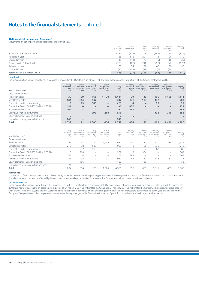#### **18 Financial risk management (continued)**

Movements on loan impairments and provisions are shown below.

| 65<br>(41)                | 74<br>(38)                 | 139<br>(79)          | 60<br>(6)                   | 30<br>(24)                   | 90<br>(30)                             |
|---------------------------|----------------------------|----------------------|-----------------------------|------------------------------|----------------------------------------|
|                           |                            |                      |                             |                              |                                        |
|                           |                            |                      |                             |                              |                                        |
|                           |                            |                      |                             |                              | (170)                                  |
| (5)                       | (44)                       | (49)                 | (5)                         | (18)                         | (23)                                   |
| 85                        | 116                        | 201                  | 76                          | 96                           | 172                                    |
| (189)                     | (179)                      | (368)                | 169)                        | (150)                        | (319)                                  |
| Group<br>Provisions<br>£m | Group<br>Impairments<br>£m | Group<br>Total<br>£m | Company<br>Provisions<br>£m | Company<br>Impairments<br>£m | Company<br>Total<br>£m                 |
|                           |                            |                      |                             |                              | (72)<br>(107<br>(109)<br>(216)<br>(98) |

#### Liquidity risk

Further information on how liquidity risk is managed is provided in the Directors' report (page 42). The table below analyses the maturity of the Group's contractual liabilities.

| As at 31 March 2008                       | Group<br>due within<br>1 vear<br>£m | Group<br>due between<br>£m | Group<br>due between<br>1 and 2 years 2 and 5 years<br>£m | Group<br>due greater<br>than 5 years<br>£m | Group<br><b>Total</b><br>£m | Company<br>due within<br>1 year<br>£m | Company<br>due between<br>£m | Company<br>due between<br>1 and 2 years 2 and 5 years<br>£m | Company<br>due greater<br>than 5 years<br>£m | Company<br>Total<br>Em |
|-------------------------------------------|-------------------------------------|----------------------------|-----------------------------------------------------------|--------------------------------------------|-----------------------------|---------------------------------------|------------------------------|-------------------------------------------------------------|----------------------------------------------|------------------------|
| Gross commitments:                        |                                     |                            |                                                           |                                            |                             |                                       |                              |                                                             |                                              |                        |
| Fixed loan notes                          | 39                                  | 39                         | 165                                                       | 1.198                                      | 1,441                       | 39                                    | 39                           | 165                                                         | 1.198                                        | 1,441                  |
| Variable loan notes                       | 131                                 | 114                        | 437                                                       |                                            | 682                         | 131                                   | 114                          | 437                                                         | $\overline{\phantom{0}}$                     | 682                    |
| Committed multi-currency facility         | 19                                  | 19                         | 385                                                       | $\overline{\phantom{a}}$                   | 423                         | 4                                     | 4                            | 89                                                          | $\overline{\phantom{0}}$                     | 97                     |
| Convertible Bond 2008 €550 million 1.375% | 437                                 |                            |                                                           |                                            | 437                         | 437                                   |                              |                                                             | $\overline{\phantom{0}}$                     | 437                    |
| Euro commercial paper                     | 267                                 |                            |                                                           | $\qquad \qquad \blacksquare$               | 267                         | 267                                   |                              |                                                             | $\overline{\phantom{0}}$                     | 267                    |
| Derivative financial instruments          |                                     | $\overline{\phantom{0}}$   | 398                                                       | 258                                        | 656                         |                                       |                              | 398                                                         | 258                                          | 656                    |
| Equity element of Convertible Bond        | 6                                   |                            |                                                           |                                            | 6                           | 6                                     |                              |                                                             |                                              | 6                      |
| Carried interest payable within one year  | 140                                 |                            |                                                           |                                            | 140                         |                                       |                              |                                                             |                                              |                        |
| Total                                     | 1.039                               | 172                        | 1.385                                                     | 1.456                                      | 4,052                       | 884                                   | 157                          | 1.089                                                       | 1.456                                        | 3,586                  |

| As at 31 March 2007                       | Group<br>due within<br>year<br>£m | Group<br>due between<br>and 2 years<br>£m | Group<br>due between<br>2 and 5 years<br>£m | Group<br>due greater<br>than 5 years<br>£m | Group<br>Total<br>£m | Company<br>due within<br>year<br>£m | Company<br>due between<br>and 2 years<br>£m | Company<br>due between<br>2 and 5 years<br>£m | Company<br>due greater<br>than 5 years<br>£m | Company<br>Total<br>£m |
|-------------------------------------------|-----------------------------------|-------------------------------------------|---------------------------------------------|--------------------------------------------|----------------------|-------------------------------------|---------------------------------------------|-----------------------------------------------|----------------------------------------------|------------------------|
| Gross commitments:                        |                                   |                                           |                                             |                                            |                      |                                     |                                             |                                               |                                              |                        |
| Fixed loan notes                          | 251                               | 37                                        | 110                                         | 1.234                                      | 1,632                | 251                                 | 37                                          | 110                                           | 1.234                                        | 1,632                  |
| Variable loan notes                       | 213                               | 98                                        | 639                                         | $\overline{\phantom{0}}$                   | 950                  | 8                                   | 98                                          | 639                                           | $\overline{\phantom{a}}$                     | 745                    |
| Committed multi-currency facility         | 3                                 |                                           | 159                                         |                                            | 169                  |                                     | 4                                           | 80                                            |                                              | 85                     |
| Convertible Bond 2008 €550 million 1.375% | 5                                 | 364                                       | $\hspace{0.05cm}$                           | $\overline{\phantom{0}}$                   | 369                  | 5                                   | 364                                         | $\sim$                                        | $\overline{\phantom{a}}$                     | 369                    |
| Euro commercial paper                     | 265                               | $\hspace{0.05cm}$                         | $\sim$                                      | $\overline{\phantom{0}}$                   | 265                  | 265                                 | $\sim$                                      | $\sim$                                        | $\overline{\phantom{a}}$                     | 265                    |
| Derivative financial instruments          | 276                               | 32                                        | 200                                         | 431                                        | 939                  | 66                                  | 32                                          | 188                                           | 431                                          | 717                    |
| Equity element of Convertible Bond        | $\sim$                            | 156                                       | $\sim$                                      | $\overline{\phantom{0}}$                   | 156                  | $\hspace{0.1mm}-\hspace{0.1mm}$     | 156                                         | $\sim$                                        | $\sim$                                       | 156                    |
| Carried interest payable within one year  |                                   | $\hspace{0.05cm}$                         |                                             | $\hspace{1.0cm} \rule{1.5cm}{0.15cm}$      |                      | $\overline{\phantom{a}}$            |                                             |                                               | $\overline{\phantom{a}}$                     |                        |
| <b>Total</b>                              | 1.084                             | 694                                       | 1.108                                       | 1.665                                      | 4.551                | 596                                 | 691                                         | 1,017                                         | .665                                         | 3,969                  |

#### **Market risk**

.

The valuation of the Group's investment portfolio is largely dependent on the underlying trading performance of the companies within the portfolio but the valuation and other items in the financial statements can also be affected by interest rate, currency and quoted market fluctuations. The Group's sensitivity to these items is set out below.

#### (i) Interest rate risk

Further information on how interest rate risk is managed is provided in the Directors' report (page 42). The direct impact of a movement in interest rates is relatively small. An increase of 100 Basis Points would lead to an approximate exposure of £4 million (2007: £5 million) for the Group and £1 million (2007: £5 million) for the Company. This exposure arises principally from changes in interest payable and receivable on floating rate and short-term instruments and changes in the fair value of interest rate derivatives held at the year end. In addition the Group and Company have indirect exposure to interest rates through changes to the financial performance of portfolio companies caused by interest rate fluctuations.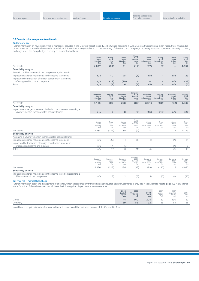#### **18 Financial risk management (continued)**

#### (ii) Currency risk

Further information on how currency risk is managed is provided in the Directors' report (page 42). The Group's net assets in Euro, US dollar, Swedish krona, Indian rupee, Swiss franc and all other currencies combined is shown in the table below. This sensitivity analysis is based on the sensitivity of the Group and Company's monetary assets to movements in foreign currency exchange rates. The Group hedges currency on a consolidated basis.

|                                                                                                  | Group<br>2008<br><b>Sterling</b><br>£m | Group<br>2008<br>Euro<br>Em | Group<br>2008<br>US dollar<br>£m | Group<br>2008<br>Swedish<br>krona<br>£m | Group<br>2008<br>Indian rupee<br>£m | Group<br>2008<br><b>Swiss franc</b><br>£m | Group<br>2008<br>Other<br>£m | Group<br>2008<br><b>Total</b><br>£m |
|--------------------------------------------------------------------------------------------------|----------------------------------------|-----------------------------|----------------------------------|-----------------------------------------|-------------------------------------|-------------------------------------------|------------------------------|-------------------------------------|
| Net assets                                                                                       | 4,077                                  | (24)                        | 91                               | (14)                                    | (67)                                | (6)                                       | $\qquad \qquad$              | 4,057                               |
| Sensitivity analysis                                                                             |                                        |                             |                                  |                                         |                                     |                                           |                              |                                     |
| Assuming a 5% movement in exchange rates against sterling:                                       |                                        |                             |                                  |                                         |                                     |                                           |                              |                                     |
| Impact on exchange movements in the income statement                                             | n/a                                    | 10                          | 25                               | (1)                                     | (5)                                 | $\qquad \qquad \blacksquare$              | n/a                          | 29                                  |
| Impact on the translation of foreign operations in statement<br>of recognised income and expense | n/a                                    | (17)                        | (19)                             | $\qquad \qquad$                         |                                     | $\overline{\phantom{m}}$                  | n/a                          | (36)                                |
| <b>Total</b>                                                                                     | n/a                                    | (7)                         | 6                                | (1)                                     | (5)                                 | $\overline{\phantom{m}}$                  | n/a                          | (7)                                 |
|                                                                                                  |                                        |                             |                                  |                                         |                                     |                                           |                              |                                     |

|                                                                 | Company<br>2008<br>Sterling<br>$E_{\rm m}$ | Company<br>2008<br>Euro<br>£m | Company<br>2008<br>US dollar<br>£m | Company<br>2008<br>Swedish<br>krona<br>£m | Company<br>2008<br>Indian rupee<br>Em | Company<br>2008<br><b>Swiss franc</b><br>£m | Company<br>2008<br>Other<br>£m | Company<br>2008<br><b>Total</b><br>£m |
|-----------------------------------------------------------------|--------------------------------------------|-------------------------------|------------------------------------|-------------------------------------------|---------------------------------------|---------------------------------------------|--------------------------------|---------------------------------------|
| Net assets                                                      | 4,125                                      | 203                           | 238                                | (89)                                      | (281)                                 | (184)                                       | (82)                           | 3,930                                 |
| Sensitivity analysis                                            |                                            |                               |                                    |                                           |                                       |                                             |                                |                                       |
| Impact on exchange movements in the income statement assuming a |                                            |                               |                                    |                                           |                                       |                                             |                                |                                       |
| 5% movement in exchange rates against sterling:                 | n/a                                        | $\overline{2}$                | 8                                  | (5)                                       | (15)                                  | (10)                                        | n/a                            | (20)                                  |
|                                                                 |                                            |                               |                                    |                                           |                                       |                                             |                                |                                       |
|                                                                 | Group                                      | Group                         | Group                              | Group<br>2007                             | Group                                 | Group                                       | Group                          | Group                                 |
|                                                                 | 2007<br>Sterling                           | 2007<br>Euro                  | 2007<br>US dollar                  | Swedish<br>krona                          | 2007<br>Indian rupee                  | 2007<br>Swiss franc                         | 2007<br>Other                  | 2007<br>Total                         |
|                                                                 | $f_{\rm{m}}$                               | £m                            | fm.                                | £m                                        | f <sub>m</sub>                        | fm.                                         | £m                             | £m                                    |
| Net assets                                                      | 4,284                                      | (121)                         | 86                                 | (4)                                       | -                                     | 1                                           | 3                              | 4,249                                 |
| Sensitivity analysis                                            |                                            |                               |                                    |                                           |                                       |                                             |                                |                                       |
| Assuming a 5% movement in exchange rates against sterling:      |                                            |                               |                                    |                                           |                                       |                                             |                                |                                       |
| Impact on exchange movements in the income statement            | n/a                                        | (20)                          | 14                                 | (1)                                       | (4)                                   | $\overline{\phantom{0}}$                    | n/a                            | (11)                                  |
| Impact on the translation of foreign operations in statement    |                                            |                               |                                    |                                           |                                       |                                             |                                |                                       |
| of recognised income and expense                                | n/a                                        | 14                            | (6)                                | -                                         |                                       |                                             | n/a                            | 8                                     |
| Total                                                           | n/a                                        | (6)                           | 8                                  | (1)                                       | (4)                                   | $\overline{\phantom{0}}$                    | n/a                            | (3)                                   |
|                                                                 |                                            |                               |                                    | Company                                   |                                       |                                             |                                |                                       |
|                                                                 | Company                                    | Company                       | Company                            | 2007                                      | Company                               | Company                                     | Company                        | Company                               |
|                                                                 | 2007<br>Sterling                           | 2007<br>Euro                  | 2007<br>US dollar                  | Swedish<br>krona                          | 2007<br>Indian rupee                  | 2007<br>Swiss franc                         | 2007<br>Other                  | 2007<br>Total                         |
|                                                                 | £m                                         | £m                            | £m                                 | £m                                        | Έm                                    | £m                                          | £m                             | £m                                    |
| Net assets                                                      | 4,326                                      | (127)                         | 136                                | (92)                                      | (99)                                  | (130)                                       | 6                              | 4,020                                 |
| Sensitivity analysis                                            |                                            |                               |                                    |                                           |                                       |                                             |                                |                                       |
| Impact on exchange movements in the income statement assuming a |                                            |                               |                                    |                                           |                                       |                                             |                                |                                       |
| 5% movement in exchange rates:                                  | n/a                                        | (12)                          | $\overline{2}$                     | (5)                                       | (5)                                   | (7)                                         | n/a                            | (27)                                  |
|                                                                 |                                            |                               |                                    |                                           |                                       |                                             |                                |                                       |

(iii) Price risk – market fluctuations

Further information about the management of price risk, which arises principally from quoted and unquoted equity investments, is provided in the Directors' report (page 42). A 5% change in the fair value of those investments would have the following direct impact on the income statement:

|         | 2008<br>Quoted<br>equity<br>£m | 2008<br>Unquoted<br>equity<br>£m | $\begin{array}{c} 2008 \\ \text{Total} \\ \text{Em} \end{array}$ | 2007<br>Quoted<br>equity<br>£m | 2007<br>Unquoted<br>equity<br>£m | 2007<br>Total<br>£m |
|---------|--------------------------------|----------------------------------|------------------------------------------------------------------|--------------------------------|----------------------------------|---------------------|
| Group   | 44                             | 160                              | 204                                                              | 20<br>ر ے                      | 130                              | 159                 |
| Company | 39                             | 53                               | 92                                                               | ر ے                            | 63                               | 88                  |

In addition, other price risk arises from carried interest balances and the derivative element of the Convertible Bonds.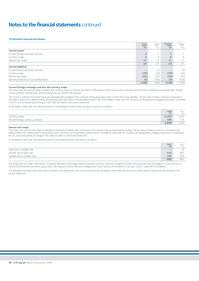#### **19 Derivative financial instruments**

|                                         | Group<br>2008<br>Em      | Group<br>2007<br>£m | Company<br>2008<br>Em    | Company<br>2007<br>£m |
|-----------------------------------------|--------------------------|---------------------|--------------------------|-----------------------|
| <b>Current assets</b>                   |                          |                     |                          |                       |
| Forward foreign exchange contracts      | 5                        |                     | 5                        |                       |
| Currency swaps                          | 8                        | 8                   | 8                        | 8                     |
| Interest rate swaps                     | 11                       | 12                  | 11                       | 12                    |
|                                         | 24                       | 21                  | 24                       | 21                    |
| <b>Current liabilities</b>              |                          |                     |                          |                       |
| Forward foreign exchange contracts      | $\overline{\phantom{a}}$ | (1)                 | $\overline{\phantom{a}}$ | (2)                   |
| Currency swaps                          | (79)                     | (10)                | (79)                     | (10)                  |
| Interest rate swaps                     | (23)                     | (22)                | (23)                     | (20)                  |
| Derivative element of Convertible Bonds | (6)                      | (156)               | (6)                      | (156)                 |
|                                         | (108)                    | (189)               | (108)                    | (188)                 |

#### **Forward foreign exchange contracts and currency swaps**

The Group uses forward exchange contracts and currency swaps to minimise the effect of fluctuations in the value of the investment portfolio from movement in exchange rates. Foreign currency interest-bearing loans and borrowings are also used for this purpose.

The contracts entered into by the Group are principally denominated in the currencies of the geographic areas in which the Group operates. The fair value of these contracts is recorded in the balance sheet and is determined by discounting future cash flows at the prevailing market rates at the balance sheet date. No contracts are designated as hedging instruments, as defined in IAS 39, and consequently all changes in fair value are taken to the income statement.

At the balance sheet date, the notional amount of outstanding forward foreign exchange contracts is as follows:

|                                    | $2008 \ \mathrm{fm}$ | 2007<br>£m  |
|------------------------------------|----------------------|-------------|
| Currency swaps                     | 2,322                | ,455        |
| Forward foreign currency contracts | 346                  | 474<br>. 74 |
|                                    | 2,668                | ,629        |

#### **Interest rate swaps**

The Group uses interest rate swaps to manage its exposure to interest rate movements on its interest-bearing loans and borrowings. The fair value of these contracts is recorded in the balance sheet and is determined by discounting future cash flows at the prevailing market rates at the balance sheet date. No contracts are designated as hedging instruments, as defined in IAS 39, and consequently all changes in fair value are taken to the income statement.

At the balance sheet date, the notional amount of outstanding interest rate swaps is as follows:

|                                | 2008<br>£m | 2007<br>£m |
|--------------------------------|------------|------------|
| Fixed rate to variable rate    |            | 10         |
| Variable rate to fixed rate    | 510        | 687        |
| Variable rate to variable rate | 150        | 200        |
|                                | 660        | 897        |

The Group does not trade in derivatives. In general, derivatives held hedge specific exposures and have maturities designed to match the exposures they are hedging. It is the intention to hold both the financial instruments giving rise to the exposure and the derivative hedging them until maturity and therefore no net gain or loss is expected to be realised.

The derivatives are held at fair value which represents the replacement cost of the instruments at the balance sheet date. Movements in the fair value of derivatives are included in the income statement.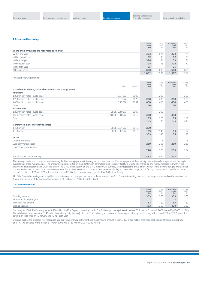#### **20 Loans and borrowings**

|                                                | Group<br>2008<br>Em | Group<br>2007<br>£m                                                       | Company<br>2008<br>Em | Company<br>2007<br>£m |
|------------------------------------------------|---------------------|---------------------------------------------------------------------------|-----------------------|-----------------------|
| Loans and borrowings are repayable as follows: |                     |                                                                           |                       |                       |
| Within one year                                | 373                 | 675                                                                       | 373                   | 474                   |
| In the second year                             | 92                  | 90                                                                        | 92                    | 90                    |
| In the third year                              | 394                 | 81                                                                        | 109                   | 81                    |
| In the fourth year                             | 398                 | 145                                                                       | 398                   | 72                    |
| In the fifth year                              | 25                  | $\hspace{1.0cm} \rule{1.5cm}{0.15cm} \hspace{1.0cm} \rule{1.5cm}{0.15cm}$ | 25                    | -                     |
| After five years                               | 600                 | 600                                                                       | 600                   | 600                   |
|                                                | 1,882               | .,591                                                                     | 1,597                 | ,317                  |

Principal borrowings include:

|                                                         | Rate           | Maturity | Group<br>2008<br>£m      | Group<br>2007<br>£m      | Company<br>2008<br>£m    | Company<br>2007<br>£m |
|---------------------------------------------------------|----------------|----------|--------------------------|--------------------------|--------------------------|-----------------------|
| Issued under the £2,000 million note issuance programme |                |          |                          |                          |                          |                       |
| <b>Fixed rate</b>                                       |                |          |                          |                          |                          |                       |
| £200 million notes (public issue)                       | 6.875%         | 2007     | $\overline{\phantom{0}}$ | 200                      | $\overline{\phantom{0}}$ | 200                   |
| £200 million notes (public issue)                       | 6.875%         | 2023     | 200                      | 200                      | 200                      | 200                   |
| £400 million notes (public issue)                       | 5.750%         | 2032     | 400                      | 400                      | 400                      | 400                   |
| Other                                                   |                |          | 50                       |                          | 50                       |                       |
| Variable rate                                           |                |          |                          |                          |                          |                       |
| £200 million notes (public issue)                       | LIBOR+0.100%   | 2007     | $\overline{\phantom{0}}$ | 200                      | $\overline{\phantom{0}}$ |                       |
| €500 million notes (public issue)                       | EURIBOR+0.100% | 2012     | 398                      | $\overline{\phantom{m}}$ | 398                      |                       |
| Other                                                   |                |          | 195                      | 171                      | 195                      | 171                   |
|                                                         |                |          | 1,243                    | 1,171                    | 1,243                    | 971                   |
| <b>Committed multi-currency facilities</b>              |                |          |                          |                          |                          |                       |
| £486 million                                            | LIBOR+0.210%   | 2010     | 200                      | $\overline{\phantom{m}}$ | $\qquad \qquad$          |                       |
| £150 million                                            | LIBOR+0.175%   | 2010     | 169                      | 145                      | 85                       | 72                    |
|                                                         |                |          | 369                      | 145                      | 85                       | 72                    |
| Other                                                   |                |          |                          |                          |                          |                       |
| Other borrowings                                        |                |          |                          | 8                        |                          | 8                     |
| Euro commercial paper                                   |                |          | 269                      | 266                      | 269                      | 266                   |
| Finance lease obligations                               |                |          |                          | и                        | $\qquad \qquad$          |                       |
|                                                         |                |          | 270                      | 275                      | 269                      | 274                   |
|                                                         |                |          |                          |                          |                          |                       |
| Total for loans and borrowings                          |                |          | 1,882                    | 1,591                    | 1,597                    | 1,317                 |

The drawings under the committed multi-currency facilities are repayable within one year but have been classified as repayable at the maturity date as immediate replacement funding is available until those maturity dates. The undrawn commitment fee on the £150 million committed multi-currency facility is 0.05%. The margin on this facility increases to 0.20% if the drawn amount is greater than 50% of the facility. The £169 million liability on the £150 million multi-currency facility represents a two billion Swedish Krona drawing being re-translated at the year end exchange rate. The undrawn commitment fee on the £486 million committed multi-currency facility is 0.08%. The margin on this facility increases to 0.235% if the drawn amount is between 33% and 66% of the facility, and to 0.26% if the drawn amount is greater than 66% of the facility.

All of the Group's borrowings are repayable in one instalment on the respective maturity dates. None of the Group's interest-bearing loans and borrowings are secured on the assets of the Group. The fair value of the loans and borrowings is £1,840 million (2007: £1,626 million).

#### **21 Convertible Bonds**

|                           | Group<br>2008<br>£m | Group<br>2007<br>£m | Company<br>2008<br>£m | Company<br>2007<br>£m    |
|---------------------------|---------------------|---------------------|-----------------------|--------------------------|
| Opening balance           | 363                 | 365                 | 363                   | 365                      |
| Amortised during the year |                     |                     | -                     | $\overline{\phantom{a}}$ |
| Exchange movements        | 63                  | (9)                 | 63                    | (9)                      |
| Closing balance           | 433                 | 363                 | 433                   | 363                      |

On 1 August 2003 the Company issued €550 million 1.375% 5-year convertible bonds. The 3i Group plc share price on issue was 635p and at 31 March 2008 was 830p (2007: 1,136p). The initial conversion price was £8.41, which has subsequently been adjusted to £8.53 following share consolidations implemented by the Company in the period 2005–2007. Interest is payable on the bonds on 12 January and 12 July each year.

On issue, part of the proceeds was recognised as a derivative financial instrument and the remaining amount recognised as a loan held at amortised cost with an effective interest rate of 4.1%. The fair value of the loan at 31 March 2008 was £433 million (2007: £363 million).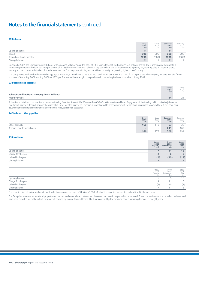**22 B shares**

|                           | Group<br>2008<br>£m | Group<br>2007<br>£m | Company<br>2008<br>£m | Company<br>2007<br>£m |
|---------------------------|---------------------|---------------------|-----------------------|-----------------------|
| Opening balance           | 11                  | $\sim$              | 11                    | $\hspace{0.1mm}$      |
| Issued                    | 808                 | 700                 | 808                   | 700                   |
| Repurchased and cancelled | (798)               | (689)               | (798)                 | (689)                 |
| Closing balance           | 21                  | $\sim$              | 21                    |                       |

On 16 July 2007, the Company issued B shares with a nominal value of 1p on the basis of 11 B shares for eight existing 62<sup>69</sup>/88p ordinary shares. The B shares carry the right to a cumulative preferential dividend at a rate per annum of 3.75% based on a notional value of 127p per B share and an entitlement to a priority payment equal to 127p per B share, plus any accrued but unpaid dividend, from the assets of the Company on a winding up, but will not ordinarily carry voting rights in the Company.

The Company repurchased and cancelled in aggregate 628,537,525 B shares on 23 July 2007 and 20 August 2007 at a price of 127p per share. The Company expects to make future purchase offers in July 2008 and July 2009 at 127p per B share and has the right to repurchase all outstanding B shares on or after 14 July 2009.

#### **23 Subordinated liabilities**

|                                                    | Group<br>2008<br>£m | Group<br>2007<br>£m |
|----------------------------------------------------|---------------------|---------------------|
| Subordinated liabilities are repayable as follows: |                     |                     |
| After five years                                   | 14                  | - -<br>∸            |

Subordinated liabilities comprise limited recourse funding from Kreditanstalt für Wiederaufbau ("KfW"), a German federal bank. Repayment of the funding, which individually finances investment assets, is dependent upon the disposal of the associated assets. This funding is subordinated to other creditors of the German subsidiaries to which these funds have been advanced and in certain circumstances become non-repayable should assets fail.

#### **24 Trade and other payables**

|                             | Group<br>2008<br>£m      | Group<br>2007<br>£m | Company<br>2008<br>£m | Company<br>2007<br>£m |
|-----------------------------|--------------------------|---------------------|-----------------------|-----------------------|
| Other accruals              | 166                      | 179                 | 67                    | $\sim$<br>$-1$        |
| Amounts due to subsidiaries | $\overline{\phantom{a}}$ | <b>Service</b>      | 241                   | 169                   |
|                             | 166                      | 170                 | 308                   | 191                   |

#### **25 Provisions**

|                      | Group<br>2008<br>Property<br>£m | Group<br>2008<br>Redundancy<br>£m | Group<br>2008<br>Total<br>£m |
|----------------------|---------------------------------|-----------------------------------|------------------------------|
| Opening balance      |                                 | 11                                | 18                           |
| Charge for the year  |                                 |                                   | 8                            |
| Utilised in the year | (2)                             | (10)                              | (12)                         |
| Closing balance      |                                 |                                   | 14                           |

|                      | Group<br>2007<br>Property<br>fm | Group<br>2007<br>Redundancy<br>£m | Group<br>2007<br>Total<br>£m |
|----------------------|---------------------------------|-----------------------------------|------------------------------|
| Opening balance      |                                 |                                   | 10                           |
| Charge for the year  |                                 |                                   | 15                           |
| Utilised in the year |                                 | (5)                               | (7)                          |
| Closing balance      |                                 |                                   | 18                           |

The provision for redundancy relates to staff reductions announced prior to 31 March 2008. Most of the provision is expected to be utilised in the next year.

The Group has a number of leasehold properties whose rent and unavoidable costs exceed the economic benefits expected to be received. These costs arise over the period of the lease, and have been provided for to the extent they are not covered by income from subleases. The leases covered by the provision have a remaining term of up to eight years.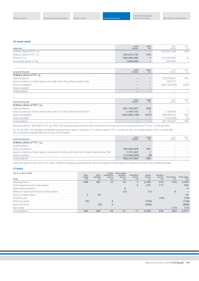#### **26 Issued capital**

| Authorised                                            | 2008<br>Number           | 2008<br>Em | 2007<br>Number | 2007<br>£m        |
|-------------------------------------------------------|--------------------------|------------|----------------|-------------------|
| Ordinary shares of 62 <sup>69</sup> / <sub>88</sub> p | $\overline{\phantom{a}}$ |            | 653,031,456    | 410               |
| Ordinary shares of 73 <sup>19</sup> / <sub>22</sub> p | 555,076,720              | 410        | $\sim$         |                   |
| B shares of 1p                                        | 660,000,000              |            | 610,000,000    |                   |
| Unclassified shares of 10p                            | 1,000,000                |            | 1.000.000      | $\hspace{0.05cm}$ |
|                                                       |                          |            |                |                   |

| Issued and fully paid                                                           | 2008<br>Number           | 2008<br>£m                   | 2007<br>Number  | 2007<br>£m               |
|---------------------------------------------------------------------------------|--------------------------|------------------------------|-----------------|--------------------------|
| Ordinary shares of 53 <sup>1</sup> / <sub>8</sub> p                             |                          |                              |                 |                          |
| Opening balance                                                                 |                          |                              | 550,556,502     | 292                      |
| Issued on exercise of share options and under the 3i Group Share Incentive Plan |                          |                              | 603.757         | $\overline{\phantom{a}}$ |
| Share consolidation                                                             |                          | $\qquad \qquad \blacksquare$ | (551, 160, 259) | (292)                    |
| Shares cancelled                                                                | $\overline{\phantom{a}}$ |                              | $\sim$          |                          |
| Closing balance                                                                 | $\overline{\phantom{a}}$ |                              | $\sim$          | $\sim$                   |
|                                                                                 |                          |                              |                 |                          |

| Issued and fully paid                                                           | 2008<br>Number  | 2008<br>£m               | 2007<br>Number | 2007<br>£m |
|---------------------------------------------------------------------------------|-----------------|--------------------------|----------------|------------|
| Ordinary shares of 62 <sup>69</sup> /88P                                        |                 |                          |                |            |
| Opening balance                                                                 | 461,106,007     | 289                      | $\sim$         |            |
| Issued on exercise of share options and under the 3i Group Share Incentive Plan | 1,794,733       |                          | 2.169.634      |            |
| Share consolidation                                                             | (462,900,740)   | (291)                    | 466.366.373    | 292        |
| Shares cancelled                                                                |                 |                          | (7,430,000)    | (5)        |
| Closing balance                                                                 | $\qquad \qquad$ | $\overline{\phantom{a}}$ | 461.106.007    | 289        |
|                                                                                 |                 |                          |                |            |

During the period 1 April 2007 to 15 July 2007, the Company issued shares for cash on the exercise of share options at various prices from 512p to 1,012p per share.

On 16 July 2007, the Company consolidated its issued share capital on the basis of 17 ordinary shares of 73<sup>19</sup>/22p each for every 20 ordinary shares of 62<sup>69</sup>/<sup>88</sup>P each held. This occurred immediately following the issue of the B shares.

| Issued and fully paid                                                                                 | 2008<br>Number           | 2008<br>£m | 2007<br>Number | 2007<br>£m |
|-------------------------------------------------------------------------------------------------------|--------------------------|------------|----------------|------------|
| Ordinary shares of 73 <sup>19</sup> / <sub>22</sub> p                                                 |                          |            |                |            |
| Opening balance                                                                                       | $\overline{\phantom{a}}$ |            | $\sim$         |            |
| Share consolidation                                                                                   | 393,465,629              | 291        | $\sim$         |            |
| Issued on exercise of share options, conversion of bonds, and under the 3i Group Share Incentive Plan | 1,275,465                |            | $\sim$         |            |
| Shares cancelled                                                                                      | (12,000,000)             | (9)        | $\sim$         | $\sim$     |
| Closing balance                                                                                       | 382,741,094              | 283        | $\sim$         |            |

During the period 16 July 2007 to 31 March 2008, the Company issued shares for cash on the exercise of share options at various prices from 470p to 895p per share.

#### **27 Equity**

| Year to 31 March 2008                           | Share         | Share         | Capital<br>redemption | Share-based<br>payment | <b>Translation</b> | Capital       | Revenue       |                  |                           |
|-------------------------------------------------|---------------|---------------|-----------------------|------------------------|--------------------|---------------|---------------|------------------|---------------------------|
| Group                                           | capital<br>£m | premium<br>Em | reserve<br>£m         | reserve<br>£m          | reserve<br>£m      | reserve<br>£m | reserve<br>Em | Own shares<br>£m | <b>Total equity</b><br>Em |
| Opening balance                                 | 289           | 387           | 27                    | 18                     | 5                  | 3,280         | 318           | (75)             | 4,249                     |
| Total recognised income and expense             |               |               |                       |                        | 6                  | 675           | 111           |                  | 792                       |
| Share-based payments                            |               |               |                       | 8                      |                    |               |               |                  | 8                         |
| Release on exercise/forfeiture of share options |               |               |                       | (5)                    |                    | (1)           |               | 6                |                           |
| Issue of ordinary shares                        | 3             | 16            |                       |                        |                    |               |               |                  | 19                        |
| Dividends paid                                  |               |               |                       |                        |                    |               | (70)          |                  | (70)                      |
| Share buy-backs                                 | (9)           |               | 9                     |                        |                    | (120)         |               |                  | (120)                     |
| Issue of B shares                               |               | (6)           | 6                     |                        |                    | (808)         |               |                  | (808)                     |
| Own shares                                      |               |               |                       |                        |                    |               |               | (13)             | (13)                      |
| Closing balance                                 | 283           | 397           | 42                    | 21                     | 11                 | 3,026         | 359           | (82)             | 4,057                     |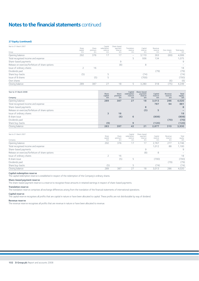#### **27 Equity (continued)**

| Year to 31 March 2007<br>Group                  | Share<br>capital<br>£m | Share<br>premium<br>£m | Capital<br>redemption<br>reserve<br>£m | Share-based<br>payment<br>reserve<br>£m | Translation<br>reserve<br>£m | Capital<br>reserve<br>£m | Revenue<br>reserve<br>£m | Own shares<br>£m | Total equity<br>£m |
|-------------------------------------------------|------------------------|------------------------|----------------------------------------|-----------------------------------------|------------------------------|--------------------------|--------------------------|------------------|--------------------|
| Opening balance                                 | 292                    | 376                    |                                        | 17                                      | -                            | 3,110                    | 263                      | (69)             | 4,006              |
| Total recognised income and expense             |                        |                        |                                        |                                         |                              | 936                      | 134                      |                  | 1,075              |
| Share-based payments                            |                        |                        |                                        | 9                                       |                              |                          |                          |                  | 9                  |
| Release on exercise/forfeiture of share options |                        |                        |                                        | (8)                                     |                              | 8                        |                          |                  |                    |
| Issue of ordinary shares                        |                        | 16                     |                                        |                                         |                              |                          |                          |                  | 18                 |
| Dividends paid                                  |                        |                        |                                        |                                         |                              |                          | (79)                     |                  | (79)               |
| Share buy-backs                                 | (5)                    |                        | 5                                      |                                         |                              | (74)                     |                          |                  | (74)               |
| Issue of B shares                               |                        | (5)                    |                                        |                                         |                              | (700)                    |                          |                  | (700)              |
| Own shares                                      |                        |                        |                                        |                                         |                              |                          |                          | (6)              | (6)                |
| Closing balance                                 | 289                    | 387                    | 27                                     | 18                                      | 5                            | 3,280                    | 318                      | (75)             | 4,249              |
|                                                 |                        |                        |                                        |                                         |                              |                          |                          |                  |                    |

| Year to 31 March 2008<br>Company                | <b>Share</b><br>capital<br>£m | Share<br>premium<br>£m | Capital<br>redemption<br>reserve<br>Em | Share-based<br>payment<br>reserve<br>Em | Capital<br>reserve<br>£m | Revenue<br>reserve<br>Em | <b>Total</b><br>equity<br>Em |
|-------------------------------------------------|-------------------------------|------------------------|----------------------------------------|-----------------------------------------|--------------------------|--------------------------|------------------------------|
| Opening balance                                 | 289                           | 387                    | 27                                     | 18                                      | 3,013                    | 286                      | 4,020                        |
| Total recognised income and expense             |                               |                        |                                        |                                         | 787                      | 94                       | 881                          |
| Share-based payments                            |                               |                        |                                        | 8                                       |                          |                          | 8                            |
| Release on exercise/forfeiture of share options |                               |                        |                                        | (5)                                     | 5                        |                          |                              |
| Issue of ordinary shares                        | 3                             | 16                     |                                        |                                         |                          |                          | 19                           |
| B share issue                                   |                               | (6)                    | 6                                      |                                         | (808)                    |                          | (808)                        |
| Dividends paid                                  |                               |                        |                                        |                                         |                          | (70)                     | (70)                         |
| Share buy-backs                                 | (9)                           |                        | 9                                      |                                         | (120)                    |                          | (120)                        |
| Closing balance                                 | 283                           | 397                    | 42                                     | 21                                      | 2.877                    | 310                      | 3.930                        |

| Year to 31 March 2007                           | Share<br>capital | Share<br>premium | Capital<br>redemption<br>reserve | Share-based<br>payment<br>reserve | Capital<br>reserve | Revenue<br>reserve | Total<br>equity<br>Em |
|-------------------------------------------------|------------------|------------------|----------------------------------|-----------------------------------|--------------------|--------------------|-----------------------|
| Company                                         | £m               | £m               | £m                               | £m                                | £m                 | £m                 |                       |
| Opening balance                                 | 292              | 376              | 17                               |                                   | 2.767              | 277                | 3,746                 |
| Total recognised income and expense             |                  |                  |                                  |                                   | 1,012              | 88                 | 1,100                 |
| Share-based payments                            |                  |                  |                                  | 9                                 |                    |                    | 9                     |
| Release on exercise/forfeiture of share options |                  |                  |                                  | (8)                               | 8                  |                    |                       |
| Issue of ordinary shares                        |                  | 16               |                                  |                                   |                    |                    | 18                    |
| B share issue                                   |                  | (5)              | 5                                |                                   | (700)              |                    | (700)                 |
| Dividends paid                                  |                  |                  |                                  |                                   |                    | (79)               | (79)                  |
| Share buy-backs                                 | (5)              |                  | ц                                |                                   | (74)               |                    | (74)                  |
| Closing balance                                 | 289              | 387              | 27                               | 18                                | 3.013              | 286                | 4.020                 |

#### **Capital redemption reserve**

The capital redemption reserve is established in respect of the redemption of the Company's ordinary shares.

#### **Share-based payment reserve**

The share-based payment reserve is a reserve to recognise those amounts in retained earnings in respect of share-based payments.

#### **Translation reserve**

The translation reserve comprises all exchange differences arising from the translation of the financial statements of international operations.

#### **Capital reserve**

The capital reserve recognises all profits that are capital in nature or have been allocated to capital. These profits are not distributable by way of dividend.

#### **Revenue reserve**

The revenue reserve recognises all profits that are revenue in nature or have been allocated to revenue.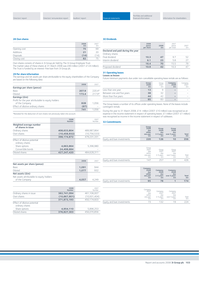#### **28 Own shares**

|                  | 2008<br>£m | 2007<br>£m |
|------------------|------------|------------|
| Opening cost     | 75         | 69         |
| <b>Additions</b> | 21         | 20         |
| Disposals        | (14)       | (14)       |
| Closing cost     | 82         |            |

Own shares consists of shares in 3i Group plc held by The 3i Group Employee Trust. The market value of these shares at 31 March 2008 was £90 million (2007: £124 million). The Trust is funded by an interest-free loan from 3i Group plc.

#### **29 Per share information**

The earnings and net assets per share attributable to the equity shareholders of the Company are based on the following data:

|                                                    | 2008  | 2007     |
|----------------------------------------------------|-------|----------|
| Earnings per share (pence)                         |       |          |
| <b>Basic</b>                                       | 207.9 | $220.4*$ |
| Diluted                                            | 173.4 | $2179*$  |
| Earnings (£m)                                      |       |          |
| Profit for the year attributable to equity holders |       |          |
| of the Company                                     | 828   | 1.056    |
| Effect of dilutive ordinary shares                 | (87)  |          |
|                                                    | 741   | 1.056    |

\*Restated for the deduction of own shares not previously taken into account.

|                                                 | 2008<br><b>Number</b> | 2007<br>Number |
|-------------------------------------------------|-----------------------|----------------|
| Weighted average number<br>of shares in issue   |                       |                |
| Ordinary shares                                 | 408,633,804           | 489,987,864    |
| Own shares                                      | (10, 458, 932)        | (10, 756, 533) |
|                                                 | 398,174,872           | 479,231,331    |
| Effect of dilutive potential<br>ordinary shares |                       |                |
| Share options                                   | 4,663,864             | 5,396,980      |
| Convertible bonds                               | 24,408,684            |                |
| Diluted shares                                  | 427.247.420           | 484.628.311    |
|                                                 |                       |                |

|                                           | 2008  | 2007  |
|-------------------------------------------|-------|-------|
| Net assets per share (pence)              |       |       |
| <b>Basic</b>                              | 1,091 | 944   |
| Diluted                                   | 1.077 | 932   |
| Net assets (£m)                           |       |       |
| Net assets attributable to equity holders |       |       |
| of the Company                            | 4.057 | 4.249 |

|                                                 | 2008<br>Number | 2007<br>Number |
|-------------------------------------------------|----------------|----------------|
| Ordinary shares in issue                        | 382,741,094    | 461,106,007    |
| Own shares                                      | (10, 867, 901) | (10, 931, 404) |
|                                                 | 371,873,193    | 450.174.603    |
| Effect of dilutive potential<br>ordinary shares |                |                |
| Share options                                   | 4,954,110      | 5,896,253      |
| Diluted shares                                  | 376,827,303    | 456,070,856    |

#### **30 Dividends**

|                                   | 2008<br>pence<br>per share | 2008<br>£m | 2007<br>pence<br>per share | 2007<br>£m |
|-----------------------------------|----------------------------|------------|----------------------------|------------|
| Declared and paid during the year |                            |            |                            |            |
| Ordinary shares                   |                            |            |                            |            |
| Final dividend                    | 10.3                       | 47         | 9.7                        | 52         |
| Interim dividend                  | 6.1                        | 23         | 5.8                        | 27         |
|                                   | 16.4                       | 70         | 15.5                       | 79         |
| Proposed dividend                 | 10.9                       | 42         | 10.3                       | 47         |

#### **31 Operating leases Leases as lessee**

Future minimum payments due under non-cancellable operating lease rentals are as follows:

|                            | Group<br>2008<br>£m | Group<br>2007<br>f <sub>m</sub> | Company<br>2008<br>£m | Company<br>2007<br>£m |
|----------------------------|---------------------|---------------------------------|-----------------------|-----------------------|
| Less than one year         | 13                  |                                 |                       |                       |
| Between one and five years | 38                  | 32                              |                       |                       |
| More than five years       | 44                  | 42                              |                       | $\sim$                |
|                            | 95                  |                                 |                       |                       |

The Group leases a number of its offices under operating leases. None of the leases include contingent rentals.

During the year to 31 March 2008, £14 million (2007: £10 million) was recognised as an expense in the income statement in respect of operating leases. £1 million (2007: £1 million) was recognised as income in the income statement in respect of subleases.

#### **32 Commitments**

|                             | Group<br>2008<br>due<br>within<br>one year<br>£m | Group<br>2008<br>due<br>$2-5$ years<br>£m | Group<br>2008<br>due<br>over 5 years<br>£m | Total<br>£m |
|-----------------------------|--------------------------------------------------|-------------------------------------------|--------------------------------------------|-------------|
| Equity and loan investments | 220                                              | 126                                       | 10                                         | 356         |

|                             | Group<br>2007<br>due<br>within<br>one year<br>£m | Group<br>2007<br>due<br>2-5 years<br>£m | Group<br>2007<br>due<br>over 5 years<br>Em | Total<br>£m |
|-----------------------------|--------------------------------------------------|-----------------------------------------|--------------------------------------------|-------------|
| Equity and loan investments | 147                                              | 257                                     |                                            | วค          |

|                             | Company<br>2008<br>due<br>within<br>one year<br>£m | Company<br>2008<br>due<br>$2-5$ years<br>£m | Company<br>2008<br>due<br>over 5 years<br>£m | <b>Total</b><br>£m |
|-----------------------------|----------------------------------------------------|---------------------------------------------|----------------------------------------------|--------------------|
| Equity and loan investments | 95                                                 | 78                                          |                                              | 174                |

|                             | Company<br>2007<br>due<br>within<br>one year<br>£m | Company<br>2007<br>due<br>2-5 years<br>£m | Company<br>2007<br>due<br>over 5 years<br>£m | Total<br>£m |
|-----------------------------|----------------------------------------------------|-------------------------------------------|----------------------------------------------|-------------|
| Equity and loan investments |                                                    | 137                                       | 1 Q                                          |             |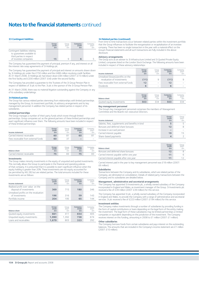#### **33 Contingent liabilities**

|                                                                                           | Group<br>2008<br>£m | Group<br>2007<br>f <sub>m</sub> | Company<br>2008<br>£m | Company<br>2007<br>£m |
|-------------------------------------------------------------------------------------------|---------------------|---------------------------------|-----------------------|-----------------------|
| Contingent liabilities relating<br>to quarantees available to<br>third parties in respect |                     |                                 |                       |                       |
| of investee companies                                                                     | 15                  |                                 | 6                     |                       |

The Company has guaranteed the payment of principal, premium if any, and interest on all the interest rate swap agreements of 3i Holdings plc.

The Company has guaranteed the payment of principal and interest on amounts drawn down by 3i Holdings plc under the £150 million and the £486 million revolving credit facilities. At 31 March 2008, 3i Holdings plc had drawn down £84 million (2007: £73 million) under the first facility and £200 million (2007: £nil) under the second facility.

The Company has provided a guarantee to the Trustees of the 3i Group Pension Plan in respect of liabilities of 3i plc to the Plan. 3i plc is the sponsor of the 3i Group Pension Plan.

At 31 March 2008, there was no material litigation outstanding against the Company or any of its subsidiary undertakings.

#### **34 Related parties**

The Group has various related parties stemming from relationships with limited partnerships managed by the Group, its investment portfolio, its advisory arrangements and its key management personnel. In addition the Company has related parties in respect of its subsidiaries.

#### **Limited partnerships**

The Group manages a number of third-party funds which invest through limited partnerships. Group companies act as the general partners of these limited partnerships and exert significant influence over them. The following amounts have been included in respect of these limited partnerships:

| Income statement                    | Group<br>2008<br>£m | Group<br>2007<br>fm | Company<br>2008<br>£m    | Company<br>2007<br>£m |
|-------------------------------------|---------------------|---------------------|--------------------------|-----------------------|
| Carried interest receivable         | 60                  | 81                  | 60                       |                       |
| Fees receivable from external funds | 60                  |                     | $\overline{\phantom{a}}$ | $\sim$                |

| <b>Balance sheet</b>        | Group | Group | Company | <b>Company</b> |
|-----------------------------|-------|-------|---------|----------------|
|                             | 2008  | 2007  | 2008    | 200            |
|                             | £m    | £m    | £m      | £m             |
| Carried interest receivable | 75    |       | 75      |                |

#### **Investments**

The Group makes minority investments in the equity of unquoted and quoted investments. This normally allows the Group to participate in the financial and operating policies of that company. It is presumed that it is possible to exert significant influence when the equity holding is greater than 20%. These investments are not equity accounted for (as permitted by IAS 28) but are related parties. The total amounts included for these investments are as follows:

| Income statement                                             | Group<br>2008<br>£m | Group<br>2007<br>£m | Company<br>2008<br>£m | Company<br>2007<br>£m |
|--------------------------------------------------------------|---------------------|---------------------|-----------------------|-----------------------|
| Realised profit over value on the<br>disposal of investments | 369                 | 715                 | 180                   | 346                   |
| Unrealised profits on the revaluation<br>of investments      | 196                 | 316                 | 59                    | 143                   |
| Portfolio income                                             | 204                 | 195                 | 65                    | 144                   |

| <b>Balance sheet</b>        | Group<br>2008<br>£m | Group<br>2007<br>£m | Company<br>2008<br>£m | Company<br>2007<br>£m |
|-----------------------------|---------------------|---------------------|-----------------------|-----------------------|
| Quoted equity investments   | 661                 | 411                 | 654                   | 405                   |
| Unquoted equity investments | 1.990               | 1.392               | 738                   | 674                   |
| Loans and receivables       | 1.679               | 803                 | 323                   | 292                   |

#### **34 Related parties (continued)**

From time to time transactions occur between related parties within the investment portfolio that the Group influences to facilitate the reorganisation or recapitalisation of an investee company. There has been no single transaction in the year with a material effect on the Group's financial statements and all such transactions are fully included in the above disclosure.

#### **Advisory arrangements**

The Group acts as an adviser to 3i Infrastructure Limited and 3i Quoted Private Equity Limited, companies listed on the London Stock Exchange. The following amounts have been included in respect of these advisory relationships:

| Income statement                                                 | Group<br>2008<br>£m | Group<br>2007<br>f <sub>m</sub> | Company<br>2008<br>£m | Company<br>2007<br>f <sub>m</sub> |
|------------------------------------------------------------------|---------------------|---------------------------------|-----------------------|-----------------------------------|
| Unrealised (losses)/profits on the<br>revaluation of investments | (11)                | 9                               | (11)                  |                                   |
| Fees receivable from external funds                              | 12                  | $\sim$                          | 12                    |                                   |
| <b>Dividends</b>                                                 | 6                   | $\sim$                          | 6                     | -                                 |

| <b>Balance sheet</b>      | Group | Group | Company | Company |
|---------------------------|-------|-------|---------|---------|
|                           | 2008  | 2007  | 2008    | 2007    |
|                           | £m    | fm    | £m      | £m      |
| Quoted equity investments | 503   | 334   | 503     |         |

#### **Key management personnel**

The Group's key management personnel comprises the members of Management Committee and the Board's non-executive Directors.

| Income statement                                 | Group<br>2008<br>£m | Group<br>2007<br>fm |
|--------------------------------------------------|---------------------|---------------------|
| Salaries, fees, supplements and benefits in kind | 5                   |                     |
| Bonuses and deferred share bonuses               | 12                  |                     |
| Increase in accrued pension                      |                     |                     |
| Carried interest payable                         | 19                  | 15                  |
| Share-based payments                             | 4                   |                     |

| <b>Balance sheet</b>                     | Group<br>2008<br>£m | Group<br>2007<br>f <sub>m</sub> |
|------------------------------------------|---------------------|---------------------------------|
| Bonuses and deferred share bonuses       | 12                  |                                 |
| Carried interest payable within one year | 11                  |                                 |
| Carried interest payable after one year  | 11                  |                                 |

Carried interest paid in the year to key management personnel was £18 million (2007: £6 million).

#### **Subsidiaries**

Transactions between the Company and its subsidiaries, which are related parties of the Company, are eliminated on consolidation. Details of related party transactions between the Company and its subsidiaries are detailed below.

#### **Management, administrative and secretarial arrangements**

The Company has appointed 3i Investments plc, a wholly owned subsidiary of the Company incorporated in England and Wales, as investment manager of the Group. 3i Investments plc received a fee of £39 million (2007: £39 million) for this service.

The Company has appointed 3i plc, a wholly owned subsidiary of the Company incorporated in England and Wales, to provide the Company with a range of administrative and secretarial services. 3i plc received a fee of £223 million (2007: £194 million) for this service.

#### **Investment entities**

The Company makes investments through a number of subsidiaries by providing funding in the form of capital contributions or loans depending on the legal form of the entity making the investment. The legal form of these subsidiaries may be limited partnerships or limited companies or equivalent depending on the jurisdiction of the investment. The Company receives interest on this funding, amounting in 2008 to £1 million (2007: £1 million).

#### **Other subsidiaries**

The Company borrows funds from certain subsidiaries and pays interest on the outstanding balances. The amounts that are included in the Company's income statement are £1 million (2007: £10 million).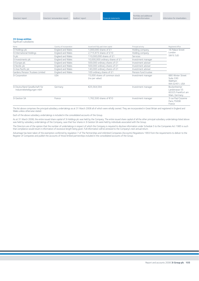#### **35 Group entities**

Significant subsidiaries

| Name                                                          | Country of incorporation | Issued and fully paid share capital             | Principal activity   | Registered office                                                     |  |
|---------------------------------------------------------------|--------------------------|-------------------------------------------------|----------------------|-----------------------------------------------------------------------|--|
| 3i Holdings plc                                               | England and Wales        | 1,000,000 shares of £1                          | Holding company      | 16 Palace Street<br>London<br>SW1E 5JD                                |  |
| 3i International Holdings                                     | England and Wales        | 2,715,973 shares of £10                         | Holding company      |                                                                       |  |
| 3i plc                                                        | England and Wales        | 110,000,000 shares of £1                        | <b>Services</b>      |                                                                       |  |
| 3i Investments plc                                            | England and Wales        | 10,000,000 ordinary shares of £1                | Investment manager   |                                                                       |  |
| 3i Europe plc                                                 | England and Wales        | 500,000 ordinary shares of £1                   | Investment adviser   |                                                                       |  |
| 3i Nordic plc                                                 | England and Wales        | 500,000 ordinary shares of £1                   | Investment adviser   |                                                                       |  |
| 3i Asia Pacific plc                                           | England and Wales        | 140,000 ordinary shares of £1                   | Investment adviser   |                                                                       |  |
| Gardens Pension Trustees Limited                              | England and Wales        | 100 ordinary shares of £1                       | Pension fund trustee |                                                                       |  |
| 3i Corporation                                                | <b>USA</b>               | 15,000 shares of common stock<br>(no par value) | Investment manager   | 880 Winter Street<br>Suite 330<br>Waltham<br>MA 02451, USA            |  |
| 3i Deutschland Gesellschaft für<br>Industriebeteiligungen mbH | Germany                  | €25.564.594                                     | Investment manager   | Bockenheimer<br>Landstrasse 55<br>60325 Frankfurt am<br>Main, Germany |  |
| 3i Gestion SA                                                 | France                   | 1.762.500 shares of €10                         | Investment manager   | 3 rue Paul Cezanne<br>Paris, 75008<br>France                          |  |

The list above comprises the principal subsidiary undertakings as at 31 March 2008 all of which were wholly owned. They are incorporated in Great Britain and registered in England and Wales unless otherwise stated.

Each of the above subsidiary undertakings is included in the consolidated accounts of the Group.

As at 31 March 2008, the entire issued share capital of 3i Holdings plc was held by the Company. The entire issued share capital of all the other principal subsidiary undertakings listed above was held by subsidiary undertakings of the Company, save that four shares in 3i Gestion SA were held by individuals associated with the Group.

The Directors are of the opinion that the number of undertakings in respect of which the Company is required to disclose information under Schedule 5 to the Companies Act 1985 is such that compliance would result in information of excessive length being given. Full information will be annexed to the Company's next annual return.

Advantage has been taken of the exemption conferred by regulation 7 of The Partnerships and Unlimited Companies (Accounts) Regulations 1993 from the requirements to deliver to the Register of Companies and publish the accounts of those limited partnerships included in the consolidated accounts of the Group.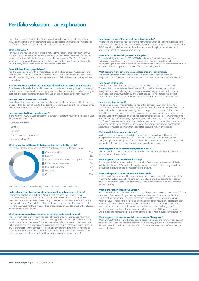### **Portfolio valuation – an explanation**

Our policy is to value 3i's investment portfolio at fair value and achieve this by valuing individual investments on an appropriate basis using a consistent methodology across the portfolio. The following guide explains the valuation methods used.

#### **What is fair value?**

Fair value is the value of an asset or liability in an arm's-length transaction between two willing and knowledgeable parties. This generally provides the best estimate of what we will generally sold the investment at the date of valuation. The Group's financial statements are prepared in accordance with International Financial Reporting Standards ("IFRS"), many of which are based on the concept of fair value.

#### **Does 3i follow industry guidelines?**

Yes. The Group complies with all material aspects of the International Private Equity and Venture Capital ("IPEVC") valuation guidelines. The IPEVC valuation guidelines specify the valuation methodology which is most appropriate to individual investments at a particular point in time.

#### **Is an investment valued on the same basis throughout the period 3i is invested?**

3i carries out a detailed valuation of its investment portfolio twice yearly. At each valuation point the investment is valued on the most appropriate basis. For example, if a portfolio company lists its shares on a stock exchange it would be valued on a quoted basis at the next valuation.

#### **How are quoted investments valued?**

Quoted investments are valued at closing bid price at the date of valuation. No discounts are applied for illiquidity of the stock or dealing restrictions, such as lock-up periods, provided investments are traded on an active stock market.

#### **How are unquoted investments valued?**

In line with the IPEVC valuation guidelines a number of different valuation methods are used for unquoted investments:

- Cost less provisions;
- Earnings;
- Net assets;
- Price of recent investment; or
- Imminent sale or IPO.

#### **What proportion of the portfolio is valued on each valuation basis?**

The portfolio for the year ended 31 March 2008 is valued on the following basis:



Note: Cost includes unquoted equity investments and loans and receivables.

#### **Under what circumstances would an investment be valued on a cost basis?**

For investments that are less than 12 months old, the price that 3i paid, ie cost, is considered the most appropriate valuation method. However the performance of the investment is also reviewed to see if any impairment should be made if the company is underperforming. When a full set of accounts (covering a period of at least six months following the investment) are received then those figures are used to prepare the valuation on an alternative basis to cost.

#### **What does valuing an investment on an earnings basis actually mean?**

The "earnings" basis is a very common basis of valuing unquoted companies when they are being bought or sold. Essentially a multiple is applied to the earnings of the company, to calculate an enterprise value. This enterprise value is the total value of the investment, including debt, any preferred financial instruments and equity. Before calculating the value of 3i's shareholding in the company, the debt and any preferred instruments need to be deducted from the enterprise value. The total value of 3i's investment is then the value of its equity plus any debt or preferred financial instruments that are due to 3i.

#### **How do we calculate 3i's share of the enterprise value?**

We allocate the enterprise value to financial instruments which rank above 3i, such as senior loans. We then generally apply a marketability discount of 10%–30% in accordance with the IPEVC valuation guidelines. We can then allocate the remaining balance between equity holders dependent on individual shareholding.

#### **What level of marketability discount is applied?**

The marketability discount of 10%–30% is based on the Group's influence over the exit prospects and timing for the company. A greater influence gained through a greater equity holding implies a smaller discount. In a smaller number of cases a greater discount may be applied if there are particular factors affecting the ability to sell.

#### **What happens if the enterprise value is less than the loan amount?**

This implies that there is a shortfall in the value of the loan. A decision based on the performance of the investment is then taken as to whether to recognise this shortfall.

#### **How do we value loans?**

We value loans using the "amortised cost" method, which is in accordance with IFRS. The amortised cost represents the amount at which the loan is measured at initial recognition, less principal repayments taking into account any premium or discount on the original loan amount. Effectively, this is cost less any provisions required. Interest income is recognised using the effective interest rate based on all the loan's cash flows.

#### **How are earnings defined?**

The objective is to use maintainable earnings of the company in which 3i is invested. These are the "normal" earnings of the company, and are calculated by removing any ad hoc amounts included in the current year figures, such as profits on disposal of fixed assets or one-off expenses that are not expected to occur on a regular basis. A common measure of earnings used for this calculation is earnings before interest and tax "EBIT". Other measures used are earnings before interest, tax, depreciation and amortisation "EBITDA", or profit after tax. These figures are usually taken from the latest audited accounts, which cover a period of at least six months since the date of investment. A review of more recent management accounts is conducted to ensure that the audited accounts remain a valid basis.

#### **Which multiple is appropriate to use?**

Multiples need to be consistent with the measure of earnings chosen. Therefore EBIT multiples must be used with EBIT, EBITDA multiples with EBITDA and Price Earnings ("PE") multiples used with profit after tax. The multiple used can be calculated using recent transaction information, external valuations or quoted sector multiples.

#### **What happens if an investment is reporting a loss?**

One of the other valuation methodologies can be used. For example the valuation can be prepared on a net asset basis.

#### **What happens if the investment is failing?**

If a company is failing or we consider that there is a 50% chance or more that it is likely to fail within the next 12 months, the equity element is valued at nil, and any loan element is valued at the lower of cost or net recoverable amount.

#### **When is the price of recent investment basis used?**

Venture capital investments often have a number of financing rounds during the life of the investment. The last round of financing can be used as a reference point to calculate fair value. To increase the value of an investment, the round of financing must have external parties investing.

#### **What is the "other" basis of valuation?**

"Other" includes DCF calculations, which estimate the present value of an investment's future cash flows. This methodology is most appropriate where cash flows over the life of an investment are predictable. This basis is commonly used for infrastructure investments, which are usually held over a long period of time and generate regular and predictable cash flows. "Other" could also include investments in funds valued based on 3i's share of net assets or investments in specific sectors such as insurance where industry specific benchmarks are used. Six of the investments detailed on pages 108 and 109, totalling £451 million and representing 7.5% of the portfolio value, were included in this category.

#### **What happens if an investment is in the process of being sold?**

When an investment is in an advanced sales process, we will use the imminent sale basis of valuation, which uses the expected proceeds from the sale, applying a 10% marketability discount. We will consider the potential effect of completion conditions before moving an asset to this basis.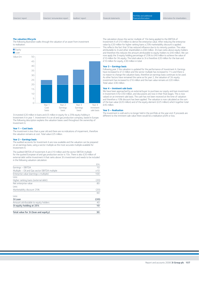#### **The valuation lifecycle**

The following illustration walks through the valuation of an asset from investment to realisation.



3i invested £20 million in loans and £5 million in equity for a 25% equity holding in Investment A in year 1. Investment A is an oil and gas production company, based in Europe. The following description explains the valuation bases used throughout the ownership of Investment A.

#### **Year 1 – Cost basis**

The investment is less than a year old and there are no indications of impairment, therefore the valuation remains at cost. Total value £25 million.

#### **Year 2 – Earnings basis**

The audited accounts for Investment A are now available and the valuation can be prepared on an earnings basis, using a sector multiple as the most accurate multiple available for Investment A.

The audited EBITDA of Investment A are £10 million and the sector EBITDA multiple for the quoted European oil and gas production sector is 10x. There is also £20 million of external debt within Investment A that ranks above 3i's investment and needs to be included in the following valuation calculation:

|                                               | £m   |
|-----------------------------------------------|------|
| Earnings - EBITDA                             | 10   |
| Multiple - Oil and Gas sector EBITDA multiple | x10  |
| Enterprise value (earnings x multiple)        | 100  |
| Less:                                         |      |
| Higher ranking loans (external debt)          | (20) |
| Net enterprise value                          | 80   |
| Less:                                         |      |
| Marketability discount 25%                    | (20) |
|                                               | 60   |
| Less:                                         |      |
| 3i Loan                                       | (20) |
| Amount attributable to equity holders         | 40   |
| 3i equity holding at 25%                      | 10   |
| Total value for 3i (loan and equity)          | 30   |

The calculation shows the sector multiple of 10x being applied to the EBITDA of Investment A of £10 million to derive the enterprise value. After reducing the enterprise value by £20 million for higher ranking loans a 25% marketability discount is applied. This reflects the fact that 3i has reduced influence due to its minority position. The value attributable to 3i and other shareholders is £60 million. 3i's loan ranks above equity holders and therefore this reduces the amount attributable to equity holders to £40 million. We can now apply the 3i equity holding percentage of 25% to £40 million to achieve the value of £10 million for 3i's equity. The total value to 3i is therefore £20 million for the loan and £10 million for equity, £30 million in total.

#### **Year 3 – Earnings basis**

Following year 2 the valuation is updated for the performance of Investment A. Earnings have increased to £12 million and the sector multiple has increased to 11x and there is no reason to change the valuation basis, therefore an earnings basis continues to be used. As other factors have remained the same as for year 2, the valuation of 3i's equity investment has increased to £16 million and the loan value remains at £20 million. Total value: £36 million.

#### **Year 4 – Imminent sale basis**

We have been approached by an external buyer to purchase our equity and loan investment in Investment A for £50 million, and discussions are now in their final stages. This is now valued on an imminent sale basis. The cash has not been received at the time of valuation and therefore a 10% discount has been applied. The valuation is now calculated as the sum of the loan value (£20 million) and of the equity element (£25 million) which together total £45 million.

#### **Year 5 – Realisation**

The investment is sold and is no longer held in the portfolio at the year end. If proceeds are different to the imminent sale value there would be a realisation profit or loss.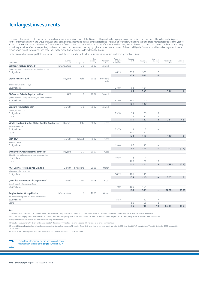# **Ten largest investments**

The table below provides information on our ten largest investments in respect of the Group's holding and excluding any managed or advised external funds. The valuation basis provides further information on how the Group's valuation has been derived. Income represents dividends received (inclusive of overseas withholding tax) and gross interest receivable in the year to 31 March 2008. Net assets and earnings figures are taken from the most recently audited accounts of the investee business, and are the net assets of each business and the total earnings on ordinary activities after tax respectively. It should be noted that, because of the varying rights attached to the classes of shares held by the Group, it could be misleading to attribute a certain proportion of the earnings and net assets to the proportion of equity capital held by the Group.

Further information on our portfolio investments is provided as case studies within the Business review section, and more generally at 3i.com

| Investment                                               | <b>Business</b><br>line | Geography | First<br>invested<br>in | Valuation<br>basis | Proportion<br>of equity<br>shares held | Residual<br>cost<br>£m   | Valuation<br>£m | Income in<br>the year<br>£m | Net assets<br>£m | Earnings<br>£m |
|----------------------------------------------------------|-------------------------|-----------|-------------------------|--------------------|----------------------------------------|--------------------------|-----------------|-----------------------------|------------------|----------------|
| 3i Infrastructure Limited                                | Infrastructure          | UK        | 2007                    | Quoted             |                                        |                          |                 |                             |                  |                |
| Quoted investment company, investing in infrastructure   |                         |           |                         |                    |                                        |                          |                 |                             |                  |                |
| Equity shares                                            |                         |           |                         |                    | 46.2%                                  | 325                      | 363             | 6                           |                  |                |
|                                                          |                         |           |                         |                    |                                        | 325                      | 363             | 6                           |                  |                |
| Giochi Preziosi S.r.l                                    | Buyouts                 | Italy     | 2005                    | Imminent<br>sale   |                                        |                          |                 |                             |                  |                |
| Retailer and wholesaler of toys                          |                         |           |                         |                    |                                        |                          |                 |                             |                  |                |
| Equity shares                                            |                         |           |                         |                    | 37.8%                                  | 63                       | 151             |                             |                  |                |
|                                                          |                         |           |                         |                    |                                        | 63                       | 151             | $\overline{\phantom{0}}$    | 137              | 3              |
| 3i Quoted Private Equity Limited <sup>2</sup>            | OPE                     | UK        | 2007                    | Quoted             |                                        |                          |                 |                             |                  |                |
| Quoted investment company, investing in quoted companies |                         |           |                         |                    |                                        |                          |                 |                             |                  |                |
| Equity shares                                            |                         |           |                         |                    | 44.9%                                  | 181                      | 140             |                             |                  |                |
|                                                          |                         |           |                         |                    |                                        | 181                      | 140             | $\overline{\phantom{0}}$    |                  |                |
| Venture Production plc <sup>3</sup>                      | Growth                  | UK        | 2007                    | Quoted             |                                        |                          |                 |                             |                  |                |
| Oil and gas production                                   |                         |           |                         |                    |                                        |                          |                 |                             |                  |                |
| Equity shares                                            |                         |           |                         |                    | 23.5%                                  | 34                       | 50              | $\overline{2}$              |                  |                |
| Loans                                                    |                         |           |                         |                    |                                        | 77                       | 77              | 1                           |                  |                |
|                                                          |                         |           |                         |                    |                                        | 111                      | 127             | $\overline{3}$              | 281              | 48             |
| Viridis Holding S.p.A. (Global Garden Products)          | Buyouts                 | Italy     | 2007                    | Cost               |                                        |                          |                 |                             |                  |                |
| Garden power tools                                       |                         |           |                         |                    |                                        |                          |                 |                             |                  |                |
| Equity shares                                            |                         |           |                         |                    | 33.7%                                  | $\overline{4}$           | 5               | $\overline{\phantom{0}}$    |                  |                |
| Loans                                                    |                         |           |                         |                    |                                        | 100                      | 111             |                             |                  |                |
|                                                          |                         |           |                         |                    |                                        | 104                      | 116             | $\qquad \qquad -$           | 140              | 6              |
| DNA Oy <sup>4</sup>                                      | Growth                  | Finland   | 2007                    | Cost               |                                        |                          |                 |                             |                  |                |
| Telecom operator                                         |                         |           |                         |                    |                                        |                          |                 |                             |                  |                |
| Equity shares                                            |                         |           |                         |                    | 13.0%                                  | 97<br>97                 | 113<br>113      | $\overline{\phantom{0}}$    | 201              | (19)           |
| <b>Enterprise Group Holdings Limited®</b>                | Buyouts                 | UK        | 2007                    | Cost               |                                        |                          |                 |                             |                  |                |
| UK utilities and public sector maintenance outsourcing   |                         |           |                         |                    |                                        |                          |                 |                             |                  |                |
| Equity shares                                            |                         |           |                         |                    | 32.2%                                  | 3                        | 3               | $\overline{\phantom{0}}$    |                  |                |
| Loans                                                    |                         |           |                         |                    |                                        | 108                      | 108             | 12                          |                  |                |
|                                                          |                         |           |                         |                    |                                        | 111                      | 111             | 12                          | (28)             | (38)           |
| <b>ACR Capital Holdings Pte Limited</b>                  | Growth                  | Singapore | 2006                    | Other              |                                        |                          |                 |                             |                  |                |
| Reinsurance in large risk segments                       |                         |           |                         |                    |                                        |                          |                 |                             |                  |                |
| Equity shares                                            |                         |           |                         |                    | 10.2%                                  | 105                      | 110             | $\overline{\phantom{a}}$    |                  |                |
|                                                          |                         |           |                         |                    |                                        | 105                      | 110             | $\overline{a}$              | 307              | 8              |
| Quintiles Transnational Corporation <sup>6</sup>         | Growth                  | US        | 2008                    | Cost               |                                        |                          |                 |                             |                  |                |
| Clinical research outsourcing solutions                  |                         |           |                         |                    |                                        |                          |                 |                             |                  |                |
| Equity shares                                            |                         |           |                         |                    | 7.0%                                   | 100                      | 101             | $\overline{\phantom{0}}$    |                  |                |
|                                                          |                         |           |                         |                    |                                        | 100                      | 101             | $\overline{\phantom{0}}$    | (228)            | (93)           |
| <b>Anglian Water Group Limited</b>                       | Infrastructure          | <b>UK</b> | 2006                    | Other              |                                        |                          |                 |                             |                  |                |
| Provider of drinking water and waste water services      |                         |           |                         |                    |                                        |                          |                 |                             |                  |                |
| Equity shares                                            |                         |           |                         |                    | 5.5%                                   | $\overline{\phantom{a}}$ | 12              | 7                           |                  |                |
| Loans                                                    |                         |           |                         |                    |                                        | 86                       | 86              | 3                           |                  |                |
|                                                          |                         |           |                         |                    |                                        | 86                       | 98              | 10                          | 1,493            | 335            |
|                                                          |                         |           |                         |                    |                                        |                          |                 |                             |                  |                |

**Notes**

→

1 3i Infrastructure Limited was incorporated in March 2007 and subsequently listed on the London Stock Exchange. No audited accounts are yet available, consequently no net assets or earnings are disclosed.

2 3i Quoted Private Equity Limited was incorporated in March 2007 and subsequently listed on the London Stock Exchange. No audited accounts are yet available, consequently no net assets or earnings are disclosed.

3 Equity element is valued as listed, and loans are valued using amortised cost.

4 The audited accounts for DNA Oy are for the year ended 31 December 2006 and are proforma accounts. EBIT has been used for the earnings figure.

5 The net liabilities and earnings figures have been extracted from the audited accounts of Enterprise Group Holdings Limited for the seven month period ended 31 December 2007. The acquisition of Accord in September 2007 i these results.

6 The audited accounts of Quintiles Transnational Corporation are for the year ended 31 December 2006.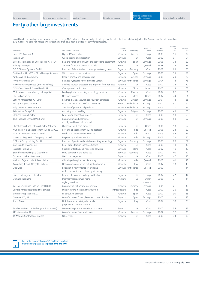# **Forty other large investments**

In addition to the ten largest investments shown on page 108, detailed below are forty other large investments which are substantially all of the Group's investments valued over £33 million. This does not include two investments that have been excluded for commercial reasons.

|                                                 |                                                                                      |                         |                            |                    |                      | Residual       |                 |
|-------------------------------------------------|--------------------------------------------------------------------------------------|-------------------------|----------------------------|--------------------|----------------------|----------------|-----------------|
| Investment                                      | Description of business                                                              | <b>Business</b><br>line | Geography                  | Valuation<br>basis | First<br>invested in | cost<br>£m     | Valuation<br>£m |
| <b>Boxer TV-Access AB</b>                       | Digital TV distributor                                                               | Growth                  | Sweden                     | Earnings           | 2005                 | 56             | 97              |
| Inspicio Sarl                                   | Global testing and inspection                                                        | Buyouts                 | UK                         | Cost               | 2007                 | 91             | 91              |
| Sistemas Technicos de Encofrados S.A. (STEN)    | Sale and rental of formwork and scaffolding equipment                                | Growth                  | Spain                      | Earnings           | 2006                 | 78             | 89              |
| Telecity Group plc                              | Services for internet service providers                                              | Buyouts                 | UK                         | Quoted             | 1998                 | 16             | 83              |
| DEUTZ Power Systems GmbH                        | Provider of decentralised power generation systems                                   | <b>Buyouts</b>          | Germany                    | Cost               | 2007                 | 68             | 80              |
| Sortifandus S.L. (GES - Global Energy Services) | Wind power service provider                                                          | Buyouts                 | Spain                      | Earnings           | 2006                 | 35             | 79              |
| Ambea AB (H-Careholding)                        | Elderly, primary and specialist care                                                 | Buyouts                 | Sweden                     | Earnings           | 2005                 | 20             | 77              |
| Hyva Investments BV                             | Branded hydraulics for commercial vehicles                                           |                         | <b>Buyouts Netherlands</b> | Earnings           | 2004                 | $\overline{4}$ | 75              |
| Newco Sourcing Limited (British Seafood)        | Seafood sourcer, processor and importer from Far East                                | Growth                  | UK                         | Cost               | 2007                 | 72             | 72              |
| CDH China Growth Capital Fund II LP             | China growth capital fund                                                            | Growth                  | China                      | Other              | 2005                 | 18             | 67              |
| Mold Masters Luxembourg Holdings Sarl           | Leading plastic processing technology provider                                       | Growth                  | Canada                     | Cost               | 2007                 | 67             | 66              |
| Eltel Networks Oy                               | Network services                                                                     | Buyouts                 | Finland                    | Other              | 2007                 | 74             | 66              |
| Laholm Intressenter AB (DIAB)                   | Polymer-based sandwich construction laminates                                        | Growth                  | Sweden                     | Earnings           | 2001                 | 8              | 65              |
| Volnay B.V. (VNU Media)                         | Dutch recruitment classified advertising                                             |                         | <b>Buyouts Netherlands</b> | Earnings           | 2007                 | 51             | 61              |
| Polyconcept Investments B.V.                    | Supplier of promotional products                                                     |                         | Growth Netherlands         | Earnings           | 2005                 | 27             | 59              |
| Aviapartner Group S.A.                          | Airport ground handling                                                              | Buyouts                 | Belgium                    | Earnings           | 2005                 | 49             | 58              |
| Ultralase Group Limited                         | Laser vision correction surgery                                                      | Buyouts                 | UK                         | Cost               | 2008                 | 58             | 58              |
| Jake Holdings Limited (Mayborn)                 | Manufacture and distributor<br>of baby and household products                        | Buyouts                 | UK                         | Earnings           | 2006                 | 58             | 57              |
| Planet Acquisitions Holdings Limited (Chorion)  | Owner of intellectual property                                                       | Buyouts                 | UK                         | Other              | 2006                 | 58             | 57              |
| Mundra Port & Special Economic Zone (MPSEZ)     | Port and Special Economic Zone operator                                              | Growth                  | India                      | Quoted             | 2006                 | 34             | 53              |
| Nimbus Communications Limited                   | Media and entertainment services                                                     | Growth                  | India                      | Other              | 2005                 | 39             | 53              |
| Navayuga Engineering Company Limited            | Engineering and construction                                                         | Growth                  | India                      | Earnings           | 2006                 | 23             | 52              |
| NORMA Group holding GmbH                        | Provider of plastic and metal connecting technology                                  | Buyouts                 | Germany                    | Earnings           | 2005                 | 28             | 52              |
| Gain Capital Holdings Inc                       | Retail online foreign exchange trading                                               | Growth                  | US                         | Cost               | 2008                 | 48             | 49              |
| Inspecta Holding Oy                             | Supplier of testing and inspection services                                          | Buyouts                 | Finland                    | Cost               | 2007                 | 40             | 47              |
| Scandferries Holding AG (Scandlines)            | Ferry operator in the Baltic Sea                                                     | Buyouts                 | Germany                    | Cost               | 2007                 | 40             | 47              |
| Emperor I Limited (Bestinvest)                  | Wealth management                                                                    | Buyouts                 | UK                         | Cost               | 2007                 | 47             | 47              |
| Welspun Gujarat Stahl Rohren Limited            | Oil and gas line pipe manufacturing                                                  | Growth                  | India                      | Quoted             | 2007                 | 40             | 47              |
| Consulting 1 S.p.A (Targetti Sankey)            | Design and manufacturer of lighting fixtures                                         | Growth                  | Italy                      | Cost               | 2007                 | 38             | 45              |
| Dockwise                                        | Specialist in heavy transport shipping<br>within the marine and oil and gas industry |                         | <b>Buyouts Netherlands</b> | Quoted             | 2007                 | 1              | 44              |
| Hobbs Holdings No. 1 Limited                    | Retailer of women's clothing and footwear                                            | Buyouts                 | UK                         | Earnings           | 2004                 | 42             | 42              |
| Demand Media Inc                                | Internet/media domain name<br>registry services                                      | Venture                 | US                         | Further<br>advance | 2006                 | 31             | 41              |
| Car Interior Design Holding GmbH (CID)          | Manufacturer of vehicle interior trim                                                | Growth                  | Germany                    | Earnings           | 2004                 | 21             | 40              |
| 3i India Infrastructure Holdings Limited        | Fund investing in Indian infrastructure                                              | Infrastructure          | India                      | Cost               | 2007                 | 36             | 38              |
| Everis Participaciones S.L.                     | IT consulting business                                                               | Growth                  | Spain                      | Cost               | 2007                 | 30             | 35              |
| Goromar XXI, S.L.                               | Manufacture of frites, glazes and colours for tiles                                  | Buyouts                 | Spain                      | Earnings           | 2002                 | 19             | 35              |
| Azelis Group                                    | Distributor of speciality chemicals,<br>polymers and related services                | Buyouts                 | Italy                      | Cost               | 2007                 | 30             | 35              |
| Pearl (AP) Group Limited (Agent Provocateur)    | Women's lingerie and associated products                                             | Buyouts                 | UK                         | Cost               | 2007                 | 35             | 35              |
| Alö Intressenter AB                             | Manufacture of front end loaders                                                     | Growth                  | Sweden                     | Earnings           | 2002                 | 32             | 33              |
|                                                 | Oil services                                                                         | Growth                  | UK                         | Cost               | 2008                 | 33             | 33              |
| TS Marine (Contracting) Limited                 |                                                                                      |                         |                            |                    |                      |                |                 |

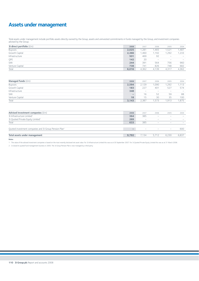# **Assets under management**

Total assets under management include portfolio assets directly owned by the Group, assets and uninvested commitments in funds managed by the Group, and investment companies advised by the Group.

| 3i direct portfolio $(fm)$ | 2008  | 2007  | 2006              | 2005                            | 2004                            |
|----------------------------|-------|-------|-------------------|---------------------------------|---------------------------------|
| Buyouts                    | 2,025 | 1,281 | 1,465             | .521                            | 1,487                           |
| Growth Capital             | 2,366 | 1,460 | 1,192             | ,292                            | 1,233                           |
| Infrastructure             | 501   | 469   | 92                | $\hspace{0.1mm}-\hspace{0.1mm}$ | $\hspace{0.1mm}$                |
| QPE                        | 142   | 20    | $\hspace{0.05cm}$ | $\hspace{0.1mm}-\hspace{0.1mm}$ | $\hspace{0.1mm}-\hspace{0.1mm}$ |
| SMI                        | 244   | 391   | 564               | 756                             | 960                             |
| Venture Capital            | 738   | 741   | 826               | 748                             | 682                             |
| Total                      | 6,016 | 4,362 | 4.139             | 4,317                           | 4,362                           |

| Managed funds (£m) | 2008                     | 2007                            | 2006           | 2005                            | 2004                            |
|--------------------|--------------------------|---------------------------------|----------------|---------------------------------|---------------------------------|
| Buyouts            | 2,594                    | 2,129                           | 1,090          | ,292                            | 1,113                           |
| Growth Capital     | 183                      | 227                             | 401            | 527                             | 574                             |
| Infrastructure     | 348                      | $\hspace{0.1mm}-\hspace{0.1mm}$ | <b>Service</b> | $\hspace{0.1mm}-\hspace{0.1mm}$ | $\hspace{0.1mm}-\hspace{0.1mm}$ |
| SMI                | $\overline{\phantom{m}}$ | 16                              | 52             | 59                              | 88                              |
| Venture Capital    | 18                       | 15                              | 30             | 35                              | 100                             |
| Total              | 3,143                    | 2,387                           | 1,573          | .913                            | 1,875                           |

| 2008  | 2007              | 2006                            | 2005                            | 2004              |
|-------|-------------------|---------------------------------|---------------------------------|-------------------|
| 364   | 385               | $\sim$                          | <b>Service</b>                  | <b>Service</b>    |
| 269   | $\hspace{0.05cm}$ | $\sim$                          | $\hspace{0.05cm}$               | $\hspace{0.05cm}$ |
| 633   | 385               | $\hspace{0.1mm}-\hspace{0.1mm}$ | $\hspace{0.05cm}$               | <b>Service</b>    |
|       |                   |                                 |                                 |                   |
|       | $\hspace{0.5cm}$  | $\hspace{0.1mm}-\hspace{0.1mm}$ | $\hspace{0.1mm}-\hspace{0.1mm}$ | 600               |
|       |                   |                                 |                                 |                   |
| 9,792 | 7.134             | 5.712                           | 6.230                           | 6,837             |
|       |                   |                                 |                                 |                   |

**Notes**

1 The value of the advised investment companies is based on the most recently disclosed net asset value. For 3i Infrastructure Limited this was as at 30 September 2007. For 3i Quoted Private Equity Limited this was as at 3

2 3i closed its quoted fund management business in 2005. The 3i Group Pension Plan is now managed by a third party.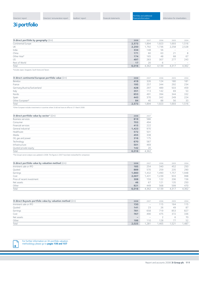# **3i portfolio**

| 3i direct portfolio by geography (£m) | 2008  | 2007  | 2006  | 2005                            | 2004           |
|---------------------------------------|-------|-------|-------|---------------------------------|----------------|
| Continental Europe                    | 2,573 | ,894  | ,923  | 1,693                           | 1,516          |
| UK                                    | 2,250 | .792  | ,736  | 2,258                           | 2,528          |
| India                                 | 334   | 148   | 56    | <b>Service</b>                  |                |
| China                                 | 171   | 60    | 63    | 21                              | 8              |
| Other Asia*                           | 174   | 165   | 48    | 68                              | 67             |
| US.                                   | 497   | 283   | 307   | 277                             | 243            |
| Rest of World                         | 17    | 20    | b     | $\hspace{0.1mm}-\hspace{0.1mm}$ | <b>Service</b> |
| Total                                 | 6,016 | 4,362 | 4,139 | 4,317                           | 4,362          |
|                                       |       |       |       |                                 |                |

\*Includes Japan, Singapore, South Korea and Taiwan.

| 3i direct continental European portfolio value (£m) | 2008  | 2007  | 2006  | 2005  | 2004  |
|-----------------------------------------------------|-------|-------|-------|-------|-------|
| <b>Benelux</b>                                      | 419   | 326   | 124   | 180   | 181   |
| France                                              | 195   | 257   | 344   | 292   | 234   |
| Germany/Austria/Switzerland                         | 428   | 297   | 489   | 503   | 459   |
| Italy                                               | 351   | 113   | 142   | 69    | 53    |
| Nordic                                              | 653   | 491   | 394   | 344   | 332   |
| Spain                                               | 443   | 370   | 342   | 249   | 224   |
| Other European*                                     | 84    | 40    | 88    | 56    | 33    |
| Total                                               | 2.573 | 1,894 | 1.923 | 1,693 | 1,516 |

\*Other European includes investments in countries where 3i did not have an office at 31 March 2008.

| 3i direct portfolio value by sector* (£m) | 2008  | 2007  |
|-------------------------------------------|-------|-------|
| <b>Business services</b>                  | 819   | 586   |
| Consumer                                  | 703   | 494   |
| Financial services                        | 415   | 222   |
| General industrial                        | 1,423 | 970   |
| Healthcare                                | 572   | 501   |
| Media                                     | 455   | 338   |
| Oil, gas and power                        | 316   | 175   |
| Technology                                | 670   | 587   |
| Infrastructure                            | 501   | 469   |
| Quoted private equity                     | 142   | 20    |
| Total                                     | 6,016 | 4.362 |

\*The Group's sector analysis was updated in 2008. The figures in 2007 have been reclassified for comparison.

| 3i direct portfolio value by valuation method $(fm)$ | 2008  | 2007  | 2006  | 2005  | 2004  |
|------------------------------------------------------|-------|-------|-------|-------|-------|
| Imminent sale or IPO                                 | 185   | 254   | 340   | 452   | 250   |
| Quoted                                               | 889   | 570   | 259   | 235   | 290   |
| Earnings                                             | 1.660 | 1.432 | 1.490 | 1.757 | 1,948 |
| Cost                                                 | 2,007 | 1,431 | 1,239 | 933   | 998   |
| Price of recent investment                           | 308   | 159   | 122   | 206   | 156   |
| Net assets                                           | 46    | 67    | 121   | 135   | 250   |
| Other                                                | 921   | 449   | 568   | 599   | 470   |
| Total                                                | 6.016 | 4.362 | 4.139 | 4.317 | 4,362 |

| 3i direct Buyouts portfolio value by valuation method (£m) | 2008                     | 2007                            | 2006 | 2005 | 2004  |
|------------------------------------------------------------|--------------------------|---------------------------------|------|------|-------|
| Imminent sale or IPO                                       | 150                      | $\hspace{0.05cm}$               | 115  | 164  | 115   |
| Quoted                                                     | 141                      | 23                              | 26   | 49   | 87    |
| Earnings                                                   | 781                      | 658                             | 719  | 853  | 827   |
| Cost                                                       | 767                      | 490                             | 475  | 372  | 336   |
| Net assets                                                 | $\overline{\phantom{a}}$ | $\hspace{0.1mm}-\hspace{0.1mm}$ |      | 6    | 70    |
| Other                                                      | 186                      | 110                             | 128  |      | 52    |
| Total                                                      | 2,025                    | .281                            | .465 | .521 | 1,487 |
|                                                            |                          |                                 |      |      |       |

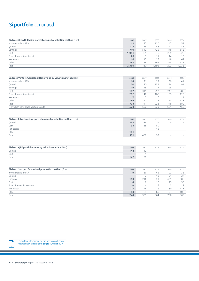# **3i portfolio** continued

| 3i direct Growth Capital portfolio value by valuation method $(\text{fm})$ | 2008  | 2007 | 2006  | 2005  | 2004  |
|----------------------------------------------------------------------------|-------|------|-------|-------|-------|
| Imminent sale or IPO                                                       | 12    | 197  | 130   | 147   | 59    |
| Quoted                                                                     | 174   | 55   | 58    | 71    | 85    |
| Earnings                                                                   | 710   | 543  | 425   | 448   | 513   |
| Cost                                                                       | 1,041 | 481  | 376   | 289   | 326   |
| Price of recent investment                                                 | 26    | 9    |       | 14    | 13    |
| Net assets                                                                 | 16    |      | 25    | 48    | 62    |
| Other                                                                      | 387   | 158  | 167   | 275   | 175   |
| Total                                                                      | 2,366 | ,460 | 1.192 | 1,292 | 1,233 |
|                                                                            |       |      |       |       |       |

| 3i direct Venture Capital portfolio value by valuation method (£m) | 2008 | 2007 | 2006 | 2005 | 2004   |
|--------------------------------------------------------------------|------|------|------|------|--------|
| Imminent sale or IPO                                               | 14   | 21   | 33   | 39   | 41     |
| Quoted                                                             | 70   | 130  | 159  | 94   | 91     |
| Earnings                                                           | 19   | 15   | 17   | 25   | $\sim$ |
| Cost                                                               | 157  | 315  | 292  | 247  | 286    |
| Price of recent investment                                         | 282  | 146  | 106  | 189  | 126    |
| Net assets                                                         |      |      | 6    |      |        |
| Other                                                              | 189  | 112  | 213  | 153  | 137    |
| Total                                                              | 738  | 741  | 826  | 748  | 682    |
| - of which early stage Venture Capital                             | 578  | 580  | 629  | 561  | 456    |

| 3i direct Infrastructure portfolio value by valuation method $(\text{fm})$ | 2008                     | 2007                            | 2006                            | 2005                            | 2004                     |
|----------------------------------------------------------------------------|--------------------------|---------------------------------|---------------------------------|---------------------------------|--------------------------|
| Quoted                                                                     | 362                      | 334                             | <b>Service</b>                  | $\hspace{0.1mm}-\hspace{0.1mm}$ | $\overline{\phantom{a}}$ |
| Cost                                                                       | 38                       | 135                             | 80                              | $\hspace{0.1mm}-\hspace{0.1mm}$ | $\overline{\phantom{a}}$ |
| Net assets                                                                 | $\overline{\phantom{a}}$ | $\hspace{0.1mm}-\hspace{0.1mm}$ |                                 | $\hspace{0.1mm}-\hspace{0.1mm}$ | $\overline{\phantom{a}}$ |
| Other                                                                      | 101                      | $\hspace{0.1mm}-\hspace{0.1mm}$ | $\hspace{0.1mm}-\hspace{0.1mm}$ | $\hspace{0.1mm}-\hspace{0.1mm}$ | $\overline{\phantom{a}}$ |
| Total                                                                      | 501                      | 469                             | Q <sub>0</sub>                  | $\hspace{0.1mm}-\hspace{0.1mm}$ | $\overline{\phantom{a}}$ |

| 3i direct QPE portfolio value by valuation method (£m) | 2008                     | 2007 | 2006           | 2005             | 2004                            |
|--------------------------------------------------------|--------------------------|------|----------------|------------------|---------------------------------|
| Quoted                                                 | 142                      |      | <b>Service</b> | <b>Service</b>   | <b>Service</b>                  |
| Cost                                                   | $\overline{\phantom{a}}$ |      | $\sim$         | $\hspace{0.1mm}$ | $\hspace{0.1mm}-\hspace{0.1mm}$ |
| Total                                                  | 142                      | ΖU   | <b>Service</b> | <b>Service</b>   | <b>Service</b>                  |

| 3i direct SMI portfolio value by valuation method (£m) | 2008                            | 2007 | 2006 | 2005 | 2004 |
|--------------------------------------------------------|---------------------------------|------|------|------|------|
| Imminent sale or IPO                                   | g                               | 36   | 62   | 102  | 35   |
| Quoted                                                 | $\qquad \qquad$                 | 9    | 16   | 21   | 27   |
| Earnings                                               | 150                             | 216  | 329  | 431  | 608  |
| Cost                                                   | 4                               | 9    | 16   | 25   | 50   |
| Price of recent investment                             | $\hspace{0.1mm}-\hspace{0.1mm}$ | 4    |      |      | 17   |
| Net assets                                             | 23                              | 48   | 76   | 80   | 117  |
| Other                                                  | 58                              | 69   | 60   | 94   | 106  |
| Total                                                  | 244                             | 391  | 564  | 756  | 960  |

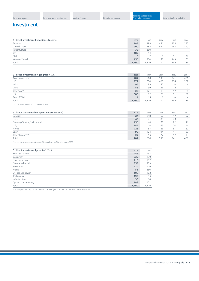# **Investment**

| 3i direct investment by business line $(fm)$ | 2008  | 2007 | 2006              | 2005              | 2004           |
|----------------------------------------------|-------|------|-------------------|-------------------|----------------|
| Buyouts                                      | 788   | 498  | 45 <sup>′</sup>   | 338               | 282            |
| Growth Capital                               | 990   | 482  | 497               | 263               | 319            |
| Infrastructure                               | 38    | 380  | $\sim$            | $\sim$            | <b>Service</b> |
| QPE                                          | 182   | 14   | $\hspace{0.05cm}$ | $\hspace{0.05cm}$ | <b>Service</b> |
| SMI                                          | 6     |      | b                 |                   | 27             |
| Venture Capital                              | 156   | 200  | 156               | 143               | 156            |
| Total                                        | 2,160 | .576 | ,110              | 755               | 784            |

| 3i direct investment by geography (£m) | 2008  | 2007  | 2006  | 2005                            | 2004                     |
|----------------------------------------|-------|-------|-------|---------------------------------|--------------------------|
| Continental Europe                     | 707   | 560   | 538   | 341                             | 401                      |
| UK                                     | 972   | 650   | 405   | 334                             | 309                      |
| India                                  | 95    | 99    | 52    | $\overline{\phantom{a}}$        | $\overline{\phantom{0}}$ |
| China                                  | 53    | 39    | 26    | 12                              |                          |
| Other Asia*                            | 23    | 121   | 13    | 17                              | 6                        |
| US                                     | 303   | 92    | 70    | 51                              | 61                       |
| Rest of World                          |       | 15    | 6     | $\hspace{0.1mm}-\hspace{0.1mm}$ | $\hspace{0.05cm}$        |
| Total                                  | 2,160 | 1.576 | 1,110 | 755                             | 784                      |
|                                        |       |       |       |                                 |                          |

\*Includes Japan, Singapore, South Korea and Taiwan.

| 3i direct continental European investment (£m) | 2008 | 2007                     | 2006 | 2005 | 2004 |
|------------------------------------------------|------|--------------------------|------|------|------|
| <b>Benelux</b>                                 | 24   | 218                      | 62   |      | 52   |
| France                                         | 40   |                          | 88   | 73   | 65   |
| Germany/Austria/Switzerland                    | 155  | 44                       | 76   | 92   | 141  |
| Italy                                          | 142  | $\overline{\phantom{0}}$ | 65   | 20   | 14   |
| Nordic                                         | 226  | 87                       | 126  | 81   | 87   |
| Spain                                          | 93   | 124                      | 94   | 41   | 23   |
| Other European*                                | 27   | 16                       | 27   |      | 19   |
| Total                                          | 707  | 560                      | 538  | 341  | 401  |

\*Includes investments in countries where 3i did not have an office at 31 March 2008.

| 3i direct investment by sector* $(fm)$ | 2008  | 2007  |
|----------------------------------------|-------|-------|
| <b>Business services</b>               | 456   | 137   |
| Consumer                               | 237   | 109   |
| Financial services                     | 218   | 152   |
| General industrial                     | 353   | 309   |
| Healthcare                             | 234   | 106   |
| Media                                  | 56    | 380   |
| Oil, gas and power                     | 187   | 162   |
| Technology                             | 199   | 86    |
| Infrastructure                         | 38    | 14    |
| Quoted private equity                  | 182   | 121   |
| Total                                  | 2,160 | 1,576 |

\*The Group's sector analysis was updated in 2008. The figures in 2007 have been reclassified for comparison.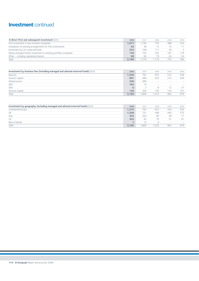# **Investment** continued

| 3i direct first and subsequent investment $(fm)$<br>2007<br>2006<br>2008<br>First investment in new investee companies<br>1.617<br>1.184<br>755 |      |      |
|-------------------------------------------------------------------------------------------------------------------------------------------------|------|------|
|                                                                                                                                                 | 2005 | 2004 |
|                                                                                                                                                 | 488  | 534  |
| Drawdown on existing arrangements for first investments<br>38<br>92                                                                             | 10   |      |
| Investment by 3i in external funds<br>253<br>168<br>111                                                                                         | 26   |      |
| Newly arranged further investment in existing portfolio companies<br>102<br>162<br>130                                                          | 167  | 176  |
| Other - including capitalised interest<br>68<br>84<br>70                                                                                        | 64   | 54   |
| Total<br>2.160<br>1.110<br>.576                                                                                                                 | 755  | 784  |

| Investment by business line (including managed and advised external funds) $(\text{fm})$ | 2008  | 2007 | 2006           | 2005              | 2004                            |
|------------------------------------------------------------------------------------------|-------|------|----------------|-------------------|---------------------------------|
| Buyouts                                                                                  | 1.520 | 781  | 655            | 532               | 438                             |
| Growth Capital                                                                           | 991   | 489  | 503            | 274               | 349                             |
| Infrastructure                                                                           | 340   | 380  | $\sim$         | -                 | $\hspace{0.1mm}$                |
| QPE                                                                                      | 182   | 14   | <b>Service</b> | $\hspace{0.05cm}$ | $\hspace{0.1mm}-\hspace{0.1mm}$ |
| SMI                                                                                      | 6     |      | 8              |                   | 31                              |
| Venture Capital                                                                          | 156   | 200  | 156            | 144               | 161                             |
| Total                                                                                    | 3.195 | .866 | 1.322          | 962               | 979                             |

| Investment by geography (including managed and advised external funds) $(\text{Em})$ | 2008  | 2007 | 2006 | 2005                            | 2004                            |
|--------------------------------------------------------------------------------------|-------|------|------|---------------------------------|---------------------------------|
| Continental Europe                                                                   | 1.275 | 765  | 652  | 433                             | 526                             |
| UK                                                                                   | 1,308 | 731  | 498  | 440                             | 375                             |
| Asia                                                                                 | 302   | 263  | 96   | 38                              |                                 |
| <b>US</b>                                                                            | 303   | 92   | 70   | 51                              | 61                              |
| Rest of World                                                                        |       | 15   | h    | $\hspace{0.1mm}-\hspace{0.1mm}$ | $\hspace{0.1mm}-\hspace{0.1mm}$ |
| Total                                                                                | 3.195 | .866 | .322 | 962                             | 979                             |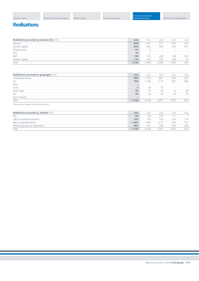# **Realisations**

| Realisations proceeds by business line (£m) | 2008  | 2007                            | 2006              | 2005                            | 2004           |
|---------------------------------------------|-------|---------------------------------|-------------------|---------------------------------|----------------|
| Buyouts                                     | 858   | ,341                            | 877               | 505                             | 205            |
| Growth Capital                              | 503   | 691                             | 855               | 443                             | 391            |
| Infrastructure                              | 57    | $\overline{\phantom{a}}$        | $\sim$            | $\sim$                          | <b>Service</b> |
| QPE                                         | 18    | $\hspace{0.1mm}-\hspace{0.1mm}$ | $\hspace{0.05cm}$ | $\hspace{0.1mm}-\hspace{0.1mm}$ | <b>Service</b> |
| SMI                                         | 136   | 214                             | 268               | 198                             | 236            |
| Venture Capital                             | 170   | 187                             | 207               | 156                             | 91             |
| Total                                       | 1,742 | 2.438                           | 2,207             | 1,302                           | 923            |

| Realisations proceeds by geography $(fm)$ | 2008                     | 2007                                                                      | 2006                                                                      | 2005                     | 2004                                  |
|-------------------------------------------|--------------------------|---------------------------------------------------------------------------|---------------------------------------------------------------------------|--------------------------|---------------------------------------|
| Continental Europe                        | 894                      | 1,159                                                                     | 89 <sup>°</sup>                                                           | 365                      | 245                                   |
| UK                                        | 783                      | 1,169                                                                     | 1,173                                                                     | 897                      | 608                                   |
| India                                     | $\overline{\phantom{0}}$ | $\hspace{1.0cm} \rule{1.5cm}{0.15cm} \hspace{1.0cm} \rule{1.5cm}{0.15cm}$ | $\hspace{1.0cm} \rule{1.5cm}{0.15cm} \hspace{1.0cm} \rule{1.5cm}{0.15cm}$ | $\sim$                   | $\hspace{0.05cm}$                     |
| China                                     | 5                        | 39                                                                        | 23                                                                        | $\overline{\phantom{a}}$ | $\hspace{0.1mm}-\hspace{0.1mm}$       |
| Other Asia*                               | 20                       | 15                                                                        | 44                                                                        | 6                        | 60                                    |
| US.                                       | 40                       | 56                                                                        | 76                                                                        | 34                       | 10                                    |
| Rest of World                             | $\overline{\phantom{a}}$ | -                                                                         | $\hspace{0.05cm}$                                                         | $\sim$                   | $\hspace{1.0cm} \rule{1.5cm}{0.15cm}$ |
| Total                                     | 1,742                    | 2,438                                                                     | 2,207                                                                     | ,302                     | 923                                   |
|                                           |                          |                                                                           |                                                                           |                          |                                       |

\*Includes Japan, Singapore, South Korea and Taiwan.

| Realisations proceeds by method $(\text{fm})$ | 2008  | 2007  | 2006           | 2005 | 2004 |
|-----------------------------------------------|-------|-------|----------------|------|------|
| <b>IPO</b>                                    | 94    | 124   | 229            | 41   |      |
| Sale of quoted investments                    | 105   | 116   | 143            | 134  | 118  |
| Sale of unquoted equity                       | 1.081 | 1.546 | $1,27^{\circ}$ | 744  | 532  |
| Refinancing and loan repayments               | 462   | 652   | 564            | 383  | 266  |
| Total                                         | 1.742 | 2,438 | 2.207          | .302 | 923  |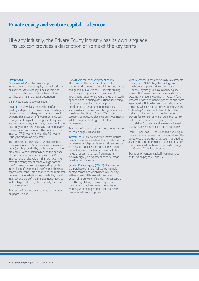# **Private equity and venture capital – a lexicon**

Like any industry, the Private Equity industry has its own language. This Lexicon provides a description of some of the key terms.

#### **Definitions**

"Private equity", as the term suggests, involves investment of equity capital in private businesses. More recently it has become as much associated with an investment style as it has with its more literal description.

3i's private equity activities cover:

Buyouts This involves the purchase of an existing independent business or a subsidiary or division of a corporate group from its current owners. This category of investment includes management buyouts, management buy-ins, and institutional buyouts. Here, the equity in the post-buyout business is usually shared between the management team and the Private Equity investor ("PE investor"), with the PE investor usually holding a majority stake.

The financing for the buyout would generally comprise around 50% of senior and mezzanine debt (usually provided by banks and mezzanine providers), with substantially all of the balance of the purchase price coming from the PE investor and a relatively small amount coming from the management team. A large part of the PE investor's finance is generally provided in the form of redeemable preference shares or shareholder loans. This is to reflect the mismatch between the equity finance provided by the PE investor and that of the management team, as well as to provide a significant equity incentive for management.

Examples of buyouts investments can be found on pages 14 and 15.

#### Growth capital (or development capital)

This involves the provision of capital to accelerate the growth of established businesses and generally involves the PE investor taking a minority equity position. It is a type of investment suited to a diverse range of growth opportunities, including acquisitions, increasing production capacity, market or product development, turnaround opportunities, shareholder succession and change of ownership situations. For 3i from 1 April 2008 this category of investing also includes investments in later stage technology and healthcare businesses.

Examples of growth capital investments can be found on pages 18 and 19.

Infrastructure 3i also invests in infrastructure assets. These are investments in asset-intensive businesses which provide essential services such as transport, utilities and social infrastructure under long-term contracts. These include a range of asset maturities, from mature, typically high-yielding assets to early-stage development projects.

Quoted Private Equity ("QPE") This involves the purchase of influential stakes in smaller quoted companies which have low liquidity in their shares, little analyst coverage and potential to grow significantly. The concept is that through taking a private equity value creation approach to these companies and working with management their prospects can be significantly improved.

Venture capital These are typically investments in "early" and "late" stage technology and healthcare companies. Here, the investor ("the VC") typically takes a minority equity stake in the business as part of a syndicate of VCs. "Early-stage" investments typically fund research or development expenditure and costs associated with building an organisation for a company which is not yet generating revenues. "Late-stage" investments tend to fund the scaling up of a business, once the model is proven, for companies which are either yet to make a profit or in the early stages of profitability. Both early and late-stage investing usually involves a number of "funding rounds".

From 1 April 2008, 3i has stopped investing in the early-stage segment of the market and the Venture Capital portfolio has been managed by a separate Venture Portfolio team. Later-stage investments will continue to be made through the Growth Capital business line.

Examples of venture capital investments can be found on pages 26 and 27.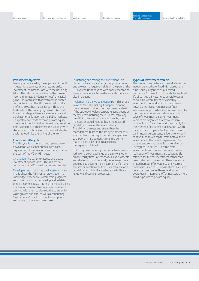#### **Investment objective**

Like any other investor, the objective of the PE investor is to earn attractive returns on its investment, commensurate with the risk being taken. The returns come either in the form of income (interest, dividends or fees) or capital gains.The contrast with investment in quoted companies is that the PE investor will usually prefer to crystallise its capital gain through a trade sale of the underlying business (ie a sale to a corporate purchaser), a sale to a financial purchaser or a flotation on the public markets. This preference tends to make private equity investment medium to long term in nature, since time is required to implement the value growth strategy for the business and there will also be a wish to optimise the timing of the "exit".

#### **Investment lifecycle**

The lifecycle for an investment can be broken down into five distinct phases, with each requiring significant resource and capability on the part of the VC or PE investor:

Origination The ability to access and create investment opportunities. This is a critical component of a PE investor's business model.

Developing and validating the investment case In this phase the PE investor draws upon its knowledge, experience, commercial judgment and other capabilities to develop and validate their investment case.This might involve building a potential board and management team and working with them to develop the strategy for value growth and exit; as well as conducting "due diligence" on all significant assumptions

and inputs to the investment case.

Structuring and making the investment This

phase involves financial structuring, negotiation and project management skills on the part of the PE investor. Relationships with banks, mezzanine finance providers, intermediaries and others are also important.

Implementing the value creation plan This phase involves "actually making it happen", creating value between making the investment and exit. If the strategy involves corporate acquisitions or mergers, restructuring the business, achieving growth in turnover or operating profits, the PE investor would need to have the required capability to ensure these are achieved. The ability to assess and strengthen the management team as the life cycle proceeds is as important. This might involve having access to a pool of management talent in order to match a particular need to a particular management skill-set.

Exit This phase generally involves a trade sale, a listing on a stock exchange or a sale to another private equity firm ("a secondary"). Exit prospects and strategy should generally be reviewed on an ongoing basis during the investment's life – and the sale or flotation itself requires resource and capability from the PE investor, since both are lengthy and complex processes.

#### **Types of investment vehicle**

The predominant vehicle in the industry is the independent, private, fixed-life, closed-end fund, usually organised as a "Limited Partnership". These funds typically have a fixed life of ten years. Investments generally consist of an initial commitment of capital by investors in the fund which is then drawn down as the investment manager finds investment opportunities. Capital is returned to the investors via earnings distributions and sales of investments. Some investment vehicles are organised as captive or semicaptive funds. A captive fund invests only for the interest of its parent organisation (which may be, for example, a bank or investment bank, insurance company, university). A semicaptive fund mixes capital from both outside investors and the parent organisation. Both captive and semi-captive funds tend to be "evergreen" in nature – income from investments and proceeds received on the realisation of investments are substantially retained for further investment rather than being returned to investors. There are also a limited number of private equity investment companies, such as 3i, whose shares are listed on a stock exchange.These tend to be evergreen in nature and offer investors a more liquid exposure to private equity.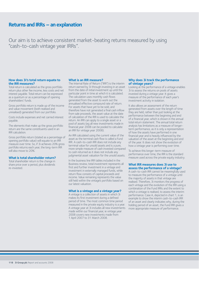# **Returns and IRRs – an explanation**

Our aim is to achieve consistent market-beating returns measured by using "cash-to-cash vintage year IRRs".

### **How does 3i's total return equate to the IRR measures?**

Total return is calculated as the gross portfolio return plus other fee income, less costs and net interest payable. Total return can be expressed as a quantum or as a percentage of opening shareholders' funds.

Gross portfolio return is made up of the income and value movement (both realised and unrealised) generated from our portfolio.

Costs include expenses and net carried interest payable.

The elements that make up the gross portfolio return are the same constituents used in an IRR calculation.

Gross portfolio return (stated as a percentage of opening portfolio value) will equate to an IRR measure over time. So, if 3i achieves 20% gross portfolio returns each year, the long-term IRR will also move to 20%.

### **What is total shareholder return?**

Total shareholder return is the change in share price over a period, plus dividends re-invested.

### **What is an IRR measure?**

The Internal Rate of Return ("IRR") is the interim return earned by 3i through investing in an asset from the date of initial investment up until the particular point in time at which it is calculated. The calculation uses monthly cash flows generated from the asset to work out the annualised effective compound rate of return. For assets that have yet to be sold, and therefore have not generated a final cash inflow from sale proceeds, the asset value at the date of calculation of the IRR is used to calculate the return. An IRR can apply to a single asset or a pool of assets (eg all new investments made in financial year 2008 can be pooled to calculate an IRR for vintage year 2008).

An IRR calculated using the current value of the asset as the terminal cash flow is called a Fund IRR. A cash-to-cash IRR does not include any terminal value for unsold assets and is a pure, more simple measure of cash invested compared to cash returned as it does not include any judgmental asset valuation for the unsold assets.

In the business line IRR tables included in the Business review, total investment represents all first and further investment in a vintage and investment in externally managed funds, while return flow consists of capital proceeds and income. Value remaining represents the value still held within the vintage's portfolio based on our latest valuation.

#### **What is a vintage and a vintage year?**

A vintage is a collection of assets in which 3i makes its first investment during a defined period of time. The most common time period measured in the private equity industry is a year. A vintage year at 3i includes all new investments made within our financial year, ie vintage year 2008 covers new investments made from 1 April 2007 to 31 March 2008.

### **Why does 3i track the performance of vintage years?**

Looking at the performance of a vintage enables 3i to assess the returns on pools of assets invested during a vintage year. It gives a measure of the performance of each year's investment activity in isolation.

It also allows an assessment of the return generated from assets over the length of time they are held, rather than just looking at the performance between the beginning and end of a financial year, which is shown in the annual total return statement. The annual total return analysis has limitations as a measure of longerterm performance, as it is only a representation of how the assets have performed in one financial year and is heavily influenced by the valuation of the asset at the beginning and end of the year. It does not show the evolution of how a vintage year is performing over time.

To achieve this longer-term measure of performance over time, the IRR is the standard measure used across the private equity industry.

### **What IRR measures does 3i use to assess the performance of a vintage?**

A cash-to-cash IRR cannot be meaningfully used to measure the performance of a vintage until the majority of assets in that vintage are realised. Therefore, 3i monitors the progress of each vintage and the evolution of the IRR using a combination of the Fund IRRs and the extent to which a vintage is realised, to assess the interim performance. Case A, depicted in chart 1, is an example to show the interim cash-to-cash IRR of an asset and clearly indicates why, during the holding period of an asset, the Fund IRR gives a more appropriate measure of performance.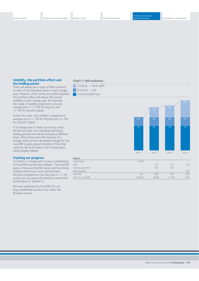### **Volatility, the portfolio effect and the holding period**

There will always be a range of IRRs achieved on each of the individual assets in each vintage year. However, when assets are pooled together, the portfolio effect will reduce this overall volatility in each vintage year. For example, the range of volatility expected in any one vintage year is +/-10% for Buyouts and, +/-7% for Growth Capital.

Across the cycle, the volatility is expected to average out at +/-5% for Buyouts and, +/-3% for Growth Capital.

A 3i vintage year is made up of many assets. All will have their own individual cash flows, holding periods and will be revalued at different times. After three years the maturity of a vintage tends to have developed enough for the Fund IRR to give a good indication of the final outcome. By seven years most vintage years will be largely realised.

#### **Tracking our progress**

To monitor a vintage year 3i uses a combination of Fund IRRs and money multiples. The Fund IRR gives a measure of performance and the money multiple shows how much cash has been returned compared to cost (eg Case  $A = 1.7x$ ) so that we can assess the extent to which that performance is "locked-in".

We have published the Fund IRRs for our long-established business lines within the Business review.

#### **Chart 1: IRR evolution**

- $\Box$  3i equity value uplift
- 3i equity cost
- **3** 3i shareholder loan



| Case A            |                          |       |                          |                 |
|-------------------|--------------------------|-------|--------------------------|-----------------|
| Investment        | (100)                    | $-$   |                          |                 |
| Yield             | $\overline{\phantom{a}}$ | 6.5   | 6.5                      | 6.5             |
| Value at year end | $\sim$                   | 130   | 135                      | $\qquad \qquad$ |
| Sale proceeds     | $-$                      | $-$   | $\overline{\phantom{a}}$ | 150             |
| Fund IRR          | 0%                       | 36%   | 22%                      | 20%             |
| Cash-to-cash IRR  | $(100\%)$                | (94%) | 71%)                     | 20%             |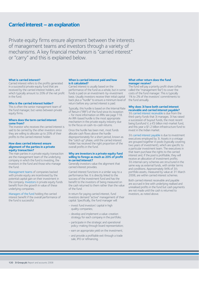## **Carried interest – an explanation**

Private equity firms ensure alignment between the interests of management teams and investors through a variety of mechanisms. A key financial mechanism is "carried interest" or "carry" and this is explained below.

#### **What is carried interest?**

Carried interest refers to the profits generated in a successful private equity fund that are received by the carried interest holders, and which typically amount to 20% of the net profit in the fund.

#### **Who is the carried interest holder?**

This is often the senior management team of the fund manager, but varies between private equity firms.

### **Where does the term carried interest come from?**

The investor who receives the carried interest is said to be carried by the other investors since they are willing to allocate up to 20% of their profits to the carried interest holder.

#### **How does carried interest ensure alignment of the parties in a private equity transaction?**

The main parties in a private equity transaction are the management team of the underlying company in which the fund is investing, the investors in the fund and those who manage the fund.

Management teams of companies backed with private equity are incentivised by the potential capital gain on their investment in the company. Investors in private equity funds benefit from the growth in value of these underlying companies.

Managers of the fund holding the carried interest benefit if the overall performance of the fund is successful.

### **When is carried interest paid and how is it calculated?**

Carried interest is usually based on the performance of the fund as a whole, but in some funds is paid on an investment-by-investment basis. Usually investors receive their initial capital back plus a "hurdle" to ensure a minimum level of return before any carried interest is paid.

Typically, this hurdle is based on the Internal Rate of Return ("IRR") of the fund since its inception – for more information on IRRs see page 118. An IRR-based hurdle is the most appropriate mechanism in the private equity industry due to the focus on cash-to-cash returns.

Once the hurdle has been met, most funds allocate cash flows above the hurdle disproportionately for a short period, known as the "catch up" phase, until the carried interest holder has received the right proportion of the overall profits in the fund.

#### **Why are investors in a private equity fund willing to forego as much as 20% of profit in carried interest?**

Generally investors value the alignment that carried interest provides.

Carried interest functions in a similar way to a performance fee. It is directly linked to the success of the investment fund and has the benefit to the investors of being measured on the cash returned to them rather than the value of the fund.

In return for paying carried interest, fund investors demand "active" management of their capital. Specifically, the fund manager will:

- invest fund investors' capital in high quality companies;
- develop and implement a value-creation strategy for each company in the portfolio;
- participate in the strategic and operational policy-making through board representation;
- earn an appropriate yield on the investment;
- and provide a profitable exit through a trade sale, IPO or refinancing.

#### **What other return does the fund manager receive?**

The fund will pay a priority profit share (often called the "management fee") to cover the costs of the fund manager. This is typically 1% to 2% of the investors' commitments to the fund annually.

### **Why does 3i have both carried interest receivable and carried interest payable?**

3i's carried interest receivable is due from the third-party funds that 3i manages. 3i has raised a succession of buyout funds, the most recent being Eurofund V, a  $\epsilon$ 5 billion mid-market fund, and this year a \$1.2 billion infrastructure fund to invest in the Indian market.

3i's carried interest payable is due to investment executives employed by 3i. Assets in a vintage are grouped together in pools (typically covering two years of investment), which are specific to a particular investment team. The executives in that team purchase the rights to the carried interest and, if the pool is profitable, they will receive an allocation of investment profits. 3i's internal carry schemes are structured in the same way as external funds, with similar terms and conditions. Approximately 94% of 3i's portfolio assets, measured by value at 31 March 2008, are within carried interest schemes.

Both carried interest receivable and payable are accrued in line with underlying realised and unrealised profits in the fund but cash payments are not made until the cash is returned to investors, as noted above.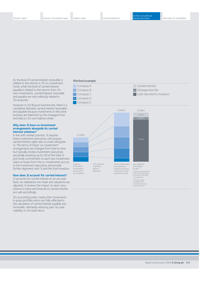As the level of carried interest receivable is related to the returns in 3i's co-investment funds, while the level of carried interest payable is related to the returns from 3i's own investments, carried interest receivable and payable are only indirectly related in 3i's accounts.

However in 3i's Buyout business line, there is a correlation between carried interest receivable and payable because investments in the same business are held both by the managed fund and held on 3i's own balance sheet.

#### **Why does 3i have co-investment arrangements alongside its carried interest schemes?**

In line with market practice, 3i requires those investment executives who acquire carried interest rights also to invest alongside 3i. The terms of these "co-investment" arrangements are changed from time to time but typically involve investment executives personally investing up to 2% of the total 3i and funds commitment to each new investment. Gains or losses from the co-investments accrue to the investment executives and provide further alignment with 3i and the fund investors.

### **How does 3i account for carried interest?**

3i accounts for carried interest on an accruals basis. As realisations are made and valuations are adjusted, 3i reviews the impact on each carry scheme in place and amends its carried interest accruals accordingly.

3i's accounting policy means that movements in gross portfolio return are fully reflected in the calculation of carried interest payable and receivable, ultimately reducing year-on-year volatility to 3i's total return.

### **Worked example**



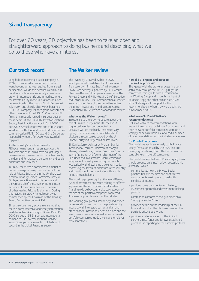## **3i and Transparency**

For over 60 years, 3i's objective has been to take an open and straightforward approach to doing business and describing what we do to those who have an interest.

## **Our track record**

Long before becoming a public company in 1994, 3i produced an annual report which went beyond what was required from a legal perspective. We do this because we think it is good for our business, especially as we have grown 3i internationally and in markets where the Private Equity model is less familiar. Once 3i became listed on the London Stock Exchange in July 1994, and shortly afterwards became a FTSE 100 company, its peer group consisted of other members of the FTSE 100 as well as PE firms. 3i is regularly ranked in surveys against these peers. At the UK 2007 Investor Relations Society Best Practice awards in April 2007, our 2006 Annual report was one of four short listed for the Best Annual report: Most effective communication FTSE 100 award. 3i's Corporate responsibility report for 2006 was awarded top place.

As the industry's profile increased, as PE became mainstream as an asset class for investors and as PE firms have bought larger businesses and businesses with a higher profile, the demand for greater transparency and public disclosure also increased.

In 2007, there was a considerable amount of press coverage in many countries about the role of Private Equity and in the UK there was a formal Treasury Select Committee Review. 3i played an active role in this debate and the Group's Chief Executive, Philip Yea, gave evidence at the committee with the heads of other leading Private Equity firms. During this review, 3i's 2007 Annual report was commended by the Chairman of the Treasury Select Committee, John McFall.

3i has also been very active in ensuring that there is comprehensive and timely information available online. According to IR WebReport's 2007 survey of 535 large-cap international companies, 3i's investor relations website www.3igroup.com - ranks fifth globally and second in the global Financials sector.

# **The Walker review**

The review by Sir David Walker in 2007, which produced "Guidelines for Disclosure and Transparency in Private Equity" in November 2007, was actively supported by 3i. 3i Group's Chairman Baroness Hogg was a member of the Review Group and Philip Yea, 3i's Chief Executive and Patrick Dunne, 3i's Communications Director were both members of the committee within the British Private Equity and Venture Capital Association ("BVCA") which proposed the review.

### **What was the Walker review?**

In response to the growing debate about the role of Private Equity in the UK, the BVCA suggested a review be conducted by Sir David Walker, the highly-respected City figure, to examine ways in which levels of disclosure in companies backed by the UK Private Equity industry could be improved.

Sir David, Senior Advisor at Morgan Stanley International (former Chairman of Morgan Stanley International, former Executive Director Bank of England, and former Chairman of the Securities and Investments Board) chaired an independent industry working group which was tasked with drawing up a voluntary code, addressing the levels of disclosure in the industry and how it should communicate with a wide range of stakeholders.

The working group recognised the very different types of investment and issues relating to different segments of the industry from small start-up financing to large buyouts. It also took account of the size of the portfolio companies concerned. It received support from across the industry.

The working group consulted widely and invited representations from within the private equity industry, with interested parties and among other financial institutions, pension funds and the investment community as well as more broadly portfolio companies, trade unions and employer representatives.

#### **How did 3i engage and input to the Walker process?**

3i engaged with the Walker process in a very active way through the BVCA Big Buy Out committee, through its own submission to the Working Group and through the input of Baroness Hogg and other senior executives at 3i. 3i also gave its support for the recommendations when they were published in November 2007.

#### **What were Sir David Walker's recommendations?**

Sir David Walker's recommendations with respect to reporting for Private Equity firms and their relevant portfolio companies were on a "comply or explain" basis. He also had a number of recommendations for the industry as a whole.

#### For Private Equity firms:

The guidelines apply exclusively to UK Private Equity firms authorised by the FSA, that are managing or advising funds that either own or control one or more UK companies.

The guidelines say that such Private Equity firms should produce an annual review, accessible via a website, which:

- communicates how the Private Equity practice fits into the firm and confirm that arrangements are in place to deal with conflicts of interest;
- provides some commentary on history, investment approach and investment holding periods;
- commits to conform to the guidelines on a "comply or explain" basis;
- provides details on the leadership of the UK firm and describes the UK firms meeting the portfolio criteria below; and
- provides a categorisation of the limited partners in its funds and follows established guidelines in reporting to their limited partners.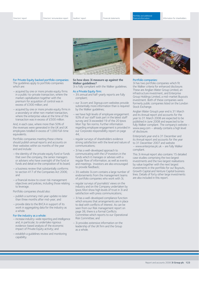

#### **So how does 3i measure up against the Walker guidelines?**

3i is fully compliant with the Walker guidelines.

#### As a Private Equity firm:

- 3i's annual and half-yearly reports are fully compliant;
- our 3i.com and 3igroup.com websites provide substantially more information than is required by the Walker guidelines;
- we have high levels of employee engagement. 92% of our staff took part in the latest staff survey and 3i exceeded 19 of the 20 Ipsos Mori Top Ten norms. Further information regarding employee engagement is provided in our Corporate responsibility report on page  $44$
- regular surveys of shareholders evidence strong satisfaction with the level and nature of communications;
- 3i has a well-developed approach to communicating with the LP investors in the funds which it manages or advises with a regular flow of information, as well as events and meetings. Investors are also encouraged to provide feedback;
- 3i's website 3i.com contains a large number of endorsements from the management teams of portfolio companies who work with 3i;
- regular surveys of journalists' views on the industry and on the Company undertaken by Ipsos Mori show high levels of trust in 3i and satisfaction with press communications;
- 3i has a well-developed compliance function which ensures that arrangements are in place to deal with conflicts of interest. As can be seen from our Risk management report on page 38, there is a formal Conflicts Committee which reports to our Operational Risk Committee; and
- 3i provides extensive information on the leadership of the UK firm and the Group as a whole.



### Portfolio companies:

3i has two portfolio companies which fit the Walker criteria for enhanced disclosure. These are Anglian Water Group Limited, an infrastructure investment, and Enterprise Group Holdings Limited, a mid-market Buyouts investment. Both of these companies were formerly public companies listed on the London Stock Exchange.

Anglian Water Group's year end is 31 March and its Annual report and accounts for the year to 31 March 2008 are expected to be published in June 2008 and expected to be fully Walker compliant. The company's website – www.awg.com – already contains a high level of disclosure.

Enterprise's year end is 31 December and its Annual report and accounts for the year to 31 December 2007 and website – www.enterprise.plc.uk – are fully Walker compliant.

This 3i Annual report also contains 15 detailed case studies comprising the two largest investments and the two largest realisations by value together with the next largest investments in the portfolio for our Buyouts, Growth Capital and Venture Capital business lines. Details of forty other large investments are also included in this report.

#### For Private Equity backed portfolio companies: The guidelines apply to portfolio companies which are:

- acquired by one or more private equity firms in a public-to-private transaction, where the market capitalisation together with the premium for acquisition of control was in excess of £300 million; and
- acquired by one or more private equity firms in a secondary or other non-market transaction, where the enterprise value at the time of the transaction was in excess of £500 million.

And, in each case, where more than 50% of the revenues were generated in the UK and UK employees totalled in excess of 1,000 full-time equivalents.

Portfolio companies meeting these criteria should publish annual reports and accounts on their websites within six months of the year end and include:

- the identity of the private equity fund or funds that own the company, the senior managers or advisers who have oversight of the fund or funds and detail on the composition of its board;
- a business review that substantially conforms to section 417 of the Companies Act 2006; and
- a financial review to cover risk management objectives and policies, including those relating to leverage.

Portfolio companies should also:

- publish a summary mid-year update no later than three months after mid-year; and
- provide data to the BVCA in support of its work in aggregating data for the industry as a whole.

#### For the industry as a whole:

- increase industry-wide reporting and intelligence and, in particular, to undertake rigorous evidence-based analysis of the economic impact of Private Equity activity; and
- establish a guidelines review and monitoring capability.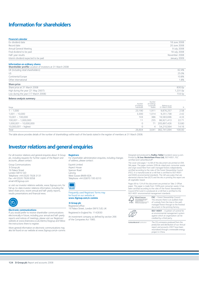# **Information for shareholders**

| <b>Financial calendar</b>            |               |
|--------------------------------------|---------------|
| Ex-dividend date                     | 18 June 2008  |
| Record date                          | 20 June 2008  |
| Annual General Meeting               | 9 July 2008   |
| Final dividend to be paid            | 18 July 2008  |
| Half-year results                    | November 2008 |
| Interim dividend expected to be paid | January 2009  |
|                                      |               |

#### **Information on ordinary shares**

| <b>Shareholder profile</b> Location of investors at 31 March 2008 |                    |
|-------------------------------------------------------------------|--------------------|
| UK (including retail shareholders)                                | 62.4%              |
| US.                                                               | 25.0%              |
| Continental Europe                                                | 10.8%              |
| Other international                                               | 1.8%               |
| Share price                                                       |                    |
| Share price at 31 March 2008                                      | 830.0p             |
| High during the year (21 May 2007)                                | 1,231.0p           |
| Low during the year (17 March 2008)                               | 733.5 <sub>p</sub> |
|                                                                   |                    |

#### **Balance analysis summary**

| Range                    | Number<br>of holdings<br>Individuals | Number<br>of holdings<br>Corporate<br>bodies | Balance as at<br>31 March 2008 | %      |
|--------------------------|--------------------------------------|----------------------------------------------|--------------------------------|--------|
| $1 - 1,000$              | 23.190                               | 1,911                                        | 9,876,257                      | 2.58   |
| $1,001 - 10,000$         | 3,300                                | 1.014                                        | 9,251,738                      | 2.42   |
| $10,001 - 100,000$       | 103                                  | 386                                          | 16,583,696                     | 4.33   |
| $100,001 - 1,000,000$    | 11                                   | 255                                          | 86,921,413                     | 22.71  |
| $1,000,001 - 10,000,000$ | $\circ$                              | 71                                           | 205,897,426                    | 53.80  |
| $10,000,001 -$ highest   | 0                                    | 4                                            | 54,210,564                     | 14.16  |
| Total                    | 26,604                               | 3,641                                        | 382,741,094                    | 100.00 |

The table above provides details of the number of shareholdings within each of the bands stated in the register of members at 31 March 2008.

# **Investor relations and general enquiries**

For all investor relations and general enquiries about 3i Group plc, including requests for further copies of the Report and accounts, please contact:

Group Communications 3i Group plc 16 Palace Street London SW1E 5JD Telephone +44 (0)20 7928 3131 Fax +44 (0)20 7928 0058 email ir@3igroup.com

or visit our investor relations website, www.3igroup.com, for full up-to-date investor relations information, including the latest share price, recent annual and half-yearly reports, results presentations and financial news.



#### **Electronic communications**

If you would prefer to receive shareholder communications electronically in future, including your annual and half-yearly reports and notices of meetings, please visit our Registrars' website at www.shareview.co.uk/clients/3isignup and follow the instructions there to register.

More general information on electronic communications may also be found on our website at www.3igroup.com/e-comms

#### **Registrars**

For shareholder administration enquiries, including changes of address, please contact:

Equiniti Limited Aspect House Spencer Road Lancing West Sussex BN99 6DA Telephone +44 (0)870 195 6310



Frequently used Registrars' forms may be found on our website at **www.3igroup.com/e-comms**

#### **3i Group plc**

Registered office: 16 Palace Street, London SW1E 5JD, UK

Registered in England No. 1142830

An investment company as defined by section 266 of the Companies Act 1985.

Designed and produced by **Radley Yeldar** (London) www.ry.com. Printed by **St Ives Westerham Press Ltd,** ISO14001, FSC certified and CarbonNeutral®.

The cover and pages 1 to 68 of this document are printed on ERA Silk paper. The paper contains 50% de-inked post-consumer waste and virgin wood fibre from well-managed forests independently certified according to the rules of the Forest Stewardship Council (FSC). It is manufactured at a mill that is certified to ISO14001 and EMAS environmental standards. The mill uses pulps that are elemental chlorine free (ECF) and the inks in printing this report are all vegetable-based.

Pages 69 to 124 of this document are printed on Take 2 Offset paper. This paper is made from 100% post consumer waste. It has been certified according to the rules of the Forest Stewardship Council (FSC) and it is produced at a mill that is certified to the ISO14001 environmental management standards.





**FSC** – Forest Stewardship Council. This ensures there is an audited chain of custody from the tree in the wellmanaged forest through to the finished document in the printing factory.

**ISO 14001** – A pattern of control for an environmental management system against which an organisation can be credited by a third party.

The  $CO<sub>2</sub>$  emissions produced from the production and distribution of our Annual report and accounts 2007 have been neutralised through a renewable energy project in China. **CarbonNeutral**® publication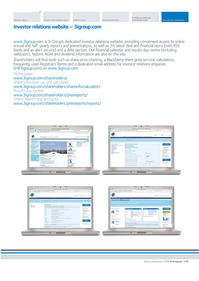# **Investor relations website – 3igroup.com**

www.3igroup.com is 3i Group's dedicated investor relations website, providing convenient access to online annual and half-yearly reports and presentations, as well as 3i's latest deal and financial news (with RSS feeds and an alert service) and a debt section. Our financial calendar and results day centre (including webcasts), historic AGM and dividend information are also on the site.

Shareholders will find tools such as share price charting, a Blackberry share price service, calculators, frequently used Registrars' forms and a dedicated email address for investor relations enquiries (ir@3igroup.com) on www.3igroup.com.

## Home page: www.3igroup.com/shareholders/ Share price look-up and calculator: www.3igroup.com/shareholders/shareinfo/calculator/ Results day centre: www.3igroup.com/shareholders/presreports/ Online Report and accounts: www.3igroup.com/shareholders/presreports/ reports/